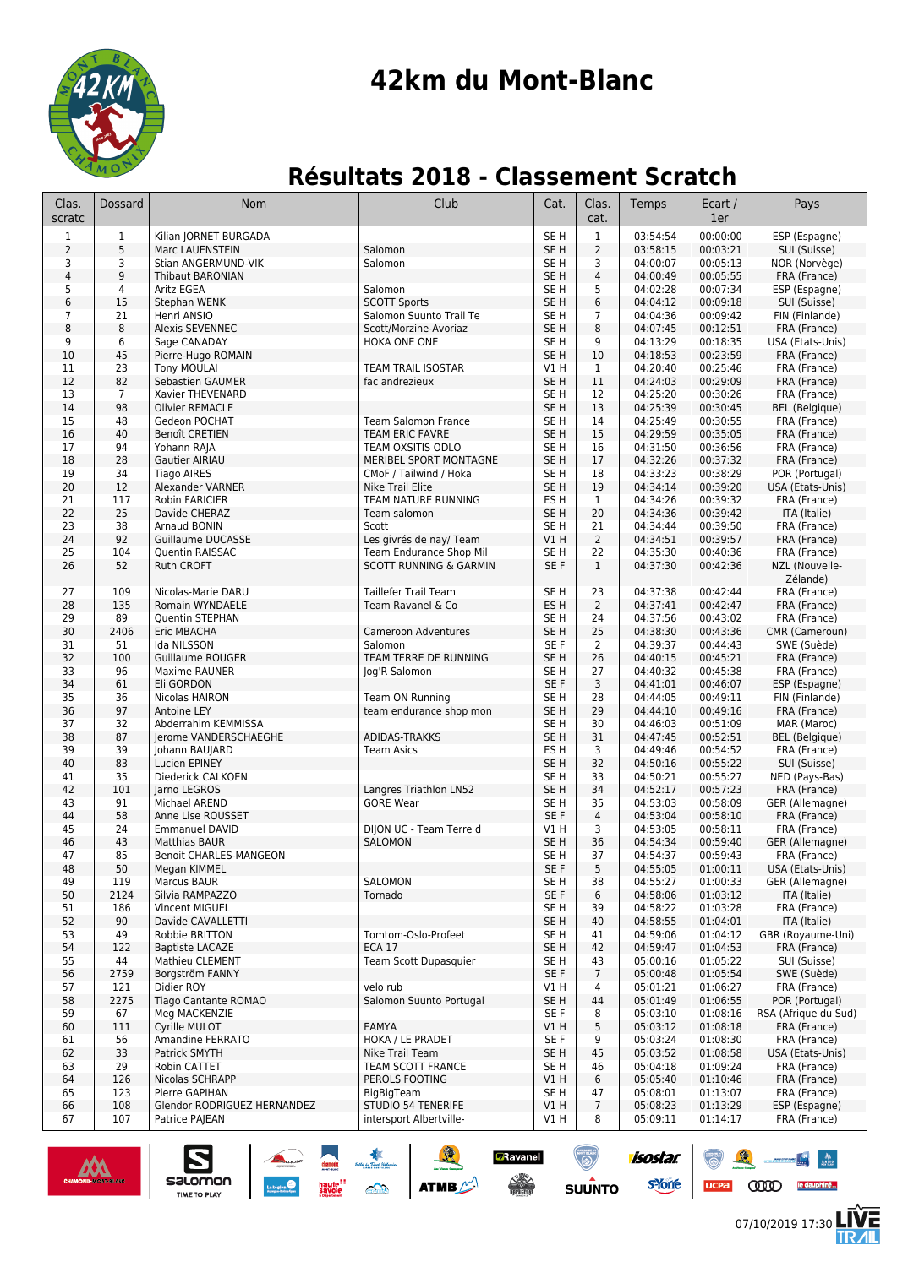

# **42km du Mont-Blanc**

## **Résultats 2018 - Classement Scratch**

| Clas.                   | Dossard             | Nom                                                             | Club                                      | Cat.                               | Clas.               | Temps                     | Ecart /              | Pays                                   |
|-------------------------|---------------------|-----------------------------------------------------------------|-------------------------------------------|------------------------------------|---------------------|---------------------------|----------------------|----------------------------------------|
| scratc                  |                     |                                                                 |                                           |                                    | cat.                |                           | 1er                  |                                        |
| 1                       | $\mathbf 1$         | Kilian JORNET BURGADA                                           |                                           | SE <sub>H</sub>                    | $\mathbf{1}$        | 03:54:54                  | 00:00:00             | ESP (Espagne)                          |
| $\overline{2}$<br>3     | 5<br>3              | Marc LAUENSTEIN<br>Stian ANGERMUND-VIK                          | Salomon<br>Salomon                        | SE <sub>H</sub><br>SE H            | $\overline{2}$<br>3 | 03:58:15<br>04:00:07      | 00:03:21<br>00:05:13 | SUI (Suisse)<br>NOR (Norvège)          |
| $\overline{\mathbf{4}}$ | 9                   | <b>Thibaut BARONIAN</b>                                         |                                           | SE <sub>H</sub>                    | $\sqrt{4}$          | 04:00:49                  | 00:05:55             | FRA (France)                           |
| 5                       | 4                   | <b>Aritz EGEA</b>                                               | Salomon                                   | SE <sub>H</sub>                    | 5                   | 04:02:28                  | 00:07:34             | ESP (Espagne)                          |
| 6                       | 15                  | Stephan WENK                                                    | <b>SCOTT Sports</b>                       | SE <sub>H</sub>                    | 6                   | 04:04:12                  | 00:09:18             | SUI (Suisse)                           |
| $\overline{7}$          | 21                  | Henri ANSIO                                                     | Salomon Suunto Trail Te                   | SE H                               | 7                   | 04:04:36                  | 00:09:42             | FIN (Finlande)                         |
| 8                       | 8                   | <b>Alexis SEVENNEC</b>                                          | Scott/Morzine-Avoriaz                     | SE <sub>H</sub>                    | 8                   | 04:07:45                  | 00:12:51             | FRA (France)                           |
| 9                       | 6                   | Sage CANADAY                                                    | HOKA ONE ONE                              | SE <sub>H</sub>                    | 9                   | 04:13:29                  | 00:18:35             | USA (Etats-Unis)                       |
| 10                      | 45                  | Pierre-Hugo ROMAIN                                              |                                           | SE <sub>H</sub>                    | 10                  | 04:18:53                  | 00:23:59             | FRA (France)                           |
| 11<br>12                | 23<br>82            | <b>Tony MOULAI</b><br>Sebastien GAUMER                          | TEAM TRAIL ISOSTAR<br>fac andrezieux      | V1 H<br>SE <sub>H</sub>            | $\mathbf{1}$<br>11  | 04:20:40<br>04:24:03      | 00:25:46<br>00:29:09 | FRA (France)<br>FRA (France)           |
| 13                      | 7                   | Xavier THEVENARD                                                |                                           | SE H                               | 12                  | 04:25:20                  | 00:30:26             | FRA (France)                           |
| 14                      | 98                  | <b>Olivier REMACLE</b>                                          |                                           | SE <sub>H</sub>                    | 13                  | 04:25:39                  | 00:30:45             | <b>BEL</b> (Belgique)                  |
| 15                      | 48                  | Gedeon POCHAT                                                   | <b>Team Salomon France</b>                | SE H                               | 14                  | 04:25:49                  | 00:30:55             | FRA (France)                           |
| 16                      | 40                  | <b>Benoît CRETIEN</b>                                           | <b>TEAM ERIC FAVRE</b>                    | SE <sub>H</sub>                    | 15                  | 04:29:59                  | 00:35:05             | FRA (France)                           |
| 17                      | 94                  | Yohann RAJA                                                     | TEAM OXSITIS ODLO                         | SE H                               | 16                  | 04:31:50                  | 00:36:56             | FRA (France)                           |
| 18                      | 28                  | Gautier AIRIAU                                                  | MERIBEL SPORT MONTAGNE                    | SE <sub>H</sub>                    | 17                  | 04:32:26                  | 00:37:32             | FRA (France)                           |
| 19                      | 34                  | <b>Tiago AIRES</b>                                              | CMoF / Tailwind / Hoka                    | SE <sub>H</sub>                    | 18                  | 04:33:23                  | 00:38:29             | POR (Portugal)                         |
| 20                      | 12                  | Alexander VARNER                                                | Nike Trail Elite                          | SE <sub>H</sub>                    | 19                  | 04:34:14                  | 00:39:20             | USA (Etats-Unis)                       |
| 21                      | 117                 | Robin FARICIER                                                  | TEAM NATURE RUNNING                       | ES H                               | $\mathbf{1}$        | 04:34:26                  | 00:39:32             | FRA (France)                           |
| 22<br>23                | 25<br>38            | Davide CHERAZ<br>Arnaud BONIN                                   | Team salomon<br>Scott                     | SE <sub>H</sub><br>SE <sub>H</sub> | 20<br>21            | 04:34:36<br>04:34:44      | 00:39:42<br>00:39:50 | ITA (Italie)<br>FRA (France)           |
| 24                      | 92                  | Guillaume DUCASSE                                               | Les givrés de nay/Team                    | VIH                                | $\overline{2}$      | 04:34:51                  | 00:39:57             | FRA (France)                           |
| 25                      | 104                 | <b>Ouentin RAISSAC</b>                                          | Team Endurance Shop Mil                   | SE H                               | 22                  | 04:35:30                  | 00:40:36             | FRA (France)                           |
| 26                      | 52                  | <b>Ruth CROFT</b>                                               | <b>SCOTT RUNNING &amp; GARMIN</b>         | SE F                               | $\mathbf{1}$        | 04:37:30                  | 00:42:36             | NZL (Nouvelle-                         |
|                         |                     |                                                                 |                                           |                                    |                     |                           |                      | Zélande)                               |
| 27                      | 109                 | Nicolas-Marie DARU                                              | <b>Taillefer Trail Team</b>               | SE <sub>H</sub>                    | 23                  | 04:37:38                  | 00:42:44             | FRA (France)                           |
| 28                      | 135                 | Romain WYNDAELE                                                 | Team Ravanel & Co                         | ES <sub>H</sub>                    | $\overline{2}$      | 04:37:41                  | 00:42:47             | FRA (France)                           |
| 29                      | 89                  | <b>Quentin STEPHAN</b>                                          |                                           | SE H                               | 24                  | 04:37:56                  | 00:43:02             | FRA (France)                           |
| 30                      | 2406                | Eric MBACHA                                                     | <b>Cameroon Adventures</b>                | SE <sub>H</sub>                    | 25                  | 04:38:30                  | 00:43:36             | CMR (Cameroun)                         |
| 31                      | 51                  | Ida NILSSON                                                     | Salomon                                   | SE F                               | 2                   | 04:39:37                  | 00:44:43             | SWE (Suède)                            |
| 32                      | 100                 | <b>Guillaume ROUGER</b>                                         | TEAM TERRE DE RUNNING                     | SE <sub>H</sub>                    | 26                  | 04:40:15                  | 00:45:21             | FRA (France)                           |
| 33                      | 96                  | Maxime RAUNER                                                   | Jog'R Salomon                             | SE <sub>H</sub><br>SE F            | 27                  | 04:40:32                  | 00:45:38             | FRA (France)                           |
| 34<br>35                | 61<br>36            | Eli GORDON<br>Nicolas HAIRON                                    | Team ON Running                           | SE <sub>H</sub>                    | 3<br>28             | 04:41:01<br>04:44:05      | 00:46:07<br>00:49:11 | ESP (Espagne)<br>FIN (Finlande)        |
| 36                      | 97                  | Antoine LEY                                                     | team endurance shop mon                   | SE <sub>H</sub>                    | 29                  | 04:44:10                  | 00:49:16             | FRA (France)                           |
| 37                      | 32                  | Abderrahim KEMMISSA                                             |                                           | SE H                               | 30                  | 04:46:03                  | 00:51:09             | MAR (Maroc)                            |
| 38                      | 87                  | Jerome VANDERSCHAEGHE                                           | <b>ADIDAS-TRAKKS</b>                      | SE <sub>H</sub>                    | 31                  | 04:47:45                  | 00:52:51             | <b>BEL</b> (Belgique)                  |
| 39                      | 39                  | Johann BAUJARD                                                  | <b>Team Asics</b>                         | ES <sub>H</sub>                    | 3                   | 04:49:46                  | 00:54:52             | FRA (France)                           |
| 40                      | 83                  | Lucien EPINEY                                                   |                                           | SE <sub>H</sub>                    | 32                  | 04:50:16                  | 00:55:22             | SUI (Suisse)                           |
| 41                      | 35                  | Diederick CALKOEN                                               |                                           | SE <sub>H</sub>                    | 33                  | 04:50:21                  | 00:55:27             | NED (Pays-Bas)                         |
| 42                      | 101                 | Jarno LEGROS                                                    | Langres Triathlon LN52                    | SE <sub>H</sub>                    | 34                  | 04:52:17                  | 00:57:23             | FRA (France)                           |
| 43                      | 91                  | Michael AREND                                                   | <b>GORE Wear</b>                          | SE H                               | 35                  | 04:53:03                  | 00:58:09             | GER (Allemagne)                        |
| 44                      | 58                  | Anne Lise ROUSSET                                               |                                           | SE F                               | $\overline{4}$      | 04:53:04                  | 00:58:10             | FRA (France)                           |
| 45<br>46                | 24<br>43            | <b>Emmanuel DAVID</b><br><b>Matthias BAUR</b>                   | DIJON UC - Team Terre d<br><b>SALOMON</b> | V1 H<br>SE <sub>H</sub>            | 3<br>36             | 04:53:05                  | 00:58:11             | FRA (France)<br>GER (Allemagne)        |
| 47                      | 85                  | <b>Benoit CHARLES-MANGEON</b>                                   |                                           | SE H                               | 37                  | 04:54:34<br>04:54:37      | 00:59:40<br>00:59:43 | FRA (France)                           |
| 48                      | $50\,$              | Megan KIMMEL                                                    |                                           | SE F                               | 5                   | 04:55:05                  | 01:00:11             | USA (Etats-Unis)                       |
| 49                      | 119                 | Marcus BAUR                                                     | SALOMON                                   | SE H                               | 38                  | 04:55:27                  | 01:00:33             | GER (Allemagne)                        |
| 50                      | 2124                | Silvia RAMPAZZO                                                 | Tornado                                   | SE F                               | 6                   | 04:58:06                  | 01:03:12             | ITA (Italie)                           |
| 51                      | 186                 | Vincent MIGUEL                                                  |                                           | SE H                               | 39                  | 04:58:22                  | 01:03:28             | FRA (France)                           |
| 52                      | 90                  | Davide CAVALLETTI                                               |                                           | SE <sub>H</sub>                    | 40                  | 04:58:55                  | 01:04:01             | ITA (Italie)                           |
| 53                      | 49                  | Robbie BRITTON                                                  | Tomtom-Oslo-Profeet                       | SE H                               | 41                  | 04:59:06                  | 01:04:12             | GBR (Royaume-Uni)                      |
| 54                      | 122                 | <b>Baptiste LACAZE</b>                                          | <b>ECA 17</b>                             | SE <sub>H</sub>                    | 42                  | 04:59:47                  | 01:04:53             | FRA (France)                           |
| 55                      | 44                  | Mathieu CLEMENT                                                 | Team Scott Dupasquier                     | SE H                               | 43                  | 05:00:16                  | 01:05:22             | SUI (Suisse)                           |
| 56                      | 2759                | Borgström FANNY                                                 |                                           | SE F                               | $\overline{7}$      | 05:00:48                  | 01:05:54             | SWE (Suède)                            |
| 57                      | 121                 | Didier ROY                                                      | velo rub<br>Salomon Suunto Portugal       | V1 H                               | 4                   | 05:01:21                  | 01:06:27             | FRA (France)                           |
| 58<br>59                | 2275<br>67          | Tiago Cantante ROMAO<br>Meg MACKENZIE                           |                                           | SE <sub>H</sub><br>SE F            | 44<br>8             | 05:01:49<br>05:03:10      | 01:06:55<br>01:08:16 | POR (Portugal)<br>RSA (Afrique du Sud) |
| 60                      | 111                 | Cyrille MULOT                                                   | <b>EAMYA</b>                              | V1H                                | 5                   | 05:03:12                  | 01:08:18             | FRA (France)                           |
| 61                      | 56                  | Amandine FERRATO                                                | HOKA / LE PRADET                          | SE F                               | 9                   | 05:03:24                  | 01:08:30             | FRA (France)                           |
| 62                      | 33                  | Patrick SMYTH                                                   | Nike Trail Team                           | SE H                               | 45                  | 05:03:52                  | 01:08:58             | USA (Etats-Unis)                       |
| 63                      | 29                  | Robin CATTET                                                    | TEAM SCOTT FRANCE                         | SE H                               | 46                  | 05:04:18                  | 01:09:24             | FRA (France)                           |
| 64                      | 126                 | Nicolas SCHRAPP                                                 | PEROLS FOOTING                            | V1H                                | 6                   | 05:05:40                  | 01:10:46             | FRA (France)                           |
| 65                      | 123                 | Pierre GAPIHAN                                                  | BigBigTeam                                | SE H                               | 47                  | 05:08:01                  | 01:13:07             | FRA (France)                           |
| 66                      | 108                 | Glendor RODRIGUEZ HERNANDEZ                                     | <b>STUDIO 54 TENERIFE</b>                 | V1H                                | $\overline{7}$      | 05:08:23                  | 01:13:29             | ESP (Espagne)                          |
| 67                      | 107                 | Patrice PAJEAN                                                  | intersport Albertville-                   | V1 H                               | 8                   | 05:09:11                  | 01:14:17             | FRA (France)                           |
|                         | CHAMONIX-MONT-BLANC | salomon<br>haute <sup>11</sup><br>savoie<br><b>TIME TO PLAY</b> | <b>ATMB</b><br>$\triangle$                | Ravanel<br><b>Contract</b>         | <b>SUUNTO</b>       | isostar.<br><b>s</b> Yone | <b>UCPa</b>          | യ്ത                                    |



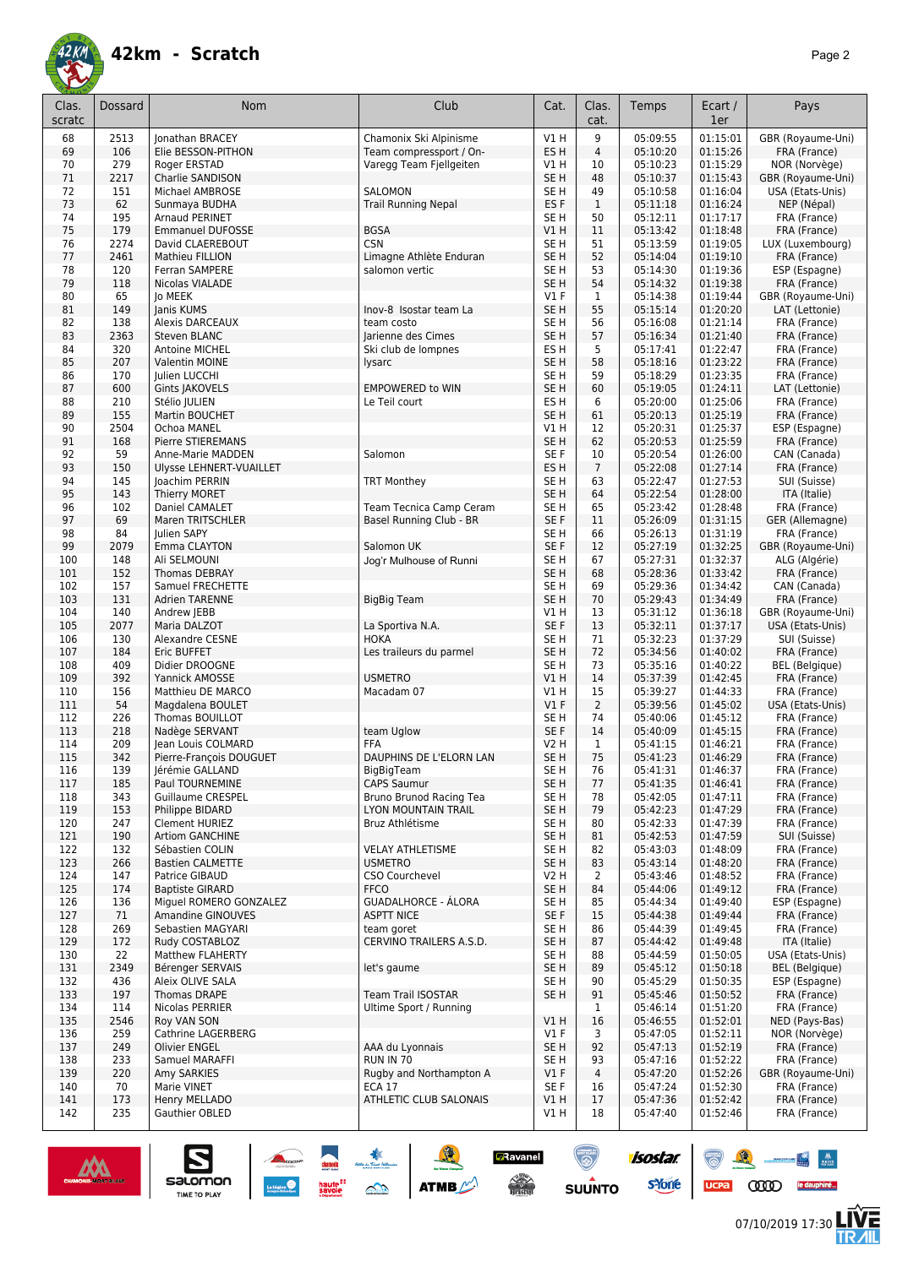

| Clas.<br>scratc | Dossard     | Nom                                       | Club                                                | Cat.                    | Clas.<br>cat.        | Temps                | Ecart /<br>1er       | Pays                                  |
|-----------------|-------------|-------------------------------------------|-----------------------------------------------------|-------------------------|----------------------|----------------------|----------------------|---------------------------------------|
| 68              | 2513        | Jonathan BRACEY                           | Chamonix Ski Alpinisme                              | V1H                     | 9                    | 05:09:55             | 01:15:01             | GBR (Royaume-Uni)                     |
| 69              | 106         | Elie BESSON-PITHON                        | Team compressport / On-                             | ES <sub>H</sub>         | $\overline{4}$       | 05:10:20             | 01:15:26             | FRA (France)                          |
| 70              | 279         | Roger ERSTAD                              | Varegg Team Fjellgeiten                             | V1H                     | 10                   | 05:10:23             | 01:15:29             | NOR (Norvège)                         |
| 71              | 2217        | Charlie SANDISON                          |                                                     | SE <sub>H</sub>         | 48                   | 05:10:37             | 01:15:43             | GBR (Royaume-Uni)                     |
| 72<br>73        | 151<br>62   | Michael AMBROSE                           | <b>SALOMON</b><br><b>Trail Running Nepal</b>        | SE <sub>H</sub><br>ES F | 49<br>$\mathbf{1}$   | 05:10:58<br>05:11:18 | 01:16:04<br>01:16:24 | USA (Etats-Unis)<br>NEP (Népal)       |
| 74              | 195         | Sunmaya BUDHA<br>Arnaud PERINET           |                                                     | SE <sub>H</sub>         | 50                   | 05:12:11             | 01:17:17             | FRA (France)                          |
| 75              | 179         | <b>Emmanuel DUFOSSE</b>                   | <b>BGSA</b>                                         | V1 H                    | 11                   | 05:13:42             | 01:18:48             | FRA (France)                          |
| 76              | 2274        | David CLAEREBOUT                          | <b>CSN</b>                                          | SE H                    | 51                   | 05:13:59             | 01:19:05             | LUX (Luxembourg)                      |
| 77              | 2461        | Mathieu FILLION                           | Limagne Athlète Enduran                             | SE <sub>H</sub>         | 52                   | 05:14:04             | 01:19:10             | FRA (France)                          |
| 78              | 120         | <b>Ferran SAMPERE</b>                     | salomon vertic                                      | SE H                    | 53                   | 05:14:30             | 01:19:36             | ESP (Espagne)                         |
| 79              | 118         | Nicolas VIALADE                           |                                                     | SE <sub>H</sub>         | 54                   | 05:14:32             | 01:19:38             | FRA (France)                          |
| 80              | 65          | lo MEEK                                   |                                                     | $VI$ F                  | $\mathbf{1}$         | 05:14:38             | 01:19:44             | GBR (Royaume-Uni)                     |
| 81              | 149         | Janis KUMS                                | Inov-8 Isostar team La                              | SE <sub>H</sub>         | 55                   | 05:15:14             | 01:20:20             | LAT (Lettonie)                        |
| 82              | 138         | <b>Alexis DARCEAUX</b>                    | team costo                                          | SE H                    | 56<br>57             | 05:16:08             | 01:21:14             | FRA (France)                          |
| 83<br>84        | 2363<br>320 | Steven BLANC<br>Antoine MICHEL            | Jarienne des Cimes<br>Ski club de lompnes           | SE <sub>H</sub><br>ES H | 5                    | 05:16:34<br>05:17:41 | 01:21:40<br>01:22:47 | FRA (France)<br>FRA (France)          |
| 85              | 207         | Valentin MOINE                            | lysarc                                              | SE <sub>H</sub>         | 58                   | 05:18:16             | 01:23:22             | FRA (France)                          |
| 86              | 170         | Julien LUCCHI                             |                                                     | SE H                    | 59                   | 05:18:29             | 01:23:35             | FRA (France)                          |
| 87              | 600         | Gints JAKOVELS                            | <b>EMPOWERED to WIN</b>                             | SE <sub>H</sub>         | 60                   | 05:19:05             | 01:24:11             | LAT (Lettonie)                        |
| 88              | 210         | Stélio JULIEN                             | Le Teil court                                       | ES H                    | 6                    | 05:20:00             | 01:25:06             | FRA (France)                          |
| 89              | 155         | Martin BOUCHET                            |                                                     | SE <sub>H</sub>         | 61                   | 05:20:13             | 01:25:19             | FRA (France)                          |
| 90              | 2504        | Ochoa MANEL                               |                                                     | V1 H                    | 12                   | 05:20:31             | 01:25:37             | ESP (Espagne)                         |
| 91              | 168         | Pierre STIEREMANS                         |                                                     | SE <sub>H</sub>         | 62                   | 05:20:53             | 01:25:59             | FRA (France)                          |
| 92              | 59          | Anne-Marie MADDEN                         | Salomon                                             | SE <sub>F</sub>         | 10                   | 05:20:54             | 01:26:00             | CAN (Canada)                          |
| 93<br>94        | 150<br>145  | Ulysse LEHNERT-VUAILLET                   |                                                     | ES <sub>H</sub><br>SE H | $\overline{7}$<br>63 | 05:22:08<br>05:22:47 | 01:27:14<br>01:27:53 | FRA (France)<br>SUI (Suisse)          |
| 95              | 143         | Joachim PERRIN<br>Thierry MORET           | <b>TRT Monthey</b>                                  | SE <sub>H</sub>         | 64                   | 05:22:54             | 01:28:00             | ITA (Italie)                          |
| 96              | 102         | Daniel CAMALET                            | Team Tecnica Camp Ceram                             | SE <sub>H</sub>         | 65                   | 05:23:42             | 01:28:48             | FRA (France)                          |
| 97              | 69          | Maren TRITSCHLER                          | Basel Running Club - BR                             | SE F                    | 11                   | 05:26:09             | 01:31:15             | GER (Allemagne)                       |
| 98              | 84          | Julien SAPY                               |                                                     | SE <sub>H</sub>         | 66                   | 05:26:13             | 01:31:19             | FRA (France)                          |
| 99              | 2079        | Emma CLAYTON                              | Salomon UK                                          | SE F                    | 12                   | 05:27:19             | 01:32:25             | GBR (Royaume-Uni)                     |
| 100             | 148         | Ali SELMOUNI                              | Jog'r Mulhouse of Runni                             | SE H                    | 67                   | 05:27:31             | 01:32:37             | ALG (Algérie)                         |
| 101             | 152         | <b>Thomas DEBRAY</b>                      |                                                     | SE <sub>H</sub>         | 68                   | 05:28:36             | 01:33:42             | FRA (France)                          |
| 102             | 157         | Samuel FRECHETTE                          |                                                     | SE H                    | 69                   | 05:29:36             | 01:34:42             | CAN (Canada)                          |
| 103             | 131         | Adrien TARENNE                            | <b>BigBig Team</b>                                  | SE <sub>H</sub>         | 70                   | 05:29:43             | 01:34:49             | FRA (France)                          |
| 104<br>105      | 140<br>2077 | Andrew JEBB<br>Maria DALZOT               | La Sportiva N.A.                                    | V1H<br>SE F             | 13<br>13             | 05:31:12<br>05:32:11 | 01:36:18<br>01:37:17 | GBR (Royaume-Uni)<br>USA (Etats-Unis) |
| 106             | 130         | Alexandre CESNE                           | <b>HOKA</b>                                         | SE <sub>H</sub>         | 71                   | 05:32:23             | 01:37:29             | SUI (Suisse)                          |
| 107             | 184         | Eric BUFFET                               | Les traileurs du parmel                             | SE <sub>H</sub>         | 72                   | 05:34:56             | 01:40:02             | FRA (France)                          |
| 108             | 409         | Didier DROOGNE                            |                                                     | SE H                    | 73                   | 05:35:16             | 01:40:22             | <b>BEL</b> (Belgique)                 |
| 109             | 392         | Yannick AMOSSE                            | <b>USMETRO</b>                                      | VIH                     | 14                   | 05:37:39             | 01:42:45             | FRA (France)                          |
| 110             | 156         | Matthieu DE MARCO                         | Macadam 07                                          | V1 H                    | 15                   | 05:39:27             | 01:44:33             | FRA (France)                          |
| 111             | 54          | Magdalena BOULET                          |                                                     | $VI$ F                  | $\overline{2}$       | 05:39:56             | 01:45:02             | USA (Etats-Unis)                      |
| 112             | 226         | Thomas BOUILLOT                           |                                                     | SE H                    | 74                   | 05:40:06             | 01:45:12             | FRA (France)                          |
| 113<br>114      | 218<br>209  | Nadège SERVANT<br>Jean Louis COLMARD      | team Uglow<br>FFA                                   | SE F<br>V2 H            | 14<br>$\mathbf{1}$   | 05:40:09<br>05:41:15 | 01:45:15<br>01:46:21 | FRA (France)<br>FRA (France)          |
| 115             | 342         | Pierre-François DOUGUET                   | DAUPHINS DE L'ELORN LAN                             | SE H                    | 75                   | 05:41:23             | 01:46:29             | FRA (France)                          |
| 116             | 139         | Jeremie GALLAND                           | BigBig Feam                                         | SE H                    | 76                   | 05:41:31             | 01:46:37             | FRA (France)                          |
| 117             | 185         | Paul TOURNEMINE                           | CAPS Saumur                                         | SE <sub>H</sub>         | 77                   | 05:41:35             | 01:46:41             | FRA (France)                          |
| 118             | 343         | <b>Guillaume CRESPEL</b>                  | Bruno Brunod Racing Tea                             | SE <sub>H</sub>         | 78                   | 05:42:05             | 01:47:11             | FRA (France)                          |
| 119             | 153         | Philippe BIDARD                           | LYON MOUNTAIN TRAIL                                 | SE H                    | 79                   | 05:42:23             | 01:47:29             | FRA (France)                          |
| 120             | 247         | Clement HURIEZ                            | Bruz Athlétisme                                     | SE H                    | 80                   | 05:42:33             | 01:47:39             | FRA (France)                          |
| 121             | 190         | <b>Artiom GANCHINE</b>                    |                                                     | SE H                    | 81                   | 05:42:53             | 01:47:59             | SUI (Suisse)                          |
| 122             | 132         | Sébastien COLIN                           | <b>VELAY ATHLETISME</b>                             | SE H                    | 82                   | 05:43:03             | 01:48:09             | FRA (France)<br>FRA (France)          |
| 123<br>124      | 266<br>147  | <b>Bastien CALMETTE</b><br>Patrice GIBAUD | <b>USMETRO</b><br>CSO Courchevel                    | SE H<br>V2 H            | 83<br>$\overline{2}$ | 05:43:14<br>05:43:46 | 01:48:20<br>01:48:52 | FRA (France)                          |
| 125             | 174         | <b>Baptiste GIRARD</b>                    | <b>FFCO</b>                                         | SE H                    | 84                   | 05:44:06             | 01:49:12             | FRA (France)                          |
| 126             | 136         | Miguel ROMERO GONZALEZ                    | <b>GUADALHORCE - ÁLORA</b>                          | SE H                    | 85                   | 05:44:34             | 01:49:40             | ESP (Espagne)                         |
| 127             | 71          | <b>Amandine GINOUVES</b>                  | <b>ASPTT NICE</b>                                   | SE F                    | 15                   | 05:44:38             | 01:49:44             | FRA (France)                          |
| 128             | 269         | Sebastien MAGYARI                         | team goret                                          | SE H                    | 86                   | 05:44:39             | 01:49:45             | FRA (France)                          |
| 129             | 172         | Rudy COSTABLOZ                            | CERVINO TRAILERS A.S.D.                             | SE <sub>H</sub>         | 87                   | 05:44:42             | 01:49:48             | ITA (Italie)                          |
| 130             | 22          | Matthew FLAHERTY                          |                                                     | SE H                    | 88                   | 05:44:59             | 01:50:05             | USA (Etats-Unis)                      |
| 131             | 2349        | Bérenger SERVAIS                          | let's gaume                                         | SE H                    | 89                   | 05:45:12             | 01:50:18             | BEL (Belgique)                        |
| 132             | 436         | Aleix OLIVE SALA                          |                                                     | SE H                    | 90                   | 05:45:29             | 01:50:35             | ESP (Espagne)                         |
| 133<br>134      | 197<br>114  | Thomas DRAPE<br>Nicolas PERRIER           | <b>Team Trail ISOSTAR</b><br>Ultime Sport / Running | SE H                    | 91<br>$\mathbf{1}$   | 05:45:46<br>05:46:14 | 01:50:52<br>01:51:20 | FRA (France)<br>FRA (France)          |
| 135             | 2546        | Roy VAN SON                               |                                                     | V1 H                    | 16                   | 05:46:55             | 01:52:01             | NED (Pays-Bas)                        |
| 136             | 259         | Cathrine LAGERBERG                        |                                                     | $VI$ F                  | 3                    | 05:47:05             | 01:52:11             | NOR (Norvège)                         |
| 137             | 249         | <b>Olivier ENGEL</b>                      | AAA du Lyonnais                                     | SE H                    | 92                   | 05:47:13             | 01:52:19             | FRA (France)                          |
| 138             | 233         | Samuel MARAFFI                            | <b>RUN IN 70</b>                                    | SE H                    | 93                   | 05:47:16             | 01:52:22             | FRA (France)                          |
| 139             | 220         | Amy SARKIES                               | Rugby and Northampton A                             | $VI$ F                  | 4                    | 05:47:20             | 01:52:26             | GBR (Royaume-Uni)                     |
| 140             | 70          | Marie VINET                               | <b>ECA 17</b>                                       | SE F                    | 16                   | 05:47:24             | 01:52:30             | FRA (France)                          |
| 141             | 173         | Henry MELLADO                             | ATHLETIC CLUB SALONAIS                              | VIH                     | 17                   | 05:47:36             | 01:52:42             | FRA (France)                          |
| 142             | 235         | Gauthier OBLED                            |                                                     | V1 H                    | 18                   | 05:47:40             | 01:52:46             | FRA (France)                          |

**7** Ravanel<br>Alignment<br>Transit

 $\odot$ 

SUUNTO

isostar.

**s**Yone



 $\sum_{\text{SALOMOM}}$ 



UCPA COOD le dauphiné...

 $\odot$ 

 $\frac{M}{\sqrt{2\pi}}\int_{\frac{M}{2}}^M\frac{M}{\sqrt{2\pi}}\,d\mu$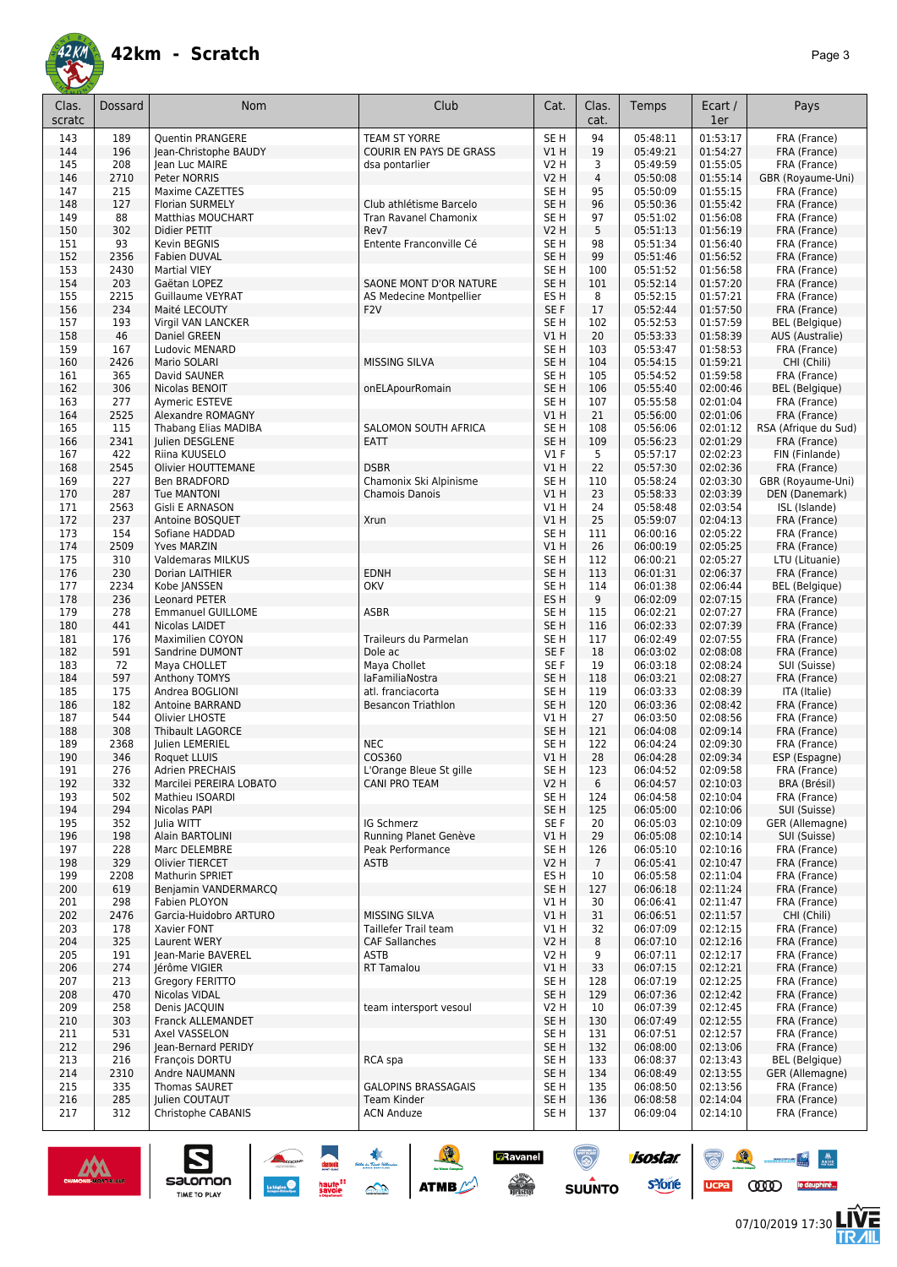

| Clas.<br>scratc | <b>Dossard</b> | Nom                                         | Club                         | Cat.                               | Clas.<br>cat.         | Temps                | Ecart /<br>1er       | Pays                                     |
|-----------------|----------------|---------------------------------------------|------------------------------|------------------------------------|-----------------------|----------------------|----------------------|------------------------------------------|
| 143             | 189            | <b>Ouentin PRANGERE</b>                     | <b>TEAM ST YORRE</b>         | SE <sub>H</sub>                    | 94                    | 05:48:11             | 01:53:17             | FRA (France)                             |
| 144             | 196            | Jean-Christophe BAUDY                       | COURIR EN PAYS DE GRASS      | VIH                                | 19                    | 05:49:21             | 01:54:27             | FRA (France)                             |
| 145             | 208            | Jean Luc MAIRE                              | dsa pontarlier               | V2 H                               | 3                     | 05:49:59             | 01:55:05             | FRA (France)                             |
| 146             | 2710           | Peter NORRIS                                |                              | <b>V2 H</b>                        | 4                     | 05:50:08             | 01:55:14             | GBR (Royaume-Uni)                        |
| 147             | 215            | Maxime CAZETTES                             |                              | SE <sub>H</sub>                    | 95                    | 05:50:09             | 01:55:15             | FRA (France)                             |
| 148             | 127            | <b>Florian SURMELY</b>                      | Club athlétisme Barcelo      | SE <sub>H</sub>                    | 96                    | 05:50:36             | 01:55:42             | FRA (France)                             |
| 149             | 88             | <b>Matthias MOUCHART</b>                    | <b>Tran Ravanel Chamonix</b> | SE <sub>H</sub>                    | 97                    | 05:51:02             | 01:56:08             | FRA (France)                             |
| 150             | 302            | Didier PETIT                                | Rev7                         | <b>V2 H</b>                        | 5                     | 05:51:13             | 01:56:19             | FRA (France)                             |
| 151<br>152      | 93<br>2356     | Kevin BEGNIS<br>Fabien DUVAL                | Entente Franconville Cé      | SE <sub>H</sub><br>SE <sub>H</sub> | 98<br>99              | 05:51:34<br>05:51:46 | 01:56:40<br>01:56:52 | FRA (France)<br>FRA (France)             |
| 153             | 2430           | <b>Martial VIEY</b>                         |                              | SE <sub>H</sub>                    | 100                   | 05:51:52             | 01:56:58             | FRA (France)                             |
| 154             | 203            | Gaëtan LOPEZ                                | SAONE MONT D'OR NATURE       | SE <sub>H</sub>                    | 101                   | 05:52:14             | 01:57:20             | FRA (France)                             |
| 155             | 2215           | Guillaume VEYRAT                            | AS Medecine Montpellier      | ES <sub>H</sub>                    | 8                     | 05:52:15             | 01:57:21             | FRA (France)                             |
| 156             | 234            | Maité LECOUTY                               | F <sub>2</sub> V             | SE F                               | 17                    | 05:52:44             | 01:57:50             | FRA (France)                             |
| 157             | 193            | Virgil VAN LANCKER                          |                              | SE H                               | 102                   | 05:52:53             | 01:57:59             | <b>BEL</b> (Belgique)                    |
| 158             | 46             | Daniel GREEN                                |                              | VIH                                | 20                    | 05:53:33             | 01:58:39             | AUS (Australie)                          |
| 159<br>160      | 167<br>2426    | Ludovic MENARD<br>Mario SOLARI              | <b>MISSING SILVA</b>         | SE <sub>H</sub><br>SE <sub>H</sub> | 103<br>104            | 05:53:47<br>05:54:15 | 01:58:53<br>01:59:21 | FRA (France)<br>CHI (Chili)              |
| 161             | 365            | David SAUNER                                |                              | SE <sub>H</sub>                    | 105                   | 05:54:52             | 01:59:58             | FRA (France)                             |
| 162             | 306            | Nicolas BENOIT                              | onELApourRomain              | SE <sub>H</sub>                    | 106                   | 05:55:40             | 02:00:46             | <b>BEL</b> (Belgique)                    |
| 163             | 277            | Aymeric ESTEVE                              |                              | SE H                               | 107                   | 05:55:58             | 02:01:04             | FRA (France)                             |
| 164             | 2525           | Alexandre ROMAGNY                           |                              | V1H                                | 21                    | 05:56:00             | 02:01:06             | FRA (France)                             |
| 165             | 115            | Thabang Elias MADIBA                        | SALOMON SOUTH AFRICA         | SE <sub>H</sub>                    | 108                   | 05:56:06             | 02:01:12             | RSA (Afrique du Sud)                     |
| 166             | 2341           | Julien DESGLENE                             | <b>EATT</b>                  | SE <sub>H</sub>                    | 109                   | 05:56:23             | 02:01:29             | FRA (France)                             |
| 167<br>168      | 422<br>2545    | Riina KUUSELO<br><b>Olivier HOUTTEMANE</b>  | <b>DSBR</b>                  | $VI$ F<br>VIH                      | 5<br>22               | 05:57:17<br>05:57:30 | 02:02:23<br>02:02:36 | FIN (Finlande)<br>FRA (France)           |
| 169             | 227            | Ben BRADFORD                                | Chamonix Ski Alpinisme       | SE <sub>H</sub>                    | 110                   | 05:58:24             | 02:03:30             | GBR (Royaume-Uni)                        |
| 170             | 287            | <b>Tue MANTONI</b>                          | Chamois Danois               | VIH                                | 23                    | 05:58:33             | 02:03:39             | DEN (Danemark)                           |
| 171             | 2563           | Gisli E ARNASON                             |                              | V1 H                               | 24                    | 05:58:48             | 02:03:54             | ISL (Islande)                            |
| 172             | 237            | Antoine BOSQUET                             | Xrun                         | V1H                                | 25                    | 05:59:07             | 02:04:13             | FRA (France)                             |
| 173             | 154            | Sofiane HADDAD                              |                              | SE <sub>H</sub>                    | 111                   | 06:00:16             | 02:05:22             | FRA (France)                             |
| 174             | 2509           | <b>Yves MARZIN</b>                          |                              | V1H                                | 26                    | 06:00:19             | 02:05:25             | FRA (France)                             |
| 175<br>176      | 310<br>230     | <b>Valdemaras MILKUS</b><br>Dorian LAITHIER | <b>EDNH</b>                  | SE <sub>H</sub><br>SE <sub>H</sub> | 112<br>113            | 06:00:21<br>06:01:31 | 02:05:27<br>02:06:37 | LTU (Lituanie)<br>FRA (France)           |
| 177             | 2234           | Kobe JANSSEN                                | <b>OKV</b>                   | SE <sub>H</sub>                    | 114                   | 06:01:38             | 02:06:44             | <b>BEL</b> (Belgique)                    |
| 178             | 236            | <b>Leonard PETER</b>                        |                              | ES <sub>H</sub>                    | 9                     | 06:02:09             | 02:07:15             | FRA (France)                             |
| 179             | 278            | <b>Emmanuel GUILLOME</b>                    | <b>ASBR</b>                  | SE <sub>H</sub>                    | 115                   | 06:02:21             | 02:07:27             | FRA (France)                             |
| 180             | 441            | Nicolas LAIDET                              |                              | SE <sub>H</sub>                    | 116                   | 06:02:33             | 02:07:39             | FRA (France)                             |
| 181             | 176            | <b>Maximilien COYON</b>                     | Traileurs du Parmelan        | SE H                               | 117                   | 06:02:49             | 02:07:55             | FRA (France)                             |
| 182<br>183      | 591<br>72      | Sandrine DUMONT<br>Maya CHOLLET             | Dole ac<br>Maya Chollet      | SE F<br>SE F                       | 18<br>19              | 06:03:02<br>06:03:18 | 02:08:08<br>02:08:24 | FRA (France)<br>SUI (Suisse)             |
| 184             | 597            | Anthony TOMYS                               | laFamiliaNostra              | SE <sub>H</sub>                    | 118                   | 06:03:21             | 02:08:27             | FRA (France)                             |
| 185             | 175            | Andrea BOGLIONI                             | atl. franciacorta            | SE <sub>H</sub>                    | 119                   | 06:03:33             | 02:08:39             | ITA (Italie)                             |
| 186             | 182            | Antoine BARRAND                             | <b>Besancon Triathlon</b>    | SE <sub>H</sub>                    | 120                   | 06:03:36             | 02:08:42             | FRA (France)                             |
| 187             | 544            | Olivier LHOSTE                              |                              | V1 H                               | 27                    | 06:03:50             | 02:08:56             | FRA (France)                             |
| 188             | 308            | <b>Thibault LAGORCE</b>                     |                              | SE <sub>H</sub>                    | 121                   | 06:04:08             | 02:09:14             | FRA (France)                             |
| 189<br>190      | 2368<br>346    | Julien LEMERIEL<br>Roquet LLUIS             | <b>NEC</b><br>COS360         | SE <sub>H</sub><br>V1H             | 122<br>28             | 06:04:24<br>06:04:28 | 02:09:30<br>02:09:34 | FRA (France)                             |
| 191             | 276            | Adrien PRECHAIS                             | L'Orange Bleue St gille      | SE H                               | 123                   | 06:04:52             | 02:09:58             | ESP (Espagne)<br>FRA (France)            |
| 192             | 332            | Marcilei PEREIRA LOBATO                     | <b>CANI PRO TEAM</b>         | <b>V2 H</b>                        | 6                     | 06:04:57             | 02:10:03             | BRA (Brésil)                             |
| 193             | 502            | Mathieu ISOARDI                             |                              | SE H                               | 124                   | 06:04:58             | 02:10:04             | FRA (France)                             |
| 194             | 294            | Nicolas PAPI                                |                              | SE <sub>H</sub>                    | 125                   | 06:05:00             | 02:10:06             | SUI (Suisse)                             |
| 195             | 352            | Julia WITT                                  | IG Schmerz                   | SE F                               | 20                    | 06:05:03             | 02:10:09             | GER (Allemagne)                          |
| 196             | 198            | Alain BARTOLINI                             | Running Planet Genève        | V1H                                | 29                    | 06:05:08             | 02:10:14             | SUI (Suisse)                             |
| 197<br>198      | 228<br>329     | Marc DELEMBRE<br>Olivier TIERCET            | Peak Performance<br>ASTB     | SE <sub>H</sub><br>V2H             | 126<br>$\overline{7}$ | 06:05:10<br>06:05:41 | 02:10:16<br>02:10:47 | FRA (France)<br>FRA (France)             |
| 199             | 2208           | Mathurin SPRIET                             |                              | ES <sub>H</sub>                    | 10                    | 06:05:58             | 02:11:04             | FRA (France)                             |
| 200             | 619            | Benjamin VANDERMARCQ                        |                              | SE <sub>H</sub>                    | 127                   | 06:06:18             | 02:11:24             | FRA (France)                             |
| 201             | 298            | Fabien PLOYON                               |                              | V1 H                               | 30                    | 06:06:41             | 02:11:47             | FRA (France)                             |
| 202             | 2476           | Garcia-Huidobro ARTURO                      | <b>MISSING SILVA</b>         | V1H                                | 31                    | 06:06:51             | 02:11:57             | CHI (Chili)                              |
| 203             | 178            | Xavier FONT                                 | Taillefer Trail team         | V1 H                               | 32                    | 06:07:09             | 02:12:15             | FRA (France)                             |
| 204             | 325            | Laurent WERY                                | <b>CAF Sallanches</b>        | <b>V2 H</b>                        | 8                     | 06:07:10             | 02:12:16             | FRA (France)                             |
| 205             | 191            | Jean-Marie BAVEREL                          | <b>ASTB</b>                  | V2 H                               | 9                     | 06:07:11             | 02:12:17             | FRA (France)                             |
| 206<br>207      | 274<br>213     | Jérôme VIGIER<br>Gregory FERITTO            | <b>RT Tamalou</b>            | V1 H<br>SE H                       | 33<br>128             | 06:07:15<br>06:07:19 | 02:12:21<br>02:12:25 | FRA (France)<br>FRA (France)             |
| 208             | 470            | Nicolas VIDAL                               |                              | SE <sub>H</sub>                    | 129                   | 06:07:36             | 02:12:42             | FRA (France)                             |
| 209             | 258            | Denis JACQUIN                               | team intersport vesoul       | V2 H                               | 10                    | 06:07:39             | 02:12:45             | FRA (France)                             |
| 210             | 303            | Franck ALLEMANDET                           |                              | SE <sub>H</sub>                    | 130                   | 06:07:49             | 02:12:55             | FRA (France)                             |
| 211             | 531            | Axel VASSELON                               |                              | SE H                               | 131                   | 06:07:51             | 02:12:57             | FRA (France)                             |
| 212             | 296            | Jean-Bernard PERIDY                         |                              | SE <sub>H</sub>                    | 132                   | 06:08:00             | 02:13:06             | FRA (France)                             |
| 213<br>214      | 216<br>2310    | François DORTU<br>Andre NAUMANN             | RCA spa                      | SE <sub>H</sub><br>SE <sub>H</sub> | 133<br>134            | 06:08:37<br>06:08:49 | 02:13:43<br>02:13:55 | <b>BEL</b> (Belgique)<br>GER (Allemagne) |
| 215             | 335            | Thomas SAURET                               | <b>GALOPINS BRASSAGAIS</b>   | SE H                               | 135                   | 06:08:50             | 02:13:56             | FRA (France)                             |
| 216             | 285            | Julien COUTAUT                              | Team Kinder                  | SE <sub>H</sub>                    | 136                   | 06:08:58             | 02:14:04             | FRA (France)                             |
| 217             | 312            | Christophe CABANIS                          | <b>ACN Anduze</b>            | SE <sub>H</sub>                    | 137                   | 06:09:04             | 02:14:10             | FRA (France)                             |

SO THE SO ATME

**Z**Ravanel

 $\begin{array}{c} \displaystyle \sqrt{2} \\ \displaystyle \sqrt{2} \\ \displaystyle \sqrt{2} \\ \displaystyle \sqrt{2} \\ \displaystyle \sqrt{2} \\ \displaystyle \sqrt{2} \\ \displaystyle \sqrt{2} \\ \displaystyle \sqrt{2} \\ \displaystyle \sqrt{2} \\ \displaystyle \sqrt{2} \\ \displaystyle \sqrt{2} \\ \displaystyle \sqrt{2} \\ \displaystyle \sqrt{2} \\ \displaystyle \sqrt{2} \\ \displaystyle \sqrt{2} \\ \displaystyle \sqrt{2} \\ \displaystyle \sqrt{2} \\ \displaystyle \sqrt{2} \\ \displaystyle \sqrt{2} \\ \displaystyle \sqrt{2} \\ \displaystyle \sqrt{2} \\ \displaystyle \sqrt{2} \\ \displaystyle \sqrt{2} \\ \displaystyle \sqrt{$ 

 $\odot$ 



 $\sum_{\text{SALOMOM}}$ 



 $\bullet$   $\bullet$ 

UCPA COOD le dauphiné...

**isostar** 

**s**Yone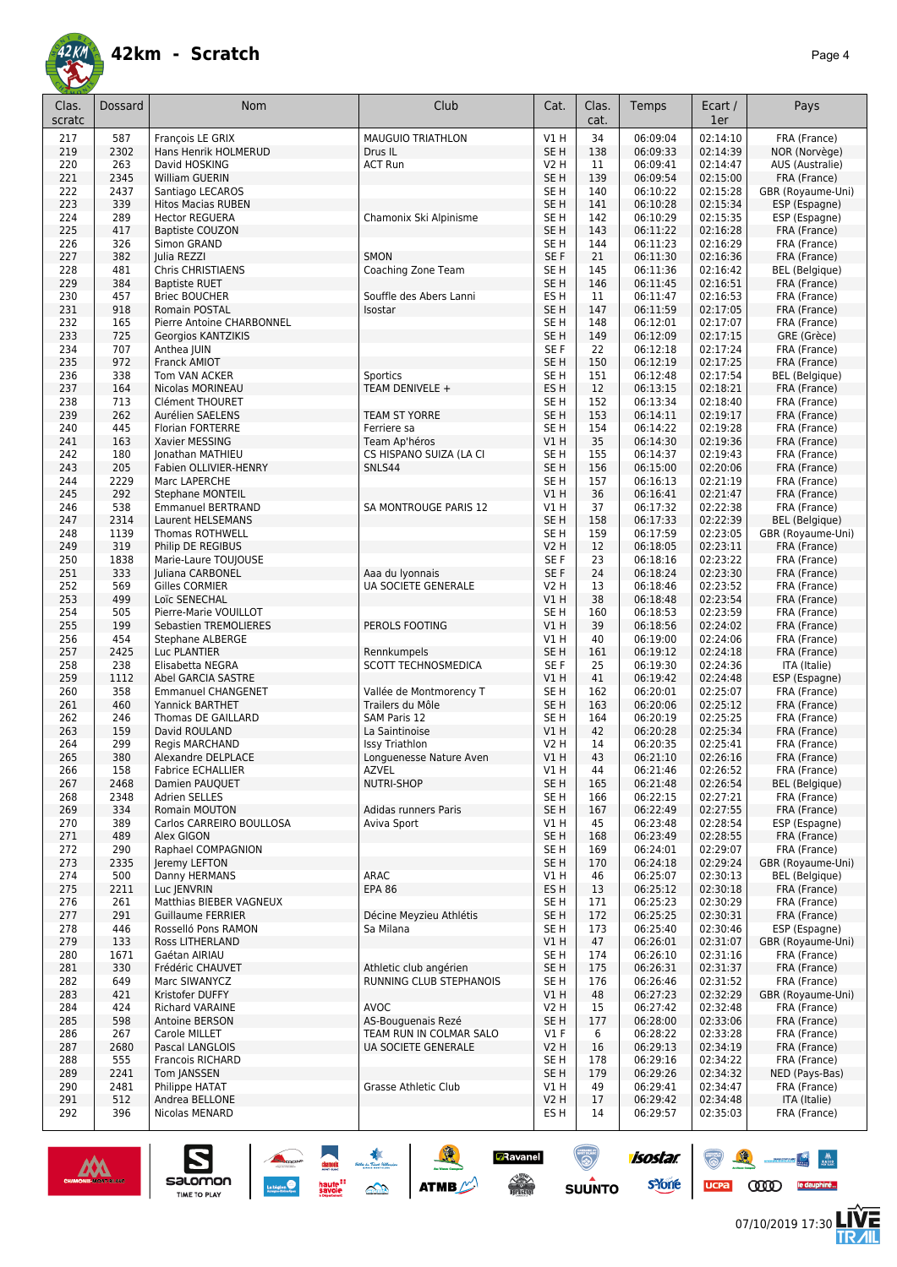

| Clas.  | Dossard | Nom                       | Club                     | Cat.            | Clas. | Temps    | Ecart /  | Pays                  |
|--------|---------|---------------------------|--------------------------|-----------------|-------|----------|----------|-----------------------|
| scratc |         |                           |                          |                 | cat.  |          | 1er      |                       |
|        |         |                           |                          |                 | 34    |          |          | FRA (France)          |
| 217    | 587     | François LE GRIX          | <b>MAUGUIO TRIATHLON</b> | V1 H            |       | 06:09:04 | 02:14:10 |                       |
| 219    | 2302    | Hans Henrik HOLMERUD      | Drus IL                  | SE <sub>H</sub> | 138   | 06:09:33 | 02:14:39 | NOR (Norvège)         |
| 220    | 263     | David HOSKING             | <b>ACT Run</b>           | <b>V2 H</b>     | 11    | 06:09:41 | 02:14:47 | AUS (Australie)       |
| 221    | 2345    | William GUERIN            |                          | SE <sub>H</sub> | 139   | 06:09:54 | 02:15:00 | FRA (France)          |
| 222    | 2437    | Santiago LECAROS          |                          | SE H            | 140   | 06:10:22 | 02:15:28 | GBR (Royaume-Uni)     |
| 223    | 339     | <b>Hitos Macias RUBEN</b> |                          | SE <sub>H</sub> | 141   | 06:10:28 | 02:15:34 | ESP (Espagne)         |
| 224    | 289     | <b>Hector REGUERA</b>     | Chamonix Ski Alpinisme   | SE <sub>H</sub> | 142   | 06:10:29 | 02:15:35 | ESP (Espagne)         |
| 225    | 417     | <b>Baptiste COUZON</b>    |                          | SE <sub>H</sub> | 143   | 06:11:22 | 02:16:28 | FRA (France)          |
| 226    | 326     | Simon GRAND               |                          | SE H            | 144   | 06:11:23 | 02:16:29 | FRA (France)          |
| 227    | 382     | Julia REZZI               | SMON                     | SE F            | 21    | 06:11:30 | 02:16:36 | FRA (France)          |
| 228    | 481     | Chris CHRISTIAENS         | Coaching Zone Team       | SE H            | 145   | 06:11:36 | 02:16:42 | <b>BEL</b> (Belgique) |
| 229    | 384     | <b>Baptiste RUET</b>      |                          | SE <sub>H</sub> | 146   | 06:11:45 | 02:16:51 | FRA (France)          |
| 230    | 457     | <b>Briec BOUCHER</b>      | Souffle des Abers Lanni  | ES H            | 11    | 06:11:47 | 02:16:53 | FRA (France)          |
| 231    | 918     | <b>Romain POSTAL</b>      | Isostar                  | SE <sub>H</sub> | 147   | 06:11:59 | 02:17:05 | FRA (France)          |
| 232    | 165     | Pierre Antoine CHARBONNEL |                          | SE <sub>H</sub> | 148   | 06:12:01 | 02:17:07 | FRA (France)          |
| 233    | 725     |                           |                          | SE <sub>H</sub> | 149   | 06:12:09 | 02:17:15 | GRE (Grèce)           |
|        |         | Georgios KANTZIKIS        |                          |                 |       |          |          |                       |
| 234    | 707     | Anthea JUIN               |                          | SE F            | 22    | 06:12:18 | 02:17:24 | FRA (France)          |
| 235    | 972     | Franck AMIOT              |                          | SE <sub>H</sub> | 150   | 06:12:19 | 02:17:25 | FRA (France)          |
| 236    | 338     | Tom VAN ACKER             | Sportics                 | SE H            | 151   | 06:12:48 | 02:17:54 | <b>BEL</b> (Belgique) |
| 237    | 164     | Nicolas MORINEAU          | TEAM DENIVELE +          | ES <sub>H</sub> | 12    | 06:13:15 | 02:18:21 | FRA (France)          |
| 238    | 713     | <b>Clément THOURET</b>    |                          | SE H            | 152   | 06:13:34 | 02:18:40 | FRA (France)          |
| 239    | 262     | Aurélien SAELENS          | <b>TEAM ST YORRE</b>     | SE <sub>H</sub> | 153   | 06:14:11 | 02:19:17 | FRA (France)          |
| 240    | 445     | <b>Florian FORTERRE</b>   | Ferriere sa              | SE H            | 154   | 06:14:22 | 02:19:28 | FRA (France)          |
| 241    | 163     | Xavier MESSING            | Team Ap'héros            | VIH             | 35    | 06:14:30 | 02:19:36 | FRA (France)          |
| 242    | 180     | Jonathan MATHIEU          | CS HISPANO SUIZA (LA CI  | SE H            | 155   | 06:14:37 | 02:19:43 | FRA (France)          |
| 243    | 205     | Fabien OLLIVIER-HENRY     | SNLS44                   | SE <sub>H</sub> | 156   | 06:15:00 | 02:20:06 | FRA (France)          |
| 244    | 2229    | Marc LAPERCHE             |                          | SE <sub>H</sub> | 157   | 06:16:13 | 02:21:19 | FRA (France)          |
| 245    | 292     | <b>Stephane MONTEIL</b>   |                          | V1H             | 36    | 06:16:41 | 02:21:47 | FRA (France)          |
| 246    | 538     | <b>Emmanuel BERTRAND</b>  | SA MONTROUGE PARIS 12    | V1 H            | 37    | 06:17:32 | 02:22:38 | FRA (France)          |
| 247    | 2314    | Laurent HELSEMANS         |                          | SE <sub>H</sub> | 158   | 06:17:33 | 02:22:39 | <b>BEL</b> (Belgique) |
| 248    | 1139    | Thomas ROTHWELL           |                          | SE H            | 159   | 06:17:59 | 02:23:05 | GBR (Royaume-Uni)     |
|        |         |                           |                          |                 |       |          |          |                       |
| 249    | 319     | Philip DE REGIBUS         |                          | <b>V2 H</b>     | 12    | 06:18:05 | 02:23:11 | FRA (France)          |
| 250    | 1838    | Marie-Laure TOUJOUSE      |                          | SE F            | 23    | 06:18:16 | 02:23:22 | FRA (France)          |
| 251    | 333     | Juliana CARBONEL          | Aaa du Iyonnais          | SE F            | 24    | 06:18:24 | 02:23:30 | FRA (France)          |
| 252    | 569     | Gilles CORMIER            | UA SOCIETE GENERALE      | V2 H            | 13    | 06:18:46 | 02:23:52 | FRA (France)          |
| 253    | 499     | Loïc SENECHAL             |                          | VIH             | 38    | 06:18:48 | 02:23:54 | FRA (France)          |
| 254    | 505     | Pierre-Marie VOUILLOT     |                          | SE H            | 160   | 06:18:53 | 02:23:59 | FRA (France)          |
| 255    | 199     | Sebastien TREMOLIERES     | PEROLS FOOTING           | V1H             | 39    | 06:18:56 | 02:24:02 | FRA (France)          |
| 256    | 454     | <b>Stephane ALBERGE</b>   |                          | V1H             | 40    | 06:19:00 | 02:24:06 | FRA (France)          |
| 257    | 2425    | Luc PLANTIER              | Rennkumpels              | SE <sub>H</sub> | 161   | 06:19:12 | 02:24:18 | FRA (France)          |
| 258    | 238     | Elisabetta NEGRA          | SCOTT TECHNOSMEDICA      | SE F            | 25    | 06:19:30 | 02:24:36 | ITA (Italie)          |
| 259    | 1112    | Abel GARCIA SASTRE        |                          | V1H             | 41    | 06:19:42 | 02:24:48 | ESP (Espagne)         |
| 260    | 358     | <b>Emmanuel CHANGENET</b> | Vallée de Montmorency T  | SE H            | 162   | 06:20:01 | 02:25:07 | FRA (France)          |
| 261    | 460     | Yannick BARTHET           | Trailers du Môle         | SE <sub>H</sub> | 163   | 06:20:06 | 02:25:12 | FRA (France)          |
| 262    | 246     | Thomas DE GAILLARD        | SAM Paris 12             | SE <sub>H</sub> | 164   | 06:20:19 | 02:25:25 | FRA (France)          |
| 263    | 159     | David ROULAND             | La Saintinoise           | VIH             | 42    | 06:20:28 | 02:25:34 | FRA (France)          |
| 264    | 299     | <b>Regis MARCHAND</b>     | <b>Issy Triathlon</b>    | V2 H            | 14    | 06:20:35 | 02:25:41 | FRA (France)          |
|        | 380     |                           |                          |                 | 43    |          |          |                       |
| 265    |         | Alexandre DELPLACE        | Longuenesse Nature Aven  | VIH             |       | 06:21:10 | 02:26:16 | FRA (France)          |
| 266    | 158     | <b>Fabrice ECHALLIER</b>  | <b>AZVEL</b>             | V1 H            | 44    | 06:21:46 | 02:26:52 | FRA (France)          |
| 267    | 2468    | Damien PAUQUET            | NUTRI-SHOP               | SE <sub>H</sub> | 165   | 06:21:48 | 02:26:54 | <b>BEL</b> (Belgique) |
| 268    | 2348    | Adrien SELLES             |                          | SE <sub>H</sub> | 166   | 06:22:15 | 02:27:21 | FRA (France)          |
| 269    | 334     | Romain MOUTON             | Adidas runners Paris     | SE <sub>H</sub> | 167   | 06:22:49 | 02:27:55 | FRA (France)          |
| 270    | 389     | Carlos CARREIRO BOULLOSA  | Aviva Sport              | V1 H            | 45    | 06:23:48 | 02:28:54 | ESP (Espagne)         |
| 271    | 489     | Alex GIGON                |                          | SE <sub>H</sub> | 168   | 06:23:49 | 02:28:55 | FRA (France)          |
| 272    | 290     | Raphael COMPAGNION        |                          | SE H            | 169   | 06:24:01 | 02:29:07 | FRA (France)          |
| 273    | 2335    | Jeremy LEFTON             |                          | SE <sub>H</sub> | 170   | 06:24:18 | 02:29:24 | GBR (Royaume-Uni)     |
| 274    | 500     | Danny HERMANS             | ARAC                     | V1 H            | 46    | 06:25:07 | 02:30:13 | <b>BEL</b> (Belgique) |
| 275    | 2211    | Luc JENVRIN               | <b>EPA 86</b>            | ES H            | 13    | 06:25:12 | 02:30:18 | FRA (France)          |
| 276    | 261     | Matthias BIEBER VAGNEUX   |                          | SE H            | 171   | 06:25:23 | 02:30:29 | FRA (France)          |
| 277    | 291     | <b>Guillaume FERRIER</b>  | Décine Meyzieu Athlétis  | SE <sub>H</sub> | 172   | 06:25:25 | 02:30:31 | FRA (France)          |
| 278    | 446     | Rosselló Pons RAMON       | Sa Milana                | SE H            | 173   | 06:25:40 | 02:30:46 | ESP (Espagne)         |
| 279    | 133     | Ross LITHERLAND           |                          | V1H             | 47    | 06:26:01 | 02:31:07 | GBR (Royaume-Uni)     |
| 280    | 1671    | Gaétan AIRIAU             |                          | SE <sub>H</sub> | 174   | 06:26:10 | 02:31:16 | FRA (France)          |
|        |         |                           |                          |                 | 175   |          |          |                       |
| 281    | 330     | Frédéric CHAUVET          | Athletic club angérien   | SE <sub>H</sub> |       | 06:26:31 | 02:31:37 | FRA (France)          |
| 282    | 649     | Marc SIWANYCZ             | RUNNING CLUB STEPHANOIS  | SE H            | 176   | 06:26:46 | 02:31:52 | FRA (France)          |
| 283    | 421     | Kristofer DUFFY           |                          | V1H             | 48    | 06:27:23 | 02:32:29 | GBR (Royaume-Uni)     |
| 284    | 424     | Richard VARAINE           | AVOC                     | V2 H            | 15    | 06:27:42 | 02:32:48 | FRA (France)          |
| 285    | 598     | Antoine BERSON            | AS-Bouguenais Rezé       | SE <sub>H</sub> | 177   | 06:28:00 | 02:33:06 | FRA (France)          |
| 286    | 267     | Carole MILLET             | TEAM RUN IN COLMAR SALO  | $VI$ F          | 6     | 06:28:22 | 02:33:28 | FRA (France)          |
| 287    | 2680    | Pascal LANGLOIS           | UA SOCIETE GENERALE      | <b>V2 H</b>     | 16    | 06:29:13 | 02:34:19 | FRA (France)          |
| 288    | 555     | Francois RICHARD          |                          | SE H            | 178   | 06:29:16 | 02:34:22 | FRA (France)          |
| 289    | 2241    | Tom JANSSEN               |                          | SE H            | 179   | 06:29:26 | 02:34:32 | NED (Pays-Bas)        |
| 290    | 2481    | Philippe HATAT            | Grasse Athletic Club     | V1 H            | 49    | 06:29:41 | 02:34:47 | FRA (France)          |
| 291    | 512     | Andrea BELLONE            |                          | <b>V2 H</b>     | 17    | 06:29:42 | 02:34:48 | ITA (Italie)          |
| 292    | 396     | Nicolas MENARD            |                          | ES H            | 14    | 06:29:57 | 02:35:03 | FRA (France)          |
|        |         |                           |                          |                 |       |          |          |                       |

**Z**Ravanel

 $\begin{array}{c} \displaystyle \sqrt{2} \\ \displaystyle \sqrt{2} \\ \displaystyle \sqrt{2} \\ \displaystyle \sqrt{2} \\ \displaystyle \sqrt{2} \\ \displaystyle \sqrt{2} \\ \displaystyle \sqrt{2} \\ \displaystyle \sqrt{2} \\ \displaystyle \sqrt{2} \\ \displaystyle \sqrt{2} \\ \displaystyle \sqrt{2} \\ \displaystyle \sqrt{2} \\ \displaystyle \sqrt{2} \\ \displaystyle \sqrt{2} \\ \displaystyle \sqrt{2} \\ \displaystyle \sqrt{2} \\ \displaystyle \sqrt{2} \\ \displaystyle \sqrt{2} \\ \displaystyle \sqrt{2} \\ \displaystyle \sqrt{2} \\ \displaystyle \sqrt{2} \\ \displaystyle \sqrt{2} \\ \displaystyle \sqrt{2} \\ \displaystyle \sqrt{$ 

 $\odot$ 

**SUUNTO** 



 $\sum_{\text{SALOMOM}}$ 

**LIVE<br>TR***A***IL** 

8 1 - 1

UCPA COOD le dauphiné...

**isostar** 

**s**Yone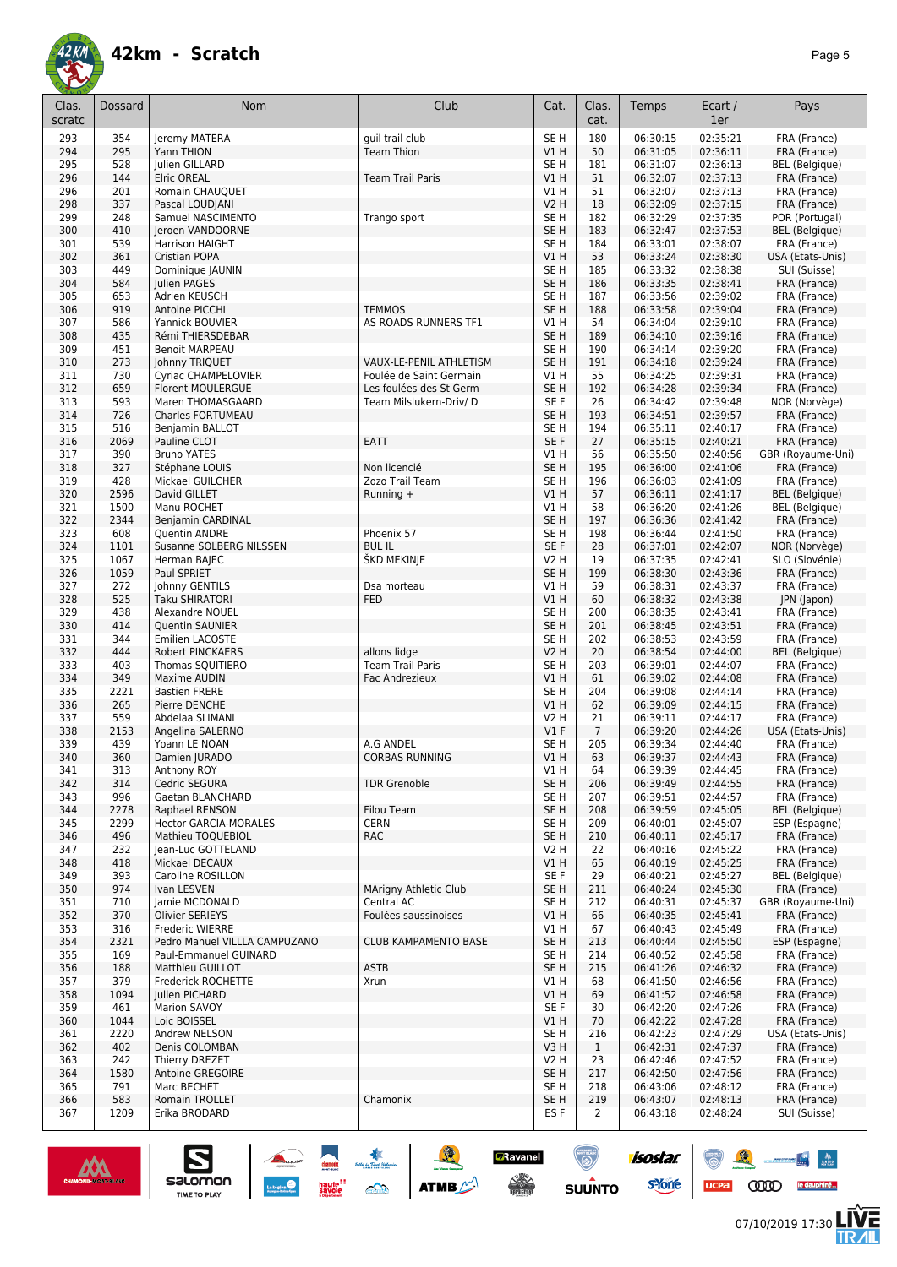

| Clas.      | Dossard     | Nom                                            | Club                      | Cat.                    | Clas.          | Temps                | Ecart /              | Pays                                   |
|------------|-------------|------------------------------------------------|---------------------------|-------------------------|----------------|----------------------|----------------------|----------------------------------------|
| scratc     |             |                                                |                           |                         | cat.           |                      | 1er                  |                                        |
| 293        | 354         | Jeremy MATERA                                  | guil trail club           | SE <sub>H</sub>         | 180            | 06:30:15             | 02:35:21             | FRA (France)                           |
| 294        | 295         | Yann THION                                     | <b>Team Thion</b>         | V1H                     | 50             | 06:31:05             | 02:36:11             | FRA (France)                           |
| 295        | 528         | Julien GILLARD                                 |                           | SE <sub>H</sub>         | 181            | 06:31:07             | 02:36:13             | <b>BEL</b> (Belgique)                  |
| 296        | 144         | <b>Elric OREAL</b>                             | <b>Team Trail Paris</b>   | V1H                     | 51             | 06:32:07             | 02:37:13             | FRA (France)                           |
| 296        | 201         | Romain CHAUOUET                                |                           | V1 H                    | 51             | 06:32:07             | 02:37:13             | FRA (France)                           |
| 298        | 337         | Pascal LOUDJANI                                |                           | V2 H                    | 18             | 06:32:09             | 02:37:15             | FRA (France)                           |
| 299        | 248         | Samuel NASCIMENTO                              | Trango sport              | SE H                    | 182            | 06:32:29             | 02:37:35             | POR (Portugal)                         |
| 300        | 410         | Jeroen VANDOORNE                               |                           | SE H                    | 183            | 06:32:47             | 02:37:53             | <b>BEL</b> (Belgique)                  |
| 301        | 539         | <b>Harrison HAIGHT</b>                         |                           | SE H                    | 184            | 06:33:01             | 02:38:07             | FRA (France)                           |
| 302<br>303 | 361<br>449  | Cristian POPA                                  |                           | V1H<br>SE <sub>H</sub>  | 53             | 06:33:24             | 02:38:30<br>02:38:38 | USA (Etats-Unis)                       |
| 304        | 584         | Dominique JAUNIN<br>Julien PAGES               |                           | SE <sub>H</sub>         | 185<br>186     | 06:33:32<br>06:33:35 | 02:38:41             | SUI (Suisse)<br>FRA (France)           |
| 305        | 653         | Adrien KEUSCH                                  |                           | SE <sub>H</sub>         | 187            | 06:33:56             | 02:39:02             | FRA (France)                           |
| 306        | 919         | Antoine PICCHI                                 | <b>TEMMOS</b>             | SE <sub>H</sub>         | 188            | 06:33:58             | 02:39:04             | FRA (France)                           |
| 307        | 586         | Yannick BOUVIER                                | AS ROADS RUNNERS TF1      | V1 H                    | 54             | 06:34:04             | 02:39:10             | FRA (France)                           |
| 308        | 435         | Rémi THIERSDEBAR                               |                           | SE <sub>H</sub>         | 189            | 06:34:10             | 02:39:16             | FRA (France)                           |
| 309        | 451         | <b>Benoit MARPEAU</b>                          |                           | SE H                    | 190            | 06:34:14             | 02:39:20             | FRA (France)                           |
| 310        | 273         | Johnny TRIQUET                                 | VAUX-LE-PENIL ATHLETISM   | SE <sub>H</sub>         | 191            | 06:34:18             | 02:39:24             | FRA (France)                           |
| 311        | 730         | Cyriac CHAMPELOVIER                            | Foulée de Saint Germain   | V1 H                    | 55             | 06:34:25             | 02:39:31             | FRA (France)                           |
| 312        | 659         | <b>Florent MOULERGUE</b>                       | Les foulées des St Germ   | SE <sub>H</sub>         | 192            | 06:34:28             | 02:39:34             | FRA (France)                           |
| 313        | 593         | Maren THOMASGAARD                              | Team Milslukern-Driv/ D   | SE F                    | 26             | 06:34:42             | 02:39:48             | NOR (Norvège)                          |
| 314        | 726         | Charles FORTUMEAU                              |                           | SE <sub>H</sub>         | 193            | 06:34:51             | 02:39:57             | FRA (France)                           |
| 315        | 516         | Benjamin BALLOT                                |                           | SE <sub>H</sub>         | 194            | 06:35:11             | 02:40:17             | FRA (France)                           |
| 316        | 2069        | Pauline CLOT                                   | EATT                      | SE F                    | 27             | 06:35:15             | 02:40:21             | FRA (France)                           |
| 317        | 390         | <b>Bruno YATES</b>                             |                           | V1 H                    | 56             | 06:35:50             | 02:40:56             | GBR (Royaume-Uni)                      |
| 318        | 327         | Stéphane LOUIS                                 | Non licencié              | SE <sub>H</sub>         | 195            | 06:36:00             | 02:41:06             | FRA (France)                           |
| 319        | 428         | Mickael GUILCHER                               | Zozo Trail Team           | SE <sub>H</sub>         | 196            | 06:36:03             | 02:41:09             | FRA (France)                           |
| 320        | 2596        | David GILLET                                   | Running +                 | V1H                     | 57             | 06:36:11             | 02:41:17             | <b>BEL</b> (Belgique)                  |
| 321        | 1500        | Manu ROCHET                                    |                           | V1 H                    | 58             | 06:36:20             | 02:41:26             | <b>BEL</b> (Belgique)                  |
| 322        | 2344        | Benjamin CARDINAL                              |                           | SE <sub>H</sub>         | 197            | 06:36:36             | 02:41:42             | FRA (France)                           |
| 323        | 608         | Quentin ANDRE                                  | Phoenix 57                | SE H                    | 198            | 06:36:44             | 02:41:50             | FRA (France)                           |
| 324        | 1101        | Susanne SOLBERG NILSSEN                        | <b>BULIL</b>              | SE F                    | 28             | 06:37:01             | 02:42:07             | NOR (Norvège)                          |
| 325        | 1067        | Herman BAJEC                                   | ŠKD MEKINJE               | V2 H                    | 19             | 06:37:35             | 02:42:41             | SLO (Slovénie)                         |
| 326<br>327 | 1059<br>272 | Paul SPRIET                                    |                           | SE <sub>H</sub>         | 199<br>59      | 06:38:30             | 02:43:36<br>02:43:37 | FRA (France)                           |
| 328        | 525         | Johnny GENTILS<br><b>Taku SHIRATORI</b>        | Dsa morteau<br><b>FED</b> | V1 H<br>V1H             | 60             | 06:38:31<br>06:38:32 | 02:43:38             | FRA (France)<br>JPN (Japon)            |
| 329        | 438         | Alexandre NOUEL                                |                           | SE H                    | 200            | 06:38:35             | 02:43:41             | FRA (France)                           |
| 330        | 414         | <b>Quentin SAUNIER</b>                         |                           | SE <sub>H</sub>         | 201            | 06:38:45             | 02:43:51             | FRA (France)                           |
| 331        | 344         | Emilien LACOSTE                                |                           | SE <sub>H</sub>         | 202            | 06:38:53             | 02:43:59             | FRA (France)                           |
| 332        | 444         | Robert PINCKAERS                               | allons lidge              | <b>V2 H</b>             | 20             | 06:38:54             | 02:44:00             | <b>BEL</b> (Belgique)                  |
| 333        | 403         | Thomas SQUITIERO                               | <b>Team Trail Paris</b>   | SE H                    | 203            | 06:39:01             | 02:44:07             | FRA (France)                           |
| 334        | 349         | Maxime AUDIN                                   | Fac Andrezieux            | VIH                     | 61             | 06:39:02             | 02:44:08             | FRA (France)                           |
| 335        | 2221        | <b>Bastien FRERE</b>                           |                           | SE H                    | 204            | 06:39:08             | 02:44:14             | FRA (France)                           |
| 336        | 265         | Pierre DENCHE                                  |                           | VIH                     | 62             | 06:39:09             | 02:44:15             | FRA (France)                           |
| 337        | 559         | Abdelaa SLIMANI                                |                           | V2 H                    | 21             | 06:39:11             | 02:44:17             | FRA (France)                           |
| 338        | 2153        | Angelina SALERNO                               |                           | $VI$ F                  | $\overline{7}$ | 06:39:20             | 02:44:26             | USA (Etats-Unis)                       |
| 339        | 439         | Yoann LE NOAN                                  | A.G ANDEL                 | SE H                    | 205            | 06:39:34             | 02:44:40             | FRA (France)                           |
| 340        | 360         | Damien JURADO                                  | <b>CORBAS RUNNING</b>     | VIH                     | 63             | 06:39:37             | 02:44:43             | FRA (France)                           |
| 341        | 313         | Anthony ROY                                    |                           | V1H                     | 64             | 06:39:39             | 02:44:45             | FRA (France)                           |
| 342        | 314         | Cedric SEGURA                                  | <b>TDR Grenoble</b>       | SE <sub>H</sub>         | 206            | 06:39:49             | 02:44:55             | FRA (France)                           |
| 343        | 996         | Gaetan BLANCHARD                               |                           | SE H                    | 207            | 06:39:51             | 02:44:57             | FRA (France)                           |
| 344        | 2278        | Raphael RENSON<br><b>Hector GARCIA-MORALES</b> | Filou Team                | SE <sub>H</sub>         | 208<br>209     | 06:39:59             | 02:45:05             | <b>BEL</b> (Belgique)<br>ESP (Espagne) |
| 345<br>346 | 2299<br>496 | Mathieu TOQUEBIOL                              | <b>CERN</b><br><b>RAC</b> | SE H<br>SE <sub>H</sub> | 210            | 06:40:01<br>06:40:11 | 02:45:07<br>02:45:17 | FRA (France)                           |
| 347        | 232         | Jean-Luc GOTTELAND                             |                           | V <sub>2</sub> H        | 22             | 06:40:16             | 02:45:22             | FRA (France)                           |
| 348        | 418         | Mickael DECAUX                                 |                           | V1 H                    | 65             | 06:40:19             | 02:45:25             | FRA (France)                           |
| 349        | 393         | Caroline ROSILLON                              |                           | SE F                    | 29             | 06:40:21             | 02:45:27             | <b>BEL</b> (Belgique)                  |
| 350        | 974         | Ivan LESVEN                                    | MArigny Athletic Club     | SE H                    | 211            | 06:40:24             | 02:45:30             | FRA (France)                           |
| 351        | 710         | Jamie MCDONALD                                 | Central AC                | SE H                    | 212            | 06:40:31             | 02:45:37             | GBR (Royaume-Uni)                      |
| 352        | 370         | <b>Olivier SERIEYS</b>                         | Foulées saussinoises      | V1H                     | 66             | 06:40:35             | 02:45:41             | FRA (France)                           |
| 353        | 316         | <b>Frederic WIERRE</b>                         |                           | V1 H                    | 67             | 06:40:43             | 02:45:49             | FRA (France)                           |
| 354        | 2321        | Pedro Manuel VILLLA CAMPUZANO                  | CLUB KAMPAMENTO BASE      | SE <sub>H</sub>         | 213            | 06:40:44             | 02:45:50             | ESP (Espagne)                          |
| 355        | 169         | Paul-Emmanuel GUINARD                          |                           | SE H                    | 214            | 06:40:52             | 02:45:58             | FRA (France)                           |
| 356        | 188         | Matthieu GUILLOT                               | <b>ASTB</b>               | SE <sub>H</sub>         | 215            | 06:41:26             | 02:46:32             | FRA (France)                           |
| 357        | 379         | Frederick ROCHETTE                             | Xrun                      | V1 H                    | 68             | 06:41:50             | 02:46:56             | FRA (France)                           |
| 358        | 1094        | Julien PICHARD                                 |                           | V1H                     | 69             | 06:41:52             | 02:46:58             | FRA (France)                           |
| 359        | 461         | Marion SAVOY                                   |                           | SE F                    | 30             | 06:42:20             | 02:47:26             | FRA (France)                           |
| 360        | 1044        | Loic BOISSEL                                   |                           | V1H                     | 70             | 06:42:22             | 02:47:28             | FRA (France)                           |
| 361        | 2220        | Andrew NELSON                                  |                           | SE H                    | 216            | 06:42:23             | 02:47:29             | USA (Etats-Unis)                       |
| 362        | 402         | Denis COLOMBAN                                 |                           | V3H                     | $\mathbf{1}$   | 06:42:31             | 02:47:37             | FRA (France)                           |
| 363<br>364 | 242<br>1580 | Thierry DREZET<br>Antoine GREGOIRE             |                           | V2 H<br>SE <sub>H</sub> | 23<br>217      | 06:42:46<br>06:42:50 | 02:47:52<br>02:47:56 | FRA (France)<br>FRA (France)           |
| 365        | 791         | Marc BECHET                                    |                           | SE H                    | 218            | 06:43:06             | 02:48:12             | FRA (France)                           |
| 366        | 583         | Romain TROLLET                                 | Chamonix                  | SE <sub>H</sub>         | 219            | 06:43:07             | 02:48:13             | FRA (France)                           |
| 367        | 1209        | Erika BRODARD                                  |                           | ES F                    | $\overline{2}$ | 06:43:18             | 02:48:24             | SUI (Suisse)                           |
|            |             |                                                |                           |                         |                |                      |                      |                                        |

**Z**Ravanel

 $\begin{array}{c} \displaystyle \sqrt{2} \\ \displaystyle \sqrt{2} \\ \displaystyle \sqrt{2} \\ \displaystyle \sqrt{2} \\ \displaystyle \sqrt{2} \\ \displaystyle \sqrt{2} \\ \displaystyle \sqrt{2} \\ \displaystyle \sqrt{2} \\ \displaystyle \sqrt{2} \\ \displaystyle \sqrt{2} \\ \displaystyle \sqrt{2} \\ \displaystyle \sqrt{2} \\ \displaystyle \sqrt{2} \\ \displaystyle \sqrt{2} \\ \displaystyle \sqrt{2} \\ \displaystyle \sqrt{2} \\ \displaystyle \sqrt{2} \\ \displaystyle \sqrt{2} \\ \displaystyle \sqrt{2} \\ \displaystyle \sqrt{2} \\ \displaystyle \sqrt{2} \\ \displaystyle \sqrt{2} \\ \displaystyle \sqrt{2} \\ \displaystyle \sqrt{$ 

 $\odot$ 

**SUUNTO** 

**isostar** 

**s**Yone



 $\sum_{\text{SALOMOM}}$ 

**LIVE<br>TR***A***IL** 

 $\bullet$   $\bullet$ 

UCPA COOD le dauphiné...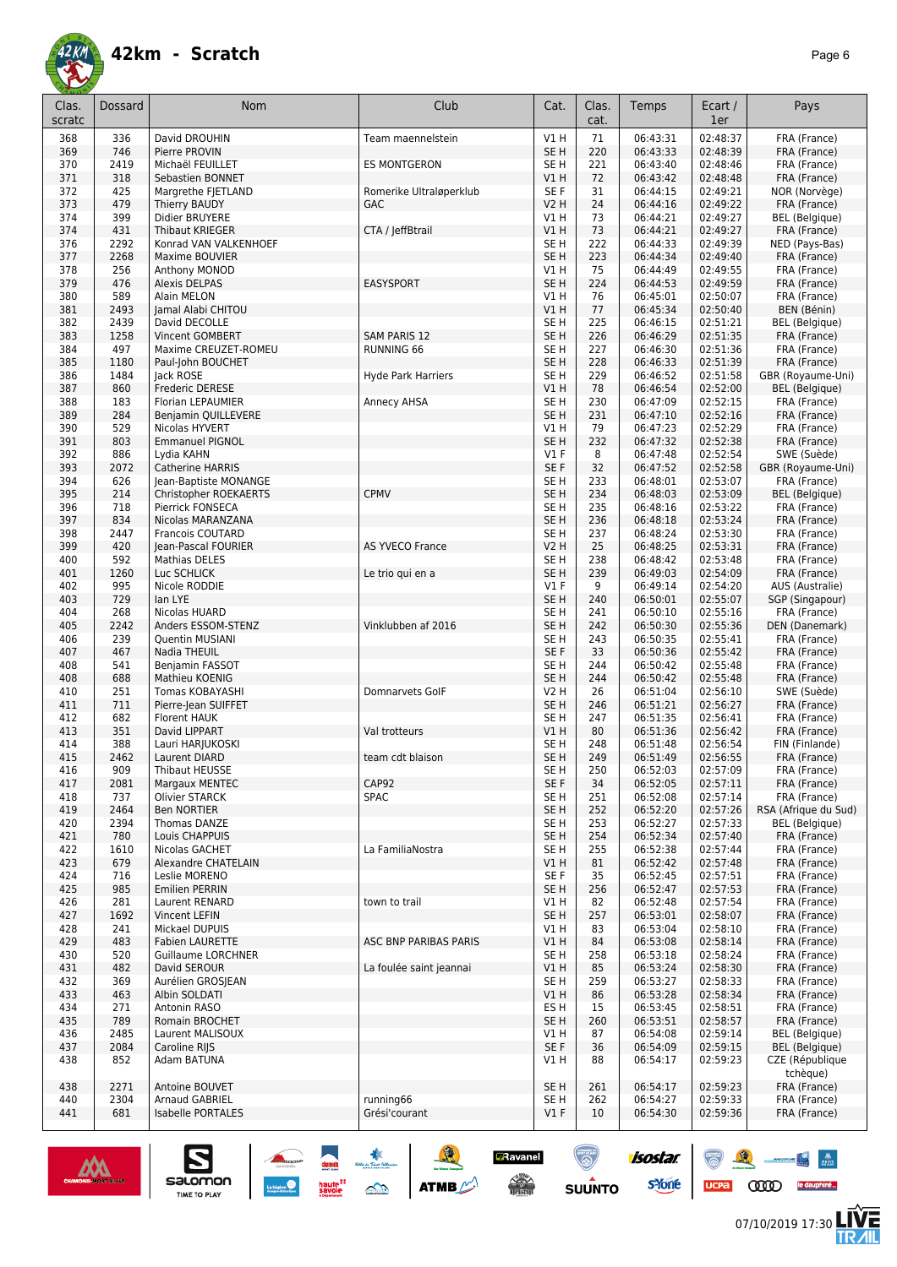

| Clas.<br>scratc | Dossard      | Nom                                  | Club                                  | Cat.                               | Clas.<br>cat. | Temps                | Ecart /<br>1er       | Pays                                  |
|-----------------|--------------|--------------------------------------|---------------------------------------|------------------------------------|---------------|----------------------|----------------------|---------------------------------------|
| 368             | 336          | David DROUHIN                        | Team maennelstein                     | V1H                                | 71            | 06:43:31             | 02:48:37             | FRA (France)                          |
| 369             | 746          | Pierre PROVIN                        |                                       | SE <sub>H</sub>                    | 220           | 06:43:33             | 02:48:39             | FRA (France)                          |
| 370             | 2419         | Michaël FEUILLET                     | ES MONTGERON                          | SE <sub>H</sub>                    | 221           | 06:43:40             | 02:48:46             | FRA (France)                          |
| 371             | 318          | Sebastien BONNET                     |                                       | V1H                                | 72            | 06:43:42             | 02:48:48             | FRA (France)                          |
| 372<br>373      | 425<br>479   | Margrethe FJETLAND                   | Romerike Ultraløperklub<br><b>GAC</b> | SE F<br><b>V2 H</b>                | 31<br>24      | 06:44:15<br>06:44:16 | 02:49:21             | NOR (Norvège)<br>FRA (France)         |
| 374             | 399          | Thierry BAUDY<br>Didier BRUYERE      |                                       | V1 H                               | 73            | 06:44:21             | 02:49:22<br>02:49:27 | <b>BEL</b> (Belgique)                 |
| 374             | 431          | Thibaut KRIEGER                      | CTA / JeffBtrail                      | V1H                                | 73            | 06:44:21             | 02:49:27             | FRA (France)                          |
| 376             | 2292         | Konrad VAN VALKENHOEF                |                                       | SE <sub>H</sub>                    | 222           | 06:44:33             | 02:49:39             | NED (Pays-Bas)                        |
| 377             | 2268         | Maxime BOUVIER                       |                                       | SE <sub>H</sub>                    | 223           | 06:44:34             | 02:49:40             | FRA (France)                          |
| 378             | 256          | Anthony MONOD                        |                                       | V1H                                | 75            | 06:44:49             | 02:49:55             | FRA (France)                          |
| 379             | 476          | Alexis DELPAS                        | <b>EASYSPORT</b>                      | SE <sub>H</sub>                    | 224           | 06:44:53             | 02:49:59             | FRA (France)                          |
| 380             | 589          | Alain MELON                          |                                       | <b>V1 H</b>                        | 76            | 06:45:01             | 02:50:07             | FRA (France)                          |
| 381             | 2493         | Jamal Alabi CHITOU                   |                                       | VIH                                | 77            | 06:45:34             | 02:50:40             | BEN (Bénin)                           |
| 382<br>383      | 2439<br>1258 | David DECOLLE<br>Vincent GOMBERT     | SAM PARIS 12                          | SE <sub>H</sub><br>SE <sub>H</sub> | 225<br>226    | 06:46:15<br>06:46:29 | 02:51:21<br>02:51:35 | <b>BEL</b> (Belgique)<br>FRA (France) |
| 384             | 497          | Maxime CREUZET-ROMEU                 | RUNNING 66                            | SE <sub>H</sub>                    | 227           | 06:46:30             | 02:51:36             | FRA (France)                          |
| 385             | 1180         | Paul-John BOUCHET                    |                                       | SE <sub>H</sub>                    | 228           | 06:46:33             | 02:51:39             | FRA (France)                          |
| 386             | 1484         | Jack ROSE                            | <b>Hyde Park Harriers</b>             | SE <sub>H</sub>                    | 229           | 06:46:52             | 02:51:58             | GBR (Royaume-Uni)                     |
| 387             | 860          | Frederic DERESE                      |                                       | VIH                                | 78            | 06:46:54             | 02:52:00             | <b>BEL</b> (Belgique)                 |
| 388             | 183          | Florian LEPAUMIER                    | Annecy AHSA                           | SE <sub>H</sub>                    | 230           | 06:47:09             | 02:52:15             | FRA (France)                          |
| 389             | 284          | Benjamin QUILLEVERE                  |                                       | SE <sub>H</sub>                    | 231           | 06:47:10             | 02:52:16             | FRA (France)                          |
| 390             | 529          | Nicolas HYVERT                       |                                       | V1 H                               | 79            | 06:47:23             | 02:52:29             | FRA (France)                          |
| 391<br>392      | 803<br>886   | <b>Emmanuel PIGNOL</b><br>Lydia KAHN |                                       | SE <sub>H</sub><br>$VI$ F          | 232<br>8      | 06:47:32<br>06:47:48 | 02:52:38<br>02:52:54 | FRA (France)<br>SWE (Suède)           |
| 393             | 2072         | <b>Catherine HARRIS</b>              |                                       | SE <sub>F</sub>                    | 32            | 06:47:52             | 02:52:58             | GBR (Royaume-Uni)                     |
| 394             | 626          | Jean-Baptiste MONANGE                |                                       | SE <sub>H</sub>                    | 233           | 06:48:01             | 02:53:07             | FRA (France)                          |
| 395             | 214          | Christopher ROEKAERTS                | <b>CPMV</b>                           | SE <sub>H</sub>                    | 234           | 06:48:03             | 02:53:09             | <b>BEL</b> (Belgique)                 |
| 396             | 718          | Pierrick FONSECA                     |                                       | SE <sub>H</sub>                    | 235           | 06:48:16             | 02:53:22             | FRA (France)                          |
| 397             | 834          | Nicolas MARANZANA                    |                                       | SE <sub>H</sub>                    | 236           | 06:48:18             | 02:53:24             | FRA (France)                          |
| 398             | 2447         | <b>Francois COUTARD</b>              |                                       | SE <sub>H</sub>                    | 237           | 06:48:24             | 02:53:30             | FRA (France)                          |
| 399             | 420          | Jean-Pascal FOURIER                  | <b>AS YVECO France</b>                | <b>V2 H</b>                        | 25            | 06:48:25             | 02:53:31             | FRA (France)                          |
| 400<br>401      | 592<br>1260  | Mathias DELES                        | Le trio qui en a                      | SE <sub>H</sub><br>SE <sub>H</sub> | 238<br>239    | 06:48:42<br>06:49:03 | 02:53:48<br>02:54:09 | FRA (France)<br>FRA (France)          |
| 402             | 995          | Luc SCHLICK<br>Nicole RODDIE         |                                       | $VI$ F                             | 9             | 06:49:14             | 02:54:20             | AUS (Australie)                       |
| 403             | 729          | lan LYE                              |                                       | SE <sub>H</sub>                    | 240           | 06:50:01             | 02:55:07             | SGP (Singapour)                       |
| 404             | 268          | Nicolas HUARD                        |                                       | SE H                               | 241           | 06:50:10             | 02:55:16             | FRA (France)                          |
| 405             | 2242         | Anders ESSOM-STENZ                   | Vinklubben af 2016                    | SE <sub>H</sub>                    | 242           | 06:50:30             | 02:55:36             | DEN (Danemark)                        |
| 406             | 239          | Quentin MUSIANI                      |                                       | SE <sub>H</sub>                    | 243           | 06:50:35             | 02:55:41             | FRA (France)                          |
| 407             | 467          | Nadia THEUIL                         |                                       | SE F                               | 33            | 06:50:36             | 02:55:42             | FRA (France)                          |
| 408<br>408      | 541<br>688   | Benjamin FASSOT<br>Mathieu KOENIG    |                                       | SE H<br>SE <sub>H</sub>            | 244<br>244    | 06:50:42<br>06:50:42 | 02:55:48<br>02:55:48 | FRA (France)<br>FRA (France)          |
| 410             | 251          | Tomas KOBAYASHI                      | Domnarvets GolF                       | V2 H                               | 26            | 06:51:04             | 02:56:10             | SWE (Suède)                           |
| 411             | 711          | Pierre-Jean SUIFFET                  |                                       | SE H                               | 246           | 06:51:21             | 02:56:27             | FRA (France)                          |
| 412             | 682          | Florent HAUK                         |                                       | SE <sub>H</sub>                    | 247           | 06:51:35             | 02:56:41             | FRA (France)                          |
| 413             | 351          | David LIPPART                        | Val trotteurs                         | VIH                                | 80            | 06:51:36             | 02:56:42             | FRA (France)                          |
| 414             | 388          | Lauri HARJUKOSKI                     |                                       | SE <sub>H</sub>                    | 248           | 06:51:48             | 02:56:54             | FIN (Finlande)                        |
| 415             | 2462         | Laurent DIARD                        | team cdt blaison                      | SE <sub>H</sub>                    | 249           | 06:51:49             | 02:56:55             | FRA (France)                          |
| 416<br>417      | 909<br>2081  | Thibaut HEUSSE<br>Margaux MENTEC     | CAP92                                 | SE H<br>SE F                       | 250<br>34     | 06:52:03<br>06:52:05 | 02:57:09<br>02:57:11 | FRA (France)<br>FRA (France)          |
| 418             | 737          | Olivier STARCK                       | SPAC                                  | SE <sub>H</sub>                    | 251           | 06:52:08             | 02:57:14             | FRA (France)                          |
| 419             | 2464         | <b>Ben NORTIER</b>                   |                                       | SE <sub>H</sub>                    | 252           | 06:52:20             | 02:57:26             | RSA (Afrique du Sud)                  |
| 420             | 2394         | Thomas DANZE                         |                                       | SE <sub>H</sub>                    | 253           | 06:52:27             | 02:57:33             | BEL (Belgique)                        |
| 421             | 780          | Louis CHAPPUIS                       |                                       | SE <sub>H</sub>                    | 254           | 06:52:34             | 02:57:40             | FRA (France)                          |
| 422             | 1610         | Nicolas GACHET                       | La FamiliaNostra                      | SE <sub>H</sub>                    | 255           | 06:52:38             | 02:57:44             | FRA (France)                          |
| 423             | 679          | Alexandre CHATELAIN                  |                                       | V1 H                               | 81            | 06:52:42             | 02:57:48             | FRA (France)                          |
| 424<br>425      | 716<br>985   | Leslie MORENO<br>Emilien PERRIN      |                                       | SE F<br>SE <sub>H</sub>            | 35<br>256     | 06:52:45<br>06:52:47 | 02:57:51<br>02:57:53 | FRA (France)<br>FRA (France)          |
| 426             | 281          | Laurent RENARD                       | town to trail                         | V1 H                               | 82            | 06:52:48             | 02:57:54             | FRA (France)                          |
| 427             | 1692         | Vincent LEFIN                        |                                       | SE <sub>H</sub>                    | 257           | 06:53:01             | 02:58:07             | FRA (France)                          |
| 428             | 241          | Mickael DUPUIS                       |                                       | V1 H                               | 83            | 06:53:04             | 02:58:10             | FRA (France)                          |
| 429             | 483          | <b>Fabien LAURETTE</b>               | ASC BNP PARIBAS PARIS                 | V1H                                | 84            | 06:53:08             | 02:58:14             | FRA (France)                          |
| 430             | 520          | <b>Guillaume LORCHNER</b>            |                                       | SE <sub>H</sub>                    | 258           | 06:53:18             | 02:58:24             | FRA (France)                          |
| 431             | 482          | David SEROUR                         | La foulée saint jeannai               | V1H                                | 85            | 06:53:24             | 02:58:30             | FRA (France)                          |
| 432             | 369          | Aurélien GROSJEAN                    |                                       | SE <sub>H</sub>                    | 259           | 06:53:27             | 02:58:33             | FRA (France)                          |
| 433<br>434      | 463<br>271   | Albin SOLDATI<br>Antonin RASO        |                                       | V1H<br>ES H                        | 86<br>15      | 06:53:28<br>06:53:45 | 02:58:34<br>02:58:51 | FRA (France)<br>FRA (France)          |
| 435             | 789          | <b>Romain BROCHET</b>                |                                       | SE <sub>H</sub>                    | 260           | 06:53:51             | 02:58:57             | FRA (France)                          |
| 436             | 2485         | Laurent MALISOUX                     |                                       | V1 H                               | 87            | 06:54:08             | 02:59:14             | <b>BEL</b> (Belgique)                 |
| 437             | 2084         | Caroline RIJS                        |                                       | SE F                               | 36            | 06:54:09             | 02:59:15             | <b>BEL</b> (Belgique)                 |
| 438             | 852          | Adam BATUNA                          |                                       | V1 H                               | 88            | 06:54:17             | 02:59:23             | CZE (République<br>tchèque)           |
| 438             | 2271         | Antoine BOUVET                       |                                       | SE <sub>H</sub>                    | 261           | 06:54:17             | 02:59:23             | FRA (France)                          |
| 440             | 2304         | Arnaud GABRIEL                       | running66                             | SE <sub>H</sub>                    | 262           | 06:54:27             | 02:59:33             | FRA (France)                          |
| 441             | 681          | Isabelle PORTALES                    | Grési'courant                         | $VI$ F                             | 10            | 06:54:30             | 02:59:36             | FRA (France)                          |

**CRavanel**<br>Actor

 $\odot$ **SUUNTO** 

isostar.

**s**Yone



SECOMON  $\begin{array}{|c|c|c|}\n\hline\n\text{S}}\n\end{array}\n\begin{array}{|c|c|}\n\hline\n\text{S}}\n\end{array}\n\begin{array}{|c|c|}\n\hline\n\text{S}}\n\end{array}\n\begin{array}{|c|c|}\n\hline\n\text{S}}\n\end{array}\n\begin{array}{|c|c|}\n\hline\n\text{S}}\n\end{array}\n\begin{array}{|c|c|}\n\hline\n\text{S}}\n\end{array}\n\begin{array}{|c|c|}\n\hline\n\text{S}}\n\end{array}\n\begin{array}{|c$ 



UCPa **COOD** le dauphiné...

 $\frac{1}{\sqrt{2}}\left|\frac{\partial}{\partial x}\right|=\frac{1}{\sqrt{2}}\left|\frac{\partial}{\partial x}\right|$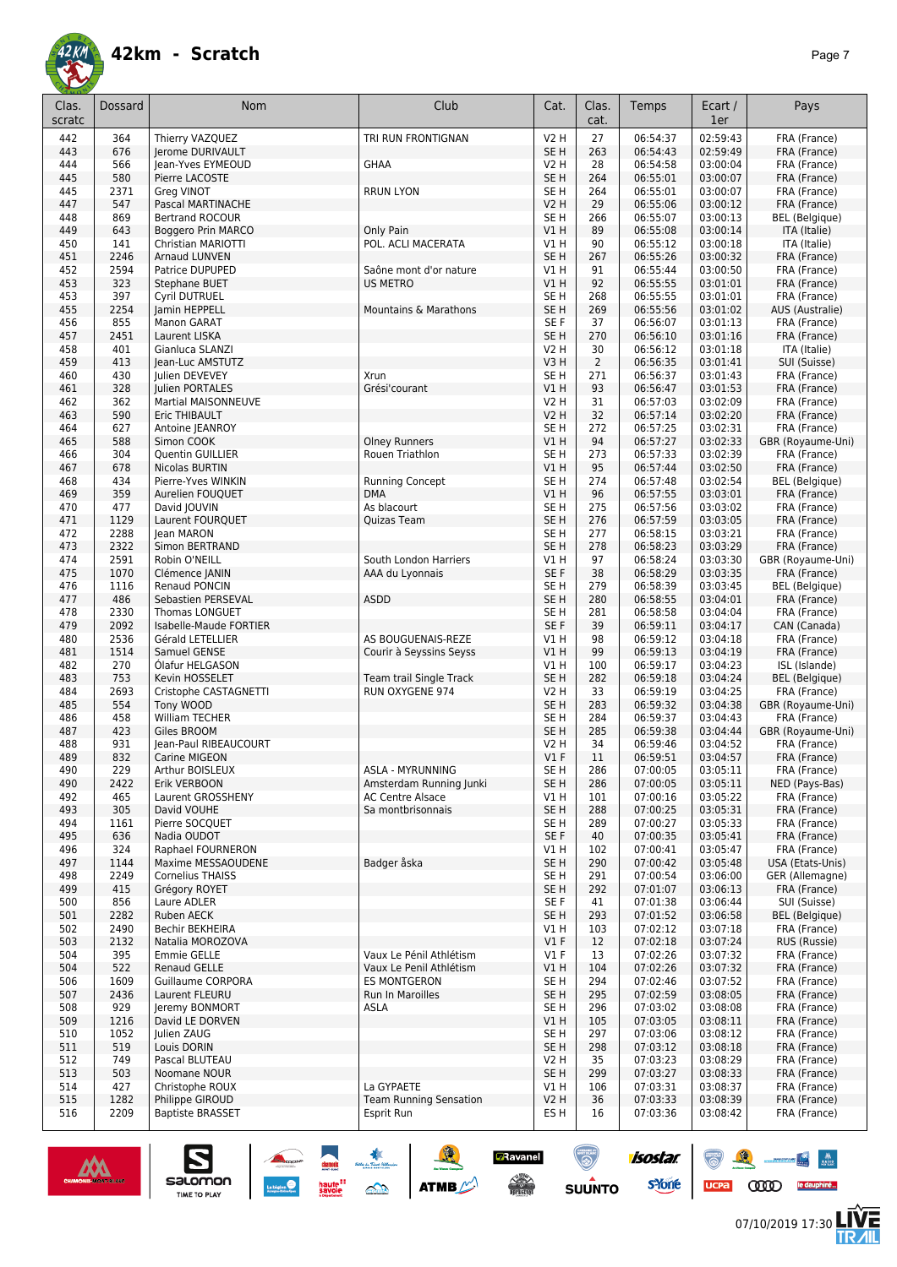

| Clas.<br>scratc | <b>Dossard</b> | <b>Nom</b>                                  | Club                             | Cat.            | Clas.<br>cat.  | Temps                | Ecart /<br>1er       | Pays                         |
|-----------------|----------------|---------------------------------------------|----------------------------------|-----------------|----------------|----------------------|----------------------|------------------------------|
|                 |                |                                             |                                  |                 |                |                      |                      |                              |
| 442             | 364            | Thierry VAZQUEZ                             | TRI RUN FRONTIGNAN               | <b>V2 H</b>     | 27             | 06:54:37             | 02:59:43             | FRA (France)                 |
| 443             | 676            | Jerome DURIVAULT                            |                                  | SE <sub>H</sub> | 263            | 06:54:43             | 02:59:49             | FRA (France)                 |
| 444             | 566            | Jean-Yves EYMEOUD                           | GHAA                             | <b>V2 H</b>     | 28             | 06:54:58             | 03:00:04             | FRA (France)                 |
| 445             | 580            | Pierre LACOSTE                              |                                  | SE <sub>H</sub> | 264            | 06:55:01             | 03:00:07             | FRA (France)                 |
| 445             | 2371           | Greg VINOT                                  | <b>RRUN LYON</b>                 | SE <sub>H</sub> | 264            | 06:55:01             | 03:00:07             | FRA (France)                 |
| 447             | 547            | Pascal MARTINACHE                           |                                  | <b>V2 H</b>     | 29             | 06:55:06             | 03:00:12             | FRA (France)                 |
| 448             | 869            | <b>Bertrand ROCOUR</b>                      |                                  | SE <sub>H</sub> | 266            | 06:55:07             | 03:00:13             | <b>BEL</b> (Belgique)        |
| 449             | 643            | Boggero Prin MARCO                          | Only Pain                        | VIH             | 89             | 06:55:08             | 03:00:14             | ITA (Italie)                 |
| 450             | 141            | Christian MARIOTTI                          | POL. ACLI MACERATA               | V1 H            | 90             | 06:55:12             | 03:00:18             | ITA (Italie)                 |
| 451             | 2246           | Arnaud LUNVEN                               |                                  | SE <sub>H</sub> | 267            | 06:55:26             | 03:00:32             | FRA (France)                 |
| 452             | 2594           | Patrice DUPUPED                             | Saône mont d'or nature           | V1 H            | 91             | 06:55:44             | 03:00:50             | FRA (France)                 |
| 453             | 323            | Stephane BUET                               | <b>US METRO</b>                  | V1H             | 92             | 06:55:55             | 03:01:01             | FRA (France)                 |
| 453             | 397            | Cyril DUTRUEL                               |                                  | SE <sub>H</sub> | 268            | 06:55:55             | 03:01:01             | FRA (France)                 |
| 455             | 2254           | Jamin HEPPELL                               | <b>Mountains &amp; Marathons</b> | SE <sub>H</sub> | 269            | 06:55:56             | 03:01:02             | AUS (Australie)              |
| 456             | 855            | Manon GARAT                                 |                                  | SE F            | 37             | 06:56:07             | 03:01:13             | FRA (France)                 |
| 457             | 2451           | Laurent LISKA                               |                                  | SE <sub>H</sub> | 270            | 06:56:10             | 03:01:16             | FRA (France)                 |
| 458             | 401            | Gianluca SLANZI                             |                                  | <b>V2 H</b>     | 30             | 06:56:12             | 03:01:18             | ITA (Italie)                 |
| 459             | 413            | Jean-Luc AMSTUTZ                            |                                  | V3H             | $\overline{2}$ | 06:56:35             | 03:01:41             | SUI (Suisse)                 |
| 460             | 430            | Julien DEVEVEY                              | Xrun                             | SE <sub>H</sub> | 271            | 06:56:37             | 03:01:43             | FRA (France)                 |
| 461             | 328            | Julien PORTALES                             | Grési'courant                    | VIH             | 93             | 06:56:47             | 03:01:53             | FRA (France)                 |
| 462             | 362            | <b>Martial MAISONNEUVE</b>                  |                                  | <b>V2 H</b>     | 31             | 06:57:03             | 03:02:09             | FRA (France)                 |
| 463             | 590            | Eric THIBAULT                               |                                  | <b>V2 H</b>     | 32             | 06:57:14             | 03:02:20             | FRA (France)                 |
| 464             | 627            | Antoine JEANROY                             |                                  | SE <sub>H</sub> | 272            | 06:57:25             | 03:02:31             | FRA (France)                 |
| 465             | 588            | Simon COOK                                  | <b>Olney Runners</b>             | V1H             | 94             | 06:57:27             | 03:02:33             | GBR (Royaume-Uni)            |
| 466             | 304            | Quentin GUILLIER                            | Rouen Triathlon                  | SE <sub>H</sub> | 273            | 06:57:33             | 03:02:39             | FRA (France)                 |
| 467             | 678            | Nicolas BURTIN                              |                                  | V1H             | 95             | 06:57:44             | 03:02:50             | FRA (France)                 |
| 468             | 434            | Pierre-Yves WINKIN                          | <b>Running Concept</b>           | SE <sub>H</sub> | 274            | 06:57:48             | 03:02:54             | BEL (Belgique)               |
| 469             | 359            | Aurelien FOUOUET                            | <b>DMA</b>                       | VIH             | 96             | 06:57:55             | 03:03:01             | FRA (France)                 |
| 470             | 477            | David JOUVIN                                | As blacourt                      | SE H            | 275            | 06:57:56             | 03:03:02             | FRA (France)                 |
| 471             | 1129           | Laurent FOURQUET                            | Quizas Team                      | SE <sub>H</sub> | 276            | 06:57:59             | 03:03:05             | FRA (France)                 |
| 472             | 2288<br>2322   | lean MARON                                  |                                  | SE H            | 277<br>278     | 06:58:15             | 03:03:21             | FRA (France)                 |
| 473<br>474      | 2591           | Simon BERTRAND                              |                                  | SE <sub>H</sub> | 97             | 06:58:23             | 03:03:29             | FRA (France)                 |
| 475             | 1070           | Robin O'NEILL                               | South London Harriers            | V1 H<br>SE F    | 38             | 06:58:24<br>06:58:29 | 03:03:30<br>03:03:35 | GBR (Royaume-Uni)            |
| 476             | 1116           | Clémence JANIN<br>Renaud PONCIN             | AAA du Lyonnais                  | SE <sub>H</sub> | 279            |                      | 03:03:45             | FRA (France)                 |
|                 | 486            |                                             |                                  | SE <sub>H</sub> |                | 06:58:39<br>06:58:55 | 03:04:01             | <b>BEL</b> (Belgique)        |
| 477<br>478      | 2330           | Sebastien PERSEVAL<br><b>Thomas LONGUET</b> | <b>ASDD</b>                      | SE <sub>H</sub> | 280<br>281     | 06:58:58             | 03:04:04             | FRA (France)<br>FRA (France) |
| 479             | 2092           | Isabelle-Maude FORTIER                      |                                  | SE F            | 39             | 06:59:11             | 03:04:17             | CAN (Canada)                 |
| 480             | 2536           | Gérald LETELLIER                            | AS BOUGUENAIS-REZE               | V1H             | 98             | 06:59:12             | 03:04:18             | FRA (France)                 |
| 481             | 1514           | Samuel GENSE                                | Courir à Seyssins Seyss          | VIH             | 99             | 06:59:13             | 03:04:19             | FRA (France)                 |
| 482             | 270            | Olafur HELGASON                             |                                  | V1 H            | 100            | 06:59:17             | 03:04:23             | ISL (Islande)                |
| 483             | 753            | Kevin HOSSELET                              | Team trail Single Track          | SE <sub>H</sub> | 282            | 06:59:18             | 03:04:24             | <b>BEL</b> (Belgique)        |
| 484             | 2693           | Cristophe CASTAGNETTI                       | <b>RUN OXYGENE 974</b>           | <b>V2 H</b>     | 33             | 06:59:19             | 03:04:25             | FRA (France)                 |
| 485             | 554            | Tony WOOD                                   |                                  | SE <sub>H</sub> | 283            | 06:59:32             | 03:04:38             | GBR (Royaume-Uni)            |
| 486             | 458            | William TECHER                              |                                  | SE <sub>H</sub> | 284            | 06:59:37             | 03:04:43             | FRA (France)                 |
| 487             | 423            | Giles BROOM                                 |                                  | SE <sub>H</sub> | 285            | 06:59:38             | 03:04:44             | GBR (Royaume-Uni)            |
| 488             | 931            | Jean-Paul RIBEAUCOURT                       |                                  | V2 H            | 34             | 06:59:46             | 03:04:52             | FRA (France)                 |
| 489             | 832            | Carine MIGEON                               |                                  | $VI$ F          | 11             | 06:59:51             | 03:04:57             | FRA (France)                 |
| 490             | 229            | Arthur BOISLEUX                             | ASLA - MYRUNNING                 | SE <sub>H</sub> | 286            | 07:00:05             | 03:05:11             | FRA (France)                 |
| 490             | 2422           | Erik VERBOON                                | Amsterdam Running Junki          | SE H            | 286            | 07:00:05             | 03:05:11             | NED (Pays-Bas)               |
| 492             | 465            | Laurent GROSSHENY                           | <b>AC Centre Alsace</b>          | VIH             | 101            | 07:00:16             | 03:05:22             | FRA (France)                 |
| 493             | 305            | David VOUHE                                 | Sa montbrisonnais                | SE <sub>H</sub> | 288            | 07:00:25             | 03:05:31             | FRA (France)                 |
| 494             | 1161           | Pierre SOCQUET                              |                                  | SE H            | 289            | 07:00:27             | 03:05:33             | FRA (France)                 |
| 495             | 636            | Nadia OUDOT                                 |                                  | SE F            | 40             | 07:00:35             | 03:05:41             | FRA (France)                 |
| 496             | 324            | Raphael FOURNERON                           |                                  | V1 H            | 102            | 07:00:41             | 03:05:47             | FRA (France)                 |
| 497             | 1144           | Maxime MESSAOUDENE                          | Badger åska                      | SE <sub>H</sub> | 290            | 07:00:42             | 03:05:48             | USA (Etats-Unis)             |
| 498             | 2249           | <b>Cornelius THAISS</b>                     |                                  | SE <sub>H</sub> | 291            | 07:00:54             | 03:06:00             | GER (Allemagne)              |
| 499             | 415            | Grégory ROYET                               |                                  | SE <sub>H</sub> | 292            | 07:01:07             | 03:06:13             | FRA (France)                 |
| 500             | 856            | Laure ADLER                                 |                                  | SE F            | 41             | 07:01:38             | 03:06:44             | SUI (Suisse)                 |
| 501             | 2282           | <b>Ruben AECK</b>                           |                                  | SE <sub>H</sub> | 293            | 07:01:52             | 03:06:58             | <b>BEL</b> (Belgique)        |
| 502             | 2490           | Bechir BEKHEIRA                             |                                  | V1 H            | 103            | 07:02:12             | 03:07:18             | FRA (France)                 |
| 503             | 2132           | Natalia MOROZOVA                            |                                  | V1F             | 12             | 07:02:18             | 03:07:24             | RUS (Russie)                 |
| 504             | 395            | Emmie GELLE                                 | Vaux Le Pénil Athlétism          | $VI$ F          | 13             | 07:02:26             | 03:07:32             | FRA (France)                 |
| 504             | 522            | <b>Renaud GELLE</b>                         | Vaux Le Penil Athlétism          | V1H             | 104            | 07:02:26             | 03:07:32             | FRA (France)                 |
| 506             | 1609           | Guillaume CORPORA                           | <b>ES MONTGERON</b>              | SE <sub>H</sub> | 294            | 07:02:46             | 03:07:52             | FRA (France)                 |
| 507             | 2436           | Laurent FLEURU                              | Run In Maroilles                 | SE <sub>H</sub> | 295            | 07:02:59             | 03:08:05             | FRA (France)                 |
| 508             | 929            | Jeremy BONMORT                              | ASLA                             | SE H            | 296            | 07:03:02             | 03:08:08             | FRA (France)                 |
| 509             | 1216           | David LE DORVEN                             |                                  | V1H             | 105            | 07:03:05             | 03:08:11             | FRA (France)                 |
| 510             | 1052           | Julien ZAUG                                 |                                  | SE <sub>H</sub> | 297            | 07:03:06             | 03:08:12             | FRA (France)                 |
| 511             | 519            | Louis DORIN                                 |                                  | SE <sub>H</sub> | 298            | 07:03:12             | 03:08:18             | FRA (France)                 |
| 512             | 749            | Pascal BLUTEAU                              |                                  | <b>V2 H</b>     | 35             | 07:03:23             | 03:08:29             | FRA (France)                 |
| 513             | 503            | Noomane NOUR                                |                                  | SE <sub>H</sub> | 299            | 07:03:27             | 03:08:33             | FRA (France)                 |
| 514             | 427            | Christophe ROUX                             | La GYPAETE                       | V1 H            | 106            | 07:03:31             | 03:08:37             | FRA (France)                 |
| 515             | 1282           | Philippe GIROUD                             | <b>Team Running Sensation</b>    | V2H             | 36             | 07:03:33             | 03:08:39             | FRA (France)                 |
| 516             | 2209           | <b>Baptiste BRASSET</b>                     | Esprit Run                       | ES H            | 16             | 07:03:36             | 03:08:42             | FRA (France)                 |

SO THE SO ATME

**a**Ravanel

 $\odot$ 



 $\sum_{\text{SALOMOM}}$ 



isostar.

88-14

**LIVE<br>TR***A***IL**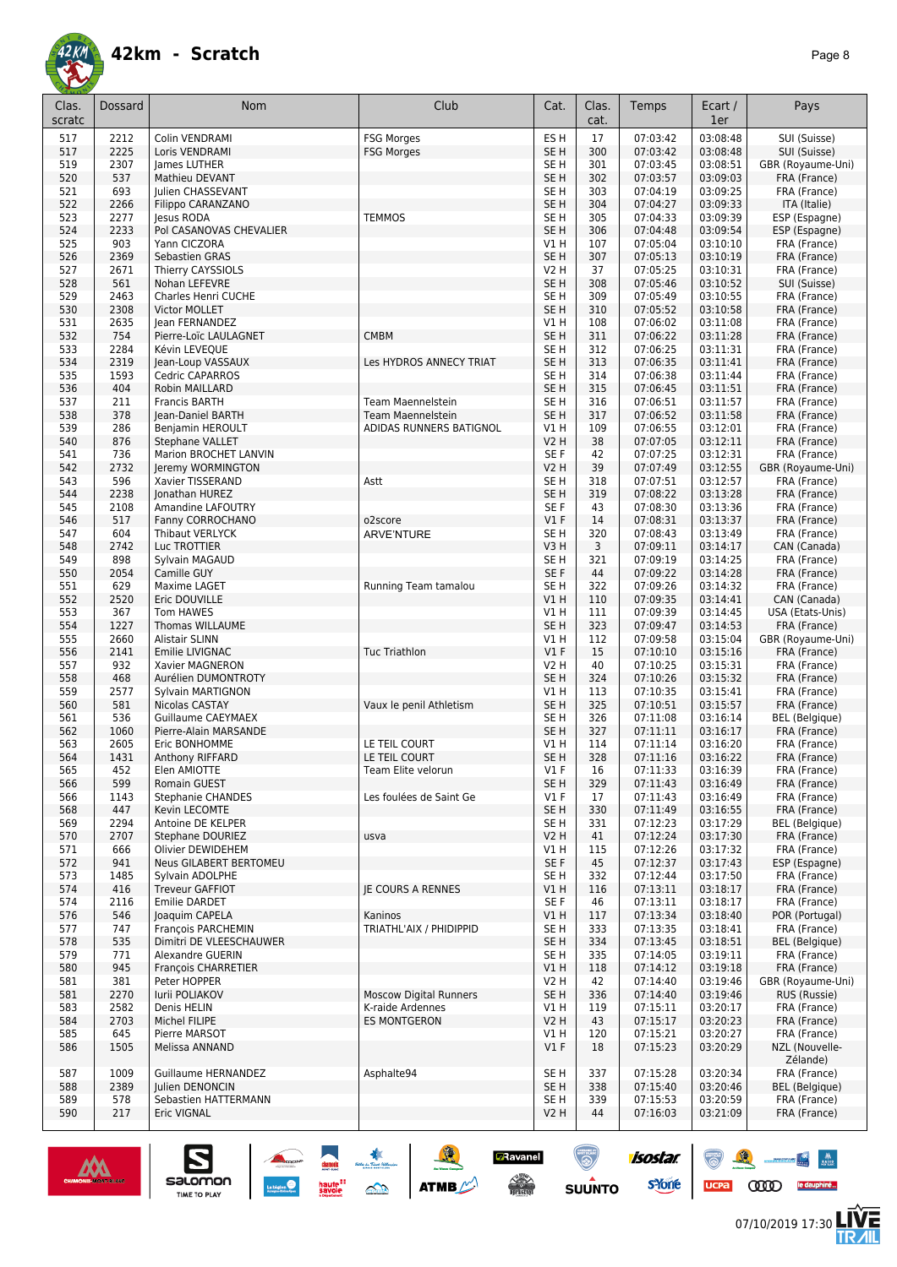

| Clas.<br>scratc | Dossard     | <b>Nom</b>                                         | Club                                          | Cat.                    | Clas.<br>cat. | Temps                | Ecart /<br>1er       | Pays                              |
|-----------------|-------------|----------------------------------------------------|-----------------------------------------------|-------------------------|---------------|----------------------|----------------------|-----------------------------------|
| 517             | 2212        | Colin VENDRAMI                                     | <b>FSG Morges</b>                             | ES <sub>H</sub>         | 17            | 07:03:42             | 03:08:48             | SUI (Suisse)                      |
| 517             | 2225        | Loris VENDRAMI                                     | <b>FSG Morges</b>                             | SE <sub>H</sub>         | 300           | 07:03:42             | 03:08:48             | SUI (Suisse)                      |
| 519             | 2307        | James LUTHER                                       |                                               | SE H                    | 301           | 07:03:45             | 03:08:51             | GBR (Royaume-Uni)                 |
| 520             | 537         | Mathieu DEVANT                                     |                                               | SE <sub>H</sub>         | 302           | 07:03:57             | 03:09:03             | FRA (France)                      |
| 521             | 693         | Julien CHASSEVANT                                  |                                               | SE H                    | 303           | 07:04:19             | 03:09:25             | FRA (France)                      |
| 522             | 2266        | Filippo CARANZANO                                  |                                               | SE <sub>H</sub>         | 304           | 07:04:27             | 03:09:33             | ITA (Italie)                      |
| 523             | 2277        | Jesus RODA                                         | <b>TEMMOS</b>                                 | SE <sub>H</sub>         | 305           | 07:04:33             | 03:09:39             | ESP (Espagne)                     |
| 524             | 2233        | Pol CASANOVAS CHEVALIER                            |                                               | SE <sub>H</sub>         | 306           | 07:04:48             | 03:09:54             | ESP (Espagne)                     |
| 525             | 903         | Yann CICZORA                                       |                                               | V1 H                    | 107           | 07:05:04             | 03:10:10             | FRA (France)                      |
| 526             | 2369        | Sebastien GRAS                                     |                                               | SE <sub>H</sub>         | 307           | 07:05:13             | 03:10:19             | FRA (France)                      |
| 527             | 2671        | Thierry CAYSSIOLS                                  |                                               | <b>V2 H</b>             | 37            | 07:05:25             | 03:10:31             | FRA (France)                      |
| 528             | 561         | Nohan LEFEVRE                                      |                                               | SE <sub>H</sub>         | 308           | 07:05:46             | 03:10:52             | SUI (Suisse)                      |
| 529             | 2463        | Charles Henri CUCHE                                |                                               | SE <sub>H</sub>         | 309           | 07:05:49             | 03:10:55             | FRA (France)                      |
| 530             | 2308        | Victor MOLLET                                      |                                               | SE <sub>H</sub>         | 310           | 07:05:52             | 03:10:58             | FRA (France)                      |
| 531             | 2635        | Jean FERNANDEZ                                     |                                               | V1 H                    | 108           | 07:06:02             | 03:11:08             | FRA (France)                      |
| 532             | 754         | Pierre-Loïc LAULAGNET                              | <b>CMBM</b>                                   | SE <sub>H</sub>         | 311           | 07:06:22             | 03:11:28             | FRA (France)                      |
| 533             | 2284        | Kévin LEVEQUE                                      |                                               | SE H                    | 312           | 07:06:25             | 03:11:31             | FRA (France)                      |
| 534             | 2319        | Jean-Loup VASSAUX                                  | Les HYDROS ANNECY TRIAT                       | SE <sub>H</sub>         | 313           | 07:06:35             | 03:11:41             | FRA (France)                      |
| 535             | 1593        | <b>Cedric CAPARROS</b>                             |                                               | SE <sub>H</sub>         | 314           | 07:06:38             | 03:11:44             | FRA (France)                      |
| 536             | 404         | Robin MAILLARD<br><b>Francis BARTH</b>             |                                               | SE <sub>H</sub>         | 315           | 07:06:45             | 03:11:51             | FRA (France)                      |
| 537<br>538      | 211<br>378  |                                                    | Team Maennelstein<br><b>Team Maennelstein</b> | SE H<br>SE <sub>H</sub> | 316<br>317    | 07:06:51<br>07:06:52 | 03:11:57<br>03:11:58 | FRA (France)                      |
| 539             | 286         | Jean-Daniel BARTH<br>Benjamin HEROULT              | ADIDAS RUNNERS BATIGNOL                       | V1 H                    | 109           | 07:06:55             | 03:12:01             | FRA (France)<br>FRA (France)      |
| 540             | 876         | <b>Stephane VALLET</b>                             |                                               | <b>V2 H</b>             | 38            | 07:07:05             | 03:12:11             | FRA (France)                      |
| 541             | 736         | Marion BROCHET LANVIN                              |                                               | SE F                    | 42            | 07:07:25             | 03:12:31             | FRA (France)                      |
| 542             | 2732        | Jeremy WORMINGTON                                  |                                               | V2 H                    | 39            | 07:07:49             | 03:12:55             | GBR (Royaume-Uni)                 |
| 543             | 596         | Xavier TISSERAND                                   | Astt                                          | SE H                    | 318           | 07:07:51             | 03:12:57             | FRA (France)                      |
| 544             | 2238        | Jonathan HUREZ                                     |                                               | SE <sub>H</sub>         | 319           | 07:08:22             | 03:13:28             | FRA (France)                      |
| 545             | 2108        | Amandine LAFOUTRY                                  |                                               | SE F                    | 43            | 07:08:30             | 03:13:36             | FRA (France)                      |
| 546             | 517         | Fanny CORROCHANO                                   | o2score                                       | $VI$ F                  | 14            | 07:08:31             | 03:13:37             | FRA (France)                      |
| 547             | 604         | Thibaut VERLYCK                                    | <b>ARVE'NTURE</b>                             | SE <sub>H</sub>         | 320           | 07:08:43             | 03:13:49             | FRA (France)                      |
| 548             | 2742        | Luc TROTTIER                                       |                                               | V3H                     | 3             | 07:09:11             | 03:14:17             | CAN (Canada)                      |
| 549             | 898         | Sylvain MAGAUD                                     |                                               | SE <sub>H</sub>         | 321           | 07:09:19             | 03:14:25             | FRA (France)                      |
| 550             | 2054        | Camille GUY                                        |                                               | SE F                    | 44            | 07:09:22             | 03:14:28             | FRA (France)                      |
| 551             | 629         | Maxime LAGET                                       | Running Team tamalou                          | SE <sub>H</sub>         | 322           | 07:09:26             | 03:14:32             | FRA (France)                      |
| 552             | 2520        | Eric DOUVILLE                                      |                                               | V1H                     | 110           | 07:09:35             | 03:14:41             | CAN (Canada)                      |
| 553             | 367         | Tom HAWES                                          |                                               | V1 H                    | 111           | 07:09:39             | 03:14:45             | USA (Etats-Unis)                  |
| 554             | 1227        | Thomas WILLAUME                                    |                                               | SE <sub>H</sub>         | 323           | 07:09:47             | 03:14:53             | FRA (France)                      |
| 555<br>556      | 2660        | Alistair SLINN<br>Emilie LIVIGNAC                  | <b>Tuc Triathlon</b>                          | V1 H<br>$VI$ F          | 112<br>15     | 07:09:58             | 03:15:04             | GBR (Royaume-Uni)<br>FRA (France) |
| 557             | 2141<br>932 | Xavier MAGNERON                                    |                                               | <b>V2 H</b>             | 40            | 07:10:10<br>07:10:25 | 03:15:16<br>03:15:31 | FRA (France)                      |
| 558             | 468         | Aurélien DUMONTROTY                                |                                               | SE <sub>H</sub>         | 324           | 07:10:26             | 03:15:32             | FRA (France)                      |
| 559             | 2577        | Sylvain MARTIGNON                                  |                                               | V1 H                    | 113           | 07:10:35             | 03:15:41             | FRA (France)                      |
| 560             | 581         | Nicolas CASTAY                                     | Vaux le penil Athletism                       | SE <sub>H</sub>         | 325           | 07:10:51             | 03:15:57             | FRA (France)                      |
| 561             | 536         | <b>Guillaume CAEYMAEX</b>                          |                                               | SE <sub>H</sub>         | 326           | 07:11:08             | 03:16:14             | <b>BEL</b> (Belgique)             |
| 562             | 1060        | Pierre-Alain MARSANDE                              |                                               | SE <sub>H</sub>         | 327           | 07:11:11             | 03:16:17             | FRA (France)                      |
| 563             | 2605        | Eric BONHOMME                                      | LE TEIL COURT                                 | V1 H                    | 114           | 07:11:14             | 03:16:20             | FRA (France)                      |
| 564             | 1431        | Anthony RIFFARD                                    | LE TEIL COURT                                 | SE <sub>H</sub>         | 328           | 07:11:16             | 03:16:22             | FRA (France)                      |
| 565             | 452         | Elen AMIOTTE                                       | Team Elite velorun                            | $VI$ F                  | 16            | 07:11:33             | 03:16:39             | FRA (France)                      |
| 566             | 599         | Romain GUEST                                       |                                               | SE <sub>H</sub>         | 329           | 07:11:43             | 03:16:49             | FRA (France)                      |
| 566             | 1143        | Stephanie CHANDES                                  | Les foulées de Saint Ge                       | $VI$ F                  | 17            | 07:11:43             | 03:16:49             | FRA (France)                      |
| 568             | 447         | Kevin LECOMTE                                      |                                               | SE H                    | 330           | 07:11:49             | 03:16:55             | FRA (France)                      |
| 569             | 2294        | Antoine DE KELPER                                  |                                               | SE H                    | 331           | 07:12:23             | 03:17:29             | <b>BEL</b> (Belgique)             |
| 570             | 2707        | Stephane DOURIEZ                                   | usva                                          | V2 H                    | 41            | 07:12:24             | 03:17:30             | FRA (France)                      |
| 571<br>572      | 666<br>941  | Olivier DEWIDEHEM<br><b>Neus GILABERT BERTOMEU</b> |                                               | V1 H<br>SE F            | 115<br>45     | 07:12:26<br>07:12:37 | 03:17:32<br>03:17:43 | FRA (France)<br>ESP (Espagne)     |
| 573             | 1485        | Sylvain ADOLPHE                                    |                                               | SE <sub>H</sub>         | 332           | 07:12:44             | 03:17:50             | FRA (France)                      |
| 574             | 416         | Treveur GAFFIOT                                    | <b>IE COURS A RENNES</b>                      | V1 H                    | 116           | 07:13:11             | 03:18:17             | FRA (France)                      |
| 574             | 2116        | Emilie DARDET                                      |                                               | SE F                    | 46            | 07:13:11             | 03:18:17             | FRA (France)                      |
| 576             | 546         | loaquim CAPELA                                     | Kaninos                                       | V1 H                    | 117           | 07:13:34             | 03:18:40             | POR (Portugal)                    |
| 577             | 747         | François PARCHEMIN                                 | TRIATHL'AIX / PHIDIPPID                       | SE <sub>H</sub>         | 333           | 07:13:35             | 03:18:41             | FRA (France)                      |
| 578             | 535         | Dimitri DE VLEESCHAUWER                            |                                               | SE <sub>H</sub>         | 334           | 07:13:45             | 03:18:51             | <b>BEL</b> (Belgique)             |
| 579             | 771         | Alexandre GUERIN                                   |                                               | SE H                    | 335           | 07:14:05             | 03:19:11             | FRA (France)                      |
| 580             | 945         | François CHARRETIER                                |                                               | V1H                     | 118           | 07:14:12             | 03:19:18             | FRA (France)                      |
| 581             | 381         | Peter HOPPER                                       |                                               | V2 H                    | 42            | 07:14:40             | 03:19:46             | GBR (Royaume-Uni)                 |
| 581             | 2270        | Iurii POLIAKOV                                     | <b>Moscow Digital Runners</b>                 | SE <sub>H</sub>         | 336           | 07:14:40             | 03:19:46             | RUS (Russie)                      |
| 583             | 2582        | Denis HELIN                                        | K-raide Ardennes                              | V1 H                    | 119           | 07:15:11             | 03:20:17             | FRA (France)                      |
| 584             | 2703        | Michel FILIPE                                      | <b>ES MONTGERON</b>                           | V <sub>2</sub> H        | 43            | 07:15:17             | 03:20:23             | FRA (France)                      |
| 585             | 645         | Pierre MARSOT                                      |                                               | V1H                     | 120           | 07:15:21             | 03:20:27             | FRA (France)                      |
| 586             | 1505        | Melissa ANNAND                                     |                                               | $VI$ F                  | 18            | 07:15:23             | 03:20:29             | NZL (Nouvelle-                    |
|                 |             |                                                    |                                               |                         |               |                      |                      | Zélande)                          |
| 587             | 1009        | Guillaume HERNANDEZ                                | Asphalte94                                    | SE H                    | 337           | 07:15:28             | 03:20:34             | FRA (France)                      |
| 588             | 2389        | Julien DENONCIN                                    |                                               | SE <sub>H</sub>         | 338           | 07:15:40             | 03:20:46             | <b>BEL</b> (Belgique)             |
| 589<br>590      | 578<br>217  | Sebastien HATTERMANN<br>Eric VIGNAL                |                                               | SE H<br><b>V2 H</b>     | 339<br>44     | 07:15:53<br>07:16:03 | 03:20:59<br>03:21:09 | FRA (France)<br>FRA (France)      |
|                 |             |                                                    |                                               |                         |               |                      |                      |                                   |

**A A A A ATTACK** 

**D**Ravanel

**CONTRACTOR** 

 $\odot$ 

SUUNTO

isostar.

**s**Yone



 $\sum_{\text{SALOMOM}}$ 

**LIVE<br>TR***A***IL** 

88 - 14

UCPA COOD le dauphiné...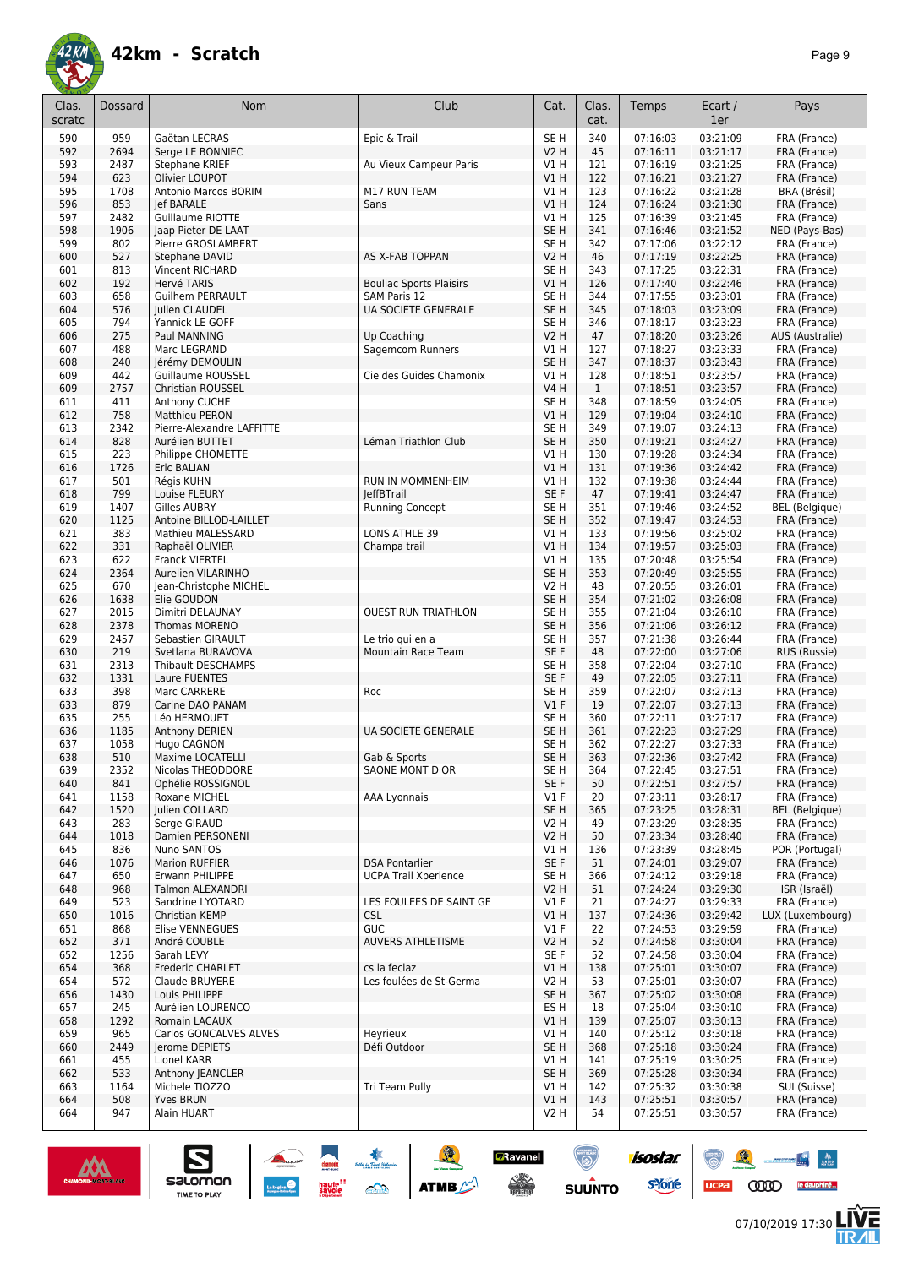

| Clas.      | Dossard      | Nom                                    | Club                           | Cat.                    | Clas.        | Temps                | Ecart /              | Pays                            |
|------------|--------------|----------------------------------------|--------------------------------|-------------------------|--------------|----------------------|----------------------|---------------------------------|
| scratc     |              |                                        |                                |                         | cat.         |                      | 1er                  |                                 |
| 590        | 959          | Gaëtan LECRAS                          | Epic & Trail                   | SE <sub>H</sub>         | 340          | 07:16:03             | 03:21:09             | FRA (France)                    |
| 592        | 2694         | Serge LE BONNIEC                       |                                | V2 H                    | 45           | 07:16:11             | 03:21:17             | FRA (France)                    |
| 593        | 2487         | Stephane KRIEF                         | Au Vieux Campeur Paris         | V1 H                    | 121          | 07:16:19             | 03:21:25             | FRA (France)                    |
| 594<br>595 | 623<br>1708  | Olivier LOUPOT<br>Antonio Marcos BORIM | M17 RUN TEAM                   | V1 H<br>V1 H            | 122<br>123   | 07:16:21<br>07:16:22 | 03:21:27<br>03:21:28 | FRA (France)<br>BRA (Brésil)    |
| 596        | 853          | Jef BARALE                             | Sans                           | V1 H                    | 124          | 07:16:24             | 03:21:30             | FRA (France)                    |
| 597        | 2482         | Guillaume RIOTTE                       |                                | <b>V1 H</b>             | 125          | 07:16:39             | 03:21:45             | FRA (France)                    |
| 598        | 1906         | Jaap Pieter DE LAAT                    |                                | SE <sub>H</sub>         | 341          | 07:16:46             | 03:21:52             | NED (Pays-Bas)                  |
| 599        | 802          | Pierre GROSLAMBERT                     |                                | SE H                    | 342          | 07:17:06             | 03:22:12             | FRA (France)                    |
| 600        | 527          | Stephane DAVID                         | AS X-FAB TOPPAN                | V2 H                    | 46           | 07:17:19             | 03:22:25             | FRA (France)                    |
| 601        | 813          | Vincent RICHARD                        |                                | SE H                    | 343          | 07:17:25             | 03:22:31             | FRA (France)                    |
| 602        | 192          | Hervé TARIS                            | <b>Bouliac Sports Plaisirs</b> | V1 H                    | 126          | 07:17:40             | 03:22:46             | FRA (France)                    |
| 603        | 658          | <b>Guilhem PERRAULT</b>                | <b>SAM Paris 12</b>            | SE H                    | 344          | 07:17:55             | 03:23:01             | FRA (France)                    |
| 604<br>605 | 576<br>794   | Julien CLAUDEL<br>Yannick LE GOFF      | UA SOCIETE GENERALE            | SE <sub>H</sub><br>SE H | 345<br>346   | 07:18:03             | 03:23:09<br>03:23:23 | FRA (France)                    |
| 606        | 275          | Paul MANNING                           | Up Coaching                    | V2 H                    | 47           | 07:18:17<br>07:18:20 | 03:23:26             | FRA (France)<br>AUS (Australie) |
| 607        | 488          | Marc LEGRAND                           | Sagemcom Runners               | V1 H                    | 127          | 07:18:27             | 03:23:33             | FRA (France)                    |
| 608        | 240          | Jérémy DEMOULIN                        |                                | SE <sub>H</sub>         | 347          | 07:18:37             | 03:23:43             | FRA (France)                    |
| 609        | 442          | Guillaume ROUSSEL                      | Cie des Guides Chamonix        | V1 H                    | 128          | 07:18:51             | 03:23:57             | FRA (France)                    |
| 609        | 2757         | Christian ROUSSEL                      |                                | V4 H                    | $\mathbf{1}$ | 07:18:51             | 03:23:57             | FRA (France)                    |
| 611        | 411          | Anthony CUCHE                          |                                | SE H                    | 348          | 07:18:59             | 03:24:05             | FRA (France)                    |
| 612        | 758          | <b>Matthieu PERON</b>                  |                                | V1 H                    | 129          | 07:19:04             | 03:24:10             | FRA (France)                    |
| 613        | 2342         | Pierre-Alexandre LAFFITTE              |                                | SE H                    | 349          | 07:19:07             | 03:24:13             | FRA (France)                    |
| 614        | 828          | Aurélien BUTTET                        | Léman Triathlon Club           | SE H                    | 350          | 07:19:21             | 03:24:27             | FRA (France)                    |
| 615<br>616 | 223<br>1726  | Philippe CHOMETTE<br>Eric BALIAN       |                                | <b>V1 H</b><br>V1H      | 130<br>131   | 07:19:28<br>07:19:36 | 03:24:34<br>03:24:42 | FRA (France)<br>FRA (France)    |
| 617        | 501          | Régis KUHN                             | RUN IN MOMMENHEIM              | V1 H                    | 132          | 07:19:38             | 03:24:44             | FRA (France)                    |
| 618        | 799          | Louise FLEURY                          | <b>leffBTrail</b>              | SE F                    | 47           | 07:19:41             | 03:24:47             | FRA (France)                    |
| 619        | 1407         | <b>Gilles AUBRY</b>                    | <b>Running Concept</b>         | SE H                    | 351          | 07:19:46             | 03:24:52             | BEL (Belgique)                  |
| 620        | 1125         | Antoine BILLOD-LAILLET                 |                                | SE H                    | 352          | 07:19:47             | 03:24:53             | FRA (France)                    |
| 621        | 383          | Mathieu MALESSARD                      | LONS ATHLE 39                  | V1 H                    | 133          | 07:19:56             | 03:25:02             | FRA (France)                    |
| 622        | 331          | Raphaël OLIVIER                        | Champa trail                   | V1 H                    | 134          | 07:19:57             | 03:25:03             | FRA (France)                    |
| 623        | 622          | Franck VIERTEL                         |                                | V1 H                    | 135          | 07:20:48             | 03:25:54             | FRA (France)                    |
| 624        | 2364         | Aurelien VILARINHO                     |                                | SE H                    | 353          | 07:20:49             | 03:25:55             | FRA (France)                    |
| 625<br>626 | 670          | Jean-Christophe MICHEL<br>Elie GOUDON  |                                | V2 H                    | 48<br>354    | 07:20:55             | 03:26:01             | FRA (France)                    |
| 627        | 1638<br>2015 | Dimitri DELAUNAY                       | <b>OUEST RUN TRIATHLON</b>     | SE H<br>SE H            | 355          | 07:21:02<br>07:21:04 | 03:26:08<br>03:26:10 | FRA (France)<br>FRA (France)    |
| 628        | 2378         | Thomas MORENO                          |                                | SE <sub>H</sub>         | 356          | 07:21:06             | 03:26:12             | FRA (France)                    |
| 629        | 2457         | Sebastien GIRAULT                      | Le trio qui en a               | SE H                    | 357          | 07:21:38             | 03:26:44             | FRA (France)                    |
| 630        | 219          | Svetlana BURAVOVA                      | Mountain Race Team             | SE <sub>F</sub>         | 48           | 07:22:00             | 03:27:06             | RUS (Russie)                    |
| 631        | 2313         | Thibault DESCHAMPS                     |                                | SE H                    | 358          | 07:22:04             | 03:27:10             | FRA (France)                    |
| 632        | 1331         | Laure FUENTES                          |                                | SE F                    | 49           | 07:22:05             | 03:27:11             | FRA (France)                    |
| 633        | 398          | Marc CARRERE                           | Roc                            | SE H                    | 359          | 07:22:07             | 03:27:13             | FRA (France)                    |
| 633        | 879          | Carine DAO PANAM                       |                                | $VI$ F                  | 19           | 07:22:07             | 03:27:13             | FRA (France)                    |
| 635<br>636 | 255          | Léo HERMOUET                           |                                | SE H<br>SE H            | 360          | 07:22:11             | 03:27:17             | FRA (France)<br>FRA (France)    |
| 637        | 1185<br>1058 | Anthony DERIEN<br>Hugo CAGNON          | UA SOCIETE GENERALE            | SE H                    | 361<br>362   | 07:22:23<br>07:22:27 | 03:27:29<br>03:27:33 | FRA (France)                    |
| 638        | 510          | Maxime LOCATELLI                       | Gab & Sports                   | SE H                    | 363          | 07:22:36             | 03:27:42             | FRA (France)                    |
| 639        | 2352         | Nicolas THEODDORE                      | SAONE MONT D OR                | SE H                    | 364          | 07:22:45             | 03:27:51             | FRA (France)                    |
| 640        | 841          | Ophélie ROSSIGNOL                      |                                | SE F                    | 50           | 07:22:51             | 03:27:57             | FRA (France)                    |
| 641        | 1158         | Roxane MICHEL                          | AAA Lyonnais                   | $VI$ F                  | 20           | 07:23:11             | 03:28:17             | FRA (France)                    |
| 642        | 1520         | Julien COLLARD                         |                                | SE H                    | 365          | 07:23:25             | 03:28:31             | <b>BEL</b> (Belgique)           |
| 643        | 283          | Serge GIRAUD                           |                                | V2 H                    | 49           | 07:23:29             | 03:28:35             | FRA (France)                    |
| 644        | 1018         | Damien PERSONENI                       |                                | V2 H                    | 50           | 07:23:34<br>07:23:39 | 03:28:40             | FRA (France)                    |
| 645<br>646 | 836<br>1076  | Nuno SANTOS<br><b>Marion RUFFIER</b>   | <b>DSA Pontarlier</b>          | V1 H<br>SE F            | 136<br>51    | 07:24:01             | 03:28:45<br>03:29:07 | POR (Portugal)<br>FRA (France)  |
| 647        | 650          | Erwann PHILIPPE                        | <b>UCPA Trail Xperience</b>    | SE H                    | 366          | 07:24:12             | 03:29:18             | FRA (France)                    |
| 648        | 968          | Talmon ALEXANDRI                       |                                | V2 H                    | 51           | 07:24:24             | 03:29:30             | ISR (Israël)                    |
| 649        | 523          | Sandrine LYOTARD                       | LES FOULEES DE SAINT GE        | V1 F                    | 21           | 07:24:27             | 03:29:33             | FRA (France)                    |
| 650        | 1016         | Christian KEMP                         | CSL                            | V1 H                    | 137          | 07:24:36             | 03:29:42             | LUX (Luxembourg)                |
| 651        | 868          | Elise VENNEGUES                        | <b>GUC</b>                     | $VI$ F                  | 22           | 07:24:53             | 03:29:59             | FRA (France)                    |
| 652        | 371          | André COUBLE                           | <b>AUVERS ATHLETISME</b>       | V2 H                    | 52           | 07:24:58             | 03:30:04             | FRA (France)                    |
| 652        | 1256         | Sarah LEVY                             |                                | SE F                    | 52           | 07:24:58             | 03:30:04             | FRA (France)                    |
| 654        | 368          | Frederic CHARLET                       | cs la feclaz                   | V1 H                    | 138          | 07:25:01             | 03:30:07             | FRA (France)                    |
| 654<br>656 | 572<br>1430  | Claude BRUYERE<br>Louis PHILIPPE       | Les foulées de St-Germa        | V2 H<br>SE H            | 53<br>367    | 07:25:01<br>07:25:02 | 03:30:07<br>03:30:08 | FRA (France)<br>FRA (France)    |
| 657        | 245          | Aurélien LOURENCO                      |                                | ES H                    | 18           | 07:25:04             | 03:30:10             | FRA (France)                    |
| 658        | 1292         | Romain LACAUX                          |                                | V1H                     | 139          | 07:25:07             | 03:30:13             | FRA (France)                    |
| 659        | 965          | Carlos GONCALVES ALVES                 | Heyrieux                       | V1 H                    | 140          | 07:25:12             | 03:30:18             | FRA (France)                    |
| 660        | 2449         | Jerome DEPIETS                         | Défi Outdoor                   | SE H                    | 368          | 07:25:18             | 03:30:24             | FRA (France)                    |
| 661        | 455          | Lionel KARR                            |                                | V1 H                    | 141          | 07:25:19             | 03:30:25             | FRA (France)                    |
| 662        | 533          | Anthony JEANCLER                       |                                | SE <sub>H</sub>         | 369          | 07:25:28             | 03:30:34             | FRA (France)                    |
| 663        | 1164         | Michele TIOZZO                         | Tri Team Pully                 | V1 H                    | 142          | 07:25:32             | 03:30:38             | SUI (Suisse)                    |
| 664        | 508          | <b>Yves BRUN</b>                       |                                | V1H                     | 143          | 07:25:51             | 03:30:57             | FRA (France)                    |
| 664        | 947          | Alain HUART                            |                                | V2 H                    | 54           | 07:25:51             | 03:30:57             | FRA (France)                    |

**Z**Ravanel

 $\begin{array}{c} \displaystyle \sqrt{2} \\ \displaystyle \sqrt{2} \\ \displaystyle \sqrt{2} \\ \displaystyle \sqrt{2} \\ \displaystyle \sqrt{2} \\ \displaystyle \sqrt{2} \\ \displaystyle \sqrt{2} \\ \displaystyle \sqrt{2} \\ \displaystyle \sqrt{2} \\ \displaystyle \sqrt{2} \\ \displaystyle \sqrt{2} \\ \displaystyle \sqrt{2} \\ \displaystyle \sqrt{2} \\ \displaystyle \sqrt{2} \\ \displaystyle \sqrt{2} \\ \displaystyle \sqrt{2} \\ \displaystyle \sqrt{2} \\ \displaystyle \sqrt{2} \\ \displaystyle \sqrt{2} \\ \displaystyle \sqrt{2} \\ \displaystyle \sqrt{2} \\ \displaystyle \sqrt{2} \\ \displaystyle \sqrt{2} \\ \displaystyle \sqrt{$ 

 $\odot$ 

**SUUNTO** 

**isostar** 

**s**Yone



 $\sum_{\text{SALOMOM}}$ 

**LIVE<br>TR***A***IL** 

 $\bullet$   $\bullet$ 

UCPA COOD le dauphiné...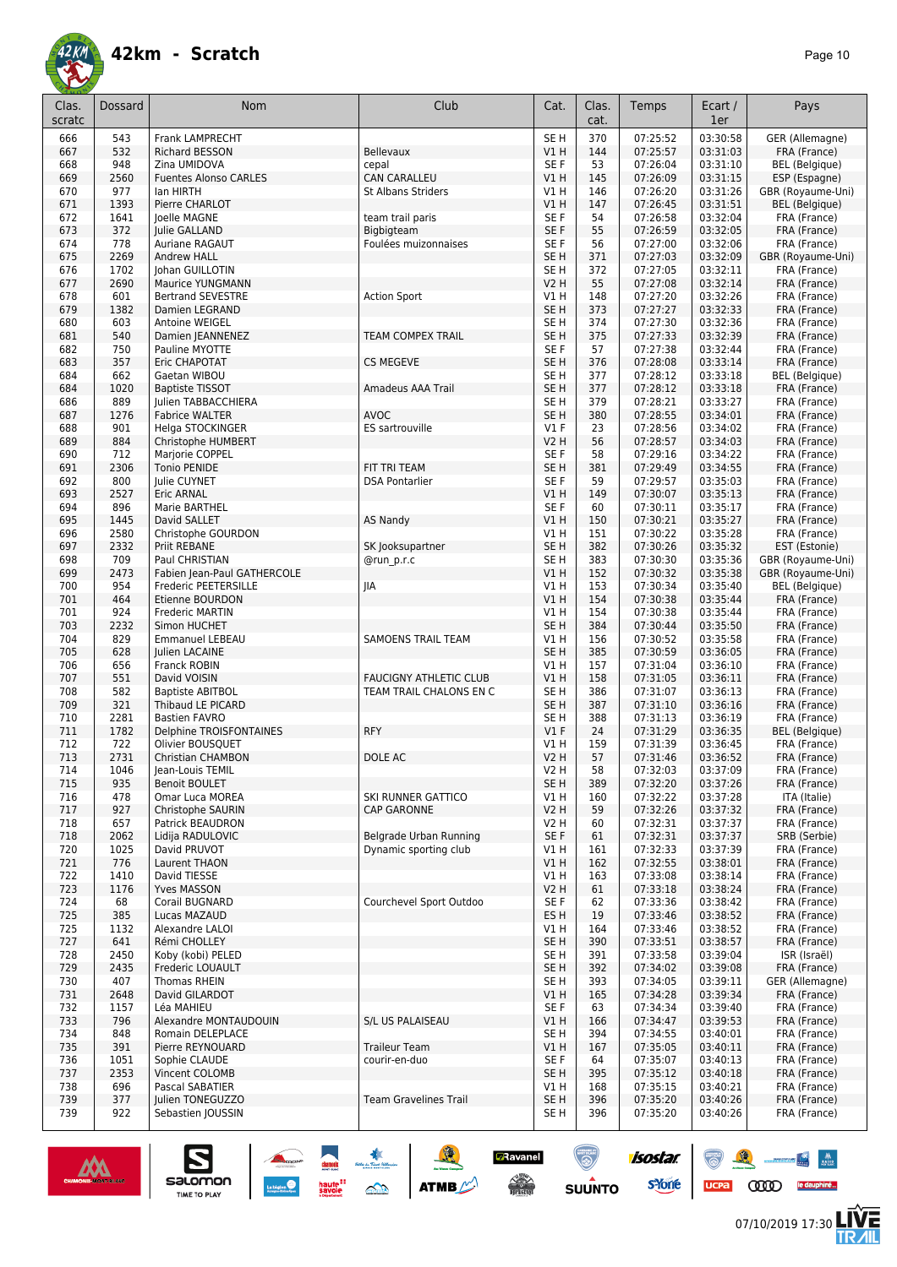

| Clas.<br>scratc | <b>Dossard</b> | <b>Nom</b>                                         | Club                                     | Cat.                               | Clas.<br>cat. | Temps                | Ecart /<br>1er       | Pays                                   |
|-----------------|----------------|----------------------------------------------------|------------------------------------------|------------------------------------|---------------|----------------------|----------------------|----------------------------------------|
| 666             | 543            | <b>Frank LAMPRECHT</b>                             |                                          | SE <sub>H</sub>                    | 370           | 07:25:52             | 03:30:58             | GER (Allemagne)                        |
| 667<br>668      | 532<br>948     | <b>Richard BESSON</b><br>Zina UMIDOVA              | Bellevaux<br>cepal                       | VIH<br>SE <sub>F</sub>             | 144<br>53     | 07:25:57<br>07:26:04 | 03:31:03<br>03:31:10 | FRA (France)<br>BEL (Belgique)         |
| 669             | 2560           | <b>Fuentes Alonso CARLES</b>                       | <b>CAN CARALLEU</b>                      | V1 H                               | 145           | 07:26:09             | 03:31:15             | ESP (Espagne)                          |
| 670             | 977            | lan HIRTH                                          | <b>St Albans Striders</b>                | V1 H                               | 146           | 07:26:20             | 03:31:26             | GBR (Royaume-Uni)                      |
| 671             | 1393           | Pierre CHARLOT                                     |                                          | V1H                                | 147           | 07:26:45             | 03:31:51             | BEL (Belgique)                         |
| 672             | 1641           | Joelle MAGNE                                       | team trail paris                         | SE <sub>F</sub>                    | 54            | 07:26:58             | 03:32:04             | FRA (France)                           |
| 673<br>674      | 372<br>778     | Julie GALLAND<br><b>Auriane RAGAUT</b>             | Bigbigteam<br>Foulées muizonnaises       | SE <sub>F</sub><br>SE F            | 55<br>56      | 07:26:59<br>07:27:00 | 03:32:05<br>03:32:06 | FRA (France)<br>FRA (France)           |
| 675             | 2269           | <b>Andrew HALL</b>                                 |                                          | SE <sub>H</sub>                    | 371           | 07:27:03             | 03:32:09             | GBR (Royaume-Uni)                      |
| 676             | 1702           | Johan GUILLOTIN                                    |                                          | SE H                               | 372           | 07:27:05             | 03:32:11             | FRA (France)                           |
| 677             | 2690           | <b>Maurice YUNGMANN</b>                            |                                          | <b>V2 H</b>                        | 55            | 07:27:08             | 03:32:14             | FRA (France)                           |
| 678             | 601            | <b>Bertrand SEVESTRE</b>                           | <b>Action Sport</b>                      | V1H                                | 148           | 07:27:20             | 03:32:26             | FRA (France)                           |
| 679<br>680      | 1382<br>603    | Damien LEGRAND<br>Antoine WEIGEL                   |                                          | SE <sub>H</sub><br>SE <sub>H</sub> | 373<br>374    | 07:27:27<br>07:27:30 | 03:32:33<br>03:32:36 | FRA (France)<br>FRA (France)           |
| 681             | 540            | Damien JEANNENEZ                                   | <b>TEAM COMPEX TRAIL</b>                 | SE <sub>H</sub>                    | 375           | 07:27:33             | 03:32:39             | FRA (France)                           |
| 682             | 750            | Pauline MYOTTE                                     |                                          | SE <sub>F</sub>                    | 57            | 07:27:38             | 03:32:44             | FRA (France)                           |
| 683             | 357            | Eric CHAPOTAT                                      | <b>CS MEGEVE</b>                         | SE <sub>H</sub>                    | 376           | 07:28:08             | 03:33:14             | FRA (France)                           |
| 684             | 662            | Gaetan WIBOU                                       |                                          | SE <sub>H</sub>                    | 377           | 07:28:12             | 03:33:18             | <b>BEL</b> (Belgique)                  |
| 684<br>686      | 1020<br>889    | <b>Baptiste TISSOT</b>                             | Amadeus AAA Trail                        | SE <sub>H</sub><br>SE H            | 377<br>379    | 07:28:12<br>07:28:21 | 03:33:18<br>03:33:27 | FRA (France)                           |
| 687             | 1276           | Julien TABBACCHIERA<br><b>Fabrice WALTER</b>       | <b>AVOC</b>                              | SE <sub>H</sub>                    | 380           | 07:28:55             | 03:34:01             | FRA (France)<br>FRA (France)           |
| 688             | 901            | Helga STOCKINGER                                   | ES sartrouville                          | $VI$ F                             | 23            | 07:28:56             | 03:34:02             | FRA (France)                           |
| 689             | 884            | Christophe HUMBERT                                 |                                          | V2 H                               | 56            | 07:28:57             | 03:34:03             | FRA (France)                           |
| 690             | 712            | Marjorie COPPEL                                    |                                          | SE <sub>F</sub>                    | 58            | 07:29:16             | 03:34:22             | FRA (France)                           |
| 691             | 2306           | <b>Tonio PENIDE</b>                                | FIT TRI TEAM                             | SE <sub>H</sub>                    | 381           | 07:29:49             | 03:34:55             | FRA (France)                           |
| 692<br>693      | 800<br>2527    | Julie CUYNET<br>Eric ARNAL                         | <b>DSA Pontarlier</b>                    | SE <sub>F</sub><br>V1 H            | 59<br>149     | 07:29:57<br>07:30:07 | 03:35:03<br>03:35:13 | FRA (France)<br>FRA (France)           |
| 694             | 896            | Marie BARTHEL                                      |                                          | SE F                               | 60            | 07:30:11             | 03:35:17             | FRA (France)                           |
| 695             | 1445           | David SALLET                                       | <b>AS Nandy</b>                          | V1 H                               | 150           | 07:30:21             | 03:35:27             | FRA (France)                           |
| 696             | 2580           | Christophe GOURDON                                 |                                          | V1H                                | 151           | 07:30:22             | 03:35:28             | FRA (France)                           |
| 697             | 2332           | Priit REBANE                                       | SK Jooksupartner                         | SE <sub>H</sub>                    | 382           | 07:30:26             | 03:35:32             | EST (Estonie)                          |
| 698<br>699      | 709<br>2473    | Paul CHRISTIAN<br>Fabien Jean-Paul GATHERCOLE      | @run p.r.c                               | SE <sub>H</sub><br>VIH             | 383<br>152    | 07:30:30<br>07:30:32 | 03:35:36<br>03:35:38 | GBR (Royaume-Uni)<br>GBR (Royaume-Uni) |
| 700             | 954            | Frederic PEETERSILLE                               | JIA                                      | V1 H                               | 153           | 07:30:34             | 03:35:40             | <b>BEL</b> (Belgique)                  |
| 701             | 464            | Etienne BOURDON                                    |                                          | VIH                                | 154           | 07:30:38             | 03:35:44             | FRA (France)                           |
| 701             | 924            | Frederic MARTIN                                    |                                          | V1 H                               | 154           | 07:30:38             | 03:35:44             | FRA (France)                           |
| 703             | 2232           | Simon HUCHET                                       |                                          | SE <sub>H</sub>                    | 384           | 07:30:44             | 03:35:50             | FRA (France)                           |
| 704<br>705      | 829<br>628     | <b>Emmanuel LEBEAU</b><br>Julien LACAINE           | <b>SAMOENS TRAIL TEAM</b>                | V1H<br>SE <sub>H</sub>             | 156<br>385    | 07:30:52<br>07:30:59 | 03:35:58<br>03:36:05 | FRA (France)<br>FRA (France)           |
| 706             | 656            | Franck ROBIN                                       |                                          | V1H                                | 157           | 07:31:04             | 03:36:10             | FRA (France)                           |
| 707             | 551            | David VOISIN                                       | <b>FAUCIGNY ATHLETIC CLUB</b>            | V1H                                | 158           | 07:31:05             | 03:36:11             | FRA (France)                           |
| 708             | 582            | <b>Baptiste ABITBOL</b>                            | TEAM TRAIL CHALONS EN C                  | SE <sub>H</sub>                    | 386           | 07:31:07             | 03:36:13             | FRA (France)                           |
| 709             | 321            | Thibaud LE PICARD                                  |                                          | SE <sub>H</sub>                    | 387           | 07:31:10             | 03:36:16             | FRA (France)                           |
| 710<br>711      | 2281<br>1782   | <b>Bastien FAVRO</b><br>Delphine TROISFONTAINES    | <b>RFY</b>                               | SE <sub>H</sub><br>$VI$ F          | 388<br>24     | 07:31:13<br>07:31:29 | 03:36:19<br>03:36:35 | FRA (France)<br><b>BEL</b> (Belgique)  |
| 712             | 722            | Olivier BOUSQUET                                   |                                          | V1 H                               | 159           | 07:31:39             | 03:36:45             | FRA (France)                           |
| 713             | 2731           | <b>Christian CHAMBON</b>                           | DOLE AC                                  | V2 H                               | 57            | 07:31:46             | 03:36:52             | FRA (France)                           |
| 714             | 1046           | Jean-Louis TEMIL                                   |                                          | V2 H                               | 58            | 07:32:03             | 03:37:09             | FRA (France)                           |
| 715             | 935            | <b>Benoit BOULET</b>                               |                                          | SE <sub>H</sub>                    | 389           | 07:32:20             | 03:37:26             | FRA (France)                           |
| 716<br>717      | 478<br>927     | <b>Omar Luca MOREA</b><br><b>Christophe SAURIN</b> | SKI RUNNER GATTICO<br><b>CAP GARONNE</b> | V1 H<br><b>V2 H</b>                | 160<br>59     | 07:32:22<br>07:32:26 | 03:37:28<br>03:37:32 | ITA (Italie)<br>FRA (France)           |
| 718             | 657            | Patrick BEAUDRON                                   |                                          | V2 H                               | 60            | 07:32:31             | 03:37:37             | FRA (France)                           |
| 718             | 2062           | Lidija RADULOVIC                                   | Belgrade Urban Running                   | SE F                               | 61            | 07:32:31             | 03:37:37             | SRB (Serbie)                           |
| 720             | 1025           | David PRUVOT                                       | Dynamic sporting club                    | V1 H                               | 161           | 07:32:33             | 03:37:39             | FRA (France)                           |
| 721             | 776            | Laurent THAON                                      |                                          | V1H                                | 162           | 07:32:55             | 03:38:01             | FRA (France)                           |
| 722<br>723      | 1410<br>1176   | David TIESSE<br><b>Yves MASSON</b>                 |                                          | V1H<br>V2 H                        | 163<br>61     | 07:33:08<br>07:33:18 | 03:38:14<br>03:38:24 | FRA (France)<br>FRA (France)           |
| 724             | 68             | Corail BUGNARD                                     | Courchevel Sport Outdoo                  | SE F                               | 62            | 07:33:36             | 03:38:42             | FRA (France)                           |
| 725             | 385            | Lucas MAZAUD                                       |                                          | ES H                               | 19            | 07:33:46             | 03:38:52             | FRA (France)                           |
| 725             | 1132           | Alexandre LALOI                                    |                                          | V1 H                               | 164           | 07:33:46             | 03:38:52             | FRA (France)                           |
| 727             | 641            | Rémi CHOLLEY                                       |                                          | SE <sub>H</sub>                    | 390           | 07:33:51             | 03:38:57             | FRA (France)                           |
| 728<br>729      | 2450<br>2435   | Koby (kobi) PELED<br>Frederic LOUAULT              |                                          | SE H<br>SE H                       | 391<br>392    | 07:33:58<br>07:34:02 | 03:39:04<br>03:39:08 | ISR (Israël)<br>FRA (France)           |
| 730             | 407            | <b>Thomas RHEIN</b>                                |                                          | SE H                               | 393           | 07:34:05             | 03:39:11             | GER (Allemagne)                        |
| 731             | 2648           | David GILARDOT                                     |                                          | V1 H                               | 165           | 07:34:28             | 03:39:34             | FRA (France)                           |
| 732             | 1157           | Léa MAHIEU                                         |                                          | SE F                               | 63            | 07:34:34             | 03:39:40             | FRA (France)                           |
| 733             | 796            | Alexandre MONTAUDOUIN                              | S/L US PALAISEAU                         | V1 H                               | 166           | 07:34:47             | 03:39:53             | FRA (France)                           |
| 734<br>735      | 848<br>391     | Romain DELEPLACE<br>Pierre REYNOUARD               | <b>Traileur Team</b>                     | SE H<br>VIH                        | 394<br>167    | 07:34:55<br>07:35:05 | 03:40:01<br>03:40:11 | FRA (France)<br>FRA (France)           |
| 736             | 1051           | Sophie CLAUDE                                      | courir-en-duo                            | SE F                               | 64            | 07:35:07             | 03:40:13             | FRA (France)                           |
| 737             | 2353           | Vincent COLOMB                                     |                                          | SE H                               | 395           | 07:35:12             | 03:40:18             | FRA (France)                           |
| 738             | 696            | Pascal SABATIER                                    |                                          | V1 H                               | 168           | 07:35:15             | 03:40:21             | FRA (France)                           |
| 739             | 377            | Julien TONEGUZZO                                   | <b>Team Gravelines Trail</b>             | SE H                               | 396           | 07:35:20             | 03:40:26             | FRA (France)                           |
| 739             | 922            | Sebastien JOUSSIN                                  |                                          | SE H                               | 396           | 07:35:20             | 03:40:26             | FRA (France)                           |

SOLUTION ATME

**D**Ravanel

 $\begin{picture}(180,10) \put(0,0){\line(1,0){15}} \put(10,0){\line(1,0){15}} \put(10,0){\line(1,0){15}} \put(10,0){\line(1,0){15}} \put(10,0){\line(1,0){15}} \put(10,0){\line(1,0){15}} \put(10,0){\line(1,0){15}} \put(10,0){\line(1,0){15}} \put(10,0){\line(1,0){15}} \put(10,0){\line(1,0){15}} \put(10,0){\line(1,0){15}} \put(10,0){\line($ 

 $\odot$ 

**SUUNTO** 

isostar.

**s**Yone

ucpa



 $\sum_{\text{SALOMOM}}$ 

 $\begin{picture}(150,10) \put(0,0){\line(1,0){10}} \put(10,0){\line(1,0){10}} \put(10,0){\line(1,0){10}} \put(10,0){\line(1,0){10}} \put(10,0){\line(1,0){10}} \put(10,0){\line(1,0){10}} \put(10,0){\line(1,0){10}} \put(10,0){\line(1,0){10}} \put(10,0){\line(1,0){10}} \put(10,0){\line(1,0){10}} \put(10,0){\line(1,0){10}} \put(10,0){\line($ 

**LIVE<br>TR***A***IL**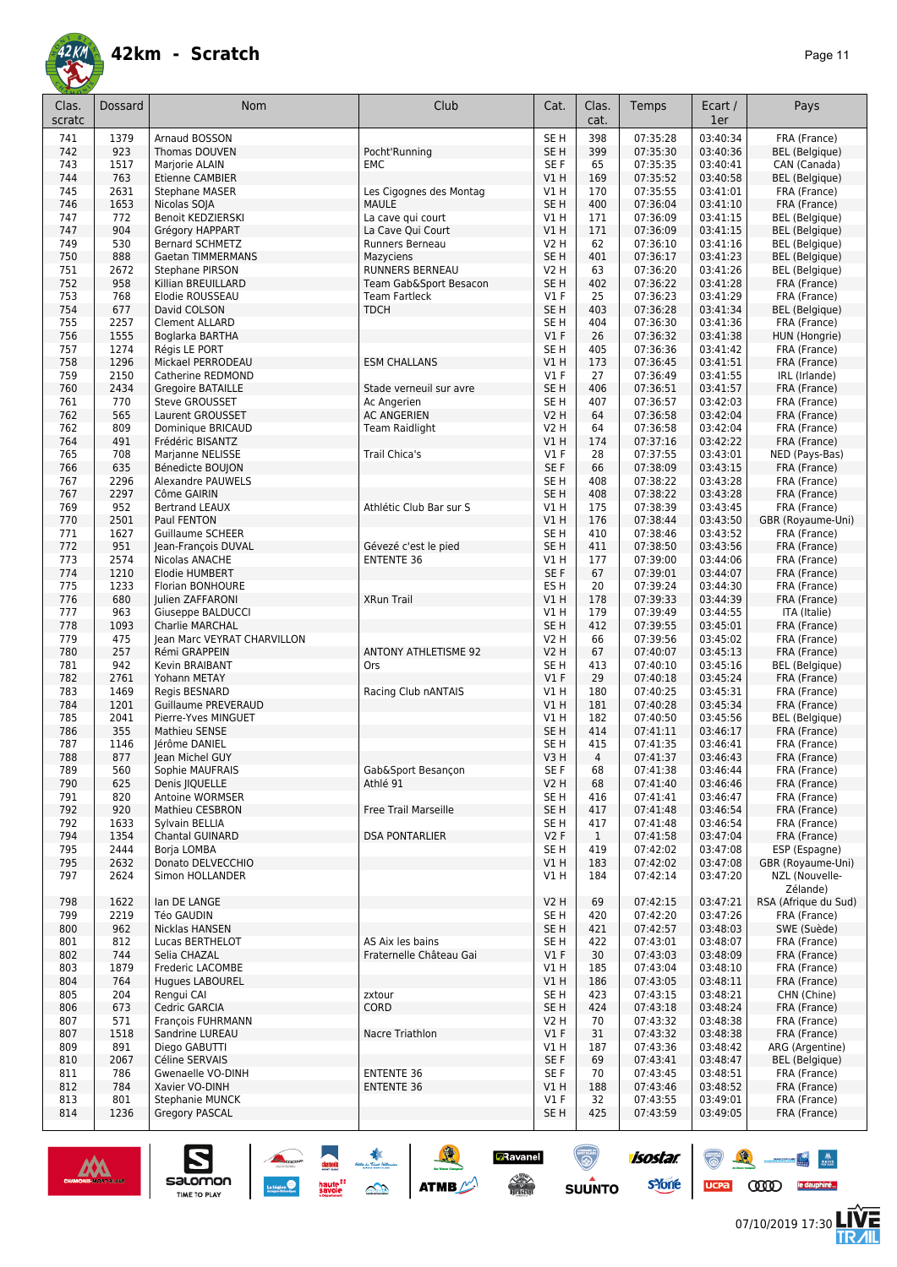

| Clas.<br>scratc | Dossard      | Nom                                          | Club                                        | Cat.                       | Clas.<br>cat.       | Temps                | Ecart /<br>1er       | Pays                                           |
|-----------------|--------------|----------------------------------------------|---------------------------------------------|----------------------------|---------------------|----------------------|----------------------|------------------------------------------------|
| 741             | 1379         | Arnaud BOSSON                                |                                             | SE <sub>H</sub>            | 398                 | 07:35:28             | 03:40:34             | FRA (France)                                   |
| 742             | 923          | Thomas DOUVEN                                | Pocht'Running                               | SE <sub>H</sub>            | 399                 | 07:35:30             | 03:40:36             | <b>BEL</b> (Belgique)                          |
| 743             | 1517         | Marjorie ALAIN                               | EMC                                         | SE F                       | 65                  | 07:35:35             | 03:40:41             | CAN (Canada)                                   |
| 744             | 763          | <b>Etienne CAMBIER</b>                       |                                             | V1H                        | 169                 | 07:35:52             | 03:40:58             | BEL (Belgique)                                 |
| 745             | 2631         | <b>Stephane MASER</b>                        | Les Cigognes des Montag                     | V1H                        | 170                 | 07:35:55             | 03:41:01             | FRA (France)                                   |
| 746             | 1653         | Nicolas SOJA                                 | <b>MAULE</b>                                | SE <sub>H</sub>            | 400                 | 07:36:04             | 03:41:10             | FRA (France)                                   |
| 747             | 772          | <b>Benoit KEDZIERSKI</b>                     | La cave qui court                           | V1 H                       | 171                 | 07:36:09             | 03:41:15             | <b>BEL</b> (Belgique)                          |
| 747<br>749      | 904<br>530   | Grégory HAPPART<br><b>Bernard SCHMETZ</b>    | La Cave Qui Court<br>Runners Berneau        | VIH<br><b>V2 H</b>         | 171<br>62           | 07:36:09<br>07:36:10 | 03:41:15<br>03:41:16 | <b>BEL</b> (Belgique)<br><b>BEL</b> (Belgique) |
| 750             | 888          | <b>Gaetan TIMMERMANS</b>                     | Mazyciens                                   | SE <sub>H</sub>            | 401                 | 07:36:17             | 03:41:23             | <b>BEL</b> (Belgique)                          |
| 751             | 2672         | Stephane PIRSON                              | RUNNERS BERNEAU                             | <b>V2 H</b>                | 63                  | 07:36:20             | 03:41:26             | <b>BEL</b> (Belgique)                          |
| 752             | 958          | Killian BREUILLARD                           | Team Gab&Sport Besacon                      | SE <sub>H</sub>            | 402                 | 07:36:22             | 03:41:28             | FRA (France)                                   |
| 753             | 768          | Elodie ROUSSEAU                              | <b>Team Fartleck</b>                        | $VI$ F                     | 25                  | 07:36:23             | 03:41:29             | FRA (France)                                   |
| 754             | 677          | David COLSON                                 | <b>TDCH</b>                                 | SE <sub>H</sub>            | 403                 | 07:36:28             | 03:41:34             | <b>BEL</b> (Belgique)                          |
| 755             | 2257         | <b>Clement ALLARD</b>                        |                                             | SE <sub>H</sub>            | 404                 | 07:36:30             | 03:41:36             | FRA (France)                                   |
| 756             | 1555         | Boglarka BARTHA                              |                                             | $VI$ F                     | 26                  | 07:36:32             | 03:41:38             | HUN (Hongrie)                                  |
| 757             | 1274         | Régis LE PORT                                |                                             | SE <sub>H</sub>            | 405                 | 07:36:36             | 03:41:42             | FRA (France)                                   |
| 758             | 1296         | Mickael PERRODEAU                            | <b>ESM CHALLANS</b>                         | VIH                        | 173                 | 07:36:45             | 03:41:51             | FRA (France)                                   |
| 759             | 2150         | Catherine REDMOND                            |                                             | $VI$ F                     | 27                  | 07:36:49             | 03:41:55             | IRL (Irlande)                                  |
| 760             | 2434         | <b>Gregoire BATAILLE</b>                     | Stade verneuil sur avre                     | SE <sub>H</sub>            | 406                 | 07:36:51             | 03:41:57             | FRA (France)                                   |
| 761             | 770          | <b>Steve GROUSSET</b>                        | Ac Angerien                                 | SE H                       | 407                 | 07:36:57             | 03:42:03             | FRA (France)                                   |
| 762<br>762      | 565<br>809   | Laurent GROUSSET                             | <b>AC ANGERIEN</b><br><b>Team Raidlight</b> | <b>V2 H</b><br><b>V2 H</b> | 64<br>64            | 07:36:58<br>07:36:58 | 03:42:04<br>03:42:04 | FRA (France)                                   |
| 764             | 491          | Dominique BRICAUD<br>Frédéric BISANTZ        |                                             | V1H                        | 174                 | 07:37:16             | 03:42:22             | FRA (France)<br>FRA (France)                   |
| 765             | 708          | Marjanne NELISSE                             | Trail Chica's                               | $VI$ F                     | 28                  | 07:37:55             | 03:43:01             | NED (Pays-Bas)                                 |
| 766             | 635          | Bénedicte BOUJON                             |                                             | SE <sub>F</sub>            | 66                  | 07:38:09             | 03:43:15             | FRA (France)                                   |
| 767             | 2296         | <b>Alexandre PAUWELS</b>                     |                                             | SE <sub>H</sub>            | 408                 | 07:38:22             | 03:43:28             | FRA (France)                                   |
| 767             | 2297         | Côme GAIRIN                                  |                                             | SE <sub>H</sub>            | 408                 | 07:38:22             | 03:43:28             | FRA (France)                                   |
| 769             | 952          | <b>Bertrand LEAUX</b>                        | Athlétic Club Bar sur S                     | V1H                        | 175                 | 07:38:39             | 03:43:45             | FRA (France)                                   |
| 770             | 2501         | Paul FENTON                                  |                                             | V1H                        | 176                 | 07:38:44             | 03:43:50             | GBR (Royaume-Uni)                              |
| 771             | 1627         | <b>Guillaume SCHEER</b>                      |                                             | SE <sub>H</sub>            | 410                 | 07:38:46             | 03:43:52             | FRA (France)                                   |
| 772             | 951          | Jean-François DUVAL                          | Gévezé c'est le pied                        | SE <sub>H</sub>            | 411                 | 07:38:50             | 03:43:56             | FRA (France)                                   |
| 773             | 2574         | Nicolas ANACHE                               | <b>ENTENTE 36</b>                           | V1 H                       | 177                 | 07:39:00             | 03:44:06             | FRA (France)                                   |
| 774             | 1210         | Elodie HUMBERT                               |                                             | SE F                       | 67                  | 07:39:01             | 03:44:07             | FRA (France)                                   |
| 775             | 1233         | Florian BONHOURE                             |                                             | ES <sub>H</sub>            | 20                  | 07:39:24             | 03:44:30             | FRA (France)                                   |
| 776             | 680          | Julien ZAFFARONI                             | <b>XRun Trail</b>                           | V1H                        | 178                 | 07:39:33             | 03:44:39             | FRA (France)                                   |
| 777             | 963          | Giuseppe BALDUCCI                            |                                             | V1H                        | 179                 | 07:39:49             | 03:44:55             | ITA (Italie)                                   |
| 778             | 1093         | Charlie MARCHAL                              |                                             | SE <sub>H</sub>            | 412                 | 07:39:55             | 03:45:01             | FRA (France)                                   |
| 779<br>780      | 475<br>257   | Jean Marc VEYRAT CHARVILLON<br>Rémi GRAPPEIN | <b>ANTONY ATHLETISME 92</b>                 | <b>V2 H</b><br><b>V2 H</b> | 66<br>67            | 07:39:56<br>07:40:07 | 03:45:02<br>03:45:13 | FRA (France)<br>FRA (France)                   |
| 781             | 942          | Kevin BRAIBANT                               | Ors                                         | SE <sub>H</sub>            | 413                 | 07:40:10             | 03:45:16             | <b>BEL</b> (Belgique)                          |
| 782             | 2761         | Yohann METAY                                 |                                             | $VI$ F                     | 29                  | 07:40:18             | 03:45:24             | FRA (France)                                   |
| 783             | 1469         | Regis BESNARD                                | Racing Club nANTAIS                         | V1 H                       | 180                 | 07:40:25             | 03:45:31             | FRA (France)                                   |
| 784             | 1201         | <b>Guillaume PREVERAUD</b>                   |                                             | V1 H                       | 181                 | 07:40:28             | 03:45:34             | FRA (France)                                   |
| 785             | 2041         | Pierre-Yves MINGUET                          |                                             | V1 H                       | 182                 | 07:40:50             | 03:45:56             | <b>BEL</b> (Belgique)                          |
| 786             | 355          | Mathieu SENSE                                |                                             | SE <sub>H</sub>            | 414                 | 07:41:11             | 03:46:17             | FRA (France)                                   |
| 787             | 1146         | lérôme DANIEL                                |                                             | SE <sub>H</sub>            | 415                 | 07:41:35             | 03:46:41             | FRA (France)                                   |
| 788             | 877          | lean Michel GUY                              |                                             | V3H                        | 4                   | 07:41:37             | 03:46:43             | FRA (France)                                   |
| 789             | 560          | Sophie MAUFRAIS                              | Gab&Sport Besançon                          | SE F                       | 68                  | 07:41:38             | 03:46:44             | FRA (France)                                   |
| 790             | 625          | Denis IIQUELLE                               | Athlé 91                                    | <b>V2 H</b>                | 68                  | 07:41:40             | 03:46:46             | FRA (France)                                   |
| 791             | 820          | <b>Antoine WORMSER</b>                       |                                             | SE <sub>H</sub>            | 416                 | 07:41:41             | 03:46:47             | FRA (France)                                   |
| 792             | 920          | <b>Mathieu CESBRON</b>                       | <b>Free Trail Marseille</b>                 | SE <sub>H</sub>            | 417                 | 07:41:48             | 03:46:54             | FRA (France)                                   |
| 792<br>794      | 1633         | Sylvain BELLIA                               |                                             | SE H<br>V2F                | 417<br>$\mathbf{1}$ | 07:41:48<br>07:41:58 | 03:46:54<br>03:47:04 | FRA (France)<br>FRA (France)                   |
| 795             | 1354<br>2444 | <b>Chantal GUINARD</b><br><b>Boria LOMBA</b> | <b>DSA PONTARLIER</b>                       | SE <sub>H</sub>            | 419                 | 07:42:02             | 03:47:08             | ESP (Espagne)                                  |
| 795             | 2632         | Donato DELVECCHIO                            |                                             | V1 H                       | 183                 | 07:42:02             | 03:47:08             | GBR (Royaume-Uni)                              |
| 797             | 2624         | Simon HOLLANDER                              |                                             | V1 H                       | 184                 | 07:42:14             | 03:47:20             | NZL (Nouvelle-                                 |
|                 |              |                                              |                                             |                            |                     |                      |                      | Zélande)                                       |
| 798             | 1622         | lan DE LANGE                                 |                                             | <b>V2 H</b>                | 69                  | 07:42:15             | 03:47:21             | RSA (Afrique du Sud)                           |
| 799             | 2219         | <b>Téo GAUDIN</b>                            |                                             | SE H                       | 420                 | 07:42:20             | 03:47:26             | FRA (France)                                   |
| 800             | 962          | Nicklas HANSEN                               |                                             | SE <sub>H</sub>            | 421                 | 07:42:57             | 03:48:03             | SWE (Suède)                                    |
| 801             | 812          | Lucas BERTHELOT                              | AS Aix les bains                            | SE H                       | 422                 | 07:43:01             | 03:48:07             | FRA (France)                                   |
| 802             | 744          | Selia CHAZAL                                 | Fraternelle Château Gai                     | $VI$ F                     | 30                  | 07:43:03             | 03:48:09             | FRA (France)                                   |
| 803             | 1879         | Frederic LACOMBE                             |                                             | V1 H                       | 185                 | 07:43:04             | 03:48:10             | FRA (France)                                   |
| 804             | 764          | <b>Hugues LABOUREL</b>                       |                                             | V1 H                       | 186                 | 07:43:05             | 03:48:11             | FRA (France)                                   |
| 805             | 204          | Rengui CAI                                   | zxtour                                      | SE <sub>H</sub>            | 423                 | 07:43:15             | 03:48:21             | CHN (Chine)                                    |
| 806             | 673          | Cedric GARCIA                                | CORD                                        | SE H                       | 424                 | 07:43:18             | 03:48:24             | FRA (France)                                   |
| 807             | 571          | François FUHRMANN                            |                                             | V2 H                       | 70                  | 07:43:32             | 03:48:38             | FRA (France)                                   |
| 807             | 1518         | Sandrine LUREAU                              | Nacre Triathlon                             | $VI$ F                     | 31                  | 07:43:32             | 03:48:38             | FRA (France)                                   |
| 809             | 891          | Diego GABUTTI                                |                                             | V1 H                       | 187                 | 07:43:36             | 03:48:42             | ARG (Argentine)                                |
| 810<br>811      | 2067<br>786  | Céline SERVAIS<br>Gwenaelle VO-DINH          | <b>ENTENTE 36</b>                           | SE F<br>SE F               | 69<br>70            | 07:43:41             | 03:48:47<br>03:48:51 | <b>BEL</b> (Belgique)                          |
| 812             | 784          | Xavier VO-DINH                               | <b>ENTENTE 36</b>                           | V1H                        | 188                 | 07:43:45<br>07:43:46 | 03:48:52             | FRA (France)<br>FRA (France)                   |
| 813             | 801          | Stephanie MUNCK                              |                                             | $VI$ F                     | 32                  | 07:43:55             | 03:49:01             | FRA (France)                                   |
| 814             | 1236         | <b>Gregory PASCAL</b>                        |                                             | SE H                       | 425                 | 07:43:59             | 03:49:05             | FRA (France)                                   |
|                 |              |                                              |                                             |                            |                     |                      |                      |                                                |

SO THE STREET



 $\sum_{\text{SALOMOM}}$ 

 $ucpa$ 

isostar.

**s**Yone

**D**Ravanel

 $\begin{picture}(180,10) \put(0,0){\line(1,0){15}} \put(10,0){\line(1,0){15}} \put(10,0){\line(1,0){15}} \put(10,0){\line(1,0){15}} \put(10,0){\line(1,0){15}} \put(10,0){\line(1,0){15}} \put(10,0){\line(1,0){15}} \put(10,0){\line(1,0){15}} \put(10,0){\line(1,0){15}} \put(10,0){\line(1,0){15}} \put(10,0){\line(1,0){15}} \put(10,0){\line($ 

 $\bigcirc$ 

**SUUNTO** 

 $\begin{picture}(150,10) \put(0,0){\line(1,0){10}} \put(10,0){\line(1,0){10}} \put(10,0){\line(1,0){10}} \put(10,0){\line(1,0){10}} \put(10,0){\line(1,0){10}} \put(10,0){\line(1,0){10}} \put(10,0){\line(1,0){10}} \put(10,0){\line(1,0){10}} \put(10,0){\line(1,0){10}} \put(10,0){\line(1,0){10}} \put(10,0){\line(1,0){10}} \put(10,0){\line($ 

**LIVE<br>TR***A***IL**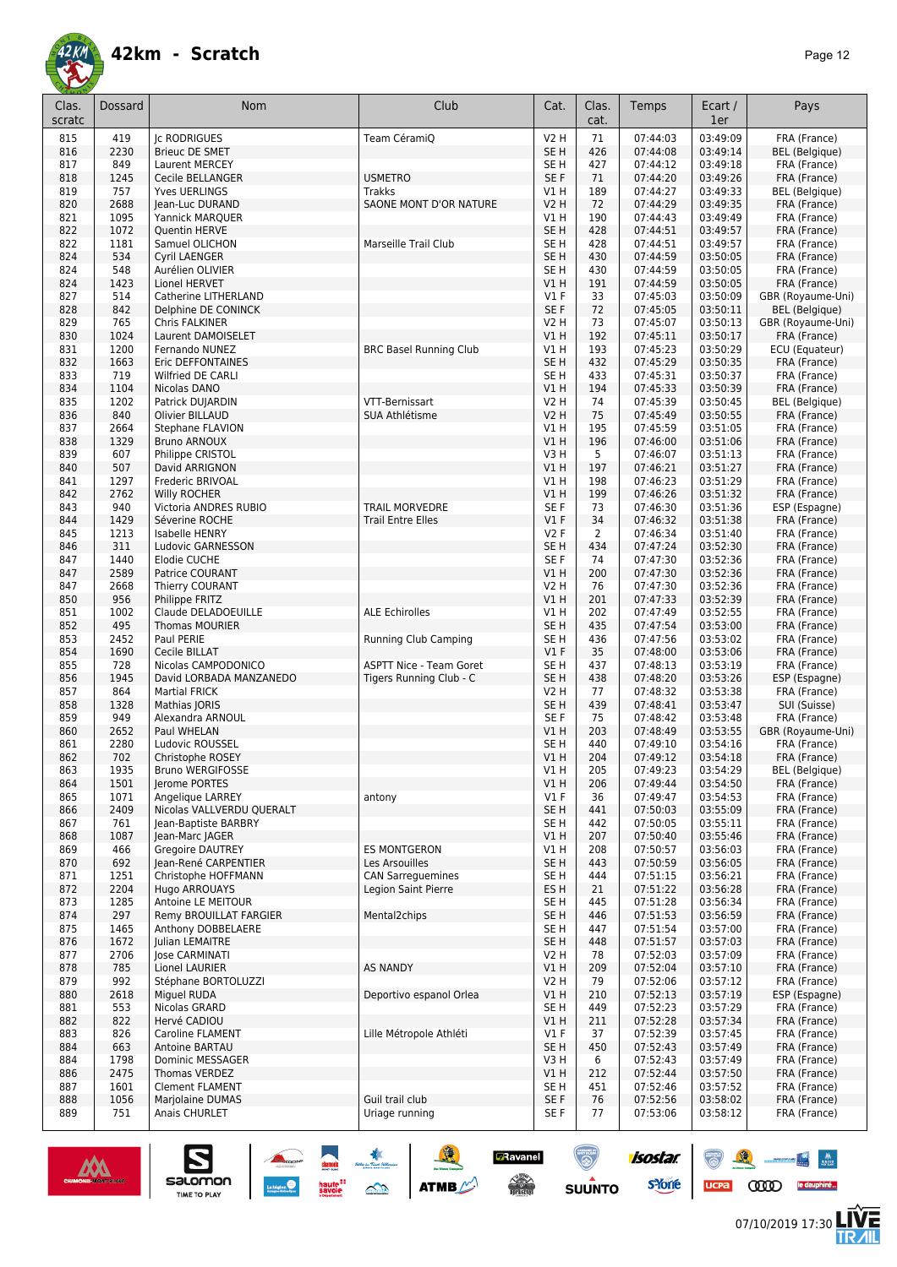

| Clas.<br>scratc | Dossard      | Nom                                             | Club                              | Cat.                    | Clas.<br>cat. | Temps                | Ecart /<br>1er       | Pays                              |
|-----------------|--------------|-------------------------------------------------|-----------------------------------|-------------------------|---------------|----------------------|----------------------|-----------------------------------|
| 815             | 419          | <b>Ic RODRIGUES</b>                             | Team CéramiQ                      | <b>V2 H</b>             | 71            | 07:44:03             | 03:49:09             | FRA (France)                      |
| 816             | 2230         | <b>Brieuc DE SMET</b>                           |                                   | SE <sub>H</sub>         | 426           | 07:44:08             | 03:49:14             | <b>BEL</b> (Belgique)             |
| 817             | 849          | Laurent MERCEY                                  |                                   | SE <sub>H</sub>         | 427           | 07:44:12             | 03:49:18             | FRA (France)                      |
| 818             | 1245         | Cecile BELLANGER                                | <b>USMETRO</b>                    | SE F                    | 71            | 07:44:20             | 03:49:26             | FRA (France)                      |
| 819             | 757          | <b>Yves UERLINGS</b>                            | <b>Trakks</b>                     | V1H                     | 189           | 07:44:27             | 03:49:33             | <b>BEL</b> (Belgique)             |
| 820             | 2688<br>1095 | Jean-Luc DURAND                                 | SAONE MONT D'OR NATURE            | <b>V2 H</b><br>VIH      | 72<br>190     | 07:44:29<br>07:44:43 | 03:49:35<br>03:49:49 | FRA (France)                      |
| 821<br>822      | 1072         | Yannick MARQUER<br>Quentin HERVE                |                                   | SE <sub>H</sub>         | 428           | 07:44:51             | 03:49:57             | FRA (France)<br>FRA (France)      |
| 822             | 1181         | Samuel OLICHON                                  | Marseille Trail Club              | SE H                    | 428           | 07:44:51             | 03:49:57             | FRA (France)                      |
| 824             | 534          | Cyril LAENGER                                   |                                   | SE <sub>H</sub>         | 430           | 07:44:59             | 03:50:05             | FRA (France)                      |
| 824             | 548          | Aurélien OLIVIER                                |                                   | SE <sub>H</sub>         | 430           | 07:44:59             | 03:50:05             | FRA (France)                      |
| 824             | 1423         | Lionel HERVET                                   |                                   | V1H                     | 191           | 07:44:59             | 03:50:05             | FRA (France)                      |
| 827             | 514          | Catherine LITHERLAND                            |                                   | $VI$ F                  | 33            | 07:45:03             | 03:50:09             | GBR (Royaume-Uni)                 |
| 828             | 842          | Delphine DE CONINCK                             |                                   | SE F                    | 72            | 07:45:05             | 03:50:11             | <b>BEL</b> (Belgique)             |
| 829             | 765          | Chris FALKINER                                  |                                   | V2 H                    | 73            | 07:45:07             | 03:50:13             | GBR (Royaume-Uni)                 |
| 830<br>831      | 1024<br>1200 | Laurent DAMOISELET<br>Fernando NUNEZ            | <b>BRC Basel Running Club</b>     | V1H<br>V1H              | 192<br>193    | 07:45:11<br>07:45:23 | 03:50:17<br>03:50:29 | FRA (France)<br>ECU (Equateur)    |
| 832             | 1663         | Eric DEFFONTAINES                               |                                   | SE <sub>H</sub>         | 432           | 07:45:29             | 03:50:35             | FRA (France)                      |
| 833             | 719          | Wilfried DE CARLI                               |                                   | SE <sub>H</sub>         | 433           | 07:45:31             | 03:50:37             | FRA (France)                      |
| 834             | 1104         | Nicolas DANO                                    |                                   | V1 H                    | 194           | 07:45:33             | 03:50:39             | FRA (France)                      |
| 835             | 1202         | Patrick DUJARDIN                                | VTT-Bernissart                    | <b>V2 H</b>             | 74            | 07:45:39             | 03:50:45             | <b>BEL</b> (Belgique)             |
| 836             | 840          | <b>Olivier BILLAUD</b>                          | SUA Athlétisme                    | <b>V2 H</b>             | 75            | 07:45:49             | 03:50:55             | FRA (France)                      |
| 837             | 2664         | Stephane FLAVION                                |                                   | V1 H                    | 195           | 07:45:59             | 03:51:05             | FRA (France)                      |
| 838             | 1329         | <b>Bruno ARNOUX</b>                             |                                   | V1H                     | 196           | 07:46:00             | 03:51:06             | FRA (France)                      |
| 839             | 607          | Philippe CRISTOL                                |                                   | V3H                     | 5             | 07:46:07             | 03:51:13             | FRA (France)                      |
| 840             | 507<br>1297  | David ARRIGNON<br>Frederic BRIVOAL              |                                   | V1H<br>V1H              | 197<br>198    | 07:46:21<br>07:46:23 | 03:51:27<br>03:51:29 | FRA (France)                      |
| 841<br>842      | 2762         | Willy ROCHER                                    |                                   | V1H                     | 199           | 07:46:26             | 03:51:32             | FRA (France)<br>FRA (France)      |
| 843             | 940          | Victoria ANDRES RUBIO                           | <b>TRAIL MORVEDRE</b>             | SE F                    | 73            | 07:46:30             | 03:51:36             | ESP (Espagne)                     |
| 844             | 1429         | Séverine ROCHE                                  | <b>Trail Entre Elles</b>          | $VI$ F                  | 34            | 07:46:32             | 03:51:38             | FRA (France)                      |
| 845             | 1213         | Isabelle HENRY                                  |                                   | <b>V2F</b>              | 2             | 07:46:34             | 03:51:40             | FRA (France)                      |
| 846             | 311          | Ludovic GARNESSON                               |                                   | SE <sub>H</sub>         | 434           | 07:47:24             | 03:52:30             | FRA (France)                      |
| 847             | 1440         | Elodie CUCHE                                    |                                   | SE F                    | 74            | 07:47:30             | 03:52:36             | FRA (France)                      |
| 847             | 2589         | Patrice COURANT                                 |                                   | VIH                     | 200           | 07:47:30             | 03:52:36             | FRA (France)                      |
| 847             | 2668         | Thierry COURANT                                 |                                   | <b>V2 H</b>             | 76            | 07:47:30             | 03:52:36             | FRA (France)                      |
| 850<br>851      | 956<br>1002  | Philippe FRITZ<br>Claude DELADOEUILLE           | <b>ALE Echirolles</b>             | <b>V1 H</b><br>V1H      | 201<br>202    | 07:47:33<br>07:47:49 | 03:52:39<br>03:52:55 | FRA (France)                      |
| 852             | 495          | Thomas MOURIER                                  |                                   | SE <sub>H</sub>         | 435           | 07:47:54             | 03:53:00             | FRA (France)<br>FRA (France)      |
| 853             | 2452         | Paul PERIE                                      | <b>Running Club Camping</b>       | SE <sub>H</sub>         | 436           | 07:47:56             | 03:53:02             | FRA (France)                      |
| 854             | 1690         | Cecile BILLAT                                   |                                   | $VI$ F                  | 35            | 07:48:00             | 03:53:06             | FRA (France)                      |
| 855             | 728          | Nicolas CAMPODONICO                             | <b>ASPTT Nice - Team Goret</b>    | SE <sub>H</sub>         | 437           | 07:48:13             | 03:53:19             | FRA (France)                      |
| 856             | 1945         | David LORBADA MANZANEDO                         | Tigers Running Club - C           | SE <sub>H</sub>         | 438           | 07:48:20             | 03:53:26             | ESP (Espagne)                     |
| 857             | 864          | <b>Martial FRICK</b>                            |                                   | <b>V2 H</b>             | 77            | 07:48:32             | 03:53:38             | FRA (France)                      |
| 858             | 1328         | Mathias JORIS                                   |                                   | SE <sub>H</sub>         | 439           | 07:48:41             | 03:53:47             | SUI (Suisse)                      |
| 859             | 949          | Alexandra ARNOUL                                |                                   | SE F                    | 75            | 07:48:42             | 03:53:48             | FRA (France)                      |
| 860<br>861      | 2652<br>2280 | Paul WHELAN<br>Ludovic ROUSSEL                  |                                   | V1 H<br>SE <sub>H</sub> | 203<br>440    | 07:48:49<br>07:49:10 | 03:53:55<br>03:54:16 | GBR (Royaume-Uni)<br>FRA (France) |
| 862             | 702          | Christophe ROSEY                                |                                   | VIH                     | 204           | 07:49:12             | 03:54:18             | FRA (France)                      |
| 863             | 1935         | Bruno WERGIFOSSE                                |                                   | V1 H                    | 205           | 07:49:23             | 03:54:29             | BEL (Belgique)                    |
| 864             | 1501         | Jerome PORTES                                   |                                   | V1H                     | 206           | 07:49:44             | 03:54:50             | FRA (France)                      |
| 865             | 1071         | Angelique LARREY                                | antony                            | $VI$ F                  | 36            | 07:49:47             | 03:54:53             | FRA (France)                      |
| 866             | 2409         | Nicolas VALLVERDU QUERALT                       |                                   | SE <sub>H</sub>         | 441           | 07:50:03             | 03:55:09             | FRA (France)                      |
| 867             | 761          | Jean-Baptiste BARBRY                            |                                   | SE H                    | 442           | 07:50:05             | 03:55:11             | FRA (France)                      |
| 868<br>869      | 1087<br>466  | Jean-Marc JAGER                                 | <b>ES MONTGERON</b>               | V1H                     | 207<br>208    | 07:50:40<br>07:50:57 | 03:55:46             | FRA (France)                      |
| 870             | 692          | <b>Gregoire DAUTREY</b><br>Jean-René CARPENTIER | Les Arsouilles                    | V1 H<br>SE <sub>H</sub> | 443           | 07:50:59             | 03:56:03<br>03:56:05 | FRA (France)<br>FRA (France)      |
| 871             | 1251         | Christophe HOFFMANN                             | <b>CAN Sarreguemines</b>          | SE H                    | 444           | 07:51:15             | 03:56:21             | FRA (France)                      |
| 872             | 2204         | Hugo ARROUAYS                                   | Legion Saint Pierre               | ES <sub>H</sub>         | 21            | 07:51:22             | 03:56:28             | FRA (France)                      |
| 873             | 1285         | Antoine LE MEITOUR                              |                                   | SE H                    | 445           | 07:51:28             | 03:56:34             | FRA (France)                      |
| 874             | 297          | Remy BROUILLAT FARGIER                          | Mental2chips                      | SE <sub>H</sub>         | 446           | 07:51:53             | 03:56:59             | FRA (France)                      |
| 875             | 1465         | Anthony DOBBELAERE                              |                                   | SE H                    | 447           | 07:51:54             | 03:57:00             | FRA (France)                      |
| 876             | 1672         | <b>Julian LEMAITRE</b>                          |                                   | SE <sub>H</sub>         | 448           | 07:51:57             | 03:57:03             | FRA (France)                      |
| 877             | 2706         | <b>Jose CARMINATI</b>                           |                                   | V2 H                    | 78            | 07:52:03             | 03:57:09             | FRA (France)                      |
| 878             | 785          | Lionel LAURIER                                  | <b>AS NANDY</b>                   | V1H                     | 209           | 07:52:04<br>07:52:06 | 03:57:10<br>03:57:12 | FRA (France)                      |
| 879<br>880      | 992<br>2618  | Stéphane BORTOLUZZI<br>Miguel RUDA              | Deportivo espanol Orlea           | V2 H<br>V1 H            | 79<br>210     | 07:52:13             | 03:57:19             | FRA (France)<br>ESP (Espagne)     |
| 881             | 553          | Nicolas GRARD                                   |                                   | SE H                    | 449           | 07:52:23             | 03:57:29             | FRA (France)                      |
| 882             | 822          | Hervé CADIOU                                    |                                   | VIH                     | 211           | 07:52:28             | 03:57:34             | FRA (France)                      |
| 883             | 826          | Caroline FLAMENT                                | Lille Métropole Athléti           | V1 F                    | 37            | 07:52:39             | 03:57:45             | FRA (France)                      |
| 884             | 663          | Antoine BARTAU                                  |                                   | SE <sub>H</sub>         | 450           | 07:52:43             | 03:57:49             | FRA (France)                      |
| 884             | 1798         | Dominic MESSAGER                                |                                   | V3H                     | 6             | 07:52:43             | 03:57:49             | FRA (France)                      |
| 886             | 2475         | Thomas VERDEZ                                   |                                   | V1 H                    | 212           | 07:52:44             | 03:57:50             | FRA (France)                      |
| 887             | 1601         | <b>Clement FLAMENT</b>                          |                                   | SE H                    | 451           | 07:52:46             | 03:57:52             | FRA (France)<br>FRA (France)      |
| 888<br>889      | 1056<br>751  | Marjolaine DUMAS<br>Anais CHURLET               | Guil trail club<br>Uriage running | SE F<br>SE F            | 76<br>77      | 07:52:56<br>07:53:06 | 03:58:02<br>03:58:12 | FRA (France)                      |
|                 |              |                                                 |                                   |                         |               |                      |                      |                                   |

SO THE SO ATME

**DRavanel** 

 $\begin{picture}(180,10) \put(0,0){\line(1,0){15}} \put(10,0){\line(1,0){15}} \put(10,0){\line(1,0){15}} \put(10,0){\line(1,0){15}} \put(10,0){\line(1,0){15}} \put(10,0){\line(1,0){15}} \put(10,0){\line(1,0){15}} \put(10,0){\line(1,0){15}} \put(10,0){\line(1,0){15}} \put(10,0){\line(1,0){15}} \put(10,0){\line(1,0){15}} \put(10,0){\line($ 

 $\bigcirc$ 

**SUUNTO** 



 $\sum_{\text{SALOMOM}}$ 



ucpa

isostar.

**s**Yone

 $\begin{picture}(150,10) \put(0,0){\line(1,0){10}} \put(10,0){\line(1,0){10}} \put(10,0){\line(1,0){10}} \put(10,0){\line(1,0){10}} \put(10,0){\line(1,0){10}} \put(10,0){\line(1,0){10}} \put(10,0){\line(1,0){10}} \put(10,0){\line(1,0){10}} \put(10,0){\line(1,0){10}} \put(10,0){\line(1,0){10}} \put(10,0){\line(1,0){10}} \put(10,0){\line($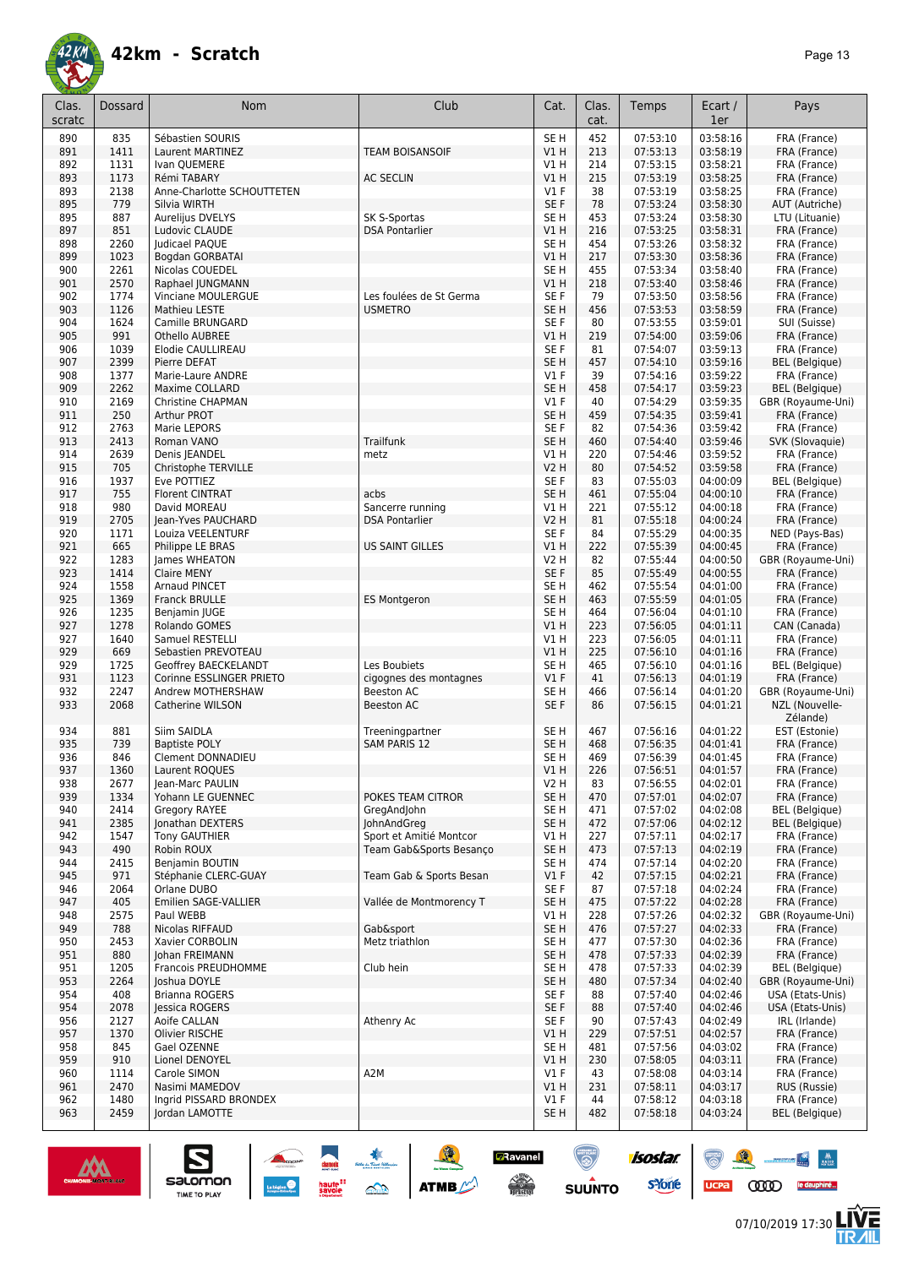

| Clas.<br>scratc | Dossard      | Nom                                   | Club                    | Cat.                      | Clas.<br>cat. | Temps                | Ecart /<br>1er       | Pays                                  |
|-----------------|--------------|---------------------------------------|-------------------------|---------------------------|---------------|----------------------|----------------------|---------------------------------------|
| 890             | 835          | Sébastien SOURIS                      |                         | SE <sub>H</sub>           | 452           | 07:53:10             | 03:58:16             | FRA (France)                          |
| 891             | 1411         | Laurent MARTINEZ                      | <b>TEAM BOISANSOIF</b>  | VIH                       | 213           | 07:53:13             | 03:58:19             | FRA (France)                          |
| 892             | 1131         | Ivan QUEMERE                          |                         | V1 H                      | 214           | 07:53:15             | 03:58:21             | FRA (France)                          |
| 893             | 1173         | Rémi TABARY                           | <b>AC SECLIN</b>        | V1H                       | 215           | 07:53:19             | 03:58:25             | FRA (France)                          |
| 893             | 2138         | Anne-Charlotte SCHOUTTETEN            |                         | $VI$ F                    | 38            | 07:53:19             | 03:58:25             | FRA (France)                          |
| 895             | 779          | Silvia WIRTH                          |                         | SE <sub>F</sub>           | 78            | 07:53:24             | 03:58:30             | AUT (Autriche)                        |
| 895             | 887          | Aurelijus DVELYS                      | SK S-Sportas            | SE <sub>H</sub>           | 453           | 07:53:24             | 03:58:30             | LTU (Lituanie)                        |
| 897             | 851          | Ludovic CLAUDE                        | <b>DSA Pontarlier</b>   | V1H                       | 216           | 07:53:25             | 03:58:31             | FRA (France)                          |
| 898             | 2260         | Judicael PAQUE                        |                         | SE <sub>H</sub>           | 454           | 07:53:26             | 03:58:32             | FRA (France)                          |
| 899             | 1023         | Bogdan GORBATAI                       |                         | V1H                       | 217           | 07:53:30             | 03:58:36             | FRA (France)                          |
| 900             | 2261         | Nicolas COUEDEL                       |                         | SE <sub>H</sub>           | 455           | 07:53:34             | 03:58:40             | FRA (France)                          |
| 901             | 2570         | Raphael JUNGMANN                      |                         | VIH                       | 218           | 07:53:40             | 03:58:46             | FRA (France)                          |
| 902             | 1774         | <b>Vinciane MOULERGUE</b>             | Les foulées de St Germa | SE F                      | 79            | 07:53:50             | 03:58:56             | FRA (France)                          |
| 903             | 1126         | Mathieu LESTE                         | <b>USMETRO</b>          | SE <sub>H</sub>           | 456           | 07:53:53             | 03:58:59             | FRA (France)                          |
| 904             | 1624         | Camille BRUNGARD                      |                         | SE F                      | 80            | 07:53:55             | 03:59:01             | SUI (Suisse)                          |
| 905             | 991          | Othello AUBREE                        |                         | V1 H                      | 219           | 07:54:00             | 03:59:06             | FRA (France)                          |
| 906             | 1039         | Elodie CAULLIREAU                     |                         | SE F                      | 81            | 07:54:07             | 03:59:13             | FRA (France)                          |
| 907             | 2399<br>1377 | Pierre DEFAT                          |                         | SE <sub>H</sub><br>$VI$ F | 457<br>39     | 07:54:10<br>07:54:16 | 03:59:16<br>03:59:22 | <b>BEL</b> (Belgique)                 |
| 908<br>909      | 2262         | Marie-Laure ANDRE<br>Maxime COLLARD   |                         | SE <sub>H</sub>           | 458           | 07:54:17             | 03:59:23             | FRA (France)<br><b>BEL</b> (Belgique) |
| 910             | 2169         | Christine CHAPMAN                     |                         | $VI$ F                    | 40            | 07:54:29             | 03:59:35             | GBR (Royaume-Uni)                     |
| 911             | 250          | <b>Arthur PROT</b>                    |                         | SE <sub>H</sub>           | 459           | 07:54:35             | 03:59:41             | FRA (France)                          |
| 912             | 2763         | Marie LEPORS                          |                         | SE F                      | 82            | 07:54:36             | 03:59:42             | FRA (France)                          |
| 913             | 2413         | Roman VANO                            | <b>Trailfunk</b>        | SE <sub>H</sub>           | 460           | 07:54:40             | 03:59:46             | SVK (Slovaquie)                       |
| 914             | 2639         | Denis JEANDEL                         | metz                    | V1 H                      | 220           | 07:54:46             | 03:59:52             | FRA (France)                          |
| 915             | 705          | Christophe TERVILLE                   |                         | <b>V2 H</b>               | 80            | 07:54:52             | 03:59:58             | FRA (France)                          |
| 916             | 1937         | Eve POTTIEZ                           |                         | SE F                      | 83            | 07:55:03             | 04:00:09             | BEL (Belgique)                        |
| 917             | 755          | <b>Florent CINTRAT</b>                | acbs                    | SE <sub>H</sub>           | 461           | 07:55:04             | 04:00:10             | FRA (France)                          |
| 918             | 980          | David MOREAU                          | Sancerre running        | V1H                       | 221           | 07:55:12             | 04:00:18             | FRA (France)                          |
| 919             | 2705         | Jean-Yves PAUCHARD                    | <b>DSA Pontarlier</b>   | <b>V2 H</b>               | 81            | 07:55:18             | 04:00:24             | FRA (France)                          |
| 920             | 1171         | Louiza VEELENTURF                     |                         | SE F                      | 84            | 07:55:29             | 04:00:35             | NED (Pays-Bas)                        |
| 921             | 665          | Philippe LE BRAS                      | <b>US SAINT GILLES</b>  | V1 H                      | 222           | 07:55:39             | 04:00:45             | FRA (France)                          |
| 922             | 1283         | James WHEATON                         |                         | V <sub>2</sub> H          | 82            | 07:55:44             | 04:00:50             | GBR (Royaume-Uni)                     |
| 923             | 1414         | <b>Claire MENY</b>                    |                         | SE F                      | 85            | 07:55:49             | 04:00:55             | FRA (France)                          |
| 924             | 1558         | Arnaud PINCET                         |                         | SE <sub>H</sub>           | 462           | 07:55:54             | 04:01:00             | FRA (France)                          |
| 925             | 1369         | <b>Franck BRULLE</b>                  | <b>ES Montgeron</b>     | SE <sub>H</sub>           | 463           | 07:55:59             | 04:01:05             | FRA (France)                          |
| 926             | 1235         | Benjamin JUGE                         |                         | SE H                      | 464           | 07:56:04             | 04:01:10             | FRA (France)                          |
| 927             | 1278         | Rolando GOMES                         |                         | VIH                       | 223           | 07:56:05             | 04:01:11             | CAN (Canada)                          |
| 927             | 1640         | Samuel RESTELLI                       |                         | V1H                       | 223           | 07:56:05             | 04:01:11             | FRA (France)                          |
| 929             | 669          | Sebastien PREVOTEAU                   |                         | V1H                       | 225           | 07:56:10             | 04:01:16             | FRA (France)                          |
| 929             | 1725         | Geoffrey BAECKELANDT                  | Les Boubiets            | SE H                      | 465           | 07:56:10             | 04:01:16             | <b>BEL</b> (Belgique)                 |
| 931             | 1123         | Corinne ESSLINGER PRIETO              | cigognes des montagnes  | V1F                       | 41            | 07:56:13             | 04:01:19             | FRA (France)                          |
| 932             | 2247         | Andrew MOTHERSHAW                     | <b>Beeston AC</b>       | SE H                      | 466           | 07:56:14             | 04:01:20             | GBR (Royaume-Uni)                     |
| 933             | 2068         | Catherine WILSON                      | <b>Beeston AC</b>       | SE F                      | 86            | 07:56:15             | 04:01:21             | NZL (Nouvelle-<br>Zélande)            |
| 934             | 881          | Siim SAIDLA                           | Treeningpartner         | SE <sub>H</sub>           | 467           | 07:56:16             | 04:01:22             | EST (Estonie)                         |
| 935             | 739          | <b>Baptiste POLY</b>                  | <b>SAM PARIS 12</b>     | SE <sub>H</sub>           | 468           | 07:56:35             | 04:01:41             | FRA (France)                          |
| 936             | 846          | <b>Clement DONNADIEU</b>              |                         | SE H                      | 469           | 07:56:39             | 04:01:45             | FRA (France)                          |
| 937<br>938      | 1360         | Laurent ROQUES                        |                         | V1 H<br>V2 H              | 226           | 07:56:51             | 04:01:57             | FRA (France)                          |
| 939             | 2677<br>1334 | Jean-Marc PAULIN<br>Yohann LE GUENNEC | POKES TEAM CITROR       | SE H                      | 83<br>470     | 07:56:55<br>07:57:01 | 04:02:01<br>04:02:07 | FRA (France)<br>FRA (France)          |
| 940             | 2414         | Gregory RAYEE                         | GregAndJohn             | SE H                      | 471           | 07:57:02             | 04:02:08             | BEL (Belgique)                        |
| 941             | 2385         | Jonathan DEXTERS                      | JohnAndGreg             | SE H                      | 472           | 07:57:06             | 04:02:12             | BEL (Belgique)                        |
| 942             | 1547         | <b>Tony GAUTHIER</b>                  | Sport et Amitié Montcor | V1 H                      | 227           | 07:57:11             | 04:02:17             | FRA (France)                          |
| 943             | 490          | Robin ROUX                            | Team Gab&Sports Besanco | SE H                      | 473           | 07:57:13             | 04:02:19             | FRA (France)                          |
| 944             | 2415         | Benjamin BOUTIN                       |                         | SE H                      | 474           | 07:57:14             | 04:02:20             | FRA (France)                          |
| 945             | 971          | Stéphanie CLERC-GUAY                  | Team Gab & Sports Besan | V1F                       | 42            | 07:57:15             | 04:02:21             | FRA (France)                          |
| 946             | 2064         | Orlane DUBO                           |                         | SE F                      | 87            | 07:57:18             | 04:02:24             | FRA (France)                          |
| 947             | 405          | Emilien SAGE-VALLIER                  | Vallée de Montmorency T | SE H                      | 475           | 07:57:22             | 04:02:28             | FRA (France)                          |
| 948             | 2575         | Paul WEBB                             |                         | V1 H                      | 228           | 07:57:26             | 04:02:32             | GBR (Royaume-Uni)                     |
| 949             | 788          | Nicolas RIFFAUD                       | Gab&sport               | SE H                      | 476           | 07:57:27             | 04:02:33             | FRA (France)                          |
| 950             | 2453         | Xavier CORBOLIN                       | Metz triathlon          | SE H                      | 477           | 07:57:30             | 04:02:36             | FRA (France)                          |
| 951             | 880          | Johan FREIMANN                        |                         | SE H                      | 478           | 07:57:33             | 04:02:39             | FRA (France)                          |
| 951             | 1205         | Francois PREUDHOMME                   | Club hein               | SE H                      | 478           | 07:57:33             | 04:02:39             | BEL (Belgique)                        |
| 953             | 2264         | Joshua DOYLE                          |                         | SE H                      | 480           | 07:57:34             | 04:02:40             | GBR (Royaume-Uni)                     |
| 954             | 408          | Brianna ROGERS                        |                         | SE F                      | 88            | 07:57:40             | 04:02:46             | USA (Etats-Unis)                      |
| 954             | 2078         | Jessica ROGERS                        |                         | SE F                      | 88            | 07:57:40             | 04:02:46             | USA (Etats-Unis)                      |
| 956             | 2127         | Aoife CALLAN                          | Athenry Ac              | SE F                      | 90            | 07:57:43             | 04:02:49             | IRL (Irlande)                         |
| 957             | 1370         | Olivier RISCHE                        |                         | V1 H                      | 229           | 07:57:51             | 04:02:57             | FRA (France)                          |
| 958             | 845          | Gael OZENNE                           |                         | SE H                      | 481           | 07:57:56             | 04:03:02             | FRA (France)                          |
| 959             | 910          | Lionel DENOYEL                        |                         | V1H                       | 230           | 07:58:05             | 04:03:11             | FRA (France)                          |
| 960             | 1114         | Carole SIMON                          | A <sub>2</sub> M        | $VI$ F                    | 43            | 07:58:08             | 04:03:14             | FRA (France)                          |
| 961             | 2470         | Nasimi MAMEDOV                        |                         | V1 H                      | 231           | 07:58:11             | 04:03:17             | RUS (Russie)                          |
| 962             | 1480         | Ingrid PISSARD BRONDEX                |                         | $VI$ F                    | 44            | 07:58:12             | 04:03:18             | FRA (France)                          |
| 963             | 2459         | Jordan LAMOTTE                        |                         | SE H                      | 482           | 07:58:18             | 04:03:24             | BEL (Belgique)                        |

SOLUTION ATME

**D**Ravanel

 $\begin{picture}(180,10) \put(0,0){\line(1,0){15}} \put(10,0){\line(1,0){15}} \put(10,0){\line(1,0){15}} \put(10,0){\line(1,0){15}} \put(10,0){\line(1,0){15}} \put(10,0){\line(1,0){15}} \put(10,0){\line(1,0){15}} \put(10,0){\line(1,0){15}} \put(10,0){\line(1,0){15}} \put(10,0){\line(1,0){15}} \put(10,0){\line(1,0){15}} \put(10,0){\line($ 

 $\odot$ 

**SUUNTO** 

isostar.

**s**Yone

ucpa



 $\sum_{\text{SALOMOM}}$ 



 $\begin{picture}(150,10) \put(0,0){\line(1,0){10}} \put(10,0){\line(1,0){10}} \put(10,0){\line(1,0){10}} \put(10,0){\line(1,0){10}} \put(10,0){\line(1,0){10}} \put(10,0){\line(1,0){10}} \put(10,0){\line(1,0){10}} \put(10,0){\line(1,0){10}} \put(10,0){\line(1,0){10}} \put(10,0){\line(1,0){10}} \put(10,0){\line(1,0){10}} \put(10,0){\line($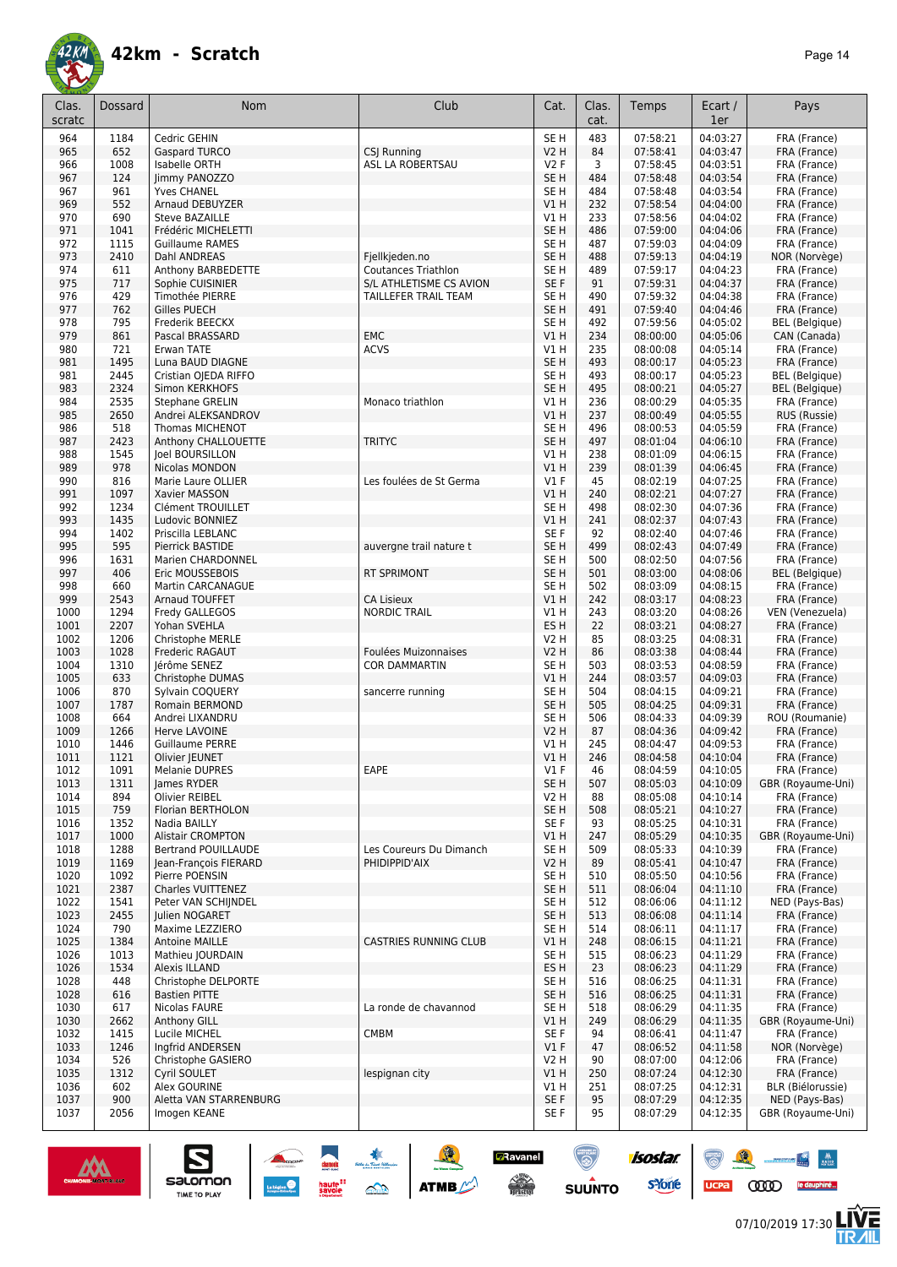

| Clas.<br>scratc | Dossard      | <b>Nom</b>                                             | Club                                                  | Cat.                               | Clas.<br>cat. | Temps                | Ecart /<br>1er       | Pays                                  |
|-----------------|--------------|--------------------------------------------------------|-------------------------------------------------------|------------------------------------|---------------|----------------------|----------------------|---------------------------------------|
| 964             | 1184         | Cedric GEHIN                                           |                                                       | SE <sub>H</sub>                    | 483           | 07:58:21             | 04:03:27             | FRA (France)                          |
| 965             | 652          | <b>Gaspard TURCO</b>                                   | CSJ Running                                           | <b>V2 H</b>                        | 84            | 07:58:41             | 04:03:47             | FRA (France)                          |
| 966             | 1008         | Isabelle ORTH                                          | ASL LA ROBERTSAU                                      | V2F                                | 3             | 07:58:45             | 04:03:51             | FRA (France)                          |
| 967<br>967      | 124<br>961   | Jimmy PANOZZO<br><b>Yves CHANEL</b>                    |                                                       | SE <sub>H</sub><br>SE <sub>H</sub> | 484<br>484    | 07:58:48<br>07:58:48 | 04:03:54<br>04:03:54 | FRA (France)<br>FRA (France)          |
| 969             | 552          | Arnaud DEBUYZER                                        |                                                       | V1H                                | 232           | 07:58:54             | 04:04:00             | FRA (France)                          |
| 970             | 690          | <b>Steve BAZAILLE</b>                                  |                                                       | V1H                                | 233           | 07:58:56             | 04:04:02             | FRA (France)                          |
| 971             | 1041         | Frédéric MICHELETTI                                    |                                                       | SE <sub>H</sub>                    | 486           | 07:59:00             | 04:04:06             | FRA (France)                          |
| 972             | 1115         | <b>Guillaume RAMES</b>                                 |                                                       | SE H                               | 487           | 07:59:03             | 04:04:09             | FRA (France)                          |
| 973             | 2410         | Dahl ANDREAS                                           | Fjellkjeden.no                                        | SE <sub>H</sub>                    | 488           | 07:59:13             | 04:04:19             | NOR (Norvège)                         |
| 974<br>975      | 611<br>717   | Anthony BARBEDETTE<br>Sophie CUISINIER                 | <b>Coutances Triathlon</b><br>S/L ATHLETISME CS AVION | SE H<br>SE F                       | 489<br>91     | 07:59:17<br>07:59:31 | 04:04:23<br>04:04:37 | FRA (France)<br>FRA (France)          |
| 976             | 429          | Timothée PIERRE                                        | TAILLEFER TRAIL TEAM                                  | SE <sub>H</sub>                    | 490           | 07:59:32             | 04:04:38             | FRA (France)                          |
| 977             | 762          | <b>Gilles PUECH</b>                                    |                                                       | SE <sub>H</sub>                    | 491           | 07:59:40             | 04:04:46             | FRA (France)                          |
| 978             | 795          | Frederik BEECKX                                        |                                                       | SE <sub>H</sub>                    | 492           | 07:59:56             | 04:05:02             | <b>BEL</b> (Belgique)                 |
| 979             | 861          | Pascal BRASSARD                                        | <b>EMC</b>                                            | V1H                                | 234           | 08:00:00             | 04:05:06             | CAN (Canada)                          |
| 980             | 721          | Erwan TATE                                             | <b>ACVS</b>                                           | V1 H                               | 235           | 08:00:08             | 04:05:14             | FRA (France)                          |
| 981<br>981      | 1495<br>2445 | Luna BAUD DIAGNE<br>Cristian OJEDA RIFFO               |                                                       | SE <sub>H</sub><br>SE <sub>H</sub> | 493<br>493    | 08:00:17<br>08:00:17 | 04:05:23<br>04:05:23 | FRA (France)<br><b>BEL</b> (Belgique) |
| 983             | 2324         | Simon KERKHOFS                                         |                                                       | SE <sub>H</sub>                    | 495           | 08:00:21             | 04:05:27             | <b>BEL</b> (Belgique)                 |
| 984             | 2535         | Stephane GRELIN                                        | Monaco triathlon                                      | V1 H                               | 236           | 08:00:29             | 04:05:35             | FRA (France)                          |
| 985             | 2650         | Andrei ALEKSANDROV                                     |                                                       | V1H                                | 237           | 08:00:49             | 04:05:55             | RUS (Russie)                          |
| 986             | 518          | Thomas MICHENOT                                        |                                                       | SE H                               | 496           | 08:00:53             | 04:05:59             | FRA (France)                          |
| 987             | 2423         | Anthony CHALLOUETTE                                    | <b>TRITYC</b>                                         | SE <sub>H</sub>                    | 497           | 08:01:04             | 04:06:10             | FRA (France)                          |
| 988<br>989      | 1545<br>978  | Joel BOURSILLON<br>Nicolas MONDON                      |                                                       | V1 H<br>V1H                        | 238<br>239    | 08:01:09<br>08:01:39 | 04:06:15<br>04:06:45 | FRA (France)<br>FRA (France)          |
| 990             | 816          | Marie Laure OLLIER                                     | Les foulées de St Germa                               | $VI$ F                             | 45            | 08:02:19             | 04:07:25             | FRA (France)                          |
| 991             | 1097         | Xavier MASSON                                          |                                                       | V1H                                | 240           | 08:02:21             | 04:07:27             | FRA (France)                          |
| 992             | 1234         | <b>Clément TROUILLET</b>                               |                                                       | SE H                               | 498           | 08:02:30             | 04:07:36             | FRA (France)                          |
| 993             | 1435         | Ludovic BONNIEZ                                        |                                                       | V1H                                | 241           | 08:02:37             | 04:07:43             | FRA (France)                          |
| 994             | 1402         | Priscilla LEBLANC                                      |                                                       | SE F                               | 92            | 08:02:40             | 04:07:46             | FRA (France)                          |
| 995<br>996      | 595<br>1631  | Pierrick BASTIDE                                       | auvergne trail nature t                               | SE <sub>H</sub><br>SE <sub>H</sub> | 499<br>500    | 08:02:43<br>08:02:50 | 04:07:49<br>04:07:56 | FRA (France)                          |
| 997             | 406          | Marien CHARDONNEL<br>Eric MOUSSEBOIS                   | <b>RT SPRIMONT</b>                                    | SE <sub>H</sub>                    | 501           | 08:03:00             | 04:08:06             | FRA (France)<br><b>BEL</b> (Belgique) |
| 998             | 660          | <b>Martin CARCANAGUE</b>                               |                                                       | SE H                               | 502           | 08:03:09             | 04:08:15             | FRA (France)                          |
| 999             | 2543         | Arnaud TOUFFET                                         | <b>CA Lisieux</b>                                     | VIH                                | 242           | 08:03:17             | 04:08:23             | FRA (France)                          |
| 1000            | 1294         | Fredy GALLEGOS                                         | <b>NORDIC TRAIL</b>                                   | V1 H                               | 243           | 08:03:20             | 04:08:26             | VEN (Venezuela)                       |
| 1001            | 2207         | Yohan SVEHLA                                           |                                                       | ES <sub>H</sub>                    | 22            | 08:03:21             | 04:08:27             | FRA (France)                          |
| 1002<br>1003    | 1206<br>1028 | Christophe MERLE                                       |                                                       | <b>V2 H</b><br><b>V2 H</b>         | 85<br>86      | 08:03:25<br>08:03:38 | 04:08:31<br>04:08:44 | FRA (France)                          |
| 1004            | 1310         | Frederic RAGAUT<br>Jérôme SENEZ                        | Foulées Muizonnaises<br><b>COR DAMMARTIN</b>          | SE <sub>H</sub>                    | 503           | 08:03:53             | 04:08:59             | FRA (France)<br>FRA (France)          |
| 1005            | 633          | Christophe DUMAS                                       |                                                       | VIH                                | 244           | 08:03:57             | 04:09:03             | FRA (France)                          |
| 1006            | 870          | Sylvain COQUERY                                        | sancerre running                                      | SE <sub>H</sub>                    | 504           | 08:04:15             | 04:09:21             | FRA (France)                          |
| 1007            | 1787         | Romain BERMOND                                         |                                                       | SE <sub>H</sub>                    | 505           | 08:04:25             | 04:09:31             | FRA (France)                          |
| 1008            | 664          | Andrei LIXANDRU                                        |                                                       | SE <sub>H</sub>                    | 506           | 08:04:33             | 04:09:39             | ROU (Roumanie)                        |
| 1009            | 1266<br>1446 | Herve LAVOINE                                          |                                                       | <b>V2 H</b><br>V1 H                | 87<br>245     | 08:04:36             | 04:09:42<br>04:09:53 | FRA (France)<br>FRA (France)          |
| 1010<br>1011    | 1121         | Guillaume PERRE<br>Olivier IEUNET                      |                                                       | VIH                                | 246           | 08:04:47<br>08:04:58 | 04:10:04             | FRA (France)                          |
| 1012            | 1091         | Melanie DUPRES                                         | EAPE                                                  | V1 F                               | 46            | 08:04:59             | 04:10:05             | FRA (France)                          |
| 1013            | 1311         | James RYDER                                            |                                                       | SE <sub>H</sub>                    | 507           | 08:05:03             | 04:10:09             | GBR (Royaume-Uni)                     |
| 1014            | 894          | Olivier REIBEL                                         |                                                       | V <sub>2</sub> H                   | 88            | 08:05:08             | 04:10:14             | FRA (France)                          |
| 1015            | 759          | Florian BERTHOLON                                      |                                                       | SE <sub>H</sub>                    | 508           | 08:05:21             | 04:10:27             | FRA (France)                          |
| 1016            | 1352         | Nadia BAILLY                                           |                                                       | SE F                               | 93            | 08:05:25             | 04:10:31             | FRA (France)                          |
| 1017<br>1018    | 1000<br>1288 | <b>Alistair CROMPTON</b><br><b>Bertrand POUILLAUDE</b> | Les Coureurs Du Dimanch                               | V1H<br>SE H                        | 247<br>509    | 08:05:29<br>08:05:33 | 04:10:35<br>04:10:39 | GBR (Royaume-Uni)<br>FRA (France)     |
| 1019            | 1169         | Jean-François FIERARD                                  | PHIDIPPID'AIX                                         | <b>V2 H</b>                        | 89            | 08:05:41             | 04:10:47             | FRA (France)                          |
| 1020            | 1092         | Pierre POENSIN                                         |                                                       | SE <sub>H</sub>                    | 510           | 08:05:50             | 04:10:56             | FRA (France)                          |
| 1021            | 2387         | Charles VUITTENEZ                                      |                                                       | SE <sub>H</sub>                    | 511           | 08:06:04             | 04:11:10             | FRA (France)                          |
| 1022            | 1541         | Peter VAN SCHIJNDEL                                    |                                                       | SE H                               | 512           | 08:06:06             | 04:11:12             | NED (Pays-Bas)                        |
| 1023            | 2455         | Julien NOGARET                                         |                                                       | SE <sub>H</sub>                    | 513           | 08:06:08             | 04:11:14             | FRA (France)                          |
| 1024<br>1025    | 790<br>1384  | Maxime LEZZIERO<br><b>Antoine MAILLE</b>               | <b>CASTRIES RUNNING CLUB</b>                          | SE H<br>V1H                        | 514<br>248    | 08:06:11<br>08:06:15 | 04:11:17<br>04:11:21 | FRA (France)<br>FRA (France)          |
| 1026            | 1013         | Mathieu JOURDAIN                                       |                                                       | SE H                               | 515           | 08:06:23             | 04:11:29             | FRA (France)                          |
| 1026            | 1534         | Alexis ILLAND                                          |                                                       | ES <sub>H</sub>                    | 23            | 08:06:23             | 04:11:29             | FRA (France)                          |
| 1028            | 448          | Christophe DELPORTE                                    |                                                       | SE <sub>H</sub>                    | 516           | 08:06:25             | 04:11:31             | FRA (France)                          |
| 1028            | 616          | <b>Bastien PITTE</b>                                   |                                                       | SE <sub>H</sub>                    | 516           | 08:06:25             | 04:11:31             | FRA (France)                          |
| 1030            | 617          | Nicolas FAURE                                          | La ronde de chavannod                                 | SE H                               | 518           | 08:06:29             | 04:11:35             | FRA (France)                          |
| 1030<br>1032    | 2662<br>1415 | Anthony GILL<br>Lucile MICHEL                          | CMBM                                                  | V1H<br>SE F                        | 249<br>94     | 08:06:29<br>08:06:41 | 04:11:35<br>04:11:47 | GBR (Royaume-Uni)<br>FRA (France)     |
| 1033            | 1246         | Ingfrid ANDERSEN                                       |                                                       | $VI$ F                             | 47            | 08:06:52             | 04:11:58             | NOR (Norvège)                         |
| 1034            | 526          | Christophe GASIERO                                     |                                                       | V2 H                               | 90            | 08:07:00             | 04:12:06             | FRA (France)                          |
| 1035            | 1312         | Cyril SOULET                                           | lespignan city                                        | V1H                                | 250           | 08:07:24             | 04:12:30             | FRA (France)                          |
| 1036            | 602          | Alex GOURINE                                           |                                                       | V1 H                               | 251           | 08:07:25             | 04:12:31             | BLR (Biélorussie)                     |
| 1037            | 900          | Aletta VAN STARRENBURG                                 |                                                       | SE F                               | 95            | 08:07:29             | 04:12:35             | NED (Pays-Bas)                        |
| 1037            | 2056         | Imogen KEANE                                           |                                                       | SE F                               | 95            | 08:07:29             | 04:12:35             | GBR (Royaume-Uni)                     |



UCPa **COOD** le dauphiné...

 $\mathbb{Z}$ 

左<br>孤

isostar.

**Executed State**<br>
SUUNTO STORE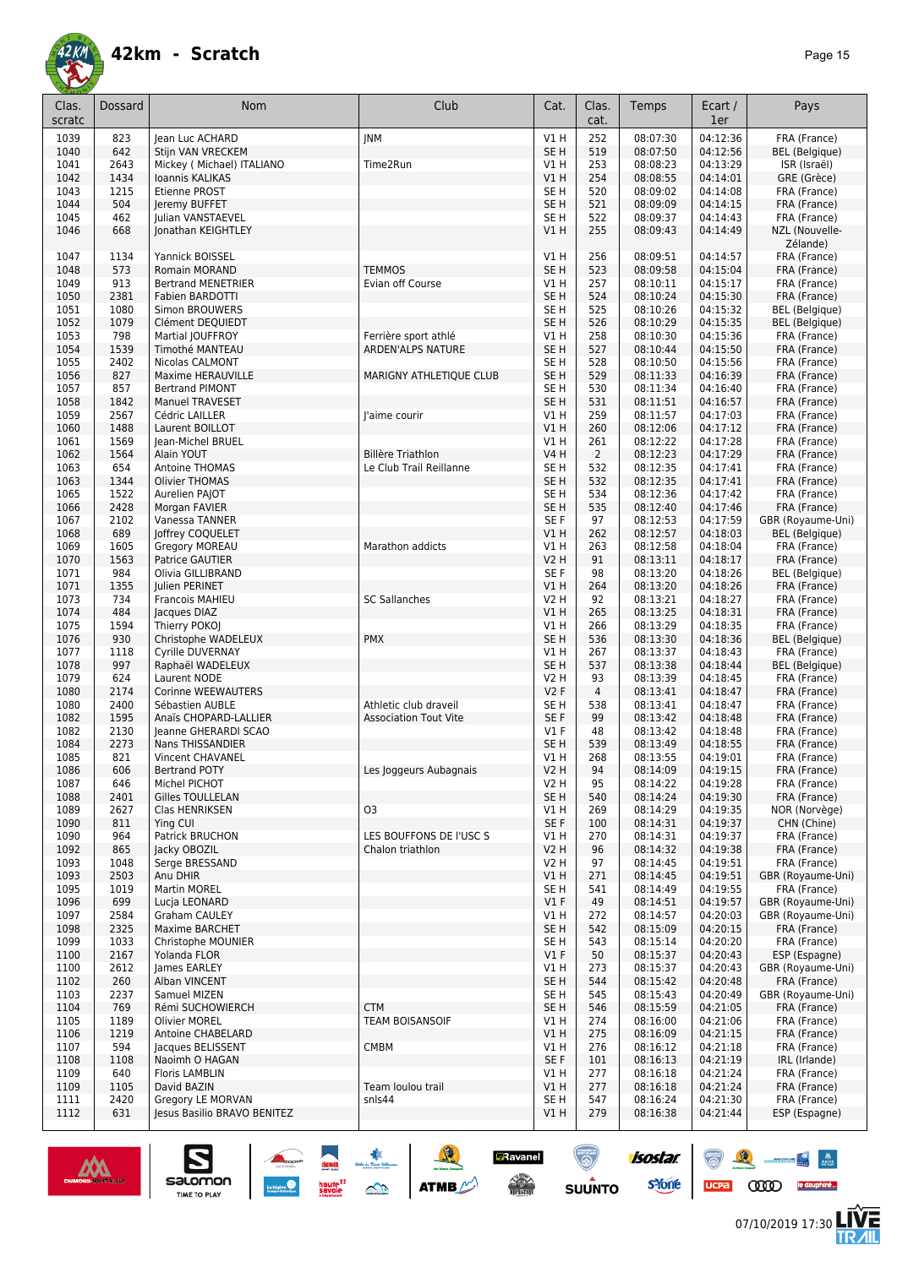

| Clas.<br>scratc | Dossard     | Nom                                  | Club                         | Cat.                    | Clas.<br>cat.  | Temps                | Ecart /<br>1er       | Pays                                  |
|-----------------|-------------|--------------------------------------|------------------------------|-------------------------|----------------|----------------------|----------------------|---------------------------------------|
|                 |             |                                      |                              | V1H                     | 252            | 08:07:30             | 04:12:36             |                                       |
| 1039<br>1040    | 823<br>642  | Jean Luc ACHARD<br>Stijn VAN VRECKEM | <b>JNM</b>                   | SE <sub>H</sub>         | 519            | 08:07:50             | 04:12:56             | FRA (France)<br><b>BEL</b> (Belgique) |
| 1041            | 2643        | Mickey ( Michael) ITALIANO           | Time2Run                     | V1 H                    | 253            | 08:08:23             | 04:13:29             | ISR (Israël)                          |
| 1042            | 1434        | Ioannis KALIKAS                      |                              | V1 H                    | 254            | 08:08:55             | 04:14:01             | GRE (Grèce)                           |
| 1043            | 1215        | Etienne PROST                        |                              | SE H                    | 520            | 08:09:02             | 04:14:08             | FRA (France)                          |
| 1044            | 504         | Jeremy BUFFET                        |                              | SE <sub>H</sub>         | 521            | 08:09:09             | 04:14:15             | FRA (France)                          |
| 1045            | 462         | Julian VANSTAEVEL                    |                              | SE H                    | 522            | 08:09:37             | 04:14:43             | FRA (France)                          |
| 1046            | 668         | Jonathan KEIGHTLEY                   |                              | VIH                     | 255            | 08:09:43             | 04:14:49             | NZL (Nouvelle-                        |
|                 |             |                                      |                              |                         |                |                      |                      | Zélande)                              |
| 1047            | 1134        | Yannick BOISSEL                      |                              | V1H                     | 256            | 08:09:51             | 04:14:57             | FRA (France)                          |
| 1048            | 573         | Romain MORAND                        | <b>TEMMOS</b>                | SE <sub>H</sub>         | 523            | 08:09:58             | 04:15:04             | FRA (France)                          |
| 1049            | 913         | <b>Bertrand MENETRIER</b>            | Evian off Course             | V1 H                    | 257            | 08:10:11             | 04:15:17             | FRA (France)                          |
| 1050            | 2381        | Fabien BARDOTTI                      |                              | SE <sub>H</sub>         | 524            | 08:10:24             | 04:15:30             | FRA (France)                          |
| 1051            | 1080        | <b>Simon BROUWERS</b>                |                              | SE H                    | 525            | 08:10:26             | 04:15:32             | <b>BEL</b> (Belgique)                 |
| 1052            | 1079        | Clément DEQUIEDT                     |                              | SE <sub>H</sub>         | 526            | 08:10:29             | 04:15:35             | <b>BEL</b> (Belgique)                 |
| 1053            | 798         | Martial JOUFFROY                     | Ferrière sport athlé         | V1 H                    | 258            | 08:10:30             | 04:15:36             | FRA (France)                          |
| 1054            | 1539        | Timothé MANTEAU                      | <b>ARDEN'ALPS NATURE</b>     | SE <sub>H</sub>         | 527            | 08:10:44             | 04:15:50             | FRA (France)                          |
| 1055            | 2402        | Nicolas CALMONT                      |                              | SE H                    | 528            | 08:10:50             | 04:15:56             | FRA (France)                          |
| 1056            | 827         | Maxime HERAUVILLE                    | MARIGNY ATHLETIQUE CLUB      | SE <sub>H</sub>         | 529            | 08:11:33             | 04:16:39             | FRA (France)                          |
| 1057            | 857         | <b>Bertrand PIMONT</b>               |                              | SE H                    | 530            | 08:11:34             | 04:16:40             | FRA (France)                          |
| 1058            | 1842        | <b>Manuel TRAVESET</b>               |                              | SE <sub>H</sub>         | 531            | 08:11:51             | 04:16:57             | FRA (France)                          |
| 1059            | 2567        | Cédric LAILLER                       | l'aime courir                | V1 H                    | 259            | 08:11:57             | 04:17:03             | FRA (France)                          |
| 1060            | 1488        | Laurent BOILLOT                      |                              | VIH                     | 260            | 08:12:06             | 04:17:12             | FRA (France)                          |
| 1061            | 1569        | Jean-Michel BRUEL                    |                              | V1 H                    | 261            | 08:12:22             | 04:17:28             | FRA (France)                          |
| 1062            | 1564        | Alain YOUT                           | <b>Billère Triathlon</b>     | <b>V4 H</b>             | $\overline{2}$ | 08:12:23             | 04:17:29             | FRA (France)                          |
| 1063            | 654         | <b>Antoine THOMAS</b>                | Le Club Trail Reillanne      | SE H                    | 532            | 08:12:35             | 04:17:41             | FRA (France)                          |
| 1063            | 1344        | Olivier THOMAS                       |                              | SE <sub>H</sub>         | 532            | 08:12:35             | 04:17:41             | FRA (France)                          |
| 1065            | 1522        | Aurelien PAJOT                       |                              | SE H                    | 534            | 08:12:36             | 04:17:42             | FRA (France)                          |
| 1066            | 2428        | Morgan FAVIER                        |                              | SE <sub>H</sub>         | 535            | 08:12:40             | 04:17:46             | FRA (France)                          |
| 1067            | 2102        | Vanessa TANNER                       |                              | SE F                    | 97             | 08:12:53             | 04:17:59             | GBR (Royaume-Uni)                     |
| 1068            | 689         | Joffrey COQUELET                     |                              | V1 H                    | 262            | 08:12:57             | 04:18:03             | <b>BEL</b> (Belgique)                 |
| 1069            | 1605        | Gregory MOREAU                       | Marathon addicts             | V1 H                    | 263            | 08:12:58             | 04:18:04             | FRA (France)                          |
| 1070            | 1563        | Patrice GAUTIER                      |                              | <b>V2 H</b>             | 91             | 08:13:11             | 04:18:17             | FRA (France)                          |
| 1071            | 984         | Olivia GILLIBRAND                    |                              | SE F                    | 98             | 08:13:20             | 04:18:26             | <b>BEL</b> (Belgique)                 |
| 1071            | 1355        | Julien PERINET                       |                              | VIH                     | 264            | 08:13:20             | 04:18:26             | FRA (France)                          |
| 1073            | 734         | Francois MAHIEU                      | <b>SC Sallanches</b>         | <b>V2 H</b>             | 92             | 08:13:21             | 04:18:27             | FRA (France)                          |
| 1074<br>1075    | 484<br>1594 | Jacques DIAZ<br>Thierry POKOJ        |                              | VIH<br>V1 H             | 265<br>266     | 08:13:25<br>08:13:29 | 04:18:31<br>04:18:35 | FRA (France)<br>FRA (France)          |
| 1076            | 930         | Christophe WADELEUX                  | <b>PMX</b>                   | SE <sub>H</sub>         | 536            | 08:13:30             | 04:18:36             | <b>BEL</b> (Belgique)                 |
| 1077            | 1118        | Cyrille DUVERNAY                     |                              | V1 H                    | 267            | 08:13:37             | 04:18:43             | FRA (France)                          |
| 1078            | 997         | Raphaël WADELEUX                     |                              | SE <sub>H</sub>         | 537            | 08:13:38             | 04:18:44             | <b>BEL</b> (Belgique)                 |
| 1079            | 624         | Laurent NODE                         |                              | <b>V2 H</b>             | 93             | 08:13:39             | 04:18:45             | FRA (France)                          |
| 1080            | 2174        | Corinne WEEWAUTERS                   |                              | V2F                     | 4              | 08:13:41             | 04:18:47             | FRA (France)                          |
| 1080            | 2400        | Sébastien AUBLE                      | Athletic club draveil        | SE H                    | 538            | 08:13:41             | 04:18:47             | FRA (France)                          |
| 1082            | 1595        | Anaïs CHOPARD-LALLIER                | <b>Association Tout Vite</b> | SE F                    | 99             | 08:13:42             | 04:18:48             | FRA (France)                          |
| 1082            | 2130        | Jeanne GHERARDI SCAO                 |                              | $VI$ F                  | 48             | 08:13:42             | 04:18:48             | FRA (France)                          |
| 1084            | 2273        | Nans THISSANDIER                     |                              | SE <sub>H</sub>         | 539            | 08:13:49             | 04:18:55             | FRA (France)                          |
| 1085            | 821         | Vincent CHAVANEL                     |                              | V1 H                    | 268            | 08:13:55             | 04:19:01             | FRA (France)                          |
| 1086            | 606         | <b>Bertrand POTY</b>                 | Les Joggeurs Aubagnais       | <b>V2 H</b>             | 94             | 08:14:09             | 04:19:15             | FRA (France)                          |
| 1087            | 646         | Michel PICHOT                        |                              | V <sub>2</sub> H        | 95             | 08:14:22             | 04:19:28             | FRA (France)                          |
| 1088            | 2401        | <b>Gilles TOULLELAN</b>              |                              | SE <sub>H</sub>         | 540            | 08:14:24             | 04:19:30             | FRA (France)                          |
| 1089            | 2627        | Clas HENRIKSEN                       | O <sub>3</sub>               | V1 H                    | 269            | 08:14:29             | 04:19:35             | NOR (Norvège)                         |
| 1090            | 811         | Ying CUI                             |                              | SE F                    | 100            | 08:14:31             | 04:19:37             | CHN (Chine)                           |
| 1090            | 964         | Patrick BRUCHON                      | LES BOUFFONS DE l'USC S      | V1 H                    | 270            | 08:14:31             | 04:19:37             | FRA (France)                          |
| 1092            | 865         | Jacky OBOZIL                         | Chalon triathlon             | <b>V2 H</b>             | 96             | 08:14:32             | 04:19:38             | FRA (France)                          |
| 1093            | 1048        | Serge BRESSAND                       |                              | V2 H                    | 97             | 08:14:45             | 04:19:51             | FRA (France)                          |
| 1093            | 2503        | Anu DHIR                             |                              | V1H                     | 271            | 08:14:45             | 04:19:51             | GBR (Royaume-Uni)                     |
| 1095            | 1019        | Martin MOREL                         |                              | SE <sub>H</sub>         | 541            | 08:14:49             | 04:19:55             | FRA (France)                          |
| 1096            | 699         | Lucja LEONARD                        |                              | V1F                     | 49             | 08:14:51             | 04:19:57             | GBR (Royaume-Uni)                     |
| 1097            | 2584        | Graham CAULEY                        |                              | V1 H                    | 272            | 08:14:57             | 04:20:03             | GBR (Royaume-Uni)                     |
| 1098            | 2325        | Maxime BARCHET                       |                              | SE <sub>H</sub>         | 542            | 08:15:09             | 04:20:15             | FRA (France)                          |
| 1099            | 1033        | Christophe MOUNIER                   |                              | SE H                    | 543            | 08:15:14             | 04:20:20             | FRA (France)                          |
| 1100            | 2167        | Yolanda FLOR                         |                              | $VI$ F                  | 50             | 08:15:37             | 04:20:43             | ESP (Espagne)                         |
| 1100            | 2612        | James EARLEY                         |                              | V1 H                    | 273<br>544     | 08:15:37<br>08:15:42 | 04:20:43<br>04:20:48 | GBR (Royaume-Uni)<br>FRA (France)     |
| 1102<br>1103    | 260<br>2237 | Alban VINCENT<br>Samuel MIZEN        |                              | SE <sub>H</sub><br>SE H | 545            | 08:15:43             | 04:20:49             | GBR (Royaume-Uni)                     |
| 1104            | 769         | Rémi SUCHOWIERCH                     | <b>CTM</b>                   | SE H                    | 546            | 08:15:59             | 04:21:05             | FRA (France)                          |
| 1105            | 1189        | <b>Olivier MOREL</b>                 | <b>TEAM BOISANSOIF</b>       | V1 H                    | 274            | 08:16:00             | 04:21:06             | FRA (France)                          |
| 1106            | 1219        | Antoine CHABELARD                    |                              | V1H                     | 275            | 08:16:09             | 04:21:15             | FRA (France)                          |
| 1107            | 594         | Jacques BELISSENT                    | <b>CMBM</b>                  | V1 H                    | 276            | 08:16:12             | 04:21:18             | FRA (France)                          |
| 1108            | 1108        | Naoimh O HAGAN                       |                              | SE F                    | 101            | 08:16:13             | 04:21:19             | IRL (Irlande)                         |
| 1109            | 640         | <b>Floris LAMBLIN</b>                |                              | V1 H                    | 277            | 08:16:18             | 04:21:24             | FRA (France)                          |
| 1109            | 1105        | David BAZIN                          | Team loulou trail            | V1 H                    | 277            | 08:16:18             | 04:21:24             | FRA (France)                          |
| 1111            | 2420        | Gregory LE MORVAN                    | snls44                       | SE <sub>H</sub>         | 547            | 08:16:24             | 04:21:30             | FRA (France)                          |
| 1112            | 631         | Jesus Basilio BRAVO BENITEZ          |                              | V1H                     | 279            | 08:16:38             | 04:21:44             | ESP (Espagne)                         |
|                 |             |                                      |                              |                         |                |                      |                      |                                       |

**A A A A ATTACK** 

**D**Ravanel

 $\odot$ 

**SUUNTO** 



 $\sum_{\text{SALOMOM}}$ 

88 - 84

UCPA COOD le dauphiné...

isostar.

**s**Yone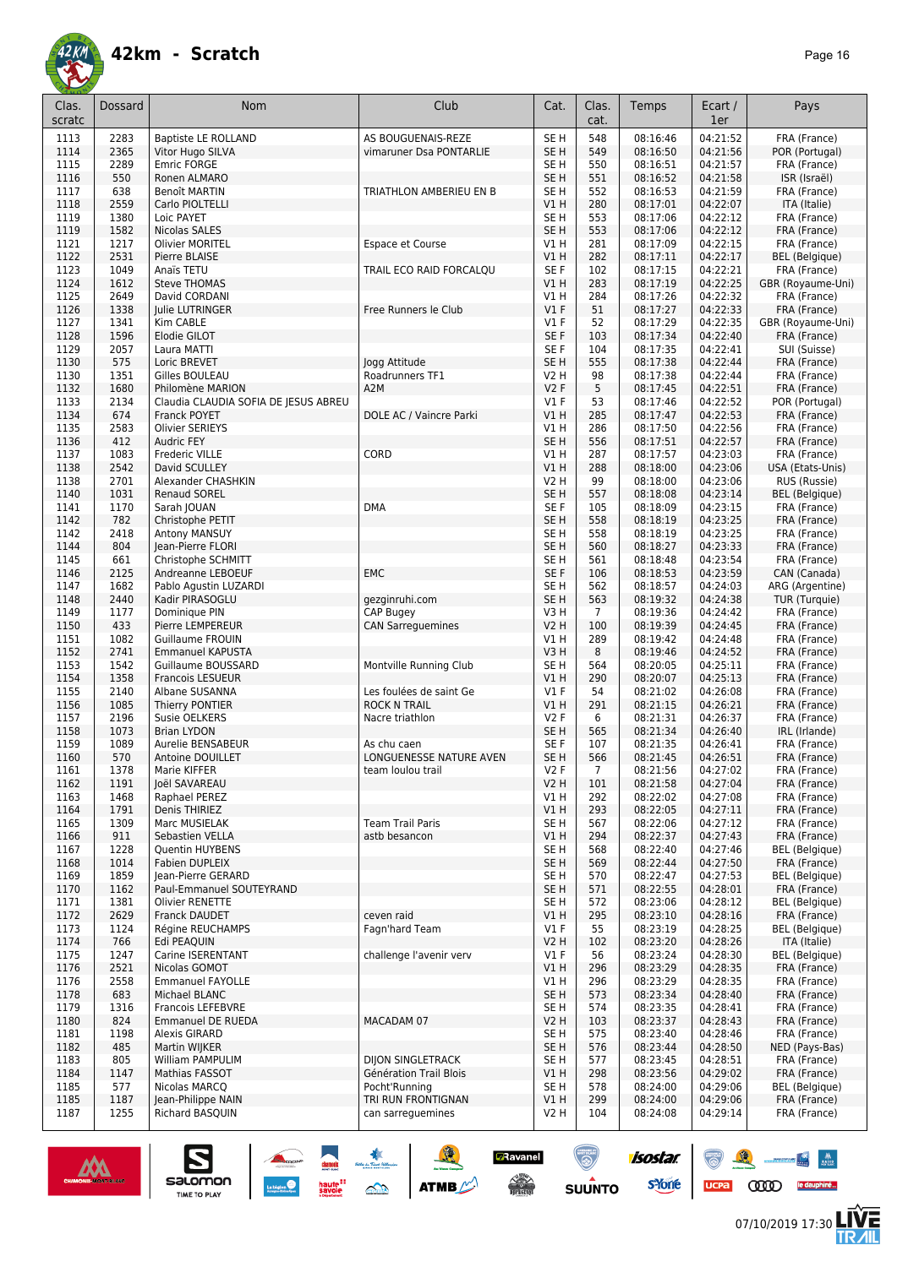

| Clas.<br>scratc | Dossard      | <b>Nom</b>                                               | Club                                           | Cat.                    | Clas.<br>cat.  | Temps                | Ecart /<br>1er       | Pays                                  |
|-----------------|--------------|----------------------------------------------------------|------------------------------------------------|-------------------------|----------------|----------------------|----------------------|---------------------------------------|
| 1113            | 2283         | <b>Baptiste LE ROLLAND</b>                               | AS BOUGUENAIS-REZE                             | SE <sub>H</sub>         | 548            | 08:16:46             | 04:21:52             | FRA (France)                          |
| 1114            | 2365         | Vitor Hugo SILVA                                         | vimaruner Dsa PONTARLIE                        | SE <sub>H</sub>         | 549            | 08:16:50             | 04:21:56             | POR (Portugal)                        |
| 1115            | 2289         | <b>Emric FORGE</b>                                       |                                                | SE <sub>H</sub>         | 550            | 08:16:51             | 04:21:57             | FRA (France)                          |
| 1116            | 550          | Ronen ALMARO                                             |                                                | SE <sub>H</sub>         | 551            | 08:16:52             | 04:21:58             | ISR (Israël)                          |
| 1117            | 638          | <b>Benoît MARTIN</b>                                     | TRIATHLON AMBERIEU EN B                        | SE H                    | 552            | 08:16:53             | 04:21:59             | FRA (France)                          |
| 1118            | 2559         | Carlo PIOLTELLI                                          |                                                | VIH                     | 280            | 08:17:01             | 04:22:07             | ITA (Italie)                          |
| 1119            | 1380         | Loic PAYET                                               |                                                | SE H                    | 553            | 08:17:06             | 04:22:12             | FRA (France)                          |
| 1119            | 1582<br>1217 | Nicolas SALES                                            |                                                | SE <sub>H</sub>         | 553            | 08:17:06             | 04:22:12             | FRA (France)                          |
| 1121<br>1122    | 2531         | Olivier MORITEL<br>Pierre BLAISE                         | Espace et Course                               | V1 H<br>V1H             | 281<br>282     | 08:17:09<br>08:17:11 | 04:22:15<br>04:22:17 | FRA (France)<br><b>BEL</b> (Belgique) |
| 1123            | 1049         | Anaïs TETU                                               | TRAIL ECO RAID FORCALOU                        | SE F                    | 102            | 08:17:15             | 04:22:21             | FRA (France)                          |
| 1124            | 1612         | <b>Steve THOMAS</b>                                      |                                                | VIH                     | 283            | 08:17:19             | 04:22:25             | GBR (Royaume-Uni)                     |
| 1125            | 2649         | David CORDANI                                            |                                                | V1 H                    | 284            | 08:17:26             | 04:22:32             | FRA (France)                          |
| 1126            | 1338         | Julie LUTRINGER                                          | Free Runners le Club                           | V1F                     | 51             | 08:17:27             | 04:22:33             | FRA (France)                          |
| 1127            | 1341         | Kim CABLE                                                |                                                | $VI$ F                  | 52             | 08:17:29             | 04:22:35             | GBR (Royaume-Uni)                     |
| 1128            | 1596         | Elodie GILOT                                             |                                                | SE F                    | 103            | 08:17:34             | 04:22:40             | FRA (France)                          |
| 1129            | 2057         | Laura MATTI                                              |                                                | SE F                    | 104            | 08:17:35             | 04:22:41             | SUI (Suisse)                          |
| 1130            | 575          | Loric BREVET                                             | Jogg Attitude                                  | SE <sub>H</sub>         | 555            | 08:17:38             | 04:22:44             | FRA (France)                          |
| 1130            | 1351         | Gilles BOULEAU                                           | Roadrunners TF1                                | <b>V2 H</b>             | 98             | 08:17:38             | 04:22:44             | FRA (France)                          |
| 1132<br>1133    | 1680<br>2134 | Philomène MARION<br>Claudia CLAUDIA SOFIA DE JESUS ABREU | A2M                                            | V2F<br>$VI$ F           | 5<br>53        | 08:17:45<br>08:17:46 | 04:22:51<br>04:22:52 | FRA (France)<br>POR (Portugal)        |
| 1134            | 674          | Franck POYET                                             | DOLE AC / Vaincre Parki                        | V1H                     | 285            | 08:17:47             | 04:22:53             | FRA (France)                          |
| 1135            | 2583         | <b>Olivier SERIEYS</b>                                   |                                                | V1 H                    | 286            | 08:17:50             | 04:22:56             | FRA (France)                          |
| 1136            | 412          | Audric FEY                                               |                                                | SE <sub>H</sub>         | 556            | 08:17:51             | 04:22:57             | FRA (France)                          |
| 1137            | 1083         | <b>Frederic VILLE</b>                                    | CORD                                           | V1 H                    | 287            | 08:17:57             | 04:23:03             | FRA (France)                          |
| 1138            | 2542         | David SCULLEY                                            |                                                | V1H                     | 288            | 08:18:00             | 04:23:06             | USA (Etats-Unis)                      |
| 1138            | 2701         | Alexander CHASHKIN                                       |                                                | <b>V2 H</b>             | 99             | 08:18:00             | 04:23:06             | RUS (Russie)                          |
| 1140            | 1031         | <b>Renaud SOREL</b>                                      |                                                | SE <sub>H</sub>         | 557            | 08:18:08             | 04:23:14             | <b>BEL</b> (Belgique)                 |
| 1141            | 1170         | Sarah JOUAN                                              | <b>DMA</b>                                     | SE F                    | 105            | 08:18:09             | 04:23:15             | FRA (France)                          |
| 1142            | 782          | Christophe PETIT                                         |                                                | SE <sub>H</sub>         | 558            | 08:18:19             | 04:23:25             | FRA (France)                          |
| 1142            | 2418<br>804  | Antony MANSUY                                            |                                                | SE H                    | 558            | 08:18:19             | 04:23:25             | FRA (France)                          |
| 1144<br>1145    | 661          | Jean-Pierre FLORI<br>Christophe SCHMITT                  |                                                | SE <sub>H</sub><br>SE H | 560<br>561     | 08:18:27<br>08:18:48 | 04:23:33<br>04:23:54 | FRA (France)<br>FRA (France)          |
| 1146            | 2125         | Andreanne LEBOEUF                                        | <b>EMC</b>                                     | SE F                    | 106            | 08:18:53             | 04:23:59             | CAN (Canada)                          |
| 1147            | 1682         | Pablo Agustin LUZARDI                                    |                                                | SE <sub>H</sub>         | 562            | 08:18:57             | 04:24:03             | ARG (Argentine)                       |
| 1148            | 2440         | Kadir PIRASOGLU                                          | gezginruhi.com                                 | SE <sub>H</sub>         | 563            | 08:19:32             | 04:24:38             | TUR (Turquie)                         |
| 1149            | 1177         | Dominique PIN                                            | <b>CAP Bugey</b>                               | V3H                     | $\overline{7}$ | 08:19:36             | 04:24:42             | FRA (France)                          |
| 1150            | 433          | Pierre LEMPEREUR                                         | <b>CAN Sarreguemines</b>                       | <b>V2 H</b>             | 100            | 08:19:39             | 04:24:45             | FRA (France)                          |
| 1151            | 1082         | <b>Guillaume FROUIN</b>                                  |                                                | V1H                     | 289            | 08:19:42             | 04:24:48             | FRA (France)                          |
| 1152            | 2741         | <b>Emmanuel KAPUSTA</b>                                  |                                                | V3H                     | 8              | 08:19:46             | 04:24:52             | FRA (France)                          |
| 1153            | 1542         | Guillaume BOUSSARD                                       | Montville Running Club                         | SE H                    | 564            | 08:20:05             | 04:25:11             | FRA (France)                          |
| 1154            | 1358         | <b>Francois LESUEUR</b><br>Albane SUSANNA                |                                                | V1H                     | 290            | 08:20:07             | 04:25:13             | FRA (France)                          |
| 1155<br>1156    | 2140<br>1085 | Thierry PONTIER                                          | Les foulées de saint Ge<br><b>ROCK N TRAIL</b> | $VI$ F<br>V1 H          | 54<br>291      | 08:21:02<br>08:21:15 | 04:26:08<br>04:26:21 | FRA (France)<br>FRA (France)          |
| 1157            | 2196         | Susie OELKERS                                            | Nacre triathlon                                | V2F                     | 6              | 08:21:31             | 04:26:37             | FRA (France)                          |
| 1158            | 1073         | <b>Brian LYDON</b>                                       |                                                | SE H                    | 565            | 08:21:34             | 04:26:40             | IRL (Irlande)                         |
| 1159            | 1089         | Aurelie BENSABEUR                                        | As chu caen                                    | SE F                    | 107            | 08:21:35             | 04:26:41             | FRA (France)                          |
| 1160            | 570          | <b>Antoine DOUILLET</b>                                  | LONGUENESSE NATURE AVEN                        | SE <sub>H</sub>         | 566            | 08:21:45             | 04:26:51             | FRA (France)                          |
| 1161            | 1378         | Marie KIFFER                                             | team Ioulou trail                              | V2 F                    | $\prime$       | 08:21:56             | 04:27:02             | FRA (France)                          |
| 1162            | 1191         | Joël SAVAREAU                                            |                                                | <b>V2 H</b>             | 101            | 08:21:58             | 04:27:04             | FRA (France)                          |
| 1163            | 1468         | Raphael PEREZ                                            |                                                | V1 H                    | 292            | 08:22:02             | 04:27:08             | FRA (France)                          |
| 1164            | 1791         | Denis THIRIEZ                                            |                                                | V1 H                    | 293            | 08:22:05             | 04:27:11             | FRA (France)                          |
| 1165<br>1166    | 1309<br>911  | Marc MUSIELAK<br>Sebastien VELLA                         | <b>Team Trail Paris</b><br>astb besancon       | SE H<br>V1H             | 567<br>294     | 08:22:06<br>08:22:37 | 04:27:12<br>04:27:43 | FRA (France)<br>FRA (France)          |
| 1167            | 1228         | Quentin HUYBENS                                          |                                                | SE H                    | 568            | 08:22:40             | 04:27:46             | <b>BEL</b> (Belgique)                 |
| 1168            | 1014         | Fabien DUPLEIX                                           |                                                | SE <sub>H</sub>         | 569            | 08:22:44             | 04:27:50             | FRA (France)                          |
| 1169            | 1859         | lean-Pierre GERARD                                       |                                                | SE H                    | 570            | 08:22:47             | 04:27:53             | <b>BEL</b> (Belgique)                 |
| 1170            | 1162         | Paul-Emmanuel SOUTEYRAND                                 |                                                | SE <sub>H</sub>         | 571            | 08:22:55             | 04:28:01             | FRA (France)                          |
| 1171            | 1381         | Olivier RENETTE                                          |                                                | SE <sub>H</sub>         | 572            | 08:23:06             | 04:28:12             | <b>BEL</b> (Belgique)                 |
| 1172            | 2629         | Franck DAUDET                                            | ceven raid                                     | VIH                     | 295            | 08:23:10             | 04:28:16             | FRA (France)                          |
| 1173            | 1124         | Régine REUCHAMPS                                         | Fagn'hard Team                                 | $VI$ F                  | 55             | 08:23:19             | 04:28:25             | <b>BEL</b> (Belgique)                 |
| 1174            | 766          | Edi PEAQUIN                                              |                                                | <b>V2 H</b>             | 102            | 08:23:20             | 04:28:26             | ITA (Italie)                          |
| 1175            | 1247         | Carine ISERENTANT                                        | challenge l'avenir verv                        | $VI$ F                  | 56             | 08:23:24             | 04:28:30             | <b>BEL</b> (Belgique)                 |
| 1176            | 2521         | Nicolas GOMOT                                            |                                                | V1H                     | 296            | 08:23:29             | 04:28:35             | FRA (France)                          |
| 1176<br>1178    | 2558<br>683  | <b>Emmanuel FAYOLLE</b><br>Michael BLANC                 |                                                | V1 H<br>SE <sub>H</sub> | 296<br>573     | 08:23:29<br>08:23:34 | 04:28:35<br>04:28:40 | FRA (France)<br>FRA (France)          |
| 1179            | 1316         | Francois LEFEBVRE                                        |                                                | SE H                    | 574            | 08:23:35             | 04:28:41             | FRA (France)                          |
| 1180            | 824          | <b>Emmanuel DE RUEDA</b>                                 | MACADAM 07                                     | <b>V2 H</b>             | 103            | 08:23:37             | 04:28:43             | FRA (France)                          |
| 1181            | 1198         | Alexis GIRARD                                            |                                                | SE H                    | 575            | 08:23:40             | 04:28:46             | FRA (France)                          |
| 1182            | 485          | Martin WIJKER                                            |                                                | SE <sub>H</sub>         | 576            | 08:23:44             | 04:28:50             | NED (Pays-Bas)                        |
| 1183            | 805          | William PAMPULIM                                         | <b>DIJON SINGLETRACK</b>                       | SE H                    | 577            | 08:23:45             | 04:28:51             | FRA (France)                          |
| 1184            | 1147         | Mathias FASSOT                                           | Génération Trail Blois                         | VIH                     | 298            | 08:23:56             | 04:29:02             | FRA (France)                          |
| 1185            | 577          | Nicolas MARCQ                                            | Pocht'Running                                  | SE H                    | 578            | 08:24:00             | 04:29:06             | <b>BEL</b> (Belgique)                 |
| 1185            | 1187         | Jean-Philippe NAIN                                       | TRI RUN FRONTIGNAN                             | V1H                     | 299            | 08:24:00             | 04:29:06             | FRA (France)                          |
| 1187            | 1255         | Richard BASQUIN                                          | can sarreguemines                              | V <sub>2</sub> H        | 104            | 08:24:08             | 04:29:14             | FRA (France)                          |

SO THE SO ATME



 $\sum_{\text{SALOMOM}}$ 

ucpa

isostar.

**s**Yone

**E**Ravanel

 $\begin{picture}(180,10) \put(0,0){\line(1,0){15}} \put(10,0){\line(1,0){15}} \put(10,0){\line(1,0){15}} \put(10,0){\line(1,0){15}} \put(10,0){\line(1,0){15}} \put(10,0){\line(1,0){15}} \put(10,0){\line(1,0){15}} \put(10,0){\line(1,0){15}} \put(10,0){\line(1,0){15}} \put(10,0){\line(1,0){15}} \put(10,0){\line(1,0){15}} \put(10,0){\line($ 

 $\odot$ 

**SUUNTO** 



 $\begin{picture}(150,10) \put(0,0){\line(1,0){10}} \put(10,0){\line(1,0){10}} \put(10,0){\line(1,0){10}} \put(10,0){\line(1,0){10}} \put(10,0){\line(1,0){10}} \put(10,0){\line(1,0){10}} \put(10,0){\line(1,0){10}} \put(10,0){\line(1,0){10}} \put(10,0){\line(1,0){10}} \put(10,0){\line(1,0){10}} \put(10,0){\line(1,0){10}} \put(10,0){\line($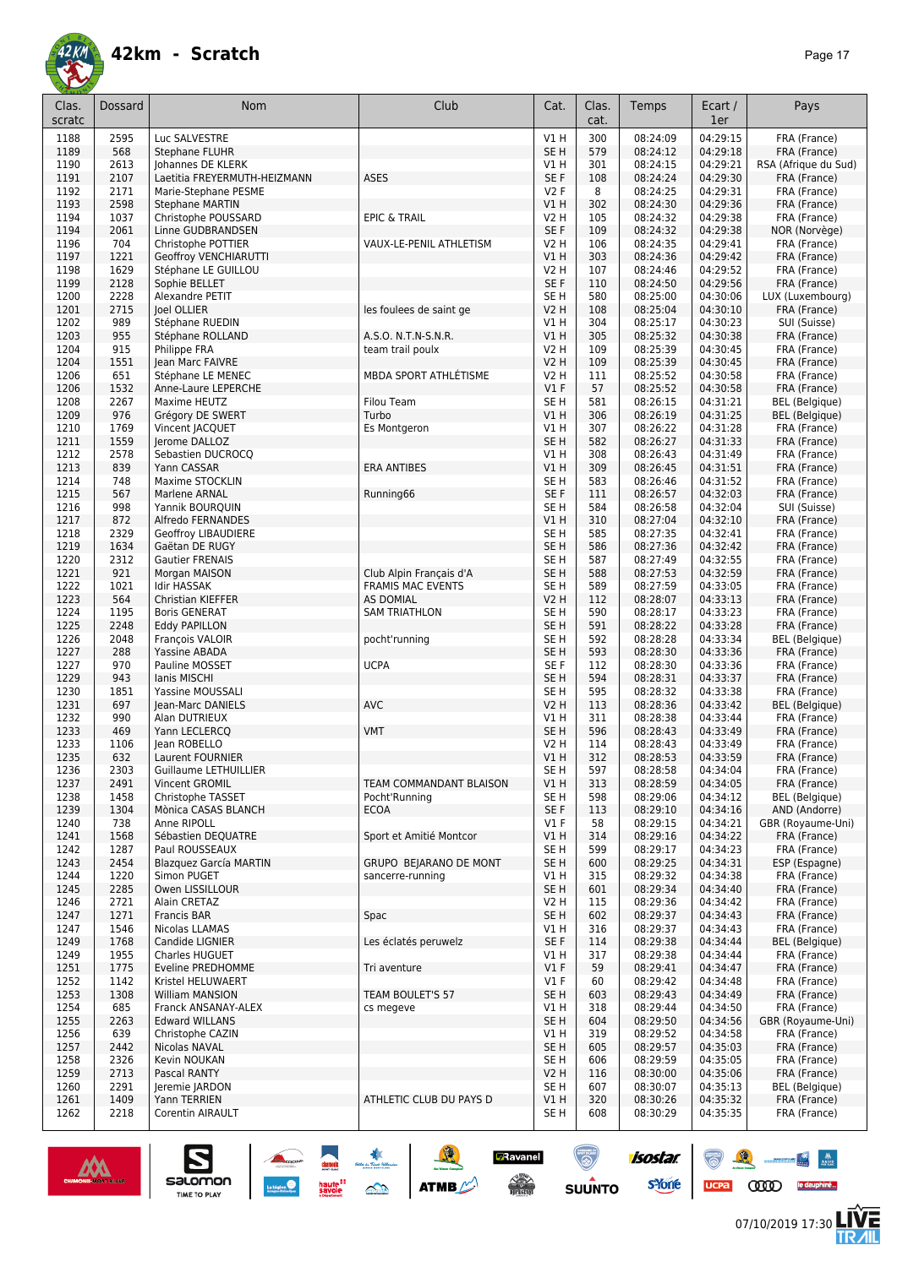

| Clas.<br>scratc | <b>Dossard</b> | Nom                                         | Club                     | Cat.                    | Clas.<br>cat. | Temps                | Ecart /<br>1er       | Pays                                  |
|-----------------|----------------|---------------------------------------------|--------------------------|-------------------------|---------------|----------------------|----------------------|---------------------------------------|
| 1188            | 2595           | Luc SALVESTRE                               |                          | V1H                     | 300           | 08:24:09             | 04:29:15             | FRA (France)                          |
| 1189            | 568            | Stephane FLUHR                              |                          | SE <sub>H</sub>         | 579           | 08:24:12             | 04:29:18             | FRA (France)                          |
| 1190            | 2613           | Johannes DE KLERK                           |                          | V1 H                    | 301           | 08:24:15             | 04:29:21             | RSA (Afrique du Sud)                  |
| 1191            | 2107           | Laetitia FREYERMUTH-HEIZMANN                | <b>ASES</b>              | SE F                    | 108           | 08:24:24             | 04:29:30             | FRA (France)                          |
| 1192            | 2171           | Marie-Stephane PESME                        |                          | V2F                     | 8             | 08:24:25             | 04:29:31             | FRA (France)                          |
| 1193            | 2598           | <b>Stephane MARTIN</b>                      |                          | VIH                     | 302           | 08:24:30             | 04:29:36             | FRA (France)                          |
| 1194            | 1037           | Christophe POUSSARD                         | <b>EPIC &amp; TRAIL</b>  | V2 H                    | 105           | 08:24:32             | 04:29:38             | FRA (France)                          |
| 1194            | 2061           | Linne GUDBRANDSEN                           |                          | SE F                    | 109           | 08:24:32             | 04:29:38             | NOR (Norvège)                         |
| 1196<br>1197    | 704<br>1221    | Christophe POTTIER<br>Geoffroy VENCHIARUTTI | VAUX-LE-PENIL ATHLETISM  | V2 H<br>V1H             | 106<br>303    | 08:24:35<br>08:24:36 | 04:29:41<br>04:29:42 | FRA (France)<br>FRA (France)          |
| 1198            | 1629           | Stéphane LE GUILLOU                         |                          | <b>V2 H</b>             | 107           | 08:24:46             | 04:29:52             | FRA (France)                          |
| 1199            | 2128           | Sophie BELLET                               |                          | SE F                    | 110           | 08:24:50             | 04:29:56             | FRA (France)                          |
| 1200            | 2228           | Alexandre PETIT                             |                          | SE <sub>H</sub>         | 580           | 08:25:00             | 04:30:06             | LUX (Luxembourg)                      |
| 1201            | 2715           | Joel OLLIER                                 | les foulees de saint ge  | <b>V2 H</b>             | 108           | 08:25:04             | 04:30:10             | FRA (France)                          |
| 1202            | 989            | Stéphane RUEDIN                             |                          | V1 H                    | 304           | 08:25:17             | 04:30:23             | SUI (Suisse)                          |
| 1203            | 955            | Stéphane ROLLAND                            | A.S.O. N.T.N-S.N.R.      | V1H                     | 305           | 08:25:32             | 04:30:38             | FRA (France)                          |
| 1204            | 915            | Philippe FRA                                | team trail poulx         | <b>V2 H</b>             | 109           | 08:25:39             | 04:30:45             | FRA (France)                          |
| 1204            | 1551           | Jean Marc FAIVRE                            |                          | <b>V2 H</b>             | 109           | 08:25:39             | 04:30:45             | FRA (France)                          |
| 1206            | 651            | Stéphane LE MENEC                           | MBDA SPORT ATHLÉTISME    | <b>V2 H</b><br>$VI$ F   | 111<br>57     | 08:25:52             | 04:30:58             | FRA (France)                          |
| 1206<br>1208    | 1532<br>2267   | Anne-Laure LEPERCHE<br>Maxime HEUTZ         | <b>Filou Team</b>        | SE <sub>H</sub>         | 581           | 08:25:52<br>08:26:15 | 04:30:58<br>04:31:21 | FRA (France)<br><b>BEL</b> (Belgique) |
| 1209            | 976            | Grégory DE SWERT                            | Turbo                    | VIH                     | 306           | 08:26:19             | 04:31:25             | <b>BEL</b> (Belgique)                 |
| 1210            | 1769           | Vincent JACQUET                             | Es Montgeron             | V1 H                    | 307           | 08:26:22             | 04:31:28             | FRA (France)                          |
| 1211            | 1559           | <b>lerome DALLOZ</b>                        |                          | SE <sub>H</sub>         | 582           | 08:26:27             | 04:31:33             | FRA (France)                          |
| 1212            | 2578           | Sebastien DUCROCQ                           |                          | V1 H                    | 308           | 08:26:43             | 04:31:49             | FRA (France)                          |
| 1213            | 839            | Yann CASSAR                                 | <b>ERA ANTIBES</b>       | V1H                     | 309           | 08:26:45             | 04:31:51             | FRA (France)                          |
| 1214            | 748            | Maxime STOCKLIN                             |                          | SE <sub>H</sub>         | 583           | 08:26:46             | 04:31:52             | FRA (France)                          |
| 1215            | 567            | Marlene ARNAL                               | Running66                | SE F                    | 111           | 08:26:57             | 04:32:03             | FRA (France)                          |
| 1216            | 998            | Yannik BOURQUIN                             |                          | SE H                    | 584           | 08:26:58             | 04:32:04             | SUI (Suisse)                          |
| 1217            | 872            | Alfredo FERNANDES                           |                          | VIH                     | 310           | 08:27:04             | 04:32:10             | FRA (France)                          |
| 1218            | 2329           | Geoffroy LIBAUDIERE                         |                          | SE H                    | 585           | 08:27:35             | 04:32:41             | FRA (France)                          |
| 1219<br>1220    | 1634<br>2312   | Gaëtan DE RUGY<br>Gautier FRENAIS           |                          | SE <sub>H</sub><br>SE H | 586<br>587    | 08:27:36<br>08:27:49 | 04:32:42<br>04:32:55 | FRA (France)<br>FRA (France)          |
| 1221            | 921            | Morgan MAISON                               | Club Alpin Français d'A  | SE <sub>H</sub>         | 588           | 08:27:53             | 04:32:59             | FRA (France)                          |
| 1222            | 1021           | <b>Idir HASSAK</b>                          | <b>FRAMIS MAC EVENTS</b> | SE <sub>H</sub>         | 589           | 08:27:59             | 04:33:05             | FRA (France)                          |
| 1223            | 564            | Christian KIEFFER                           | <b>AS DOMIAL</b>         | <b>V2 H</b>             | 112           | 08:28:07             | 04:33:13             | FRA (France)                          |
| 1224            | 1195           | <b>Boris GENERAT</b>                        | <b>SAM TRIATHLON</b>     | SE H                    | 590           | 08:28:17             | 04:33:23             | FRA (France)                          |
| 1225            | 2248           | <b>Eddy PAPILLON</b>                        |                          | SE <sub>H</sub>         | 591           | 08:28:22             | 04:33:28             | FRA (France)                          |
| 1226            | 2048           | François VALOIR                             | pocht'running            | SE H                    | 592           | 08:28:28             | 04:33:34             | <b>BEL</b> (Belgique)                 |
| 1227            | 288            | Yassine ABADA                               |                          | SE <sub>H</sub>         | 593           | 08:28:30             | 04:33:36             | FRA (France)                          |
| 1227            | 970            | Pauline MOSSET                              | <b>UCPA</b>              | SE F                    | 112           | 08:28:30             | 04:33:36             | FRA (France)                          |
| 1229            | 943<br>1851    | lanis MISCHI<br><b>Yassine MOUSSALI</b>     |                          | SE <sub>H</sub><br>SE H | 594<br>595    | 08:28:31             | 04:33:37             | FRA (France)                          |
| 1230<br>1231    | 697            | Jean-Marc DANIELS                           | <b>AVC</b>               | V2 H                    | 113           | 08:28:32<br>08:28:36 | 04:33:38<br>04:33:42 | FRA (France)<br>BEL (Belgique)        |
| 1232            | 990            | Alan DUTRIEUX                               |                          | V1 H                    | 311           | 08:28:38             | 04:33:44             | FRA (France)                          |
| 1233            | 469            | Yann LECLERCQ                               | <b>VMT</b>               | SE <sub>H</sub>         | 596           | 08:28:43             | 04:33:49             | FRA (France)                          |
| 1233            | 1106           | Jean ROBELLO                                |                          | <b>V2 H</b>             | 114           | 08:28:43             | 04:33:49             | FRA (France)                          |
| 1235            | 632            | Laurent FOURNIER                            |                          | VIH                     | 312           | 08:28:53             | 04:33:59             | FRA (France)                          |
| 1236            | 2303           | Guillaume LETHUILLIER                       |                          | SE H                    | 597           | 08:28:58             | 04:34:04             | FRA (France)                          |
| 1237            | 2491           | Vincent GROMIL                              | TEAM COMMANDANT BLAISON  | V1H                     | 313           | 08:28:59             | 04:34:05             | FRA (France)                          |
| 1238            | 1458           | Christophe TASSET                           | Pocht'Running            | SE <sub>H</sub>         | 598           | 08:29:06             | 04:34:12             | <b>BEL</b> (Belgique)                 |
| 1239<br>1240    | 1304<br>738    | Mònica CASAS BLANCH<br>Anne RIPOLL          | <b>ECOA</b>              | SE F<br>$VI$ F          | 113<br>58     | 08:29:10<br>08:29:15 | 04:34:16<br>04:34:21 | AND (Andorre)<br>GBR (Royaume-Uni)    |
| 1241            | 1568           | Sébastien DEQUATRE                          | Sport et Amitié Montcor  | V1H                     | 314           | 08:29:16             | 04:34:22             | FRA (France)                          |
| 1242            | 1287           | Paul ROUSSEAUX                              |                          | SE H                    | 599           | 08:29:17             | 04:34:23             | FRA (France)                          |
| 1243            | 2454           | <b>Blazquez García MARTIN</b>               | GRUPO BEJARANO DE MONT   | SE <sub>H</sub>         | 600           | 08:29:25             | 04:34:31             | ESP (Espagne)                         |
| 1244            | 1220           | Simon PUGET                                 | sancerre-running         | V1 H                    | 315           | 08:29:32             | 04:34:38             | FRA (France)                          |
| 1245            | 2285           | Owen LISSILLOUR                             |                          | SE <sub>H</sub>         | 601           | 08:29:34             | 04:34:40             | FRA (France)                          |
| 1246            | 2721           | Alain CRETAZ                                |                          | V2 H                    | 115           | 08:29:36             | 04:34:42             | FRA (France)                          |
| 1247            | 1271           | <b>Francis BAR</b>                          | Spac                     | SE <sub>H</sub>         | 602           | 08:29:37             | 04:34:43             | FRA (France)                          |
| 1247            | 1546           | Nicolas LLAMAS                              |                          | V1 H                    | 316           | 08:29:37             | 04:34:43             | FRA (France)                          |
| 1249            | 1768           | Candide LIGNIER                             | Les éclatés peruwelz     | SE F                    | 114           | 08:29:38             | 04:34:44             | <b>BEL</b> (Belgique)                 |
| 1249            | 1955           | Charles HUGUET                              |                          | V1 H<br>V1F             | 317           | 08:29:38             | 04:34:44             | FRA (France)                          |
| 1251<br>1252    | 1775<br>1142   | Eveline PREDHOMME<br>Kristel HELUWAERT      | Tri aventure             | $VI$ F                  | 59<br>60      | 08:29:41<br>08:29:42 | 04:34:47<br>04:34:48 | FRA (France)<br>FRA (France)          |
| 1253            | 1308           | <b>William MANSION</b>                      | TEAM BOULET'S 57         | SE <sub>H</sub>         | 603           | 08:29:43             | 04:34:49             | FRA (France)                          |
| 1254            | 685            | Franck ANSANAY-ALEX                         | cs megeve                | V1 H                    | 318           | 08:29:44             | 04:34:50             | FRA (France)                          |
| 1255            | 2263           | <b>Edward WILLANS</b>                       |                          | SE <sub>H</sub>         | 604           | 08:29:50             | 04:34:56             | GBR (Royaume-Uni)                     |
| 1256            | 639            | Christophe CAZIN                            |                          | V1 H                    | 319           | 08:29:52             | 04:34:58             | FRA (France)                          |
| 1257            | 2442           | Nicolas NAVAL                               |                          | SE <sub>H</sub>         | 605           | 08:29:57             | 04:35:03             | FRA (France)                          |
| 1258            | 2326           | Kevin NOUKAN                                |                          | SE H                    | 606           | 08:29:59             | 04:35:05             | FRA (France)                          |
| 1259            | 2713           | Pascal RANTY                                |                          | <b>V2 H</b>             | 116           | 08:30:00             | 04:35:06             | FRA (France)                          |
| 1260            | 2291           | Jeremie JARDON                              |                          | SE H                    | 607           | 08:30:07             | 04:35:13             | <b>BEL</b> (Belgique)                 |
| 1261<br>1262    | 1409<br>2218   | Yann TERRIEN<br>Corentin AIRAULT            | ATHLETIC CLUB DU PAYS D  | V1H<br>SE <sub>H</sub>  | 320<br>608    | 08:30:26<br>08:30:29 | 04:35:32<br>04:35:35 | FRA (France)<br>FRA (France)          |

SOLUTION ATME

**D**Ravanel

 $\begin{picture}(180,10) \put(0,0){\line(1,0){15}} \put(10,0){\line(1,0){15}} \put(10,0){\line(1,0){15}} \put(10,0){\line(1,0){15}} \put(10,0){\line(1,0){15}} \put(10,0){\line(1,0){15}} \put(10,0){\line(1,0){15}} \put(10,0){\line(1,0){15}} \put(10,0){\line(1,0){15}} \put(10,0){\line(1,0){15}} \put(10,0){\line(1,0){15}} \put(10,0){\line($ 

 $\odot$ 

**SUUNTO** 

isostar.

**s**Yone



 $\sum_{\text{SALOMOM}}$ 



 $\odot$ 

ucpa

 $\frac{M}{\sqrt{2\pi}}\int_{\frac{M}{2}}^M\frac{M}{\sqrt{2\pi}}\,d\mu$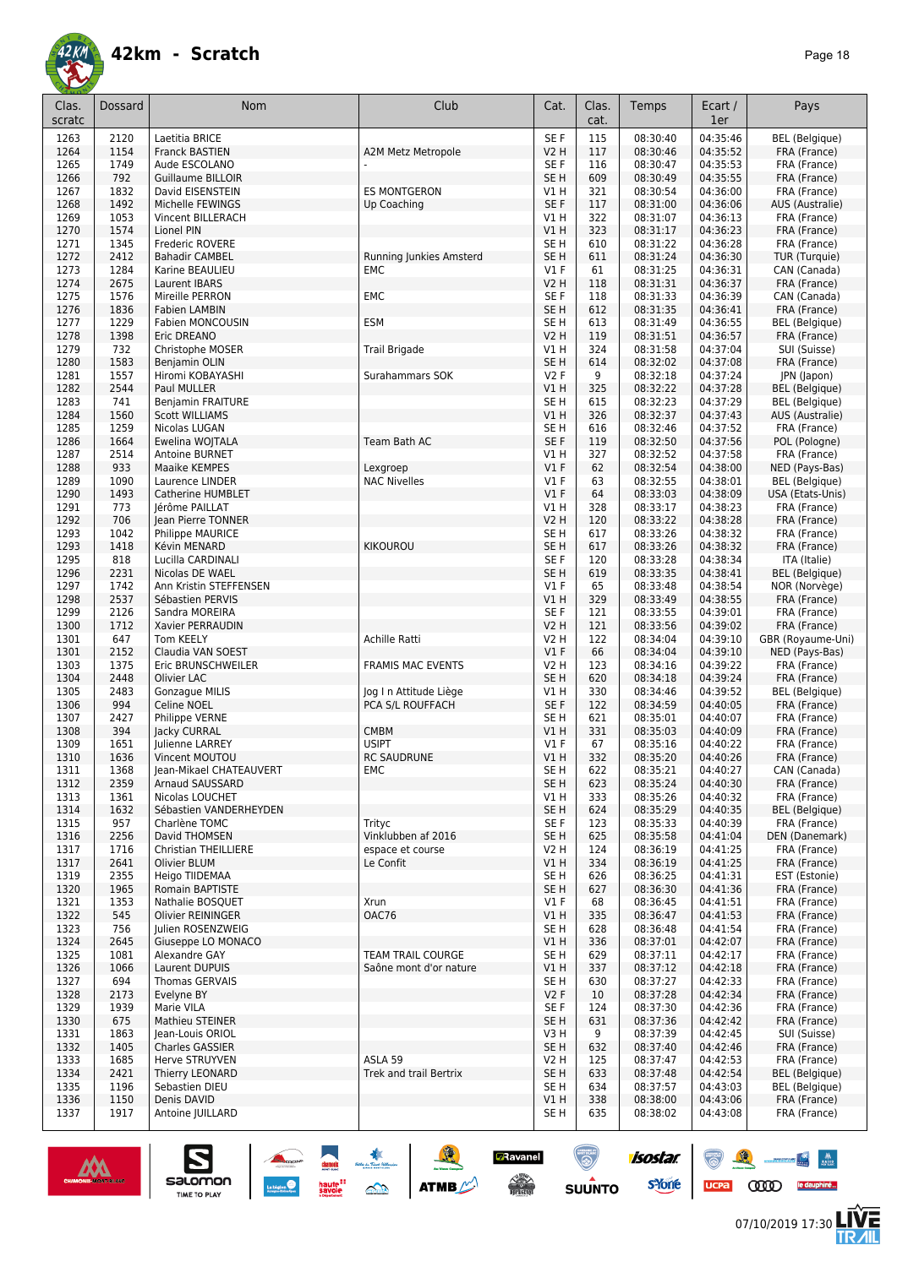

| Clas.<br>scratc | Dossard      | <b>Nom</b>                                 | Club                     | Cat.                    | Clas.<br>cat. | Temps                | Ecart /<br>1er       | Pays                                  |
|-----------------|--------------|--------------------------------------------|--------------------------|-------------------------|---------------|----------------------|----------------------|---------------------------------------|
| 1263            | 2120         | Laetitia BRICE                             |                          | SE F                    | 115           | 08:30:40             | 04:35:46             | <b>BEL</b> (Belgique)                 |
| 1264            | 1154         | <b>Franck BASTIEN</b>                      | A2M Metz Metropole       | <b>V2 H</b>             | 117           | 08:30:46             | 04:35:52             | FRA (France)                          |
| 1265            | 1749         | Aude ESCOLANO                              |                          | SE F                    | 116           | 08:30:47             | 04:35:53             | FRA (France)                          |
| 1266            | 792          | <b>Guillaume BILLOIR</b>                   |                          | SE <sub>H</sub>         | 609           | 08:30:49             | 04:35:55             | FRA (France)                          |
| 1267            | 1832         | David EISENSTEIN                           | <b>ES MONTGERON</b>      | VIH                     | 321           | 08:30:54             | 04:36:00             | FRA (France)                          |
| 1268<br>1269    | 1492<br>1053 | Michelle FEWINGS<br>Vincent BILLERACH      | Up Coaching              | SE <sub>F</sub><br>V1 H | 117<br>322    | 08:31:00<br>08:31:07 | 04:36:06<br>04:36:13 | AUS (Australie)<br>FRA (France)       |
| 1270            | 1574         | Lionel PIN                                 |                          | V1 H                    | 323           | 08:31:17             | 04:36:23             | FRA (France)                          |
| 1271            | 1345         | Frederic ROVERE                            |                          | SE H                    | 610           | 08:31:22             | 04:36:28             | FRA (France)                          |
| 1272            | 2412         | <b>Bahadir CAMBEL</b>                      | Running Junkies Amsterd  | SE <sub>H</sub>         | 611           | 08:31:24             | 04:36:30             | TUR (Turquie)                         |
| 1273            | 1284         | Karine BEAULIEU                            | EMC                      | $VI$ F                  | 61            | 08:31:25             | 04:36:31             | CAN (Canada)                          |
| 1274            | 2675         | Laurent IBARS                              |                          | V2 H                    | 118           | 08:31:31             | 04:36:37             | FRA (France)                          |
| 1275            | 1576         | Mireille PERRON                            | EMC                      | SE F                    | 118           | 08:31:33             | 04:36:39             | CAN (Canada)                          |
| 1276            | 1836         | Fabien LAMBIN                              |                          | SE <sub>H</sub>         | 612           | 08:31:35             | 04:36:41             | FRA (France)                          |
| 1277<br>1278    | 1229<br>1398 | <b>Fabien MONCOUSIN</b><br>Eric DREANO     | <b>ESM</b>               | SE H<br><b>V2 H</b>     | 613<br>119    | 08:31:49<br>08:31:51 | 04:36:55<br>04:36:57 | BEL (Belgique)<br>FRA (France)        |
| 1279            | 732          | Christophe MOSER                           | <b>Trail Brigade</b>     | V1 H                    | 324           | 08:31:58             | 04:37:04             | SUI (Suisse)                          |
| 1280            | 1583         | Benjamin OLIN                              |                          | SE <sub>H</sub>         | 614           | 08:32:02             | 04:37:08             | FRA (France)                          |
| 1281            | 1557         | Hiromi KOBAYASHI                           | Surahammars SOK          | <b>V2F</b>              | 9             | 08:32:18             | 04:37:24             | JPN (Japon)                           |
| 1282            | 2544         | Paul MULLER                                |                          | V1 H                    | 325           | 08:32:22             | 04:37:28             | <b>BEL</b> (Belgique)                 |
| 1283            | 741          | <b>Benjamin FRAITURE</b>                   |                          | SE H                    | 615           | 08:32:23             | 04:37:29             | BEL (Belgique)                        |
| 1284            | 1560         | <b>Scott WILLIAMS</b>                      |                          | V1 H                    | 326           | 08:32:37             | 04:37:43             | AUS (Australie)                       |
| 1285            | 1259         | Nicolas LUGAN                              |                          | SE H                    | 616           | 08:32:46             | 04:37:52             | FRA (France)                          |
| 1286<br>1287    | 1664<br>2514 | Ewelina WOJTALA<br><b>Antoine BURNET</b>   | Team Bath AC             | SE <sub>F</sub><br>V1 H | 119<br>327    | 08:32:50<br>08:32:52 | 04:37:56<br>04:37:58 | POL (Pologne)<br>FRA (France)         |
| 1288            | 933          | Maaike KEMPES                              | Lexgroep                 | $VI$ F                  | 62            | 08:32:54             | 04:38:00             | NED (Pays-Bas)                        |
| 1289            | 1090         | Laurence LINDER                            | <b>NAC Nivelles</b>      | $VI$ F                  | 63            | 08:32:55             | 04:38:01             | <b>BEL</b> (Belgique)                 |
| 1290            | 1493         | Catherine HUMBLET                          |                          | V1F                     | 64            | 08:33:03             | 04:38:09             | USA (Etats-Unis)                      |
| 1291            | 773          | Jérôme PAILLAT                             |                          | V1 H                    | 328           | 08:33:17             | 04:38:23             | FRA (France)                          |
| 1292            | 706          | Jean Pierre TONNER                         |                          | V2 H                    | 120           | 08:33:22             | 04:38:28             | FRA (France)                          |
| 1293            | 1042         | <b>Philippe MAURICE</b>                    |                          | SE H                    | 617           | 08:33:26             | 04:38:32             | FRA (France)                          |
| 1293            | 1418         | Kévin MENARD                               | <b>KIKOUROU</b>          | SE H                    | 617           | 08:33:26             | 04:38:32             | FRA (France)                          |
| 1295<br>1296    | 818<br>2231  | Lucilla CARDINALI<br>Nicolas DE WAEL       |                          | SE F<br>SE <sub>H</sub> | 120<br>619    | 08:33:28<br>08:33:35 | 04:38:34<br>04:38:41 | ITA (Italie)<br>BEL (Belgique)        |
| 1297            | 1742         | Ann Kristin STEFFENSEN                     |                          | $VI$ F                  | 65            | 08:33:48             | 04:38:54             | NOR (Norvège)                         |
| 1298            | 2537         | Sébastien PERVIS                           |                          | V1H                     | 329           | 08:33:49             | 04:38:55             | FRA (France)                          |
| 1299            | 2126         | Sandra MOREIRA                             |                          | SE F                    | 121           | 08:33:55             | 04:39:01             | FRA (France)                          |
| 1300            | 1712         | Xavier PERRAUDIN                           |                          | <b>V2 H</b>             | 121           | 08:33:56             | 04:39:02             | FRA (France)                          |
| 1301            | 647          | Tom KEELY                                  | Achille Ratti            | V2 H                    | 122           | 08:34:04             | 04:39:10             | GBR (Royaume-Uni)                     |
| 1301            | 2152         | Claudia VAN SOEST                          |                          | V1F                     | 66            | 08:34:04             | 04:39:10             | NED (Pays-Bas)                        |
| 1303<br>1304    | 1375<br>2448 | Eric BRUNSCHWEILER<br>Olivier LAC          | <b>FRAMIS MAC EVENTS</b> | V2 H<br>SE <sub>H</sub> | 123<br>620    | 08:34:16<br>08:34:18 | 04:39:22<br>04:39:24 | FRA (France)<br>FRA (France)          |
| 1305            | 2483         | Gonzague MILIS                             | Jog I n Attitude Liège   | V1 H                    | 330           | 08:34:46             | 04:39:52             | <b>BEL</b> (Belgique)                 |
| 1306            | 994          | Celine NOEL                                | PCA S/L ROUFFACH         | SE F                    | 122           | 08:34:59             | 04:40:05             | FRA (France)                          |
| 1307            | 2427         | Philippe VERNE                             |                          | SE H                    | 621           | 08:35:01             | 04:40:07             | FRA (France)                          |
| 1308            | 394          | Jacky CURRAL                               | <b>CMBM</b>              | V1 H                    | 331           | 08:35:03             | 04:40:09             | FRA (France)                          |
| 1309            | 1651         | Julienne LARREY                            | <b>USIPT</b>             | $VI$ F                  | 67            | 08:35:16             | 04:40:22             | FRA (France)                          |
| 1310            | 1636         | Vincent MOUTOU                             | <b>RC SAUDRUNE</b>       | V1 H                    | 332           | 08:35:20             | 04:40:26             | FRA (France)                          |
| 1311<br>1312    | 1368<br>2359 | Jean-Mikael CHATEAUVERT<br>Arnaud SAUSSARD | EMC                      | SE H<br>SE H            | 622<br>623    | 08:35:21<br>08:35:24 | 04:40:27<br>04:40:30 | CAN (Canada)<br>FRA (France)          |
| 1313            | 1361         | Nicolas LOUCHET                            |                          | V1 H                    | 333           | 08:35:26             | 04:40:32             | FRA (France)                          |
| 1314            | 1632         | Sébastien VANDERHEYDEN                     |                          | SE <sub>H</sub>         | 624           | 08:35:29             | 04:40:35             | <b>BEL</b> (Belgique)                 |
| 1315            | 957          | Charlène TOMC                              | Trityc                   | SE F                    | 123           | 08:35:33             | 04:40:39             | FRA (France)                          |
| 1316            | 2256         | David THOMSEN                              | Vinklubben af 2016       | SE H                    | 625           | 08:35:58             | 04:41:04             | DEN (Danemark)                        |
| 1317            | 1716         | Christian THEILLIERE                       | espace et course         | V2 H                    | 124           | 08:36:19             | 04:41:25             | FRA (France)                          |
| 1317            | 2641         | Olivier BLUM                               | Le Confit                | V1 H                    | 334           | 08:36:19             | 04:41:25             | FRA (France)                          |
| 1319<br>1320    | 2355<br>1965 | Heigo TIIDEMAA<br>Romain BAPTISTE          |                          | SE H<br>SE H            | 626<br>627    | 08:36:25<br>08:36:30 | 04:41:31<br>04:41:36 | EST (Estonie)<br>FRA (France)         |
| 1321            | 1353         | Nathalie BOSQUET                           | Xrun                     | $VI$ F                  | 68            | 08:36:45             | 04:41:51             | FRA (France)                          |
| 1322            | 545          | Olivier REININGER                          | OAC76                    | V1 H                    | 335           | 08:36:47             | 04:41:53             | FRA (France)                          |
| 1323            | 756          | Julien ROSENZWEIG                          |                          | SE H                    | 628           | 08:36:48             | 04:41:54             | FRA (France)                          |
| 1324            | 2645         | Giuseppe LO MONACO                         |                          | V1 H                    | 336           | 08:37:01             | 04:42:07             | FRA (France)                          |
| 1325            | 1081         | Alexandre GAY                              | <b>TEAM TRAIL COURGE</b> | SE H                    | 629           | 08:37:11             | 04:42:17             | FRA (France)                          |
| 1326            | 1066         | Laurent DUPUIS                             | Saône mont d'or nature   | V1 H                    | 337           | 08:37:12             | 04:42:18             | FRA (France)                          |
| 1327<br>1328    | 694<br>2173  | Thomas GERVAIS<br>Evelyne BY               |                          | SE H<br>V2F             | 630<br>10     | 08:37:27<br>08:37:28 | 04:42:33<br>04:42:34 | FRA (France)<br>FRA (France)          |
| 1329            | 1939         | Marie VILA                                 |                          | SE F                    | 124           | 08:37:30             | 04:42:36             | FRA (France)                          |
| 1330            | 675          | Mathieu STEINER                            |                          | SE H                    | 631           | 08:37:36             | 04:42:42             | FRA (France)                          |
| 1331            | 1863         | Jean-Louis ORIOL                           |                          | V3 H                    | 9             | 08:37:39             | 04:42:45             | SUI (Suisse)                          |
| 1332            | 1405         | <b>Charles GASSIER</b>                     |                          | SE H                    | 632           | 08:37:40             | 04:42:46             | FRA (France)                          |
| 1333            | 1685         | Herve STRUYVEN                             | ASLA 59                  | V2 H                    | 125           | 08:37:47             | 04:42:53             | FRA (France)                          |
| 1334            | 2421         | Thierry LEONARD                            | Trek and trail Bertrix   | SE H                    | 633           | 08:37:48             | 04:42:54             | BEL (Belgique)                        |
| 1335<br>1336    | 1196<br>1150 | Sebastien DIEU<br>Denis DAVID              |                          | SE H<br>V1 H            | 634<br>338    | 08:37:57<br>08:38:00 | 04:43:03<br>04:43:06 | <b>BEL</b> (Belgique)<br>FRA (France) |
| 1337            | 1917         | Antoine JUILLARD                           |                          | SE H                    | 635           | 08:38:02             | 04:43:08             | FRA (France)                          |



 $\sum_{\text{SALOMOM}}$ 

UCPA COOD le dauphiné...

 $\bullet$   $\bullet$ 

isostar.

**s**Yone

**GRavanel** 

 $\begin{picture}(180,10) \put(0,0){\line(1,0){15}} \put(10,0){\line(1,0){15}} \put(10,0){\line(1,0){15}} \put(10,0){\line(1,0){15}} \put(10,0){\line(1,0){15}} \put(10,0){\line(1,0){15}} \put(10,0){\line(1,0){15}} \put(10,0){\line(1,0){15}} \put(10,0){\line(1,0){15}} \put(10,0){\line(1,0){15}} \put(10,0){\line(1,0){15}} \put(10,0){\line($ 

 $\odot$ 

**SUUNTO** 

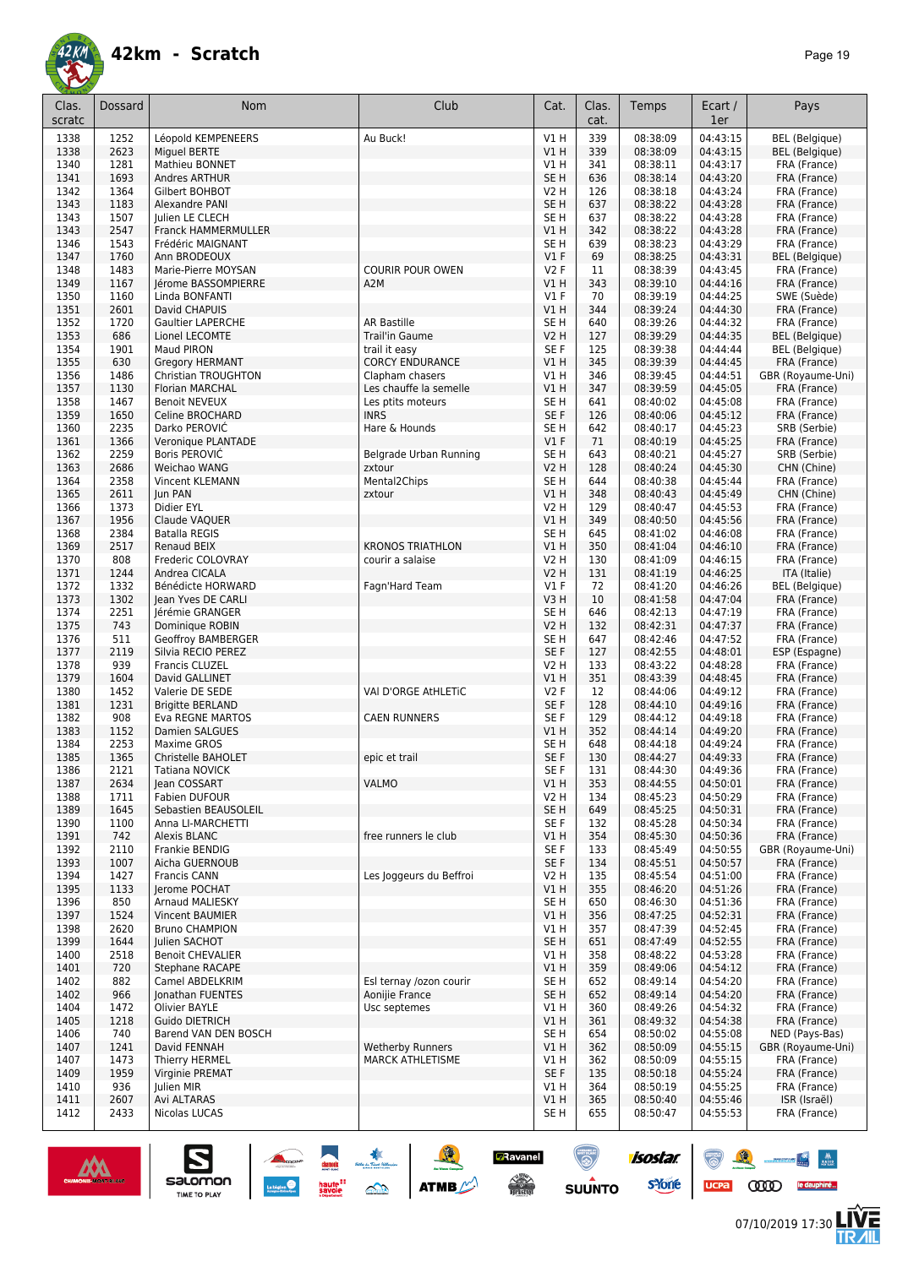

| Clas.<br>scratc | Dossard      | <b>Nom</b>                          | Club                    | Cat.             | Clas.<br>cat. | Temps                | Ecart /<br>1er       | Pays                                  |
|-----------------|--------------|-------------------------------------|-------------------------|------------------|---------------|----------------------|----------------------|---------------------------------------|
|                 |              |                                     |                         |                  |               |                      |                      |                                       |
| 1338            | 1252         | Léopold KEMPENEERS                  | Au Buck!                | V1H              | 339           | 08:38:09             | 04:43:15             | <b>BEL</b> (Belgique)                 |
| 1338            | 2623         | Miguel BERTE                        |                         | V1H              | 339           | 08:38:09             | 04:43:15             | <b>BEL</b> (Belgique)                 |
| 1340            | 1281         | Mathieu BONNET                      |                         | V1 H             | 341           | 08:38:11             | 04:43:17             | FRA (France)                          |
| 1341            | 1693         | <b>Andres ARTHUR</b>                |                         | SE <sub>H</sub>  | 636           | 08:38:14             | 04:43:20             | FRA (France)                          |
| 1342            | 1364         | Gilbert BOHBOT                      |                         | <b>V2 H</b>      | 126           | 08:38:18<br>08:38:22 | 04:43:24             | FRA (France)                          |
| 1343            | 1183         | Alexandre PANI                      |                         | SE H             | 637           |                      | 04:43:28             | FRA (France)                          |
| 1343            | 1507         | Julien LE CLECH                     |                         | SE H             | 637           | 08:38:22             | 04:43:28             | FRA (France)                          |
| 1343            | 2547<br>1543 | <b>Franck HAMMERMULLER</b>          |                         | V1 H<br>SE H     | 342<br>639    | 08:38:22             | 04:43:28             | FRA (France)                          |
| 1346<br>1347    | 1760         | Frédéric MAIGNANT                   |                         | $VI$ F           | 69            | 08:38:23<br>08:38:25 | 04:43:29<br>04:43:31 | FRA (France)                          |
| 1348            | 1483         | Ann BRODEOUX<br>Marie-Pierre MOYSAN | <b>COURIR POUR OWEN</b> | V2F              | 11            | 08:38:39             | 04:43:45             | <b>BEL</b> (Belgique)<br>FRA (France) |
| 1349            | 1167         | Jérome BASSOMPIERRE                 | A2M                     | V1 H             | 343           | 08:39:10             | 04:44:16             | FRA (France)                          |
| 1350            | 1160         | Linda BONFANTI                      |                         | $VI$ F           | 70            | 08:39:19             | 04:44:25             | SWE (Suède)                           |
| 1351            | 2601         | David CHAPUIS                       |                         | V1 H             | 344           | 08:39:24             | 04:44:30             | FRA (France)                          |
| 1352            | 1720         | <b>Gaultier LAPERCHE</b>            | <b>AR Bastille</b>      | SE <sub>H</sub>  | 640           | 08:39:26             | 04:44:32             | FRA (France)                          |
| 1353            | 686          | Lionel LECOMTE                      | <b>Trail'in Gaume</b>   | V2 H             | 127           | 08:39:29             | 04:44:35             | <b>BEL</b> (Belgique)                 |
| 1354            | 1901         | Maud PIRON                          | trail it easy           | SE F             | 125           | 08:39:38             | 04:44:44             | <b>BEL</b> (Belgique)                 |
| 1355            | 630          | <b>Gregory HERMANT</b>              | <b>CORCY ENDURANCE</b>  | V1 H             | 345           | 08:39:39             | 04:44:45             | FRA (France)                          |
| 1356            | 1486         | Christian TROUGHTON                 | Clapham chasers         | V1 H             | 346           | 08:39:45             | 04:44:51             | GBR (Royaume-Uni)                     |
| 1357            | 1130         | Florian MARCHAL                     | Les chauffe la semelle  | V1H              | 347           | 08:39:59             | 04:45:05             | FRA (France)                          |
| 1358            | 1467         | <b>Benoit NEVEUX</b>                | Les ptits moteurs       | SE H             | 641           | 08:40:02             | 04:45:08             | FRA (France)                          |
| 1359            | 1650         | Celine BROCHARD                     | <b>INRS</b>             | SE F             | 126           | 08:40:06             | 04:45:12             | FRA (France)                          |
| 1360            | 2235         | Darko PEROVIĆ                       | Hare & Hounds           | SE <sub>H</sub>  | 642           | 08:40:17             | 04:45:23             | SRB (Serbie)                          |
| 1361            | 1366         | Veronique PLANTADE                  |                         | $VI$ F           | 71            | 08:40:19             | 04:45:25             | FRA (France)                          |
| 1362            | 2259         | Boris PEROVIC                       | Belgrade Urban Running  | SE <sub>H</sub>  | 643           | 08:40:21             | 04:45:27             | SRB (Serbie)                          |
| 1363            | 2686         | Weichao WANG                        | zxtour                  | V2 H             | 128           | 08:40:24             | 04:45:30             | CHN (Chine)                           |
| 1364            | 2358         | <b>Vincent KLEMANN</b>              | Mental2Chips            | SE H             | 644           | 08:40:38             | 04:45:44             | FRA (France)                          |
| 1365            | 2611         | Jun PAN                             | zxtour                  | V1H              | 348           | 08:40:43             | 04:45:49             | CHN (Chine)                           |
| 1366            | 1373         | Didier EYL                          |                         | <b>V2 H</b>      | 129           | 08:40:47             | 04:45:53             | FRA (France)                          |
| 1367            | 1956         | Claude VAQUER                       |                         | V1 H             | 349           | 08:40:50             | 04:45:56             | FRA (France)                          |
| 1368            | 2384         | <b>Batalla REGIS</b>                |                         | SE H             | 645           | 08:41:02             | 04:46:08             | FRA (France)                          |
| 1369            | 2517         | Renaud BEIX                         | <b>KRONOS TRIATHLON</b> | V1 H             | 350           | 08:41:04             | 04:46:10             | FRA (France)                          |
| 1370            | 808          | Frederic COLOVRAY                   | courir a salaise        | <b>V2 H</b>      | 130           | 08:41:09             | 04:46:15             | FRA (France)                          |
| 1371            | 1244         | Andrea CICALA                       |                         | <b>V2 H</b>      | 131           | 08:41:19             | 04:46:25             | ITA (Italie)                          |
| 1372            | 1332         | Bénédicte HORWARD                   | Fagn'Hard Team          | $VI$ F           | 72            | 08:41:20             | 04:46:26             | <b>BEL</b> (Belgique)                 |
| 1373            | 1302         | Jean Yves DE CARLI                  |                         | V3H              | 10            | 08:41:58             | 04:47:04             | FRA (France)                          |
| 1374            | 2251         | Jérémie GRANGER                     |                         | SE H             | 646           | 08:42:13             | 04:47:19             | FRA (France)                          |
| 1375            | 743          | Dominique ROBIN                     |                         | V <sub>2</sub> H | 132           | 08:42:31             | 04:47:37             | FRA (France)                          |
| 1376            | 511          | Geoffroy BAMBERGER                  |                         | SE <sub>H</sub>  | 647           | 08:42:46             | 04:47:52             | FRA (France)                          |
| 1377            | 2119         | Silvia RECIO PEREZ                  |                         | SE F             | 127           | 08:42:55             | 04:48:01             | ESP (Espagne)                         |
| 1378            | 939          | Francis CLUZEL                      |                         | <b>V2 H</b>      | 133           | 08:43:22             | 04:48:28             | FRA (France)                          |
| 1379            | 1604         | David GALLINET                      |                         | <b>V1 H</b>      | 351           | 08:43:39             | 04:48:45             | FRA (France)                          |
| 1380            | 1452         | Valerie DE SEDE                     | VAI D'ORGE AtHLETIC     | V2 F             | 12            | 08:44:06             | 04:49:12             | FRA (France)                          |
| 1381            | 1231         | <b>Brigitte BERLAND</b>             |                         | SE F             | 128           | 08:44:10             | 04:49:16             | FRA (France)                          |
| 1382            | 908          | Eva REGNE MARTOS                    | <b>CAEN RUNNERS</b>     | SE <sub>F</sub>  | 129           | 08:44:12             | 04:49:18             | FRA (France)                          |
| 1383            | 1152         | Damien SALGUES                      |                         | V1H              | 352           | 08:44:14             | 04:49:20             | FRA (France)                          |
| 1384            | 2253         | Maxime GROS                         |                         | SE H             | 648           | 08:44:18             | 04:49:24             | FRA (France)                          |
| 1385            | 1365         | Christelle BAHOLET                  | epic et trail           | SE F             | 130           | 08:44:27             | 04:49:33             | FRA (France)                          |
| 1386            | 2121         | Tatiana NOVICK                      |                         | SE F             | 131           | 08:44:30             | 04:49:36             | FRA (France)                          |
| 1387            | 2634         | Jean COSSART                        | <b>VALMO</b>            | V1 H             | 353           | 08:44:55             | 04:50:01             | FRA (France)                          |
| 1388            | 1711         | Fabien DUFOUR                       |                         | V2 H             | 134           | 08:45:23             | 04:50:29             | FRA (France)                          |
| 1389            | 1645         | Sebastien BEAUSOLEIL                |                         | SE H             | 649           | 08:45:25             | 04:50:31             | FRA (France)                          |
| 1390            | 1100         | Anna LI-MARCHETTI                   |                         | SE F             | 132           | 08:45:28             | 04:50:34             | FRA (France)                          |
| 1391            | 742          | <b>Alexis BLANC</b>                 | free runners le club    | V1 H             | 354           | 08:45:30             | 04:50:36             | FRA (France)                          |
| 1392            | 2110         | Frankie BENDIG                      |                         | SE F             | 133           | 08:45:49             | 04:50:55             | GBR (Royaume-Uni)                     |
| 1393            | 1007         | Aicha GUERNOUB                      |                         | SE F             | 134           | 08:45:51             | 04:50:57             | FRA (France)                          |
| 1394            | 1427         | Francis CANN                        | Les Joggeurs du Beffroi | V2 H             | 135           | 08:45:54             | 04:51:00             | FRA (France)                          |
| 1395            | 1133         | Jerome POCHAT                       |                         | V1H              | 355           | 08:46:20             | 04:51:26             | FRA (France)                          |
| 1396            | 850          | Arnaud MALIESKY                     |                         | SE H             | 650           | 08:46:30             | 04:51:36             | FRA (France)                          |
| 1397            | 1524         | <b>Vincent BAUMIER</b>              |                         | V1 H             | 356           | 08:47:25             | 04:52:31             | FRA (France)                          |
| 1398            | 2620         | <b>Bruno CHAMPION</b>               |                         | V1 H             | 357           | 08:47:39             | 04:52:45             | FRA (France)                          |
| 1399            | 1644         | Julien SACHOT                       |                         | SE <sub>H</sub>  | 651           | 08:47:49             | 04:52:55             | FRA (France)                          |
| 1400            | 2518         | <b>Benoit CHEVALIER</b>             |                         | V1 H             | 358           | 08:48:22             | 04:53:28             | FRA (France)                          |
| 1401            | 720          | Stephane RACAPE                     |                         | V1H              | 359           | 08:49:06             | 04:54:12             | FRA (France)                          |
| 1402            | 882          | Camel ABDELKRIM                     | Esl ternay /ozon courir | SE H             | 652           | 08:49:14             | 04:54:20             | FRA (France)                          |
| 1402            | 966          | Jonathan FUENTES                    | Aonijie France          | SE H             | 652           | 08:49:14             | 04:54:20             | FRA (France)                          |
| 1404            | 1472         | Olivier BAYLE                       | Usc septemes            | V1 H             | 360           | 08:49:26             | 04:54:32             | FRA (France)                          |
| 1405            | 1218         | Guido DIETRICH                      |                         | V1H              | 361           | 08:49:32             | 04:54:38             | FRA (France)                          |
| 1406            | 740          | Barend VAN DEN BOSCH                |                         | SE H             | 654           | 08:50:02             | 04:55:08             | NED (Pays-Bas)                        |
| 1407            | 1241         | David FENNAH                        | <b>Wetherby Runners</b> | V1H              | 362           | 08:50:09             | 04:55:15             | GBR (Royaume-Uni)                     |
| 1407            | 1473         | Thierry HERMEL                      | <b>MARCK ATHLETISME</b> | <b>V1 H</b>      | 362           | 08:50:09             | 04:55:15             | FRA (France)                          |
| 1409            | 1959         | Virginie PREMAT                     |                         | SE F             | 135           | 08:50:18             | 04:55:24             | FRA (France)                          |
| 1410            | 936          | Julien MIR                          |                         | V1 H             | 364           | 08:50:19             | 04:55:25             | FRA (France)                          |
| 1411            | 2607         | Avi ALTARAS                         |                         | V1H              | 365           | 08:50:40             | 04:55:46             | ISR (Israël)                          |
| 1412            | 2433         | Nicolas LUCAS                       |                         | SE H             | 655           | 08:50:47             | 04:55:53             | FRA (France)                          |

![](_page_18_Picture_4.jpeg)

![](_page_18_Picture_5.jpeg)

 $\bullet$   $\bullet$ UCPa **COOD** le dauphiné...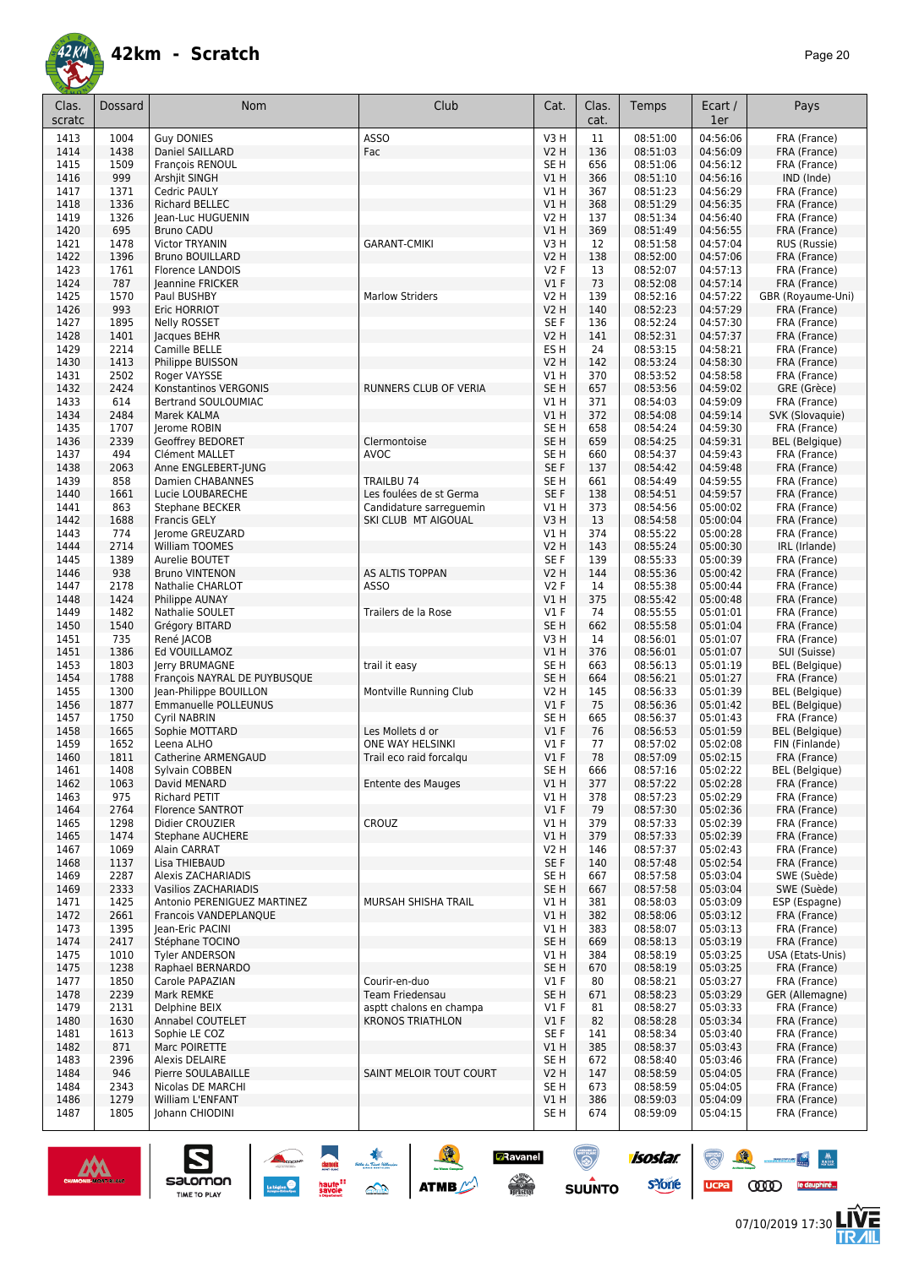![](_page_19_Picture_0.jpeg)

| Clas.        | <b>Dossard</b> | <b>Nom</b>                                             | Club                                           | Cat.                    | Clas.      | Temps                | Ecart /              | Pays                                  |
|--------------|----------------|--------------------------------------------------------|------------------------------------------------|-------------------------|------------|----------------------|----------------------|---------------------------------------|
| scratc       |                |                                                        |                                                |                         | cat.       |                      | 1er                  |                                       |
| 1413         | 1004           | <b>Guv DONIES</b>                                      | ASSO                                           | V3H                     | 11         | 08:51:00             | 04:56:06             | FRA (France)                          |
| 1414         | 1438           | Daniel SAILLARD                                        | Fac                                            | V2 H                    | 136        | 08:51:03             | 04:56:09             | FRA (France)                          |
| 1415<br>1416 | 1509<br>999    | François RENOUL<br>Arshjit SINGH                       |                                                | SE H<br>V1 H            | 656<br>366 | 08:51:06<br>08:51:10 | 04:56:12<br>04:56:16 | FRA (France)<br>IND (Inde)            |
| 1417         | 1371           | Cedric PAULY                                           |                                                | <b>V1 H</b>             | 367        | 08:51:23             | 04:56:29             | FRA (France)                          |
| 1418         | 1336           | <b>Richard BELLEC</b>                                  |                                                | V1 H                    | 368        | 08:51:29             | 04:56:35             | FRA (France)                          |
| 1419         | 1326           | Jean-Luc HUGUENIN                                      |                                                | V2 H                    | 137        | 08:51:34             | 04:56:40             | FRA (France)                          |
| 1420         | 695            | <b>Bruno CADU</b>                                      |                                                | V1 H                    | 369        | 08:51:49             | 04:56:55             | FRA (France)                          |
| 1421         | 1478           | Victor TRYANIN                                         | <b>GARANT-CMIKI</b>                            | V3 H                    | 12         | 08:51:58             | 04:57:04             | RUS (Russie)                          |
| 1422<br>1423 | 1396<br>1761   | <b>Bruno BOUILLARD</b><br><b>Florence LANDOIS</b>      |                                                | V2 H<br><b>V2F</b>      | 138<br>13  | 08:52:00<br>08:52:07 | 04:57:06<br>04:57:13 | FRA (France)<br>FRA (France)          |
| 1424         | 787            | Jeannine FRICKER                                       |                                                | $VI$ F                  | 73         | 08:52:08             | 04:57:14             | FRA (France)                          |
| 1425         | 1570           | Paul BUSHBY                                            | <b>Marlow Striders</b>                         | V2 H                    | 139        | 08:52:16             | 04:57:22             | GBR (Royaume-Uni)                     |
| 1426         | 993            | Eric HORRIOT                                           |                                                | V2 H                    | 140        | 08:52:23             | 04:57:29             | FRA (France)                          |
| 1427         | 1895           | <b>Nelly ROSSET</b>                                    |                                                | SE F                    | 136        | 08:52:24             | 04:57:30             | FRA (France)                          |
| 1428<br>1429 | 1401<br>2214   | Jacques BEHR<br>Camille BELLE                          |                                                | V2 H<br>ES H            | 141<br>24  | 08:52:31<br>08:53:15 | 04:57:37<br>04:58:21 | FRA (France)<br>FRA (France)          |
| 1430         | 1413           | Philippe BUISSON                                       |                                                | V2 H                    | 142        | 08:53:24             | 04:58:30             | FRA (France)                          |
| 1431         | 2502           | Roger VAYSSE                                           |                                                | V1 H                    | 370        | 08:53:52             | 04:58:58             | FRA (France)                          |
| 1432         | 2424           | Konstantinos VERGONIS                                  | RUNNERS CLUB OF VERIA                          | SE H                    | 657        | 08:53:56             | 04:59:02             | GRE (Grèce)                           |
| 1433         | 614            | Bertrand SOULOUMIAC                                    |                                                | V1 H                    | 371        | 08:54:03             | 04:59:09             | FRA (France)                          |
| 1434         | 2484           | Marek KALMA                                            |                                                | V1H                     | 372        | 08:54:08             | 04:59:14             | SVK (Slovaquie)                       |
| 1435<br>1436 | 1707<br>2339   | Jerome ROBIN<br>Geoffrey BEDORET                       | Clermontoise                                   | SE H<br>SE <sub>H</sub> | 658<br>659 | 08:54:24<br>08:54:25 | 04:59:30<br>04:59:31 | FRA (France)<br><b>BEL</b> (Belgique) |
| 1437         | 494            | Clément MALLET                                         | <b>AVOC</b>                                    | SE H                    | 660        | 08:54:37             | 04:59:43             | FRA (France)                          |
| 1438         | 2063           | Anne ENGLEBERT-JUNG                                    |                                                | SE F                    | 137        | 08:54:42             | 04:59:48             | FRA (France)                          |
| 1439         | 858            | <b>Damien CHABANNES</b>                                | TRAILBU 74                                     | SE H                    | 661        | 08:54:49             | 04:59:55             | FRA (France)                          |
| 1440         | 1661           | Lucie LOUBARECHE                                       | Les foulées de st Germa                        | SE <sub>F</sub>         | 138        | 08:54:51             | 04:59:57             | FRA (France)                          |
| 1441<br>1442 | 863<br>1688    | Stephane BECKER                                        | Candidature sarreguemin<br>SKI CLUB MT AIGOUAL | V1 H                    | 373        | 08:54:56<br>08:54:58 | 05:00:02<br>05:00:04 | FRA (France)                          |
| 1443         | 774            | <b>Francis GELY</b><br>lerome GREUZARD                 |                                                | V3H<br>V1 H             | 13<br>374  | 08:55:22             | 05:00:28             | FRA (France)<br>FRA (France)          |
| 1444         | 2714           | William TOOMES                                         |                                                | V2 H                    | 143        | 08:55:24             | 05:00:30             | IRL (Irlande)                         |
| 1445         | 1389           | Aurelie BOUTET                                         |                                                | SE F                    | 139        | 08:55:33             | 05:00:39             | FRA (France)                          |
| 1446         | 938            | <b>Bruno VINTENON</b>                                  | AS ALTIS TOPPAN                                | V2 H                    | 144        | 08:55:36             | 05:00:42             | FRA (France)                          |
| 1447         | 2178           | Nathalie CHARLOT                                       | <b>ASSO</b>                                    | <b>V2F</b>              | 14         | 08:55:38             | 05:00:44             | FRA (France)                          |
| 1448<br>1449 | 1424<br>1482   | Philippe AUNAY<br>Nathalie SOULET                      | Trailers de la Rose                            | V1 H<br>$VI$ F          | 375<br>74  | 08:55:42<br>08:55:55 | 05:00:48<br>05:01:01 | FRA (France)<br>FRA (France)          |
| 1450         | 1540           | Grégory BITARD                                         |                                                | SE H                    | 662        | 08:55:58             | 05:01:04             | FRA (France)                          |
| 1451         | 735            | René JACOB                                             |                                                | V3 H                    | 14         | 08:56:01             | 05:01:07             | FRA (France)                          |
| 1451         | 1386           | Ed VOUILLAMOZ                                          |                                                | V1 H                    | 376        | 08:56:01             | 05:01:07             | SUI (Suisse)                          |
| 1453         | 1803           | Jerry BRUMAGNE                                         | trail it easy                                  | SE H                    | 663        | 08:56:13             | 05:01:19             | BEL (Belgique)                        |
| 1454<br>1455 | 1788<br>1300   | François NAYRAL DE PUYBUSQUE<br>Jean-Philippe BOUILLON | Montville Running Club                         | SE <sub>H</sub><br>V2 H | 664<br>145 | 08:56:21<br>08:56:33 | 05:01:27<br>05:01:39 | FRA (France)<br><b>BEL</b> (Belgique) |
| 1456         | 1877           | Emmanuelle POLLEUNUS                                   |                                                | $VI$ F                  | 75         | 08:56:36             | 05:01:42             | BEL (Belgique)                        |
| 1457         | 1750           | Cyril NABRIN                                           |                                                | SE H                    | 665        | 08:56:37             | 05:01:43             | FRA (France)                          |
| 1458         | 1665           | Sophie MOTTARD                                         | Les Mollets d or                               | $VI$ F                  | 76         | 08:56:53             | 05:01:59             | <b>BEL</b> (Belgique)                 |
| 1459         | 1652           | Leena ALHO                                             | ONE WAY HELSINKI                               | $VI$ F                  | 77         | 08:57:02             | 05:02:08             | FIN (Finlande)                        |
| 1460         | 1811           | Catherine ARMENGAUD                                    | Trail eco raid forcalgu                        | $VI$ F                  | 78         | 08:57:09             | 05:02:15             | FRA (France)                          |
| 1461<br>1462 | 1408<br>1063   | Sylvain COBBEN<br>David MENARD                         | Entente des Mauges                             | SE H<br>V1 H            | 666<br>377 | 08:57:16<br>08:57:22 | 05:02:22<br>05:02:28 | <b>BEL</b> (Belgique)<br>FRA (France) |
| 1463         | 975            | Richard PETIT                                          |                                                | VIH                     | 378        | 08:57:23             | 05:02:29             | FRA (France)                          |
| 1464         | 2764           | Florence SANTROT                                       |                                                | $VI$ F                  | 79         | 08:57:30             | 05:02:36             | FRA (France)                          |
| 1465         | 1298           | Didier CROUZIER                                        | CROUZ                                          | V1 H                    | 379        | 08:57:33             | 05:02:39             | FRA (France)                          |
| 1465         | 1474           | <b>Stephane AUCHERE</b>                                |                                                | V1 H                    | 379        | 08:57:33             | 05:02:39             | FRA (France)                          |
| 1467<br>1468 | 1069<br>1137   | Alain CARRAT<br>Lisa THIEBAUD                          |                                                | V2 H<br>SE F            | 146<br>140 | 08:57:37<br>08:57:48 | 05:02:43<br>05:02:54 | FRA (France)<br>FRA (France)          |
| 1469         | 2287           | Alexis ZACHARIADIS                                     |                                                | SE H                    | 667        | 08:57:58             | 05:03:04             | SWE (Suède)                           |
| 1469         | 2333           | Vasilios ZACHARIADIS                                   |                                                | SE H                    | 667        | 08:57:58             | 05:03:04             | SWE (Suède)                           |
| 1471         | 1425           | Antonio PERENIGUEZ MARTINEZ                            | MURSAH SHISHA TRAIL                            | V1 H                    | 381        | 08:58:03             | 05:03:09             | ESP (Espagne)                         |
| 1472         | 2661           | Francois VANDEPLANQUE                                  |                                                | V1 H                    | 382        | 08:58:06             | 05:03:12             | FRA (France)                          |
| 1473         | 1395           | Jean-Eric PACINI<br>Stéphane TOCINO                    |                                                | V1 H                    | 383        | 08:58:07             | 05:03:13<br>05:03:19 | FRA (France)                          |
| 1474<br>1475 | 2417<br>1010   | <b>Tyler ANDERSON</b>                                  |                                                | SE H<br>V1 H            | 669<br>384 | 08:58:13<br>08:58:19 | 05:03:25             | FRA (France)<br>USA (Etats-Unis)      |
| 1475         | 1238           | Raphael BERNARDO                                       |                                                | SE H                    | 670        | 08:58:19             | 05:03:25             | FRA (France)                          |
| 1477         | 1850           | Carole PAPAZIAN                                        | Courir-en-duo                                  | $VI$ F                  | 80         | 08:58:21             | 05:03:27             | FRA (France)                          |
| 1478         | 2239           | Mark REMKE                                             | Team Friedensau                                | SE H                    | 671        | 08:58:23             | 05:03:29             | GER (Allemagne)                       |
| 1479         | 2131           | Delphine BEIX                                          | asptt chalons en champa                        | $VI$ F                  | 81         | 08:58:27             | 05:03:33             | FRA (France)                          |
| 1480<br>1481 | 1630<br>1613   | Annabel COUTELET<br>Sophie LE COZ                      | <b>KRONOS TRIATHLON</b>                        | $VI$ F<br>SE F          | 82<br>141  | 08:58:28<br>08:58:34 | 05:03:34<br>05:03:40 | FRA (France)<br>FRA (France)          |
| 1482         | 871            | Marc POIRETTE                                          |                                                | V1 H                    | 385        | 08:58:37             | 05:03:43             | FRA (France)                          |
| 1483         | 2396           | <b>Alexis DELAIRE</b>                                  |                                                | SE <sub>H</sub>         | 672        | 08:58:40             | 05:03:46             | FRA (France)                          |
| 1484         | 946            | Pierre SOULABAILLE                                     | SAINT MELOIR TOUT COURT                        | V2 H                    | 147        | 08:58:59             | 05:04:05             | FRA (France)                          |
| 1484         | 2343           | Nicolas DE MARCHI                                      |                                                | SE H                    | 673        | 08:58:59             | 05:04:05             | FRA (France)                          |
| 1486         | 1279<br>1805   | William L'ENFANT<br>Johann CHIODINI                    |                                                | V1 H                    | 386<br>674 | 08:59:03<br>08:59:09 | 05:04:09<br>05:04:15 | FRA (France)                          |
| 1487         |                |                                                        |                                                | SE H                    |            |                      |                      | FRA (France)                          |

**BRavanel**<br>Aliguna

 $\odot$ 

**SUUNTO** 

![](_page_19_Picture_4.jpeg)

 $\sum_{\text{SALOMOM}}$ 

![](_page_19_Picture_5.jpeg)

UCPA COOD le dauphiné...

isostar.

**s**Yone

 $\frac{1}{\sqrt{2}}$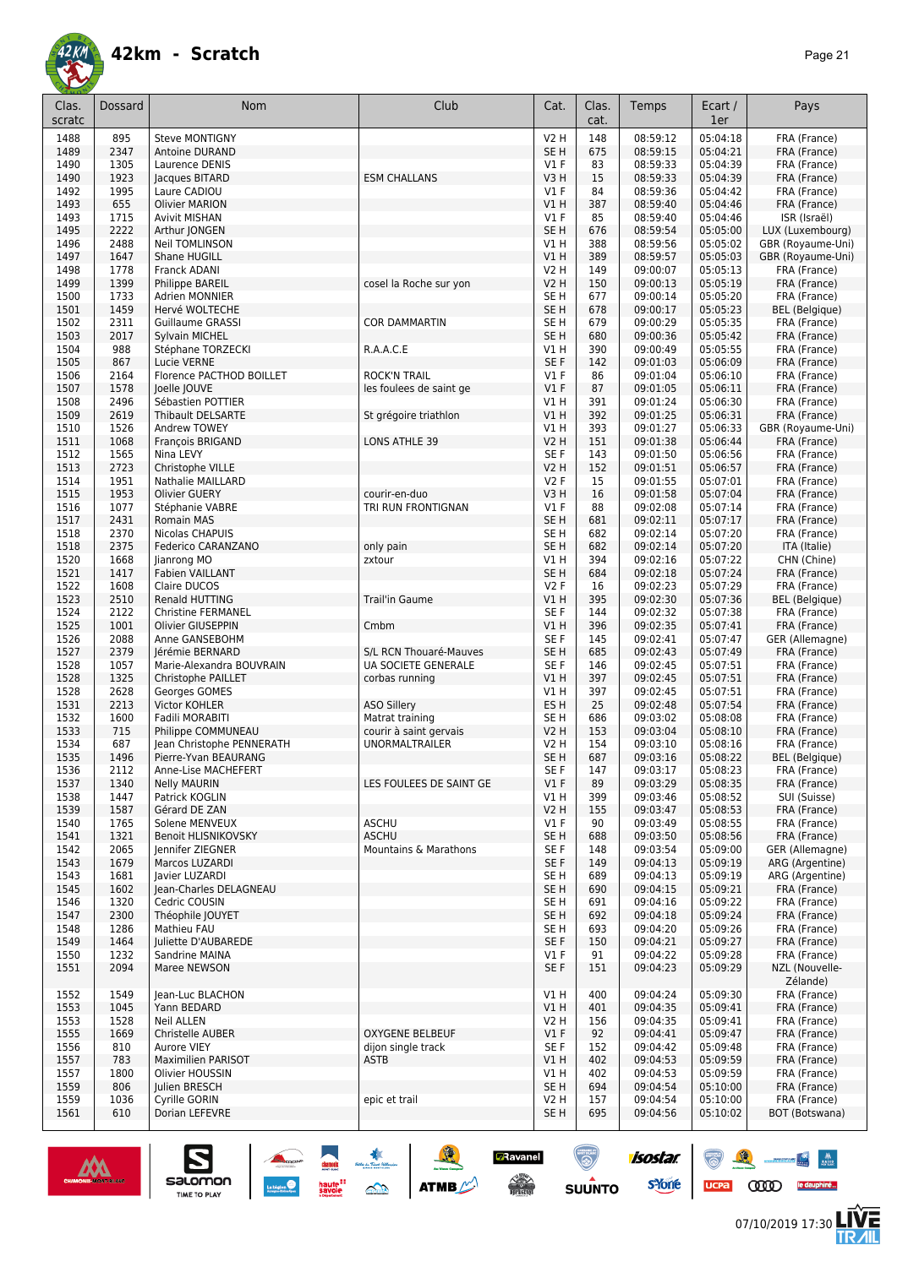![](_page_20_Picture_0.jpeg)

| Clas.<br>scratc | Dossard      | <b>Nom</b>                       | Club                                  | Cat.                    | Clas.<br>cat. | Temps                | Ecart /<br>1er       | Pays                              |
|-----------------|--------------|----------------------------------|---------------------------------------|-------------------------|---------------|----------------------|----------------------|-----------------------------------|
| 1488            | 895          | <b>Steve MONTIGNY</b>            |                                       | V2 H                    | 148           | 08:59:12             | 05:04:18             | FRA (France)                      |
| 1489            | 2347         | Antoine DURAND                   |                                       | SE <sub>H</sub>         | 675           | 08:59:15             | 05:04:21             | FRA (France)                      |
| 1490            | 1305         | Laurence DENIS                   |                                       | $VI$ F                  | 83            | 08:59:33             | 05:04:39             | FRA (France)                      |
| 1490            | 1923         | Jacques BITARD                   | <b>ESM CHALLANS</b>                   | V3H                     | 15            | 08:59:33             | 05:04:39             | FRA (France)                      |
| 1492            | 1995         | Laure CADIOU                     |                                       | $VI$ F                  | 84            | 08:59:36             | 05:04:42             | FRA (France)                      |
| 1493            | 655          | <b>Olivier MARION</b>            |                                       | V1 H                    | 387           | 08:59:40             | 05:04:46             | FRA (France)                      |
| 1493            | 1715         | Avivit MISHAN                    |                                       | $VI$ F                  | 85            | 08:59:40             | 05:04:46             | ISR (Israël)                      |
| 1495            | 2222         | Arthur JONGEN                    |                                       | SE <sub>H</sub>         | 676           | 08:59:54             | 05:05:00             | LUX (Luxembourg)                  |
| 1496            | 2488         | <b>Neil TOMLINSON</b>            |                                       | V1 H                    | 388           | 08:59:56             | 05:05:02             | GBR (Royaume-Uni)                 |
| 1497            | 1647         | Shane HUGILL                     |                                       | VIH                     | 389           | 08:59:57             | 05:05:03             | GBR (Royaume-Uni)                 |
| 1498            | 1778         | <b>Franck ADANI</b>              |                                       | V2 H                    | 149           | 09:00:07             | 05:05:13             | FRA (France)                      |
| 1499            | 1399         | Philippe BAREIL                  | cosel la Roche sur yon                | V2 H                    | 150           | 09:00:13             | 05:05:19             | FRA (France)                      |
| 1500            | 1733         | <b>Adrien MONNIER</b>            |                                       | SE <sub>H</sub>         | 677           | 09:00:14             | 05:05:20             | FRA (France)                      |
| 1501            | 1459         | Hervé WOLTECHE                   |                                       | SE <sub>H</sub>         | 678           | 09:00:17             | 05:05:23             | <b>BEL</b> (Belgique)             |
| 1502            | 2311         | <b>Guillaume GRASSI</b>          | <b>COR DAMMARTIN</b>                  | SE H                    | 679           | 09:00:29             | 05:05:35             | FRA (France)                      |
| 1503            | 2017         | Sylvain MICHEL                   |                                       | SE <sub>H</sub>         | 680           | 09:00:36             | 05:05:42             | FRA (France)                      |
| 1504            | 988          | Stéphane TORZECKI                | R.A.A.C.E                             | V1 H                    | 390           | 09:00:49             | 05:05:55             | FRA (France)                      |
| 1505            | 867          | Lucie VERNE                      |                                       | SE F                    | 142           | 09:01:03             | 05:06:09             | FRA (France)                      |
| 1506            | 2164         | Florence PACTHOD BOILLET         | <b>ROCK'N TRAIL</b>                   | $VI$ F                  | 86            | 09:01:04             | 05:06:10             | FRA (France)                      |
| 1507            | 1578         | Joelle JOUVE                     | les foulees de saint ge               | $VI$ F                  | 87            | 09:01:05             | 05:06:11             | FRA (France)                      |
| 1508            | 2496         | Sébastien POTTIER                |                                       | V1 H                    | 391           | 09:01:24             | 05:06:30             | FRA (France)                      |
| 1509            | 2619         | <b>Thibault DELSARTE</b>         | St grégoire triathlon                 | V1H                     | 392           | 09:01:25             | 05:06:31             | FRA (France)                      |
| 1510<br>1511    | 1526<br>1068 | Andrew TOWEY<br>François BRIGAND | <b>LONS ATHLE 39</b>                  | V1 H<br><b>V2 H</b>     | 393<br>151    | 09:01:27<br>09:01:38 | 05:06:33<br>05:06:44 | GBR (Royaume-Uni)<br>FRA (France) |
| 1512            | 1565         | Nina LEVY                        |                                       | SE F                    | 143           | 09:01:50             | 05:06:56             |                                   |
| 1513            | 2723         | Christophe VILLE                 |                                       | <b>V2 H</b>             | 152           | 09:01:51             | 05:06:57             | FRA (France)<br>FRA (France)      |
| 1514            | 1951         | <b>Nathalie MAILLARD</b>         |                                       | <b>V2F</b>              | 15            | 09:01:55             | 05:07:01             | FRA (France)                      |
| 1515            | 1953         | <b>Olivier GUERY</b>             | courir-en-duo                         | V3H                     | 16            | 09:01:58             | 05:07:04             | FRA (France)                      |
| 1516            | 1077         | Stéphanie VABRE                  | TRI RUN FRONTIGNAN                    | $VI$ F                  | 88            | 09:02:08             | 05:07:14             | FRA (France)                      |
| 1517            | 2431         | <b>Romain MAS</b>                |                                       | SE H                    | 681           | 09:02:11             | 05:07:17             | FRA (France)                      |
| 1518            | 2370         | Nicolas CHAPUIS                  |                                       | SE H                    | 682           | 09:02:14             | 05:07:20             | FRA (France)                      |
| 1518            | 2375         | Federico CARANZANO               | only pain                             | SE H                    | 682           | 09:02:14             | 05:07:20             | ITA (Italie)                      |
| 1520            | 1668         | Jianrong MO                      | zxtour                                | V1 H                    | 394           | 09:02:16             | 05:07:22             | CHN (Chine)                       |
| 1521            | 1417         | <b>Fabien VAILLANT</b>           |                                       | SE H                    | 684           | 09:02:18             | 05:07:24             | FRA (France)                      |
| 1522            | 1608         | Claire DUCOS                     |                                       | <b>V2F</b>              | 16            | 09:02:23             | 05:07:29             | FRA (France)                      |
| 1523            | 2510         | Renald HUTTING                   | <b>Trail'in Gaume</b>                 | VIH                     | 395           | 09:02:30             | 05:07:36             | <b>BEL</b> (Belgique)             |
| 1524            | 2122         | <b>Christine FERMANEL</b>        |                                       | SE F                    | 144           | 09:02:32             | 05:07:38             | FRA (France)                      |
| 1525            | 1001         | Olivier GIUSEPPIN                | Cmbm                                  | V1 H                    | 396           | 09:02:35             | 05:07:41             | FRA (France)                      |
| 1526            | 2088         | Anne GANSEBOHM                   |                                       | SE F                    | 145           | 09:02:41             | 05:07:47             | GER (Allemagne)                   |
| 1527            | 2379         | Jérémie BERNARD                  | S/L RCN Thouaré-Mauves                | SE H                    | 685           | 09:02:43             | 05:07:49             | FRA (France)                      |
| 1528            | 1057         | Marie-Alexandra BOUVRAIN         | UA SOCIETE GENERALE                   | SE F                    | 146           | 09:02:45             | 05:07:51             | FRA (France)                      |
| 1528            | 1325         | Christophe PAILLET               | corbas running                        | V1 H                    | 397           | 09:02:45             | 05:07:51             | FRA (France)                      |
| 1528            | 2628         | Georges GOMES                    |                                       | V1 H                    | 397           | 09:02:45             | 05:07:51             | FRA (France)                      |
| 1531            | 2213<br>1600 | Victor KOHLER<br>Fadili MORABITI | <b>ASO Sillery</b><br>Matrat training | ES <sub>H</sub><br>SE H | 25<br>686     | 09:02:48<br>09:03:02 | 05:07:54<br>05:08:08 | FRA (France)                      |
| 1532<br>1533    | 715          | Philippe COMMUNEAU               | courir à saint gervais                | <b>V2 H</b>             | 153           | 09:03:04             | 05:08:10             | FRA (France)<br>FRA (France)      |
| 1534            | 687          | Jean Christophe PENNERATH        | <b>UNORMALTRAILER</b>                 | V2 H                    | 154           | 09:03:10             | 05:08:16             | FRA (France)                      |
| 1535            | 1496         | Pierre-Yvan BEAURANG             |                                       | SE <sub>H</sub>         | 687           | 09:03:16             | 05:08:22             | <b>BEL</b> (Belgique)             |
| 1536            | 2112         | Anne-Lise MACHEFERT              |                                       | SE F                    | 147           | 09:03:17             | 05:08:23             | FRA (France)                      |
| 1537            | 1340         | <b>Nelly MAURIN</b>              | LES FOULEES DE SAINT GE               | $VI$ F                  | 89            | 09:03:29             | 05:08:35             | FRA (France)                      |
| 1538            | 1447         | Patrick KOGLIN                   |                                       | VIH                     | 399           | 09:03:46             | 05:08:52             | SUI (Suisse)                      |
| 1539            | 1587         | Gérard DE ZAN                    |                                       | V2 H                    | 155           | 09:03:47             | 05:08:53             | FRA (France)                      |
| 1540            | 1765         | Solene MENVEUX                   | ASCHU                                 | $VI$ F                  | 90            | 09:03:49             | 05:08:55             | FRA (France)                      |
| 1541            | 1321         | Benoit HLISNIKOVSKY              | <b>ASCHU</b>                          | SE H                    | 688           | 09:03:50             | 05:08:56             | FRA (France)                      |
| 1542            | 2065         | Jennifer ZIEGNER                 | Mountains & Marathons                 | SE F                    | 148           | 09:03:54             | 05:09:00             | GER (Allemagne)                   |
| 1543            | 1679         | Marcos LUZARDI                   |                                       | SE F                    | 149           | 09:04:13             | 05:09:19             | ARG (Argentine)                   |
| 1543            | 1681         | lavier LUZARDI                   |                                       | SE <sub>H</sub>         | 689           | 09:04:13             | 05:09:19             | ARG (Argentine)                   |
| 1545            | 1602         | Jean-Charles DELAGNEAU           |                                       | SE <sub>H</sub>         | 690           | 09:04:15             | 05:09:21             | FRA (France)                      |
| 1546            | 1320         | Cedric COUSIN                    |                                       | SE H                    | 691           | 09:04:16             | 05:09:22             | FRA (France)                      |
| 1547            | 2300         | Théophile JOUYET                 |                                       | SE <sub>H</sub>         | 692           | 09:04:18             | 05:09:24             | FRA (France)                      |
| 1548            | 1286         | Mathieu FAU                      |                                       | SE H                    | 693           | 09:04:20             | 05:09:26             | FRA (France)                      |
| 1549            | 1464         | Juliette D'AUBAREDE              |                                       | SE F                    | 150           | 09:04:21             | 05:09:27             | FRA (France)                      |
| 1550            | 1232<br>2094 | Sandrine MAINA                   |                                       | V1F<br>SE F             | 91            | 09:04:22<br>09:04:23 | 05:09:28             | FRA (France)                      |
| 1551            |              | Maree NEWSON                     |                                       |                         | 151           |                      | 05:09:29             | NZL (Nouvelle-                    |
| 1552            | 1549         | Jean-Luc BLACHON                 |                                       | V1 H                    | 400           | 09:04:24             | 05:09:30             | Zélande)<br>FRA (France)          |
| 1553            | 1045         | Yann BEDARD                      |                                       | V1 H                    | 401           | 09:04:35             | 05:09:41             | FRA (France)                      |
| 1553            | 1528         | <b>Neil ALLEN</b>                |                                       | V2 H                    | 156           | 09:04:35             | 05:09:41             | FRA (France)                      |
| 1555            | 1669         | Christelle AUBER                 | <b>OXYGENE BELBEUF</b>                | $VI$ F                  | 92            | 09:04:41             | 05:09:47             | FRA (France)                      |
| 1556            | 810          | Aurore VIEY                      | dijon single track                    | SE F                    | 152           | 09:04:42             | 05:09:48             | FRA (France)                      |
| 1557            | 783          | <b>Maximilien PARISOT</b>        | <b>ASTB</b>                           | VIH                     | 402           | 09:04:53             | 05:09:59             | FRA (France)                      |
| 1557            | 1800         | Olivier HOUSSIN                  |                                       | V1 H                    | 402           | 09:04:53             | 05:09:59             | FRA (France)                      |
| 1559            | 806          | Julien BRESCH                    |                                       | SE <sub>H</sub>         | 694           | 09:04:54             | 05:10:00             | FRA (France)                      |
| 1559            | 1036         | Cyrille GORIN                    | epic et trail                         | <b>V2 H</b>             | 157           | 09:04:54             | 05:10:00             | FRA (France)                      |
| 1561            | 610          | Dorian LEFEVRE                   |                                       | SE <sub>H</sub>         | 695           | 09:04:56             | 05:10:02             | BOT (Botswana)                    |
|                 |              |                                  |                                       |                         |               |                      |                      |                                   |

**A A A A ATTACK** 

**BRavanel**<br>Aliguna

 $\odot$ 

SUUNTO

isostar.

**s**Yone

![](_page_20_Picture_4.jpeg)

 $\sum_{\text{SALOMOM}}$ 

![](_page_20_Picture_5.jpeg)

怎

88 - 84

UCPA COOD le dauphiné...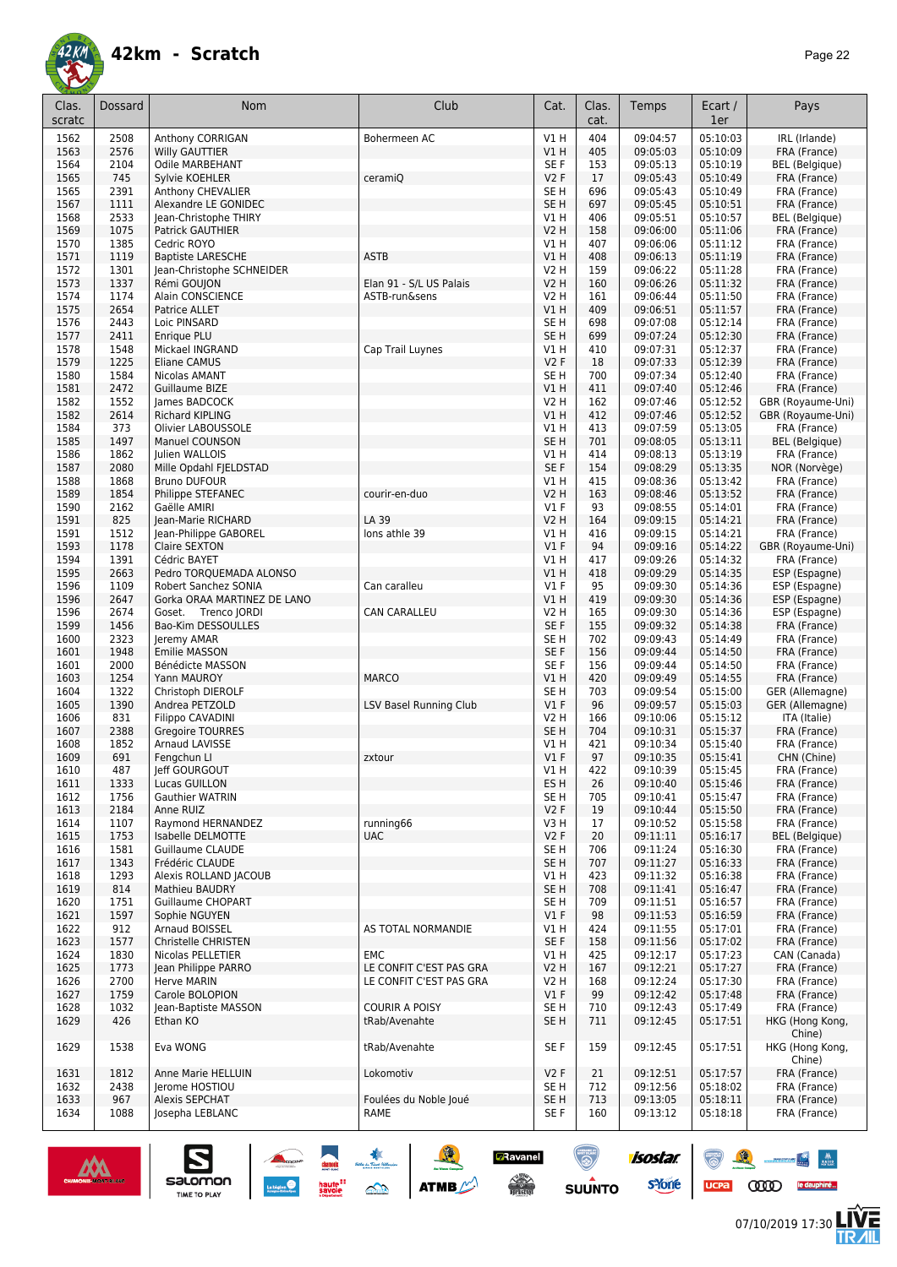![](_page_21_Picture_0.jpeg)

| Clas.        | Dossard      | Nom                                             | Club                    | Cat.                    | Clas.<br>cat. | Temps                | Ecart /<br>1er       | Pays                            |
|--------------|--------------|-------------------------------------------------|-------------------------|-------------------------|---------------|----------------------|----------------------|---------------------------------|
| scratc       |              |                                                 |                         |                         |               |                      |                      |                                 |
| 1562<br>1563 | 2508         | Anthony CORRIGAN<br><b>Willy GAUTTIER</b>       | Bohermeen AC            | V1H<br>V1 H             | 404<br>405    | 09:04:57<br>09:05:03 | 05:10:03<br>05:10:09 | IRL (Irlande)<br>FRA (France)   |
| 1564         | 2576<br>2104 | Odile MARBEHANT                                 |                         | SE F                    | 153           | 09:05:13             | 05:10:19             | <b>BEL</b> (Belgique)           |
| 1565         | 745          | Svlvie KOEHLER                                  | ceramiO                 | V2F                     | 17            | 09:05:43             | 05:10:49             | FRA (France)                    |
| 1565         | 2391         | Anthony CHEVALIER                               |                         | SE <sub>H</sub>         | 696           | 09:05:43             | 05:10:49             | FRA (France)                    |
| 1567         | 1111         | Alexandre LE GONIDEC                            |                         | SE <sub>H</sub>         | 697           | 09:05:45             | 05:10:51             | FRA (France)                    |
| 1568         | 2533         | Jean-Christophe THIRY                           |                         | V1H                     | 406           | 09:05:51             | 05:10:57             | <b>BEL</b> (Belgique)           |
| 1569         | 1075         | <b>Patrick GAUTHIER</b>                         |                         | V2 H                    | 158           | 09:06:00             | 05:11:06             | FRA (France)                    |
| 1570<br>1571 | 1385<br>1119 | Cedric ROYO<br><b>Baptiste LARESCHE</b>         | <b>ASTB</b>             | V1 H<br>VIH             | 407<br>408    | 09:06:06<br>09:06:13 | 05:11:12<br>05:11:19 | FRA (France)<br>FRA (France)    |
| 1572         | 1301         | Jean-Christophe SCHNEIDER                       |                         | V2 H                    | 159           | 09:06:22             | 05:11:28             | FRA (France)                    |
| 1573         | 1337         | Rémi GOUJON                                     | Elan 91 - S/L US Palais | V2 H                    | 160           | 09:06:26             | 05:11:32             | FRA (France)                    |
| 1574         | 1174         | Alain CONSCIENCE                                | ASTB-run&sens           | V2 H                    | 161           | 09:06:44             | 05:11:50             | FRA (France)                    |
| 1575         | 2654         | Patrice ALLET                                   |                         | V1 H                    | 409           | 09:06:51             | 05:11:57             | FRA (France)                    |
| 1576         | 2443         | Loic PINSARD                                    |                         | SE H                    | 698           | 09:07:08             | 05:12:14             | FRA (France)                    |
| 1577<br>1578 | 2411<br>1548 | Enrique PLU                                     | Cap Trail Luynes        | SE <sub>H</sub><br>V1 H | 699<br>410    | 09:07:24<br>09:07:31 | 05:12:30<br>05:12:37 | FRA (France)                    |
| 1579         | 1225         | Mickael INGRAND<br>Eliane CAMUS                 |                         | V2F                     | 18            | 09:07:33             | 05:12:39             | FRA (France)<br>FRA (France)    |
| 1580         | 1584         | Nicolas AMANT                                   |                         | SE <sub>H</sub>         | 700           | 09:07:34             | 05:12:40             | FRA (France)                    |
| 1581         | 2472         | Guillaume BIZE                                  |                         | VIH                     | 411           | 09:07:40             | 05:12:46             | FRA (France)                    |
| 1582         | 1552         | James BADCOCK                                   |                         | V2 H                    | 162           | 09:07:46             | 05:12:52             | GBR (Royaume-Uni)               |
| 1582         | 2614         | <b>Richard KIPLING</b>                          |                         | V1H                     | 412           | 09:07:46             | 05:12:52             | GBR (Royaume-Uni)               |
| 1584         | 373          | Olivier LABOUSSOLE                              |                         | V1 H                    | 413           | 09:07:59             | 05:13:05             | FRA (France)                    |
| 1585<br>1586 | 1497<br>1862 | <b>Manuel COUNSON</b><br><b>Iulien WALLOIS</b>  |                         | SE <sub>H</sub>         | 701           | 09:08:05             | 05:13:11<br>05:13:19 | <b>BEL</b> (Belgique)           |
| 1587         | 2080         | Mille Opdahl FJELDSTAD                          |                         | V1 H<br>SE F            | 414<br>154    | 09:08:13<br>09:08:29 | 05:13:35             | FRA (France)<br>NOR (Norvège)   |
| 1588         | 1868         | <b>Bruno DUFOUR</b>                             |                         | V1 H                    | 415           | 09:08:36             | 05:13:42             | FRA (France)                    |
| 1589         | 1854         | Philippe STEFANEC                               | courir-en-duo           | V2 H                    | 163           | 09:08:46             | 05:13:52             | FRA (France)                    |
| 1590         | 2162         | Gaëlle AMIRI                                    |                         | $VI$ F                  | 93            | 09:08:55             | 05:14:01             | FRA (France)                    |
| 1591         | 825          | Jean-Marie RICHARD                              | LA 39                   | V2 H                    | 164           | 09:09:15             | 05:14:21             | FRA (France)                    |
| 1591         | 1512         | Jean-Philippe GABOREL                           | lons athle 39           | V1 H                    | 416           | 09:09:15             | 05:14:21             | FRA (France)                    |
| 1593         | 1178         | Claire SEXTON                                   |                         | $VI$ F                  | 94            | 09:09:16             | 05:14:22             | GBR (Royaume-Uni)               |
| 1594         | 1391         | Cédric BAYET                                    |                         | V1H                     | 417           | 09:09:26             | 05:14:32             | FRA (France)                    |
| 1595<br>1596 | 2663<br>1109 | Pedro TORQUEMADA ALONSO<br>Robert Sanchez SONIA | Can caralleu            | V1 H<br><b>V1 F</b>     | 418<br>95     | 09:09:29<br>09:09:30 | 05:14:35<br>05:14:36 | ESP (Espagne)<br>ESP (Espagne)  |
| 1596         | 2647         | Gorka ORAA MARTINEZ DE LANO                     |                         | VIH                     | 419           | 09:09:30             | 05:14:36             | ESP (Espagne)                   |
| 1596         | 2674         | Goset. Trenco JORDI                             | CAN CARALLEU            | V2 H                    | 165           | 09:09:30             | 05:14:36             | ESP (Espagne)                   |
| 1599         | 1456         | Bao-Kim DESSOULLES                              |                         | SE F                    | 155           | 09:09:32             | 05:14:38             | FRA (France)                    |
| 1600         | 2323         | Jeremy AMAR                                     |                         | SE H                    | 702           | 09:09:43             | 05:14:49             | FRA (France)                    |
| 1601         | 1948         | Emilie MASSON                                   |                         | SE F                    | 156           | 09:09:44             | 05:14:50             | FRA (France)                    |
| 1601         | 2000         | Bénédicte MASSON                                |                         | SE F                    | 156           | 09:09:44             | 05:14:50             | FRA (France)                    |
| 1603<br>1604 | 1254         | Yann MAUROY<br>Christoph DIEROLF                | <b>MARCO</b>            | V1 H                    | 420<br>703    | 09:09:49<br>09:09:54 | 05:14:55             | FRA (France)<br>GER (Allemagne) |
| 1605         | 1322<br>1390 | Andrea PETZOLD                                  | LSV Basel Running Club  | SE H<br>$VI$ F          | 96            | 09:09:57             | 05:15:00<br>05:15:03 | GER (Allemagne)                 |
| 1606         | 831          | <b>Filippo CAVADINI</b>                         |                         | V2 H                    | 166           | 09:10:06             | 05:15:12             | ITA (Italie)                    |
| 1607         | 2388         | <b>Gregoire TOURRES</b>                         |                         | SE <sub>H</sub>         | 704           | 09:10:31             | 05:15:37             | FRA (France)                    |
| 1608         | 1852         | Arnaud LAVISSE                                  |                         | V1 H                    | 421           | 09:10:34             | 05:15:40             | FRA (France)                    |
| 1609         | 691          | Fengchun Ll                                     | zxtour                  | $VI$ F                  | 97            | 09:10:35             | 05:15:41             | CHN (Chine)                     |
| 1610         | 487          | Jeff GOURGOUT                                   |                         | V1 H                    | 422           | 09:10:39             | 05:15:45             | FRA (France)                    |
| 1611         | 1333         | Lucas GUILLON<br><b>Gauthier WATRIN</b>         |                         | ES H                    | 26            | 09:10:40             | 05:15:46             | FRA (France)                    |
| 1612<br>1613 | 1756<br>2184 | Anne RUIZ                                       |                         | SE H<br>V2F             | 705<br>19     | 09:10:41<br>09:10:44 | 05:15:47<br>05:15:50 | FRA (France)<br>FRA (France)    |
| 1614         | 1107         | Raymond HERNANDEZ                               | running66               | V3 H                    | 17            | 09:10:52             | 05:15:58             | FRA (France)                    |
| 1615         | 1753         | Isabelle DELMOTTE                               | <b>UAC</b>              | V2F                     | 20            | 09:11:11             | 05:16:17             | BEL (Belgique)                  |
| 1616         | 1581         | Guillaume CLAUDE                                |                         | SE H                    | 706           | 09:11:24             | 05:16:30             | FRA (France)                    |
| 1617         | 1343         | Frédéric CLAUDE                                 |                         | SE <sub>H</sub>         | 707           | 09:11:27             | 05:16:33             | FRA (France)                    |
| 1618         | 1293         | Alexis ROLLAND JACOUB                           |                         | V1 H                    | 423           | 09:11:32             | 05:16:38             | FRA (France)                    |
| 1619         | 814          | Mathieu BAUDRY                                  |                         | SE H                    | 708           | 09:11:41             | 05:16:47             | FRA (France)                    |
| 1620<br>1621 | 1751<br>1597 | Guillaume CHOPART<br>Sophie NGUYEN              |                         | SE H<br>V1F             | 709<br>98     | 09:11:51<br>09:11:53 | 05:16:57<br>05:16:59 | FRA (France)<br>FRA (France)    |
| 1622         | 912          | Arnaud BOISSEL                                  | AS TOTAL NORMANDIE      | V1 H                    | 424           | 09:11:55             | 05:17:01             | FRA (France)                    |
| 1623         | 1577         | Christelle CHRISTEN                             |                         | SE F                    | 158           | 09:11:56             | 05:17:02             | FRA (France)                    |
| 1624         | 1830         | Nicolas PELLETIER                               | <b>EMC</b>              | V1 H                    | 425           | 09:12:17             | 05:17:23             | CAN (Canada)                    |
| 1625         | 1773         | Jean Philippe PARRO                             | LE CONFIT C'EST PAS GRA | V2 H                    | 167           | 09:12:21             | 05:17:27             | FRA (France)                    |
| 1626         | 2700         | Herve MARIN                                     | LE CONFIT C'EST PAS GRA | V2 H                    | 168           | 09:12:24             | 05:17:30             | FRA (France)                    |
| 1627         | 1759         | Carole BOLOPION                                 |                         | $VI$ F                  | 99            | 09:12:42             | 05:17:48             | FRA (France)                    |
| 1628         | 1032         | Jean-Baptiste MASSON                            | <b>COURIR A POISY</b>   | SE H                    | 710           | 09:12:43             | 05:17:49             | FRA (France)                    |
| 1629         | 426          | Ethan KO                                        | tRab/Avenahte           | SE <sub>H</sub>         | 711           | 09:12:45             | 05:17:51             | HKG (Hong Kong,<br>Chine)       |
| 1629         | 1538         | Eva WONG                                        | tRab/Avenahte           | SE F                    | 159           | 09:12:45             | 05:17:51             | HKG (Hong Kong,<br>Chine)       |
| 1631         | 1812         | Anne Marie HELLUIN                              | Lokomotiv               | V2F                     | 21            | 09:12:51             | 05:17:57             | FRA (France)                    |
| 1632         | 2438         | Jerome HOSTIOU                                  |                         | SE <sub>H</sub>         | 712           | 09:12:56             | 05:18:02             | FRA (France)                    |
| 1633         | 967          | Alexis SEPCHAT                                  | Foulées du Noble Joué   | SE <sub>H</sub>         | 713           | 09:13:05             | 05:18:11             | FRA (France)                    |
| 1634         | 1088         | Josepha LEBLANC                                 | RAME                    | SE F                    | 160           | 09:13:12             | 05:18:18             | FRA (France)                    |

![](_page_21_Picture_4.jpeg)

怎

 $\frac{1}{\sqrt{2}}$  and  $\frac{1}{\sqrt{2}}$ UCPA COOD le dauphiné...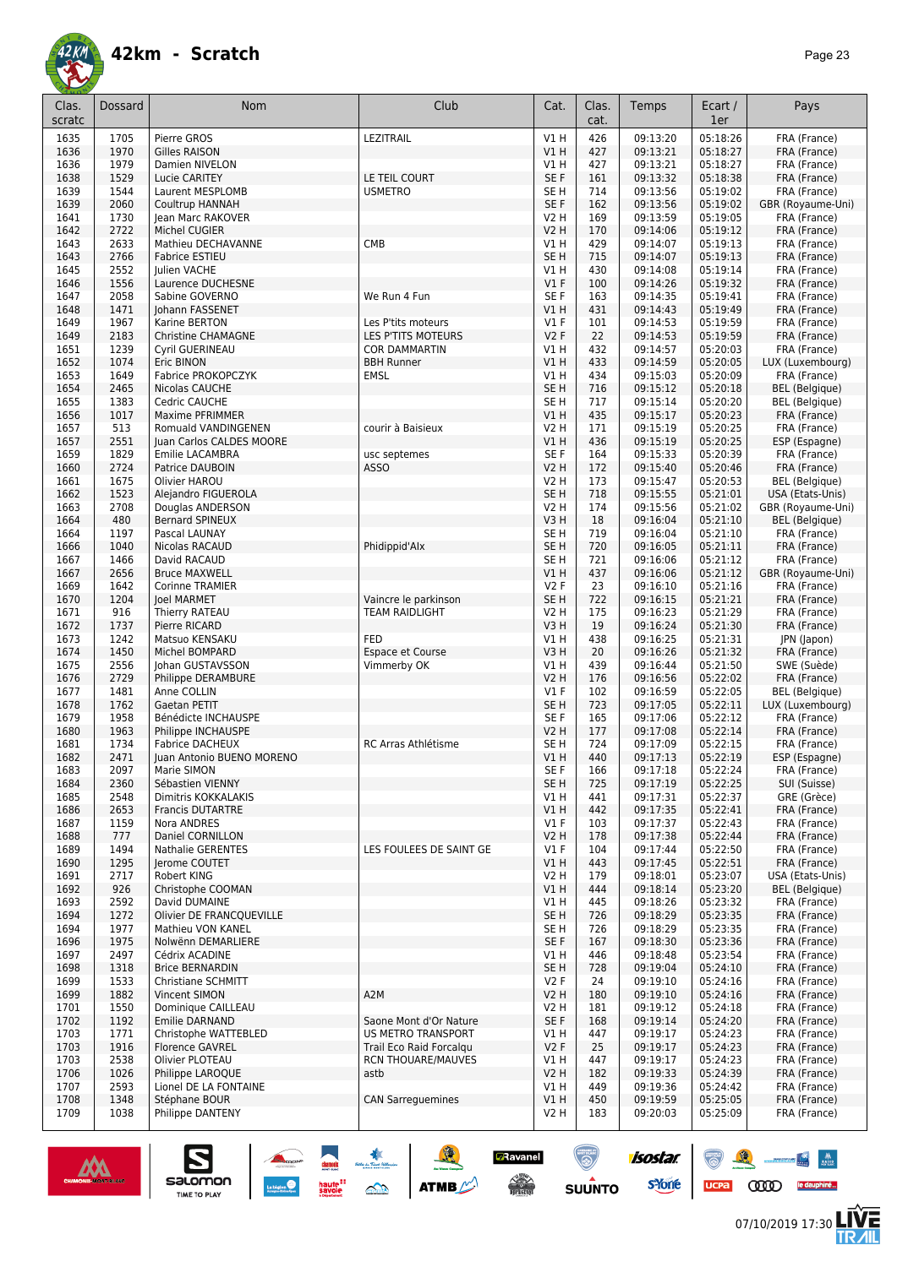![](_page_22_Picture_0.jpeg)

| Clas.<br>scratc | Dossard      | <b>Nom</b>                             | Club                      | Cat.                   | Clas.<br>cat. | Temps                | Ecart /<br>1er       | Pays                              |
|-----------------|--------------|----------------------------------------|---------------------------|------------------------|---------------|----------------------|----------------------|-----------------------------------|
| 1635            | 1705         | Pierre GROS                            | LEZITRAIL                 | V1H                    | 426           | 09:13:20             | 05:18:26             | FRA (France)                      |
| 1636            | 1970         | <b>Gilles RAISON</b>                   |                           | V1H                    | 427           | 09:13:21             | 05:18:27             | FRA (France)                      |
| 1636            | 1979         | Damien NIVELON                         |                           | V1 H                   | 427           | 09:13:21             | 05:18:27             | FRA (France)                      |
| 1638            | 1529         | Lucie CARITEY                          | LE TEIL COURT             | SE F                   | 161           | 09:13:32             | 05:18:38             | FRA (France)                      |
| 1639            | 1544         | Laurent MESPLOMB                       | <b>USMETRO</b>            | SE H                   | 714           | 09:13:56             | 05:19:02             | FRA (France)                      |
| 1639            | 2060         | <b>Coultrup HANNAH</b>                 |                           | SE F                   | 162           | 09:13:56             | 05:19:02             | GBR (Royaume-Uni)                 |
| 1641            | 1730         | Jean Marc RAKOVER                      |                           | <b>V2 H</b>            | 169           | 09:13:59             | 05:19:05             | FRA (France)                      |
| 1642            | 2722         | Michel CUGIER                          |                           | <b>V2 H</b>            | 170           | 09:14:06             | 05:19:12             | FRA (France)                      |
| 1643            | 2633         | Mathieu DECHAVANNE                     | CMB                       | V1 H                   | 429           | 09:14:07             | 05:19:13             | FRA (France)                      |
| 1643            | 2766         | Fabrice ESTIEU                         |                           | SE <sub>H</sub>        | 715           | 09:14:07             | 05:19:13             | FRA (France)                      |
| 1645<br>1646    | 2552<br>1556 | Julien VACHE<br>Laurence DUCHESNE      |                           | V1 H<br>$VI$ F         | 430<br>100    | 09:14:08<br>09:14:26 | 05:19:14<br>05:19:32 | FRA (France)<br>FRA (France)      |
| 1647            | 2058         | Sabine GOVERNO                         | We Run 4 Fun              | SE F                   | 163           | 09:14:35             | 05:19:41             | FRA (France)                      |
| 1648            | 1471         | Johann FASSENET                        |                           | V1 H                   | 431           | 09:14:43             | 05:19:49             | FRA (France)                      |
| 1649            | 1967         | Karine BERTON                          | Les P'tits moteurs        | $VI$ F                 | 101           | 09:14:53             | 05:19:59             | FRA (France)                      |
| 1649            | 2183         | Christine CHAMAGNE                     | LES P'TITS MOTEURS        | <b>V2F</b>             | 22            | 09:14:53             | 05:19:59             | FRA (France)                      |
| 1651            | 1239         | Cyril GUERINEAU                        | <b>COR DAMMARTIN</b>      | V1 H                   | 432           | 09:14:57             | 05:20:03             | FRA (France)                      |
| 1652            | 1074         | Eric BINON                             | <b>BBH Runner</b>         | V1 H                   | 433           | 09:14:59             | 05:20:05             | LUX (Luxembourg)                  |
| 1653            | 1649         | Fabrice PROKOPCZYK                     | <b>EMSL</b>               | V1 H                   | 434           | 09:15:03             | 05:20:09             | FRA (France)                      |
| 1654            | 2465         | Nicolas CAUCHE                         |                           | SE <sub>H</sub>        | 716           | 09:15:12             | 05:20:18             | <b>BEL</b> (Belgique)             |
| 1655            | 1383         | Cedric CAUCHE                          |                           | SE <sub>H</sub>        | 717           | 09:15:14             | 05:20:20             | <b>BEL</b> (Belgique)             |
| 1656            | 1017         | Maxime PFRIMMER                        |                           | V1H                    | 435           | 09:15:17             | 05:20:23             | FRA (France)                      |
| 1657            | 513          | Romuald VANDINGENEN                    | courir à Baisieux         | V2 H                   | 171           | 09:15:19             | 05:20:25             | FRA (France)                      |
| 1657            | 2551         | Juan Carlos CALDES MOORE               |                           | VIH                    | 436           | 09:15:19             | 05:20:25             | ESP (Espagne)                     |
| 1659            | 1829         | Emilie LACAMBRA                        | usc septemes              | SE F                   | 164           | 09:15:33             | 05:20:39             | FRA (France)                      |
| 1660            | 2724         | Patrice DAUBOIN                        | <b>ASSO</b>               | <b>V2 H</b>            | 172           | 09:15:40             | 05:20:46             | FRA (France)                      |
| 1661            | 1675         | Olivier HAROU                          |                           | <b>V2 H</b>            | 173           | 09:15:47             | 05:20:53             | <b>BEL</b> (Belgique)             |
| 1662            | 1523         | Alejandro FIGUEROLA                    |                           | SE <sub>H</sub>        | 718           | 09:15:55             | 05:21:01             | USA (Etats-Unis)                  |
| 1663            | 2708         | Douglas ANDERSON                       |                           | V2 H                   | 174           | 09:15:56             | 05:21:02             | GBR (Royaume-Uni)                 |
| 1664            | 480          | <b>Bernard SPINEUX</b>                 |                           | V3H                    | 18            | 09:16:04             | 05:21:10             | <b>BEL</b> (Belgique)             |
| 1664            | 1197         | Pascal LAUNAY                          |                           | SE H                   | 719           | 09:16:04             | 05:21:10             | FRA (France)                      |
| 1666            | 1040         | Nicolas RACAUD                         | Phidippid'Alx             | SE <sub>H</sub>        | 720           | 09:16:05             | 05:21:11             | FRA (France)                      |
| 1667<br>1667    | 1466<br>2656 | David RACAUD<br><b>Bruce MAXWELL</b>   |                           | SE <sub>H</sub><br>V1H | 721<br>437    | 09:16:06<br>09:16:06 | 05:21:12<br>05:21:12 | FRA (France)<br>GBR (Royaume-Uni) |
| 1669            | 1642         | <b>Corinne TRAMIER</b>                 |                           | V2F                    | 23            | 09:16:10             | 05:21:16             | FRA (France)                      |
| 1670            | 1204         | <b>Joel MARMET</b>                     | Vaincre le parkinson      | SE <sub>H</sub>        | 722           | 09:16:15             | 05:21:21             | FRA (France)                      |
| 1671            | 916          | Thierry RATEAU                         | <b>TEAM RAIDLIGHT</b>     | V2 H                   | 175           | 09:16:23             | 05:21:29             | FRA (France)                      |
| 1672            | 1737         | Pierre RICARD                          |                           | V3H                    | 19            | 09:16:24             | 05:21:30             | FRA (France)                      |
| 1673            | 1242         | Matsuo KENSAKU                         | <b>FED</b>                | V1 H                   | 438           | 09:16:25             | 05:21:31             | JPN (Japon)                       |
| 1674            | 1450         | Michel BOMPARD                         | Espace et Course          | V3H                    | 20            | 09:16:26             | 05:21:32             | FRA (France)                      |
| 1675            | 2556         | Johan GUSTAVSSON                       | Vimmerby OK               | V1 H                   | 439           | 09:16:44             | 05:21:50             | SWE (Suède)                       |
| 1676            | 2729         | Philippe DERAMBURE                     |                           | V2 H                   | 176           | 09:16:56             | 05:22:02             | FRA (France)                      |
| 1677            | 1481         | Anne COLLIN                            |                           | V1 F                   | 102           | 09:16:59             | 05:22:05             | <b>BEL</b> (Belgique)             |
| 1678            | 1762         | Gaetan PETIT                           |                           | SE <sub>H</sub>        | 723           | 09:17:05             | 05:22:11             | LUX (Luxembourg)                  |
| 1679            | 1958         | Bénédicte INCHAUSPE                    |                           | SE F                   | 165           | 09:17:06             | 05:22:12             | FRA (France)                      |
| 1680            | 1963         | Philippe INCHAUSPE                     |                           | <b>V2 H</b>            | 177           | 09:17:08             | 05:22:14             | FRA (France)                      |
| 1681            | 1734         | <b>Fabrice DACHEUX</b>                 | RC Arras Athlétisme       | SE <sub>H</sub>        | 724           | 09:17:09             | 05:22:15             | FRA (France)                      |
| 1682            | 2471         | Juan Antonio BUENO MORENO              |                           | V1 H                   | 440           | 09:17:13             | 05:22:19             | ESP (Espagne)                     |
| 1683            | 2097         | Marie SIMON                            |                           | SE F                   | 166           | 09:17:18             | 05:22:24             | FRA (France)                      |
| 1684            | 2360         | Sébastien VIENNY                       |                           | SE <sub>H</sub>        | 725           | 09:17:19             | 05:22:25             | SUI (Suisse)                      |
| 1685            | 2548         | Dimitris KOKKALAKIS                    |                           | VIH                    | 441           | 09:17:31             | 05:22:37             | GRE (Grèce)                       |
| 1686<br>1687    | 2653<br>1159 | <b>Francis DUTARTRE</b><br>Nora ANDRES |                           | VIH<br>$VI$ F          | 442<br>103    | 09:17:35<br>09:17:37 | 05:22:41<br>05:22:43 | FRA (France)<br>FRA (France)      |
| 1688            | 777          | Daniel CORNILLON                       |                           | <b>V2 H</b>            | 178           | 09:17:38             | 05:22:44             | FRA (France)                      |
| 1689            | 1494         | Nathalie GERENTES                      | LES FOULEES DE SAINT GE   | $VI$ F                 | 104           | 09:17:44             | 05:22:50             | FRA (France)                      |
| 1690            | 1295         | Jerome COUTET                          |                           | V1H                    | 443           | 09:17:45             | 05:22:51             | FRA (France)                      |
| 1691            | 2717         | Robert KING                            |                           | V2 H                   | 179           | 09:18:01             | 05:23:07             | USA (Etats-Unis)                  |
| 1692            | 926          | Christophe COOMAN                      |                           | V1H                    | 444           | 09:18:14             | 05:23:20             | <b>BEL</b> (Belgique)             |
| 1693            | 2592         | David DUMAINE                          |                           | V1 H                   | 445           | 09:18:26             | 05:23:32             | FRA (France)                      |
| 1694            | 1272         | Olivier DE FRANCQUEVILLE               |                           | SE <sub>H</sub>        | 726           | 09:18:29             | 05:23:35             | FRA (France)                      |
| 1694            | 1977         | Mathieu VON KANEL                      |                           | SE H                   | 726           | 09:18:29             | 05:23:35             | FRA (France)                      |
| 1696            | 1975         | Nolwënn DEMARLIERE                     |                           | SE F                   | 167           | 09:18:30             | 05:23:36             | FRA (France)                      |
| 1697            | 2497         | Cédrix ACADINE                         |                           | V1 H                   | 446           | 09:18:48             | 05:23:54             | FRA (France)                      |
| 1698            | 1318         | <b>Brice BERNARDIN</b>                 |                           | SE <sub>H</sub>        | 728           | 09:19:04             | 05:24:10             | FRA (France)                      |
| 1699            | 1533         | Christiane SCHMITT                     |                           | V2F                    | 24            | 09:19:10             | 05:24:16             | FRA (France)                      |
| 1699            | 1882         | Vincent SIMON                          | A <sub>2</sub> M          | V2 H                   | 180           | 09:19:10             | 05:24:16             | FRA (France)                      |
| 1701            | 1550         | Dominique CAILLEAU                     |                           | V2 H                   | 181           | 09:19:12             | 05:24:18             | FRA (France)                      |
| 1702            | 1192         | <b>Emilie DARNAND</b>                  | Saone Mont d'Or Nature    | SE F                   | 168           | 09:19:14             | 05:24:20             | FRA (France)                      |
| 1703            | 1771         | Christophe WATTEBLED                   | <b>US METRO TRANSPORT</b> | V1 H                   | 447           | 09:19:17             | 05:24:23             | FRA (France)                      |
| 1703            | 1916         | <b>Florence GAVREL</b>                 | Trail Eco Raid Forcalgu   | V2F                    | 25            | 09:19:17             | 05:24:23             | FRA (France)                      |
| 1703            | 2538         | Olivier PLOTEAU                        | <b>RCN THOUARE/MAUVES</b> | V1 H                   | 447           | 09:19:17             | 05:24:23             | FRA (France)                      |
| 1706            | 1026         | Philippe LAROQUE                       | astb                      | <b>V2 H</b>            | 182           | 09:19:33             | 05:24:39             | FRA (France)                      |
| 1707            | 2593<br>1348 | Lionel DE LA FONTAINE<br>Stéphane BOUR |                           | V1 H<br>V1H            | 449           | 09:19:36             | 05:24:42<br>05:25:05 | FRA (France)                      |
| 1708<br>1709    | 1038         | Philippe DANTENY                       | <b>CAN Sarreguemines</b>  | V2 H                   | 450<br>183    | 09:19:59<br>09:20:03 | 05:25:09             | FRA (France)<br>FRA (France)      |
|                 |              |                                        |                           |                        |               |                      |                      |                                   |

SO THE STREET

![](_page_22_Picture_4.jpeg)

 $\sum_{\text{SALOMOM}}$ 

ucpa

isostar.

**s**Yone

**E**Ravanel

 $\begin{array}{c} \displaystyle \bigwedge_{i=1}^n \mathbb{Z}^n \end{array}$  using the set

 $\odot$ 

**SUUNTO** 

 $\begin{picture}(150,10) \put(0,0){\line(1,0){10}} \put(15,0){\line(1,0){10}} \put(15,0){\line(1,0){10}} \put(15,0){\line(1,0){10}} \put(15,0){\line(1,0){10}} \put(15,0){\line(1,0){10}} \put(15,0){\line(1,0){10}} \put(15,0){\line(1,0){10}} \put(15,0){\line(1,0){10}} \put(15,0){\line(1,0){10}} \put(15,0){\line(1,0){10}} \put(15,0){\line($ 

**LIVE<br>TR***A***IL**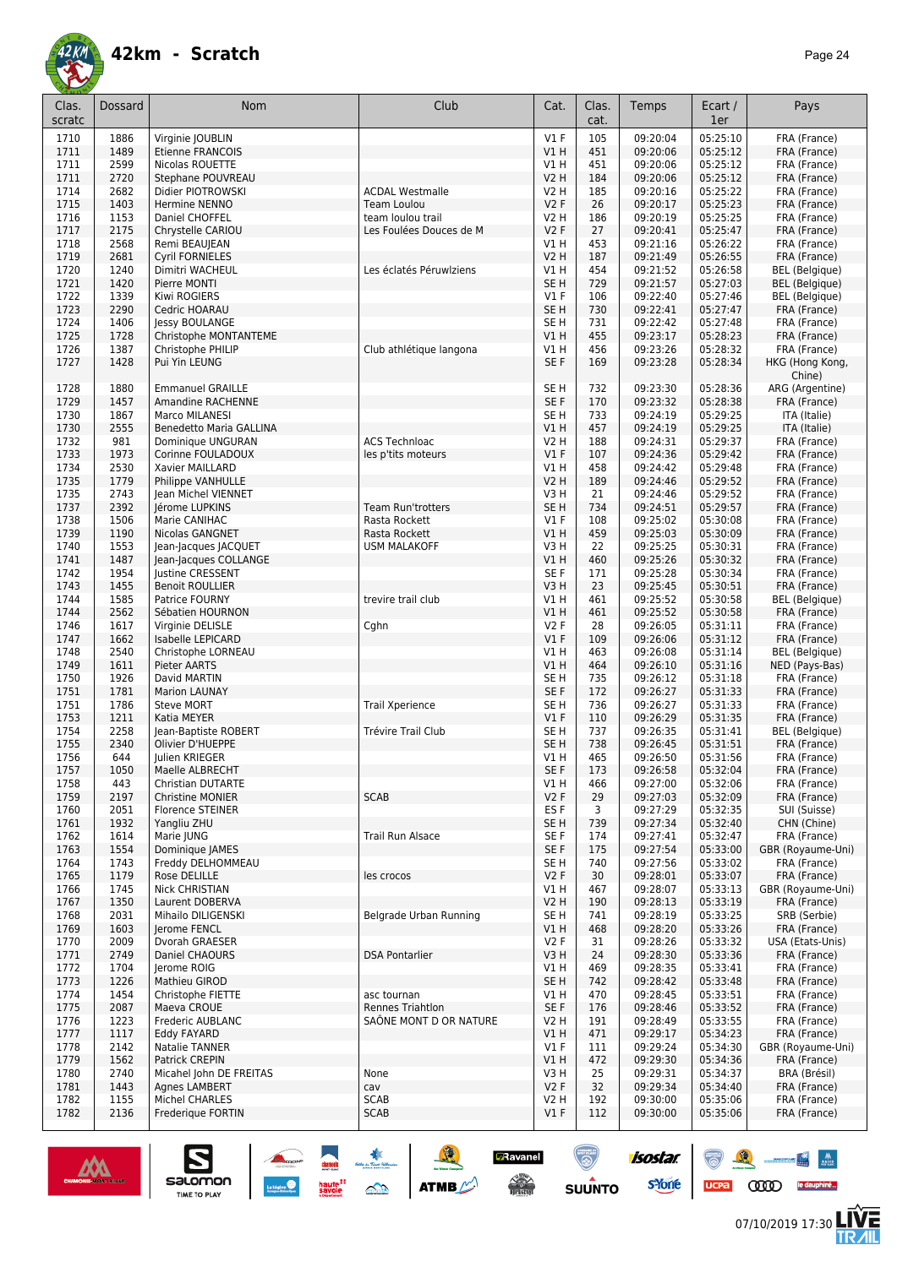![](_page_23_Picture_0.jpeg)

| Clas.        | Dossard      | <b>Nom</b>                                          | Club                     | Cat.                               | Clas.      | Temps                | Ecart /              | Pays                              |
|--------------|--------------|-----------------------------------------------------|--------------------------|------------------------------------|------------|----------------------|----------------------|-----------------------------------|
| scratc       |              |                                                     |                          |                                    | cat.       |                      | 1er                  |                                   |
| 1710         | 1886         | Virginie JOUBLIN                                    |                          | $VI$ F                             | 105        | 09:20:04             | 05:25:10             | FRA (France)                      |
| 1711         | 1489         | <b>Etienne FRANCOIS</b>                             |                          | VIH                                | 451        | 09:20:06             | 05:25:12             | FRA (France)                      |
| 1711         | 2599         | Nicolas ROUETTE                                     |                          | V1 H                               | 451        | 09:20:06             | 05:25:12             | FRA (France)                      |
| 1711         | 2720<br>2682 | Stephane POUVREAU                                   | <b>ACDAL Westmalle</b>   | <b>V2 H</b><br>V2H                 | 184        | 09:20:06             | 05:25:12<br>05:25:22 | FRA (France)                      |
| 1714<br>1715 | 1403         | Didier PIOTROWSKI<br>Hermine NENNO                  | Team Loulou              | V2F                                | 185<br>26  | 09:20:16<br>09:20:17 | 05:25:23             | FRA (France)<br>FRA (France)      |
| 1716         | 1153         | Daniel CHOFFEL                                      | team loulou trail        | <b>V2 H</b>                        | 186        | 09:20:19             | 05:25:25             | FRA (France)                      |
| 1717         | 2175         | Chrystelle CARIOU                                   | Les Foulées Douces de M  | <b>V2F</b>                         | 27         | 09:20:41             | 05:25:47             | FRA (France)                      |
| 1718         | 2568         | Remi BEAUJEAN                                       |                          | V1 H                               | 453        | 09:21:16             | 05:26:22             | FRA (France)                      |
| 1719         | 2681         | <b>Cyril FORNIELES</b>                              |                          | <b>V2 H</b>                        | 187        | 09:21:49             | 05:26:55             | FRA (France)                      |
| 1720         | 1240         | Dimitri WACHEUL                                     | Les éclatés Péruwiziens  | V1 H                               | 454        | 09:21:52             | 05:26:58             | <b>BEL</b> (Belgique)             |
| 1721         | 1420         | Pierre MONTI                                        |                          | SE <sub>H</sub>                    | 729        | 09:21:57             | 05:27:03             | <b>BEL</b> (Belgique)             |
| 1722         | 1339         | Kiwi ROGIERS                                        |                          | $VI$ F                             | 106        | 09:22:40             | 05:27:46             | <b>BEL</b> (Belgique)             |
| 1723<br>1724 | 2290<br>1406 | Cedric HOARAU<br>Jessy BOULANGE                     |                          | SE <sub>H</sub><br>SE <sub>H</sub> | 730<br>731 | 09:22:41<br>09:22:42 | 05:27:47<br>05:27:48 | FRA (France)<br>FRA (France)      |
| 1725         | 1728         | Christophe MONTANTEME                               |                          | VIH                                | 455        | 09:23:17             | 05:28:23             | FRA (France)                      |
| 1726         | 1387         | Christophe PHILIP                                   | Club athlétique langona  | V1 H                               | 456        | 09:23:26             | 05:28:32             | FRA (France)                      |
| 1727         | 1428         | Pui Yin LEUNG                                       |                          | SE F                               | 169        | 09:23:28             | 05:28:34             | HKG (Hong Kong,                   |
|              |              |                                                     |                          |                                    |            |                      |                      | Chine)                            |
| 1728         | 1880         | <b>Emmanuel GRAILLE</b>                             |                          | SE <sub>H</sub>                    | 732        | 09:23:30             | 05:28:36             | ARG (Argentine)                   |
| 1729         | 1457         | Amandine RACHENNE                                   |                          | SE F                               | 170        | 09:23:32             | 05:28:38             | FRA (France)                      |
| 1730         | 1867         | Marco MILANESI                                      |                          | SE <sub>H</sub>                    | 733        | 09:24:19             | 05:29:25             | ITA (Italie)                      |
| 1730<br>1732 | 2555<br>981  | <b>Benedetto Maria GALLINA</b><br>Dominique UNGURAN | <b>ACS Technloac</b>     | VIH<br><b>V2 H</b>                 | 457<br>188 | 09:24:19<br>09:24:31 | 05:29:25<br>05:29:37 | ITA (Italie)<br>FRA (France)      |
| 1733         | 1973         | Corinne FOULADOUX                                   | les p'tits moteurs       | $VI$ F                             | 107        | 09:24:36             | 05:29:42             | FRA (France)                      |
| 1734         | 2530         | Xavier MAILLARD                                     |                          | V1 H                               | 458        | 09:24:42             | 05:29:48             | FRA (France)                      |
| 1735         | 1779         | Philippe VANHULLE                                   |                          | <b>V2 H</b>                        | 189        | 09:24:46             | 05:29:52             | FRA (France)                      |
| 1735         | 2743         | Jean Michel VIENNET                                 |                          | V3H                                | 21         | 09:24:46             | 05:29:52             | FRA (France)                      |
| 1737         | 2392         | Jérome LUPKINS                                      | <b>Team Run'trotters</b> | SE <sub>H</sub>                    | 734        | 09:24:51             | 05:29:57             | FRA (France)                      |
| 1738         | 1506         | Marie CANIHAC                                       | Rasta Rockett            | $VI$ F                             | 108        | 09:25:02             | 05:30:08             | FRA (France)                      |
| 1739         | 1190         | Nicolas GANGNET                                     | Rasta Rockett            | VIH                                | 459        | 09:25:03             | 05:30:09             | FRA (France)                      |
| 1740<br>1741 | 1553<br>1487 | Jean-Jacques JACQUET<br>Jean-Jacques COLLANGE       | <b>USM MALAKOFF</b>      | V3H<br>VIH                         | 22<br>460  | 09:25:25<br>09:25:26 | 05:30:31<br>05:30:32 | FRA (France)<br>FRA (France)      |
| 1742         | 1954         | Justine CRESSENT                                    |                          | SE F                               | 171        | 09:25:28             | 05:30:34             | FRA (France)                      |
| 1743         | 1455         | <b>Benoit ROULLIER</b>                              |                          | V3H                                | 23         | 09:25:45             | 05:30:51             | FRA (France)                      |
| 1744         | 1585         | Patrice FOURNY                                      | trevire trail club       | V1 H                               | 461        | 09:25:52             | 05:30:58             | <b>BEL</b> (Belgique)             |
| 1744         | 2562         | Sébatien HOURNON                                    |                          | VIH                                | 461        | 09:25:52             | 05:30:58             | FRA (France)                      |
| 1746         | 1617         | Virginie DELISLE                                    | Cghn                     | V2F                                | 28         | 09:26:05             | 05:31:11             | FRA (France)                      |
| 1747         | 1662         | Isabelle LEPICARD                                   |                          | $VI$ F                             | 109        | 09:26:06             | 05:31:12             | FRA (France)                      |
| 1748         | 2540         | Christophe LORNEAU                                  |                          | V1 H                               | 463        | 09:26:08             | 05:31:14             | BEL (Belgique)                    |
| 1749<br>1750 | 1611<br>1926 | Pieter AARTS<br>David MARTIN                        |                          | V1H<br>SE <sub>H</sub>             | 464<br>735 | 09:26:10<br>09:26:12 | 05:31:16<br>05:31:18 | NED (Pays-Bas)<br>FRA (France)    |
| 1751         | 1781         | <b>Marion LAUNAY</b>                                |                          | SE F                               | 172        | 09:26:27             | 05:31:33             | FRA (France)                      |
| 1751         | 1786         | <b>Steve MORT</b>                                   | <b>Trail Xperience</b>   | SE H                               | 736        | 09:26:27             | 05:31:33             | FRA (France)                      |
| 1753         | 1211         | Katia MEYER                                         |                          | $VI$ F                             | 110        | 09:26:29             | 05:31:35             | FRA (France)                      |
| 1754         | 2258         | Jean-Baptiste ROBERT                                | Trévire Trail Club       | SE <sub>H</sub>                    | 737        | 09:26:35             | 05:31:41             | <b>BEL</b> (Belgique)             |
| 1755         | 2340         | Olivier D'HUEPPE                                    |                          | SE <sub>H</sub>                    | 738        | 09:26:45             | 05:31:51             | FRA (France)                      |
| 1756         | 644          | Julien KRIEGER                                      |                          | V1 H                               | 465        | 09:26:50             | 05:31:56             | FRA (France)                      |
| 1757<br>1758 | 1050<br>443  | Maelle ALBRECHT<br>Christian DUTARTE                |                          | SE F<br>V1 H                       | 173<br>466 | 09:26:58<br>09:27:00 | 05:32:04<br>05:32:06 | FRA (France)<br>FRA (France)      |
| 1759         | 2197         | Christine MONIER                                    | <b>SCAB</b>              | V <sub>2</sub> F                   | 29         | 09:27:03             | 05:32:09             | FRA (France)                      |
| 1760         | 2051         | Florence STEINER                                    |                          | ES F                               | 3          | 09:27:29             | 05:32:35             | SUI (Suisse)                      |
| 1761         | 1932         | Yangliu ZHU                                         |                          | SE <sub>H</sub>                    | 739        | 09:27:34             | 05:32:40             | CHN (Chine)                       |
| 1762         | 1614         | Marie JUNG                                          | <b>Trail Run Alsace</b>  | SE F                               | 174        | 09:27:41             | 05:32:47             | FRA (France)                      |
| 1763         | 1554         | Dominique JAMES                                     |                          | SE F                               | 175        | 09:27:54             | 05:33:00             | GBR (Royaume-Uni)                 |
| 1764         | 1743         | Freddy DELHOMMEAU<br>Rose DELILLE                   |                          | SE <sub>H</sub><br>V2F             | 740        | 09:27:56             | 05:33:02             | FRA (France)                      |
| 1765<br>1766 | 1179<br>1745 | <b>Nick CHRISTIAN</b>                               | les crocos               | V1 H                               | 30<br>467  | 09:28:01<br>09:28:07 | 05:33:07<br>05:33:13 | FRA (France)<br>GBR (Royaume-Uni) |
| 1767         | 1350         | Laurent DOBERVA                                     |                          | <b>V2 H</b>                        | 190        | 09:28:13             | 05:33:19             | FRA (France)                      |
| 1768         | 2031         | Mihailo DILIGENSKI                                  | Belgrade Urban Running   | SE <sub>H</sub>                    | 741        | 09:28:19             | 05:33:25             | SRB (Serbie)                      |
| 1769         | 1603         | Jerome FENCL                                        |                          | V1 H                               | 468        | 09:28:20             | 05:33:26             | FRA (France)                      |
| 1770         | 2009         | Dvorah GRAESER                                      |                          | V2F                                | 31         | 09:28:26             | 05:33:32             | USA (Etats-Unis)                  |
| 1771         | 2749         | Daniel CHAOURS                                      | <b>DSA Pontarlier</b>    | V3H                                | 24         | 09:28:30             | 05:33:36             | FRA (France)                      |
| 1772         | 1704         | Jerome ROIG                                         |                          | V1 H                               | 469        | 09:28:35             | 05:33:41             | FRA (France)                      |
| 1773         | 1226         | Mathieu GIROD                                       | asc tournan              | SE <sub>H</sub><br>V1 H            | 742<br>470 | 09:28:42             | 05:33:48<br>05:33:51 | FRA (France)                      |
| 1774<br>1775 | 1454<br>2087 | Christophe FIETTE<br>Maeva CROUE                    | Rennes Triahtlon         | SE F                               | 176        | 09:28:45<br>09:28:46 | 05:33:52             | FRA (France)<br>FRA (France)      |
| 1776         | 1223         | Frederic AUBLANC                                    | SAÔNE MONT D OR NATURE   | V2 H                               | 191        | 09:28:49             | 05:33:55             | FRA (France)                      |
| 1777         | 1117         | Eddy FAYARD                                         |                          | V1 H                               | 471        | 09:29:17             | 05:34:23             | FRA (France)                      |
| 1778         | 2142         | Natalie TANNER                                      |                          | $VI$ F                             | 111        | 09:29:24             | 05:34:30             | GBR (Royaume-Uni)                 |
| 1779         | 1562         | Patrick CREPIN                                      |                          | V1H                                | 472        | 09:29:30             | 05:34:36             | FRA (France)                      |
| 1780         | 2740         | Micahel John DE FREITAS                             | None                     | V3H                                | 25         | 09:29:31             | 05:34:37             | BRA (Brésil)                      |
| 1781<br>1782 | 1443<br>1155 | Agnes LAMBERT<br>Michel CHARLES                     | cav<br><b>SCAB</b>       | V2 F<br>V2 H                       | 32<br>192  | 09:29:34<br>09:30:00 | 05:34:40<br>05:35:06 | FRA (France)<br>FRA (France)      |
| 1782         | 2136         | Frederique FORTIN                                   | <b>SCAB</b>              | $VI$ F                             | 112        | 09:30:00             | 05:35:06             | FRA (France)                      |
|              |              |                                                     |                          |                                    |            |                      |                      |                                   |

![](_page_23_Picture_4.jpeg)

 $\sum_{\text{SALOMOM}}$ 

**A A A** 

**GRavanel**<br>A

 $\odot$ 

SUUNTO

isostar.

**s**Yone

![](_page_23_Picture_5.jpeg)

怎

88 - 84

UCPA COOD le dauphiné...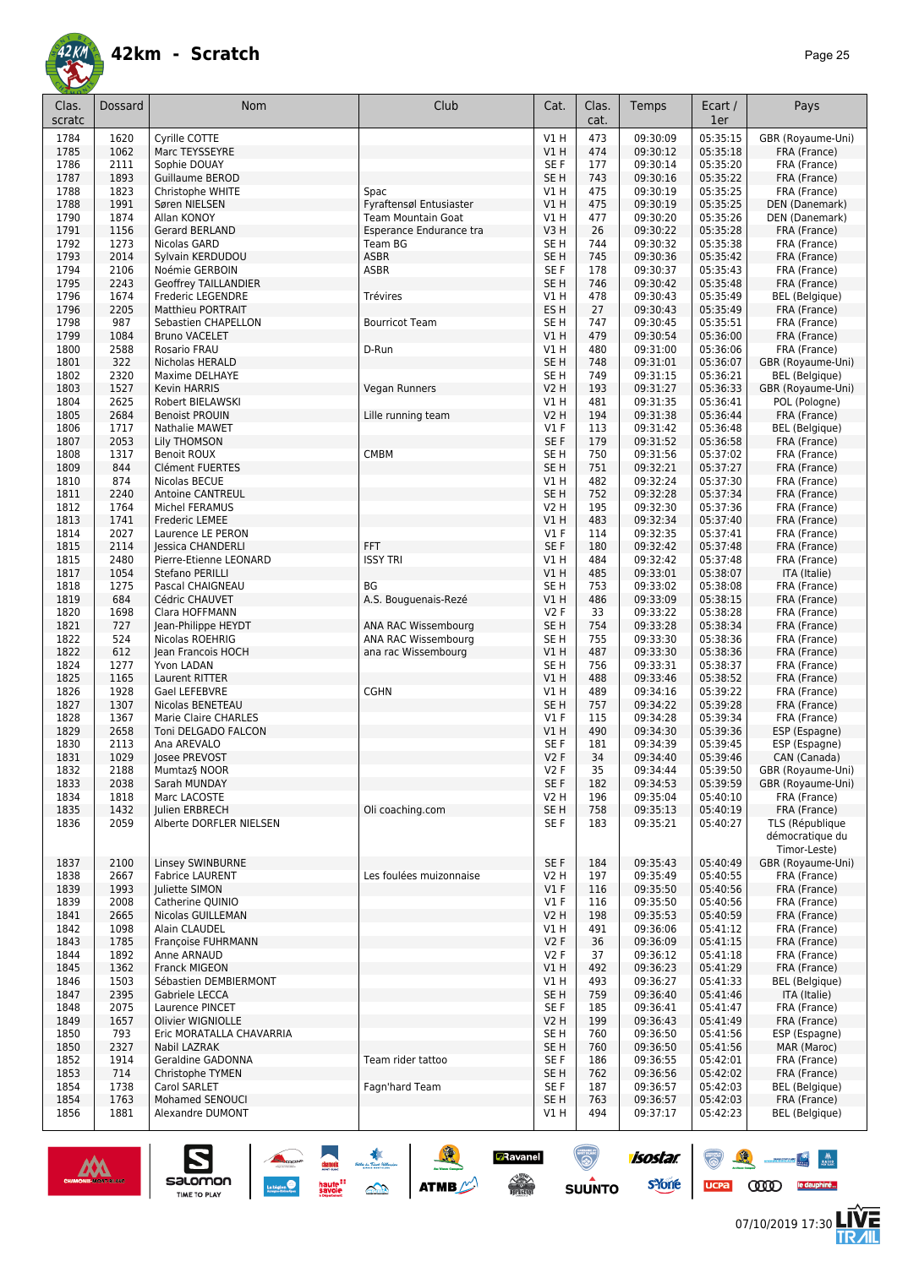![](_page_24_Picture_0.jpeg)

| Clas.<br>scratc | Dossard      | <b>Nom</b>                                    | Club                      | Cat.                           | Clas.<br>cat. | Temps                | Ecart /<br>1er       | Pays                            |
|-----------------|--------------|-----------------------------------------------|---------------------------|--------------------------------|---------------|----------------------|----------------------|---------------------------------|
|                 |              |                                               |                           |                                |               |                      |                      |                                 |
| 1784            | 1620         | Cyrille COTTE                                 |                           | V1H                            | 473           | 09:30:09             | 05:35:15             | GBR (Royaume-Uni)               |
| 1785            | 1062         | Marc TEYSSEYRE                                |                           | V1H                            | 474           | 09:30:12             | 05:35:18             | FRA (France)                    |
| 1786<br>1787    | 2111<br>1893 | Sophie DOUAY<br>Guillaume BEROD               |                           | SE F<br>SE <sub>H</sub>        | 177<br>743    | 09:30:14             | 05:35:20<br>05:35:22 | FRA (France)                    |
| 1788            | 1823         | Christophe WHITE                              | Spac                      | V1 H                           | 475           | 09:30:16<br>09:30:19 | 05:35:25             | FRA (France)<br>FRA (France)    |
| 1788            | 1991         | Søren NIELSEN                                 | Fyraftensøl Entusiaster   | <b>V1 H</b>                    | 475           | 09:30:19             | 05:35:25             | DEN (Danemark)                  |
| 1790            | 1874         | Allan KONOY                                   | <b>Team Mountain Goat</b> | V1 H                           | 477           | 09:30:20             | 05:35:26             | DEN (Danemark)                  |
| 1791            | 1156         | Gerard BERLAND                                | Esperance Endurance tra   | V3H                            | 26            | 09:30:22             | 05:35:28             | FRA (France)                    |
| 1792            | 1273         | Nicolas GARD                                  | Team BG                   | SE H                           | 744           | 09:30:32             | 05:35:38             | FRA (France)                    |
| 1793            | 2014         | Sylvain KERDUDOU                              | <b>ASBR</b>               | SE <sub>H</sub>                | 745           | 09:30:36             | 05:35:42             | FRA (France)                    |
| 1794            | 2106         | Noémie GERBOIN                                | <b>ASBR</b>               | SE F                           | 178           | 09:30:37             | 05:35:43             | FRA (France)                    |
| 1795            | 2243         | <b>Geoffrey TAILLANDIER</b>                   |                           | SE H                           | 746           | 09:30:42             | 05:35:48             | FRA (France)                    |
| 1796            | 1674         | Frederic LEGENDRE                             | Trévires                  | V1 H                           | 478           | 09:30:43             | 05:35:49             | <b>BEL</b> (Belgique)           |
| 1796            | 2205         | Matthieu PORTRAIT                             |                           | ES H                           | 27            | 09:30:43             | 05:35:49             | FRA (France)                    |
| 1798<br>1799    | 987          | Sebastien CHAPELLON                           | <b>Bourricot Team</b>     | SE H<br>V1H                    | 747<br>479    | 09:30:45             | 05:35:51<br>05:36:00 | FRA (France)                    |
| 1800            | 1084<br>2588 | <b>Bruno VACELET</b><br>Rosario FRAU          | D-Run                     | V1 H                           | 480           | 09:30:54<br>09:31:00 | 05:36:06             | FRA (France)<br>FRA (France)    |
| 1801            | 322          | Nicholas HERALD                               |                           | SE <sub>H</sub>                | 748           | 09:31:01             | 05:36:07             | GBR (Royaume-Uni)               |
| 1802            | 2320         | Maxime DELHAYE                                |                           | SE <sub>H</sub>                | 749           | 09:31:15             | 05:36:21             | <b>BEL</b> (Belgique)           |
| 1803            | 1527         | Kevin HARRIS                                  | Vegan Runners             | V2 H                           | 193           | 09:31:27             | 05:36:33             | GBR (Royaume-Uni)               |
| 1804            | 2625         | Robert BIELAWSKI                              |                           | V1 H                           | 481           | 09:31:35             | 05:36:41             | POL (Pologne)                   |
| 1805            | 2684         | <b>Benoist PROUIN</b>                         | Lille running team        | <b>V2 H</b>                    | 194           | 09:31:38             | 05:36:44             | FRA (France)                    |
| 1806            | 1717         | Nathalie MAWET                                |                           | $VI$ F                         | 113           | 09:31:42             | 05:36:48             | <b>BEL</b> (Belgique)           |
| 1807            | 2053         | Lily THOMSON                                  |                           | SE F                           | 179           | 09:31:52             | 05:36:58             | FRA (France)                    |
| 1808            | 1317         | <b>Benoit ROUX</b>                            | <b>CMBM</b>               | SE H                           | 750           | 09:31:56             | 05:37:02             | FRA (France)                    |
| 1809            | 844          | Clément FUERTES                               |                           | SE H                           | 751           | 09:32:21             | 05:37:27             | FRA (France)                    |
| 1810            | 874          | Nicolas BECUE                                 |                           | <b>V1 H</b>                    | 482           | 09:32:24             | 05:37:30             | FRA (France)                    |
| 1811            | 2240<br>1764 | <b>Antoine CANTREUL</b>                       |                           | SE <sub>H</sub><br><b>V2 H</b> | 752           | 09:32:28<br>09:32:30 | 05:37:34<br>05:37:36 | FRA (France)                    |
| 1812<br>1813    | 1741         | Michel FERAMUS<br><b>Frederic LEMEE</b>       |                           | V1H                            | 195<br>483    | 09:32:34             | 05:37:40             | FRA (France)<br>FRA (France)    |
| 1814            | 2027         | Laurence LE PERON                             |                           | $VI$ F                         | 114           | 09:32:35             | 05:37:41             | FRA (France)                    |
| 1815            | 2114         | Jessica CHANDERLI                             | FFT                       | SE F                           | 180           | 09:32:42             | 05:37:48             | FRA (France)                    |
| 1815            | 2480         | Pierre-Etienne LEONARD                        | <b>ISSY TRI</b>           | V1 H                           | 484           | 09:32:42             | 05:37:48             | FRA (France)                    |
| 1817            | 1054         | Stefano PERILLI                               |                           | V1 H                           | 485           | 09:33:01             | 05:38:07             | ITA (Italie)                    |
| 1818            | 1275         | Pascal CHAIGNEAU                              | BG                        | SE H                           | 753           | 09:33:02             | 05:38:08             | FRA (France)                    |
| 1819            | 684          | Cédric CHAUVET                                | A.S. Bouguenais-Rezé      | VIH                            | 486           | 09:33:09             | 05:38:15             | FRA (France)                    |
| 1820            | 1698         | Clara HOFFMANN                                |                           | V2F                            | 33            | 09:33:22             | 05:38:28             | FRA (France)                    |
| 1821            | 727          | Jean-Philippe HEYDT                           | ANA RAC Wissembourg       | SE H                           | 754           | 09:33:28             | 05:38:34             | FRA (France)                    |
| 1822            | 524          | Nicolas ROEHRIG                               | ANA RAC Wissembourg       | SE H                           | 755           | 09:33:30             | 05:38:36             | FRA (France)                    |
| 1822            | 612          | Jean Francois HOCH                            | ana rac Wissembourg       | <b>V1 H</b>                    | 487           | 09:33:30             | 05:38:36             | FRA (France)                    |
| 1824            | 1277         | Yvon LADAN                                    |                           | SE H                           | 756           | 09:33:31             | 05:38:37             | FRA (France)                    |
| 1825<br>1826    | 1165<br>1928 | Laurent RITTER<br>Gael LEFEBVRE               | <b>CGHN</b>               | V1H<br>V1 H                    | 488<br>489    | 09:33:46<br>09:34:16 | 05:38:52<br>05:39:22 | FRA (France)<br>FRA (France)    |
| 1827            | 1307         | Nicolas BENETEAU                              |                           | SE <sub>H</sub>                | 757           | 09:34:22             | 05:39:28             | FRA (France)                    |
| 1828            | 1367         | Marie Claire CHARLES                          |                           | $VI$ F                         | 115           | 09:34:28             | 05:39:34             | FRA (France)                    |
| 1829            | 2658         | Toni DELGADO FALCON                           |                           | <b>V1 H</b>                    | 490           | 09:34:30             | 05:39:36             | ESP (Espagne)                   |
| 1830            | 2113         | Ana AREVALO                                   |                           | SE F                           | 181           | 09:34:39             | 05:39:45             | ESP (Espagne)                   |
| 1831            | 1029         | Josee PREVOST                                 |                           | <b>V2F</b>                     | 34            | 09:34:40             | 05:39:46             | CAN (Canada)                    |
| 1832            | 2188         | Mumtaz§ NOOR                                  |                           | V2F                            | 35            | 09:34:44             | 05:39:50             | GBR (Royaume-Uni)               |
| 1833            | 2038         | Sarah MUNDAY                                  |                           | SE F                           | 182           | 09:34:53             | 05:39:59             | GBR (Royaume-Uni)               |
| 1834            | 1818         | Marc LACOSTE                                  |                           | V2 H                           | 196           | 09:35:04             | 05:40:10             | FRA (France)                    |
| 1835            | 1432         | Julien ERBRECH                                | Oli coaching.com          | SE H                           | 758           | 09:35:13             | 05:40:19             | FRA (France)                    |
| 1836            | 2059         | Alberte DORFLER NIELSEN                       |                           | SE F                           | 183           | 09:35:21             | 05:40:27             | TLS (République                 |
|                 |              |                                               |                           |                                |               |                      |                      | démocratique du<br>Timor-Leste) |
| 1837            | 2100         | Linsey SWINBURNE                              |                           | SE F                           | 184           | 09:35:43             | 05:40:49             | GBR (Royaume-Uni)               |
| 1838            | 2667         | <b>Fabrice LAURENT</b>                        | Les foulées muizonnaise   | V2 H                           | 197           | 09:35:49             | 05:40:55             | FRA (France)                    |
| 1839            | 1993         | Juliette SIMON                                |                           | $VI$ F                         | 116           | 09:35:50             | 05:40:56             | FRA (France)                    |
| 1839            | 2008         | Catherine QUINIO                              |                           | $VI$ F                         | 116           | 09:35:50             | 05:40:56             | FRA (France)                    |
| 1841            | 2665         | Nicolas GUILLEMAN                             |                           | <b>V2 H</b>                    | 198           | 09:35:53             | 05:40:59             | FRA (France)                    |
| 1842            | 1098         | Alain CLAUDEL                                 |                           | V1 H                           | 491           | 09:36:06             | 05:41:12             | FRA (France)                    |
| 1843            | 1785         | Françoise FUHRMANN                            |                           | V <sub>2</sub> F               | 36            | 09:36:09             | 05:41:15             | FRA (France)                    |
| 1844            | 1892         | Anne ARNAUD                                   |                           | V2 F                           | 37            | 09:36:12             | 05:41:18             | FRA (France)                    |
| 1845            | 1362         | Franck MIGEON                                 |                           | V1H                            | 492           | 09:36:23             | 05:41:29             | FRA (France)                    |
| 1846            | 1503         | Sébastien DEMBIERMONT                         |                           | V1 H                           | 493           | 09:36:27             | 05:41:33             | <b>BEL</b> (Belgique)           |
| 1847            | 2395         | Gabriele LECCA                                |                           | SE <sub>H</sub>                | 759           | 09:36:40             | 05:41:46             | ITA (Italie)                    |
| 1848            | 2075         | Laurence PINCET                               |                           | SE F                           | 185           | 09:36:41             | 05:41:47             | FRA (France)                    |
| 1849<br>1850    | 1657<br>793  | Olivier WIGNIOLLE<br>Eric MORATALLA CHAVARRIA |                           | <b>V2 H</b><br>SE H            | 199<br>760    | 09:36:43<br>09:36:50 | 05:41:49<br>05:41:56 | FRA (France)<br>ESP (Espagne)   |
| 1850            | 2327         | Nabil LAZRAK                                  |                           | SE H                           | 760           | 09:36:50             | 05:41:56             | MAR (Maroc)                     |
| 1852            | 1914         | Geraldine GADONNA                             | Team rider tattoo         | SE F                           | 186           | 09:36:55             | 05:42:01             | FRA (France)                    |
| 1853            | 714          | Christophe TYMEN                              |                           | SE H                           | 762           | 09:36:56             | 05:42:02             | FRA (France)                    |
| 1854            | 1738         | Carol SARLET                                  | Fagn'hard Team            | SE F                           | 187           | 09:36:57             | 05:42:03             | <b>BEL</b> (Belgique)           |
| 1854            | 1763         | Mohamed SENOUCI                               |                           | SE H                           | 763           | 09:36:57             | 05:42:03             | FRA (France)                    |
| 1856            | 1881         | Alexandre DUMONT                              |                           | V1 H                           | 494           | 09:37:17             | 05:42:23             | <b>BEL</b> (Belgique)           |
|                 |              |                                               |                           |                                |               |                      |                      |                                 |

**E** 

Davanel<br>Acce≫<br>Dalian

 $\odot$ 

**SUUNTO** 

![](_page_24_Picture_4.jpeg)

 $\sum_{\text{SALOMOM}}$ 

![](_page_24_Picture_5.jpeg)

怎

UCPA COOD le dauphiné...

 $\frac{1}{\sqrt{2}}$ 

isostar.

**s**Yone

 $\odot$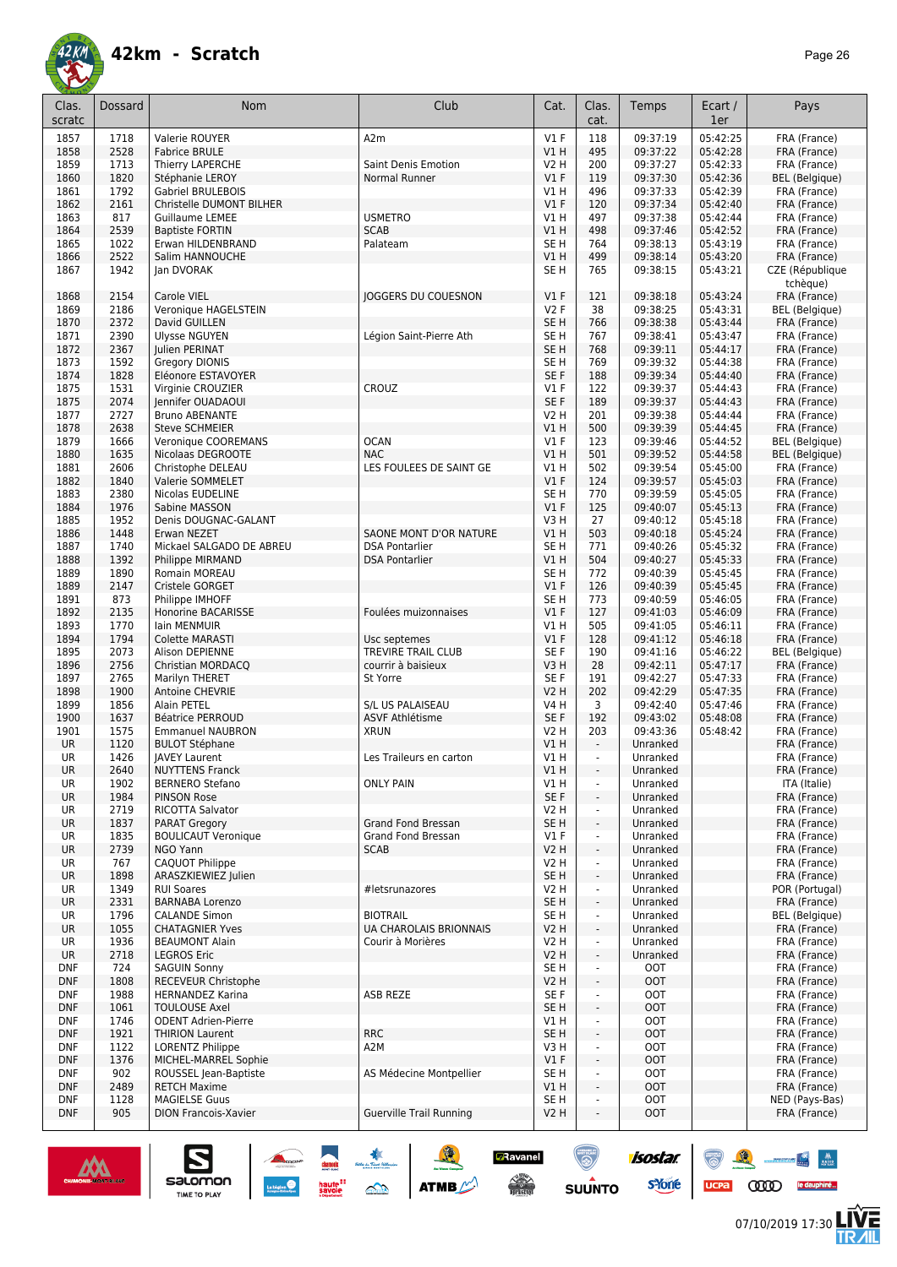![](_page_25_Picture_0.jpeg)

| Clas.<br>scratc          | Dossard      | <b>Nom</b>                                         | Club                                     | Cat.                    | Clas.<br>cat.            | Temps                | Ecart /<br>1er       | Pays                         |
|--------------------------|--------------|----------------------------------------------------|------------------------------------------|-------------------------|--------------------------|----------------------|----------------------|------------------------------|
| 1857                     | 1718         | Valerie ROUYER                                     | A2m                                      | $VI$ F                  | 118                      | 09:37:19             | 05:42:25             | FRA (France)                 |
| 1858                     | 2528         | <b>Fabrice BRULE</b>                               |                                          | VIH                     | 495                      | 09:37:22             | 05:42:28             | FRA (France)                 |
| 1859                     | 1713         | Thierry LAPERCHE                                   | Saint Denis Emotion                      | V2 H                    | 200                      | 09:37:27             | 05:42:33             | FRA (France)                 |
| 1860                     | 1820         | Stéphanie LEROY                                    | Normal Runner                            | $VI$ F                  | 119                      | 09:37:30             | 05:42:36             | <b>BEL</b> (Belgique)        |
| 1861                     | 1792         | <b>Gabriel BRULEBOIS</b>                           |                                          | V1 H                    | 496                      | 09:37:33<br>09:37:34 | 05:42:39<br>05:42:40 | FRA (France)                 |
| 1862<br>1863             | 2161<br>817  | Christelle DUMONT BILHER<br><b>Guillaume LEMEE</b> | <b>USMETRO</b>                           | $VI$ F<br>V1 H          | 120<br>497               | 09:37:38             | 05:42:44             | FRA (France)<br>FRA (France) |
| 1864                     | 2539         | <b>Baptiste FORTIN</b>                             | <b>SCAB</b>                              | V1H                     | 498                      | 09:37:46             | 05:42:52             | FRA (France)                 |
| 1865                     | 1022         | Erwan HILDENBRAND                                  | Palateam                                 | SE <sub>H</sub>         | 764                      | 09:38:13             | 05:43:19             | FRA (France)                 |
| 1866                     | 2522         | Salim HANNOUCHE                                    |                                          | V1H                     | 499                      | 09:38:14             | 05:43:20             | FRA (France)                 |
| 1867                     | 1942         | Jan DVORAK                                         |                                          | SE <sub>H</sub>         | 765                      | 09:38:15             | 05:43:21             | CZE (République<br>tchèque)  |
| 1868                     | 2154         | Carole VIEL                                        | <b>JOGGERS DU COUESNON</b>               | V1F                     | 121                      | 09:38:18             | 05:43:24             | FRA (France)                 |
| 1869                     | 2186         | Veronique HAGELSTEIN                               |                                          | <b>V2F</b>              | 38                       | 09:38:25             | 05:43:31             | <b>BEL</b> (Belgique)        |
| 1870                     | 2372         | David GUILLEN                                      |                                          | SE <sub>H</sub>         | 766                      | 09:38:38             | 05:43:44             | FRA (France)                 |
| 1871<br>1872             | 2390<br>2367 | <b>Ulysse NGUYEN</b><br>Julien PERINAT             | Légion Saint-Pierre Ath                  | SE <sub>H</sub><br>SE H | 767<br>768               | 09:38:41<br>09:39:11 | 05:43:47<br>05:44:17 | FRA (France)<br>FRA (France) |
| 1873                     | 1592         | Gregory DIONIS                                     |                                          | SE <sub>H</sub>         | 769                      | 09:39:32             | 05:44:38             | FRA (France)                 |
| 1874                     | 1828         | Eléonore ESTAVOYER                                 |                                          | SE <sub>F</sub>         | 188                      | 09:39:34             | 05:44:40             | FRA (France)                 |
| 1875                     | 1531         | Virginie CROUZIER                                  | CROUZ                                    | $VI$ F                  | 122                      | 09:39:37             | 05:44:43             | FRA (France)                 |
| 1875                     | 2074         | Jennifer OUADAOUI                                  |                                          | SE F                    | 189                      | 09:39:37             | 05:44:43             | FRA (France)                 |
| 1877                     | 2727         | <b>Bruno ABENANTE</b>                              |                                          | V2 H                    | 201                      | 09:39:38             | 05:44:44             | FRA (France)                 |
| 1878                     | 2638         | <b>Steve SCHMEIER</b>                              |                                          | V1H                     | 500                      | 09:39:39             | 05:44:45             | FRA (France)                 |
| 1879                     | 1666         | Veronique COOREMANS                                | <b>OCAN</b>                              | $VI$ F                  | 123                      | 09:39:46             | 05:44:52             | <b>BEL</b> (Belgique)        |
| 1880                     | 1635         | Nicolaas DEGROOTE                                  | <b>NAC</b>                               | V1H                     | 501                      | 09:39:52             | 05:44:58             | <b>BEL</b> (Belgique)        |
| 1881                     | 2606         | Christophe DELEAU                                  | LES FOULEES DE SAINT GE                  | V1 H                    | 502                      | 09:39:54             | 05:45:00             | FRA (France)                 |
| 1882                     | 1840         | Valerie SOMMELET                                   |                                          | $VI$ F                  | 124                      | 09:39:57             | 05:45:03             | FRA (France)                 |
| 1883                     | 2380         | Nicolas EUDELINE                                   |                                          | SE <sub>H</sub>         | 770                      | 09:39:59             | 05:45:05             | FRA (France)                 |
| 1884                     | 1976<br>1952 | Sabine MASSON                                      |                                          | $VI$ F<br>V3H           | 125<br>27                | 09:40:07<br>09:40:12 | 05:45:13<br>05:45:18 | FRA (France)                 |
| 1885<br>1886             | 1448         | Denis DOUGNAC-GALANT<br>Erwan NEZET                | SAONE MONT D'OR NATURE                   | V1 H                    | 503                      | 09:40:18             | 05:45:24             | FRA (France)<br>FRA (France) |
| 1887                     | 1740         | Mickael SALGADO DE ABREU                           | <b>DSA Pontarlier</b>                    | SE <sub>H</sub>         | 771                      | 09:40:26             | 05:45:32             | FRA (France)                 |
| 1888                     | 1392         | Philippe MIRMAND                                   | <b>DSA Pontarlier</b>                    | VIH                     | 504                      | 09:40:27             | 05:45:33             | FRA (France)                 |
| 1889                     | 1890         | Romain MOREAU                                      |                                          | SE <sub>H</sub>         | 772                      | 09:40:39             | 05:45:45             | FRA (France)                 |
| 1889                     | 2147         | Cristele GORGET                                    |                                          | V1F                     | 126                      | 09:40:39             | 05:45:45             | FRA (France)                 |
| 1891                     | 873          | Philippe IMHOFF                                    |                                          | SE <sub>H</sub>         | 773                      | 09:40:59             | 05:46:05             | FRA (France)                 |
| 1892                     | 2135         | Honorine BACARISSE                                 | Foulées muizonnaises                     | V1F                     | 127                      | 09:41:03             | 05:46:09             | FRA (France)                 |
| 1893                     | 1770         | lain MENMUIR                                       |                                          | V1 H                    | 505                      | 09:41:05             | 05:46:11             | FRA (France)                 |
| 1894                     | 1794         | Colette MARASTI                                    | Usc septemes                             | V1F                     | 128                      | 09:41:12             | 05:46:18             | FRA (France)                 |
| 1895                     | 2073         | Alison DEPIENNE                                    | TREVIRE TRAIL CLUB                       | SE F                    | 190                      | 09:41:16             | 05:46:22             | <b>BEL</b> (Belgique)        |
| 1896                     | 2756<br>2765 | Christian MORDACQ                                  | courrir à baisieux                       | V3H<br>SE <sub>F</sub>  | 28                       | 09:42:11             | 05:47:17             | FRA (France)                 |
| 1897<br>1898             | 1900         | Marilyn THERET<br>Antoine CHEVRIE                  | St Yorre                                 | V2 H                    | 191<br>202               | 09:42:27<br>09:42:29 | 05:47:33<br>05:47:35 | FRA (France)<br>FRA (France) |
| 1899                     | 1856         | Alain PETEL                                        | S/L US PALAISEAU                         | V4 H                    | 3                        | 09:42:40             | 05:47:46             | FRA (France)                 |
| 1900                     | 1637         | <b>Béatrice PERROUD</b>                            | ASVF Athlétisme                          | SE F                    | 192                      | 09:43:02             | 05:48:08             | FRA (France)                 |
| 1901                     | 1575         | <b>Emmanuel NAUBRON</b>                            | <b>XRUN</b>                              | V2 H                    | 203                      | 09:43:36             | 05:48:42             | FRA (France)                 |
| <b>UR</b>                | 1120         | <b>BULOT Stéphane</b>                              |                                          | V1 H                    | $\blacksquare$           | Unranked             |                      | FRA (France)                 |
| UR                       | 1426         | <b>JAVEY Laurent</b>                               | Les Traileurs en carton                  | V1 H                    |                          | Unranked             |                      | FRA (France)                 |
| <b>UR</b>                | 2640         | <b>NUYTTENS Franck</b>                             |                                          | V1 H                    | $\overline{\phantom{a}}$ | Unranked             |                      | FRA (France)                 |
| UR                       | 1902         | <b>BERNERO Stefano</b>                             | <b>ONLY PAIN</b>                         | V1 H                    | $\blacksquare$           | Unranked             |                      | ITA (Italie)                 |
| <b>UR</b>                | 1984         | <b>PINSON Rose</b>                                 |                                          | SE F                    | ÷,                       | Unranked             |                      | FRA (France)                 |
| UR                       | 2719         | RICOTTA Salvator                                   |                                          | V2 H                    | ÷,                       | Unranked             |                      | FRA (France)                 |
| <b>UR</b><br>UR          | 1837<br>1835 | <b>PARAT Gregory</b><br><b>BOULICAUT Veronique</b> | Grand Fond Bressan<br>Grand Fond Bressan | SE H<br>$VI$ F          | ÷,<br>ä,                 | Unranked<br>Unranked |                      | FRA (France)<br>FRA (France) |
| UR                       | 2739         | NGO Yann                                           | <b>SCAB</b>                              | V2 H                    | $\overline{\phantom{a}}$ | Unranked             |                      | FRA (France)                 |
| UR                       | 767          | CAQUOT Philippe                                    |                                          | V2 H                    | ÷,                       | Unranked             |                      | FRA (France)                 |
| UR                       | 1898         | ARASZKIEWIEZ Julien                                |                                          | SE <sub>H</sub>         | $\blacksquare$           | Unranked             |                      | FRA (France)                 |
| UR                       | 1349         | <b>RUI Soares</b>                                  | #letsrunazores                           | V2 H                    | ÷,                       | Unranked             |                      | POR (Portugal)               |
| <b>UR</b>                | 2331         | <b>BARNABA Lorenzo</b>                             |                                          | SE H                    | $\overline{\phantom{a}}$ | Unranked             |                      | FRA (France)                 |
| UR                       | 1796         | <b>CALANDE Simon</b>                               | <b>BIOTRAIL</b>                          | SE H                    | ÷,                       | Unranked             |                      | <b>BEL</b> (Belgique)        |
| UR                       | 1055         | <b>CHATAGNIER Yves</b>                             | UA CHAROLAIS BRIONNAIS                   | V2 H                    | $\blacksquare$           | Unranked             |                      | FRA (France)                 |
| UR                       | 1936         | <b>BEAUMONT Alain</b>                              | Courir à Morières                        | V2 H                    | $\blacksquare$           | Unranked             |                      | FRA (France)                 |
| <b>UR</b>                | 2718         | <b>LEGROS Eric</b>                                 |                                          | V2 H                    | ÷,                       | Unranked             |                      | FRA (France)                 |
| <b>DNF</b>               | 724          | <b>SAGUIN Sonny</b>                                |                                          | SE H                    | $\blacksquare$           | <b>OOT</b>           |                      | FRA (France)                 |
| <b>DNF</b>               | 1808         | RECEVEUR Christophe                                |                                          | V2 H                    | ÷,                       | <b>OOT</b>           |                      | FRA (France)                 |
| <b>DNF</b>               | 1988         | <b>HERNANDEZ Karina</b>                            | ASB REZE                                 | SE F<br>SE H            | ä,                       | OOT<br><b>OOT</b>    |                      | FRA (France)                 |
| <b>DNF</b><br><b>DNF</b> | 1061<br>1746 | TOULOUSE Axel<br><b>ODENT Adrien-Pierre</b>        |                                          | V1 H                    | $\blacksquare$           | <b>OOT</b>           |                      | FRA (France)<br>FRA (France) |
| <b>DNF</b>               | 1921         | <b>THIRION Laurent</b>                             | <b>RRC</b>                               | SE <sub>H</sub>         | $\blacksquare$           | <b>OOT</b>           |                      | FRA (France)                 |
| <b>DNF</b>               | 1122         | LORENTZ Philippe                                   | A2M                                      | V3 H                    |                          | <b>OOT</b>           |                      | FRA (France)                 |
| <b>DNF</b>               | 1376         | MICHEL-MARREL Sophie                               |                                          | $VI$ F                  | $\blacksquare$           | <b>OOT</b>           |                      | FRA (France)                 |
| <b>DNF</b>               | 902          | ROUSSEL Jean-Baptiste                              | AS Médecine Montpellier                  | SE H                    |                          | <b>OOT</b>           |                      | FRA (France)                 |
| <b>DNF</b>               | 2489         | <b>RETCH Maxime</b>                                |                                          | V1 H                    | $\overline{\phantom{a}}$ | <b>OOT</b>           |                      | FRA (France)                 |
| <b>DNF</b>               | 1128         | <b>MAGIELSE Guus</b>                               |                                          | SE H                    |                          | <b>OOT</b>           |                      | NED (Pays-Bas)               |
| <b>DNF</b>               | 905          | <b>DION Francois-Xavier</b>                        | <b>Guerville Trail Running</b>           | V2 H                    |                          | <b>OOT</b>           |                      | FRA (France)                 |
|                          |              |                                                    |                                          |                         |                          |                      |                      |                              |

SO THE STREET

![](_page_25_Picture_4.jpeg)

 $\sum_{\text{SALOMOM}}$ 

![](_page_25_Picture_5.jpeg)

isostar.

**s**Yone

6 

ucpa

**Zavanel** 

 $\begin{array}{c} \displaystyle \bigwedge_{i=1}^n \mathbb{Z}^n \end{array}$  using the set

 $\odot$ 

**SUUNTO** 

 $\begin{picture}(150,10) \put(0,0){\line(1,0){10}} \put(10,0){\line(1,0){10}} \put(10,0){\line(1,0){10}} \put(10,0){\line(1,0){10}} \put(10,0){\line(1,0){10}} \put(10,0){\line(1,0){10}} \put(10,0){\line(1,0){10}} \put(10,0){\line(1,0){10}} \put(10,0){\line(1,0){10}} \put(10,0){\line(1,0){10}} \put(10,0){\line(1,0){10}} \put(10,0){\line($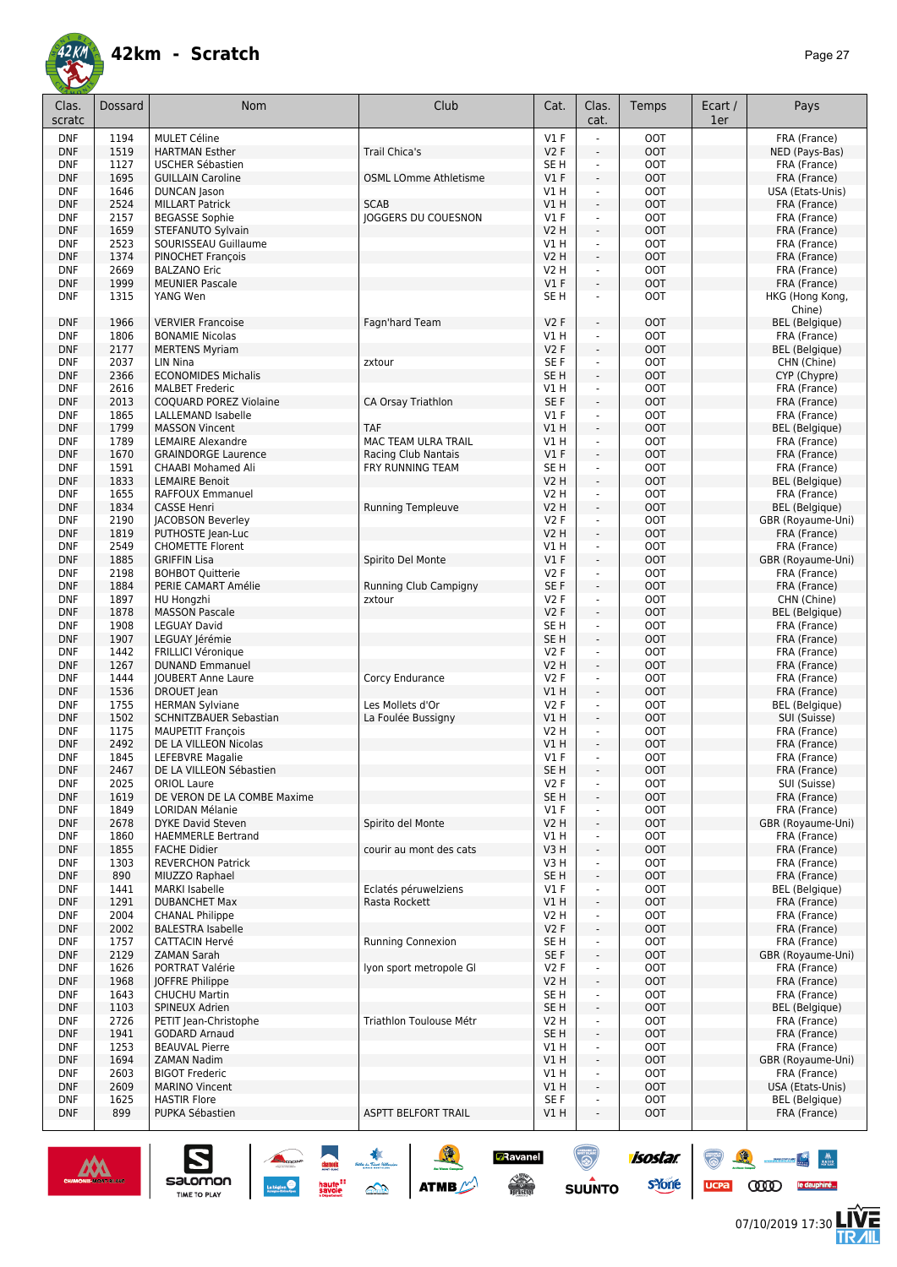![](_page_26_Picture_0.jpeg)

| Clas.<br>scratc          | Dossard      | Nom                                              | Club                            | Cat.                   | Clas.<br>cat.            | Temps                    | Ecart /<br>1er | Pays                                  |
|--------------------------|--------------|--------------------------------------------------|---------------------------------|------------------------|--------------------------|--------------------------|----------------|---------------------------------------|
| <b>DNF</b>               | 1194         | <b>MULET Céline</b>                              |                                 | $VI$ F                 | L,                       | <b>OOT</b>               |                | FRA (France)                          |
| <b>DNF</b>               | 1519         | <b>HARTMAN Esther</b>                            | <b>Trail Chica's</b>            | V2F                    | ÷,                       | <b>OOT</b>               |                | NED (Pays-Bas)                        |
| <b>DNF</b>               | 1127         | <b>USCHER Sébastien</b>                          |                                 | SE <sub>H</sub>        | ä,                       | <b>OOT</b>               |                | FRA (France)                          |
| <b>DNF</b>               | 1695         | <b>GUILLAIN Caroline</b>                         | <b>OSML LOmme Athletisme</b>    | V1F                    | $\frac{1}{2}$            | <b>OOT</b>               |                | FRA (France)                          |
| <b>DNF</b>               | 1646         | <b>DUNCAN</b> Jason                              |                                 | V1H                    | $\blacksquare$           | <b>OOT</b>               |                | USA (Etats-Unis)                      |
| <b>DNF</b>               | 2524         | <b>MILLART Patrick</b>                           | <b>SCAB</b>                     | V1 H                   | ÷,                       | <b>OOT</b>               |                | FRA (France)                          |
| <b>DNF</b>               | 2157         | <b>BEGASSE Sophie</b>                            | <b>JOGGERS DU COUESNON</b>      | $VI$ F                 | $\blacksquare$           | <b>OOT</b>               |                | FRA (France)                          |
| <b>DNF</b>               | 1659         | STEFANUTO Sylvain                                |                                 | V2 H                   | ÷,                       | <b>OOT</b>               |                | FRA (France)                          |
| <b>DNF</b>               | 2523         | SOURISSEAU Guillaume                             |                                 | V1 H                   | ÷.                       | <b>OOT</b>               |                | FRA (France)                          |
| <b>DNF</b>               | 1374         | PINOCHET François                                |                                 | <b>V2 H</b>            | $\overline{\phantom{a}}$ | <b>OOT</b>               |                | FRA (France)                          |
| <b>DNF</b>               | 2669         | <b>BALZANO Eric</b>                              |                                 | V2 H                   | ÷.                       | <b>OOT</b>               |                | FRA (France)                          |
| <b>DNF</b>               | 1999<br>1315 | <b>MEUNIER Pascale</b>                           |                                 | V1F<br>SE <sub>H</sub> | ÷,                       | <b>OOT</b><br><b>OOT</b> |                | FRA (France)                          |
| <b>DNF</b>               |              | YANG Wen                                         |                                 |                        | ä,                       |                          |                | HKG (Hong Kong,<br>Chine)             |
| <b>DNF</b>               | 1966         | <b>VERVIER Francoise</b>                         | Fagn'hard Team                  | <b>V2F</b>             | L.                       | <b>OOT</b>               |                | BEL (Belgique)                        |
| <b>DNF</b>               | 1806         | <b>BONAMIE Nicolas</b>                           |                                 | V1 H                   | ÷,                       | <b>OOT</b>               |                | FRA (France)                          |
| <b>DNF</b>               | 2177         | <b>MERTENS Myriam</b>                            |                                 | <b>V2F</b>             | ÷,                       | <b>OOT</b>               |                | <b>BEL</b> (Belgique)                 |
| <b>DNF</b>               | 2037         | LIN Nina                                         | zxtour                          | SE F                   | $\overline{\phantom{a}}$ | <b>OOT</b>               |                | CHN (Chine)                           |
| <b>DNF</b>               | 2366         | <b>ECONOMIDES Michalis</b>                       |                                 | SE <sub>H</sub>        | ÷,                       | <b>OOT</b>               |                | CYP (Chypre)                          |
| <b>DNF</b>               | 2616         | <b>MALBET Frederic</b>                           |                                 | V1 H                   | $\blacksquare$           | <b>OOT</b>               |                | FRA (France)                          |
| <b>DNF</b>               | 2013         | COQUARD POREZ Violaine                           | CA Orsay Triathlon              | SE F                   | ÷,                       | <b>OOT</b>               |                | FRA (France)                          |
| <b>DNF</b>               | 1865         | LALLEMAND Isabelle                               |                                 | $VI$ F                 | L.                       | <b>OOT</b>               |                | FRA (France)                          |
| <b>DNF</b>               | 1799         | <b>MASSON Vincent</b>                            | <b>TAF</b>                      | VIH                    | ÷,                       | <b>OOT</b>               |                | <b>BEL</b> (Belgique)                 |
| <b>DNF</b>               | 1789         | <b>LEMAIRE Alexandre</b>                         | MAC TEAM ULRA TRAIL             | VIH                    | ä,                       | <b>OOT</b>               |                | FRA (France)                          |
| <b>DNF</b>               | 1670         | <b>GRAINDORGE Laurence</b>                       | Racing Club Nantais             | V1F                    | ÷,                       | <b>OOT</b>               |                | FRA (France)                          |
| <b>DNF</b>               | 1591         | <b>CHAABI Mohamed Ali</b>                        | FRY RUNNING TEAM                | SE H                   | ä,                       | <b>OOT</b>               |                | FRA (France)                          |
| <b>DNF</b>               | 1833         | <b>LEMAIRE Benoit</b>                            |                                 | <b>V2 H</b>            | $\frac{1}{2}$            | <b>OOT</b>               |                | <b>BEL</b> (Belgique)                 |
| <b>DNF</b>               | 1655         | <b>RAFFOUX Emmanuel</b>                          |                                 | V2 H                   | ä,                       | <b>OOT</b>               |                | FRA (France)                          |
| <b>DNF</b>               | 1834         | <b>CASSE Henri</b>                               | <b>Running Templeuve</b>        | <b>V2 H</b>            | $\frac{1}{2}$            | <b>OOT</b>               |                | <b>BEL</b> (Belgique)                 |
| <b>DNF</b>               | 2190         | <b>JACOBSON Beverley</b>                         |                                 | <b>V2F</b>             | $\blacksquare$           | <b>OOT</b>               |                | GBR (Royaume-Uni)                     |
| <b>DNF</b>               | 1819         | PUTHOSTE Jean-Luc                                |                                 | <b>V2 H</b>            | ä,                       | <b>OOT</b>               |                | FRA (France)                          |
| <b>DNF</b>               | 2549         | <b>CHOMETTE Florent</b>                          |                                 | V1 H                   | $\blacksquare$           | <b>OOT</b>               |                | FRA (France)                          |
| <b>DNF</b>               | 1885         | <b>GRIFFIN Lisa</b>                              | Spirito Del Monte               | $VI$ F                 | ÷.                       | <b>OOT</b>               |                | GBR (Royaume-Uni)                     |
| <b>DNF</b><br><b>DNF</b> | 2198<br>1884 | <b>BOHBOT Quitterie</b>                          |                                 | V2F<br>SE <sub>F</sub> | ÷.<br>$\blacksquare$     | <b>OOT</b><br><b>OOT</b> |                | FRA (France)                          |
| <b>DNF</b>               | 1897         | PERIE CAMART Amélie<br>HU Hongzhi                | Running Club Campigny<br>zxtour | <b>V2F</b>             | ÷.                       | <b>OOT</b>               |                | FRA (France)<br>CHN (Chine)           |
| <b>DNF</b>               | 1878         | <b>MASSON Pascale</b>                            |                                 | V2F                    | ÷,                       | <b>OOT</b>               |                | <b>BEL</b> (Belgique)                 |
| <b>DNF</b>               | 1908         | <b>LEGUAY David</b>                              |                                 | SE H                   | $\blacksquare$           | <b>OOT</b>               |                | FRA (France)                          |
| <b>DNF</b>               | 1907         | LEGUAY Jérémie                                   |                                 | SE <sub>H</sub>        | $\blacksquare$           | <b>OOT</b>               |                | FRA (France)                          |
| <b>DNF</b>               | 1442         | <b>FRILLICI Véronique</b>                        |                                 | <b>V2F</b>             | ä,                       | <b>OOT</b>               |                | FRA (France)                          |
| <b>DNF</b>               | 1267         | <b>DUNAND Emmanuel</b>                           |                                 | <b>V2 H</b>            | ÷.                       | <b>OOT</b>               |                | FRA (France)                          |
| <b>DNF</b>               | 1444         | <b>JOUBERT Anne Laure</b>                        | Corcy Endurance                 | <b>V2F</b>             | $\blacksquare$           | <b>OOT</b>               |                | FRA (France)                          |
| <b>DNF</b>               | 1536         | DROUET Jean                                      |                                 | V1 H                   | ÷.                       | <b>OOT</b>               |                | FRA (France)                          |
| <b>DNF</b>               | 1755         | <b>HERMAN Sylviane</b>                           | Les Mollets d'Or                | V2F                    | $\blacksquare$           | <b>OOT</b>               |                | <b>BEL</b> (Belgique)                 |
| <b>DNF</b>               | 1502         | SCHNITZBAUER Sebastian                           | La Foulée Bussigny              | V1 H                   | ÷,                       | <b>OOT</b>               |                | SUI (Suisse)                          |
| <b>DNF</b>               | 1175         | <b>MAUPETIT François</b>                         |                                 | V2 H                   | ÷.                       | <b>OOT</b>               |                | FRA (France)                          |
| <b>DNF</b>               | 2492         | DE LA VILLEON Nicolas                            |                                 | V1 H                   | ÷,                       | <b>OOT</b>               |                | FRA (France)                          |
| <b>DNF</b>               | 1845         | LEFEBVRE Magalie                                 |                                 | $VI$ F                 | ÷,                       | <b>OOT</b>               |                | FRA (France)                          |
| <b>DNF</b>               | 2467         | DE LA VILLEON Sébastien                          |                                 | SE H                   |                          | <b>OOT</b>               |                | FRA (France)                          |
| <b>DNF</b>               | 2025         | <b>ORIOL Laure</b>                               |                                 | V2F                    | ä,                       | <b>OOT</b>               |                | SUI (Suisse)                          |
| <b>DNF</b>               | 1619         | DE VERON DE LA COMBE Maxime                      |                                 | SE <sub>H</sub>        | $\frac{1}{2}$            | <b>OOT</b>               |                | FRA (France)                          |
| <b>DNF</b>               | 1849         | <b>LORIDAN Mélanie</b>                           |                                 | $VI$ F                 | ä,                       | <b>OOT</b>               |                | FRA (France)                          |
| <b>DNF</b>               | 2678         | DYKE David Steven                                | Spirito del Monte               | V2 H                   | ÷,                       | <b>OOT</b>               |                | GBR (Royaume-Uni)                     |
| <b>DNF</b><br><b>DNF</b> | 1860<br>1855 | <b>HAEMMERLE Bertrand</b><br><b>FACHE Didier</b> | courir au mont des cats         | V1 H<br>V3 H           | ÷,<br>÷,                 | <b>OOT</b><br><b>OOT</b> |                | FRA (France)<br>FRA (France)          |
| <b>DNF</b>               | 1303         | <b>REVERCHON Patrick</b>                         |                                 | V3 H                   | $\blacksquare$           | <b>TOO</b>               |                | FRA (France)                          |
| <b>DNF</b>               | 890          | MIUZZO Raphael                                   |                                 | SE H                   | ä,                       | <b>OOT</b>               |                | FRA (France)                          |
| <b>DNF</b>               | 1441         | MARKI Isabelle                                   | Eclatés péruwelziens            | $VI$ F                 | ä,                       | <b>TOO</b>               |                | <b>BEL</b> (Belgique)                 |
| <b>DNF</b>               | 1291         | <b>DUBANCHET Max</b>                             | Rasta Rockett                   | V1H                    | ÷,                       | OOT                      |                | FRA (France)                          |
| <b>DNF</b>               | 2004         | <b>CHANAL Philippe</b>                           |                                 | V2 H                   |                          | <b>OOT</b>               |                | FRA (France)                          |
| <b>DNF</b>               | 2002         | <b>BALESTRA Isabelle</b>                         |                                 | V2F                    | ÷,                       | <b>OOT</b>               |                | FRA (France)                          |
| <b>DNF</b>               | 1757         | <b>CATTACIN Hervé</b>                            | Running Connexion               | SE H                   | ä,                       | <b>OOT</b>               |                | FRA (France)                          |
| <b>DNF</b>               | 2129         | <b>ZAMAN Sarah</b>                               |                                 | SE F                   | $\overline{\phantom{a}}$ | <b>OOT</b>               |                | GBR (Royaume-Uni)                     |
| DNF                      | 1626         | PORTRAT Valérie                                  | Iyon sport metropole GI         | V2F                    | ÷,                       | <b>OOT</b>               |                | FRA (France)                          |
| <b>DNF</b>               | 1968         | JOFFRE Philippe                                  |                                 | V2H                    | ÷,                       | <b>OOT</b>               |                | FRA (France)                          |
| DNF                      | 1643         | <b>CHUCHU Martin</b>                             |                                 | SE <sub>H</sub>        | ÷,                       | <b>OOT</b>               |                | FRA (France)                          |
| <b>DNF</b>               | 1103         | SPINEUX Adrien                                   |                                 | SE H                   | ÷,                       | <b>OOT</b>               |                | <b>BEL</b> (Belgique)                 |
| <b>DNF</b>               | 2726         | PETIT Jean-Christophe                            | Triathlon Toulouse Métr         | V2 H                   | ÷.                       | <b>OOT</b>               |                | FRA (France)                          |
| <b>DNF</b>               | 1941         | <b>GODARD Arnaud</b>                             |                                 | SE H                   | ÷,                       | <b>OOT</b>               |                | FRA (France)                          |
| <b>DNF</b>               | 1253         | <b>BEAUVAL Pierre</b>                            |                                 | V1 H                   | ä,                       | <b>OOT</b>               |                | FRA (France)                          |
| <b>DNF</b>               | 1694         | ZAMAN Nadim                                      |                                 | V1 H                   | ä,                       | OOT                      |                | GBR (Royaume-Uni)                     |
| <b>DNF</b>               | 2603         | <b>BIGOT Frederic</b>                            |                                 | VIH                    | L,                       | <b>OOT</b>               |                | FRA (France)                          |
| <b>DNF</b>               | 2609         | <b>MARINO Vincent</b>                            |                                 | V1H                    | ÷,                       | <b>OOT</b>               |                | USA (Etats-Unis)                      |
| <b>DNF</b><br><b>DNF</b> | 1625<br>899  | <b>HASTIR Flore</b><br>PUPKA Sébastien           | ASPTT BELFORT TRAIL             | SE F<br>V1 H           |                          | <b>OOT</b><br><b>OOT</b> |                | <b>BEL</b> (Belgique)<br>FRA (France) |
|                          |              |                                                  |                                 |                        |                          |                          |                |                                       |

![](_page_26_Picture_4.jpeg)

 $\sum_{\text{SALOMOM}}$ 

 $\bullet$   $\bullet$ 

UCPA COOD le dauphiné...

isostar.

**s**Yone

6

**D**Ravanel

 $\begin{picture}(180,10) \put(0,0){\line(1,0){15}} \put(10,0){\line(1,0){15}} \put(10,0){\line(1,0){15}} \put(10,0){\line(1,0){15}} \put(10,0){\line(1,0){15}} \put(10,0){\line(1,0){15}} \put(10,0){\line(1,0){15}} \put(10,0){\line(1,0){15}} \put(10,0){\line(1,0){15}} \put(10,0){\line(1,0){15}} \put(10,0){\line(1,0){15}} \put(10,0){\line($ 

 $\odot$ 

**SUUNTO**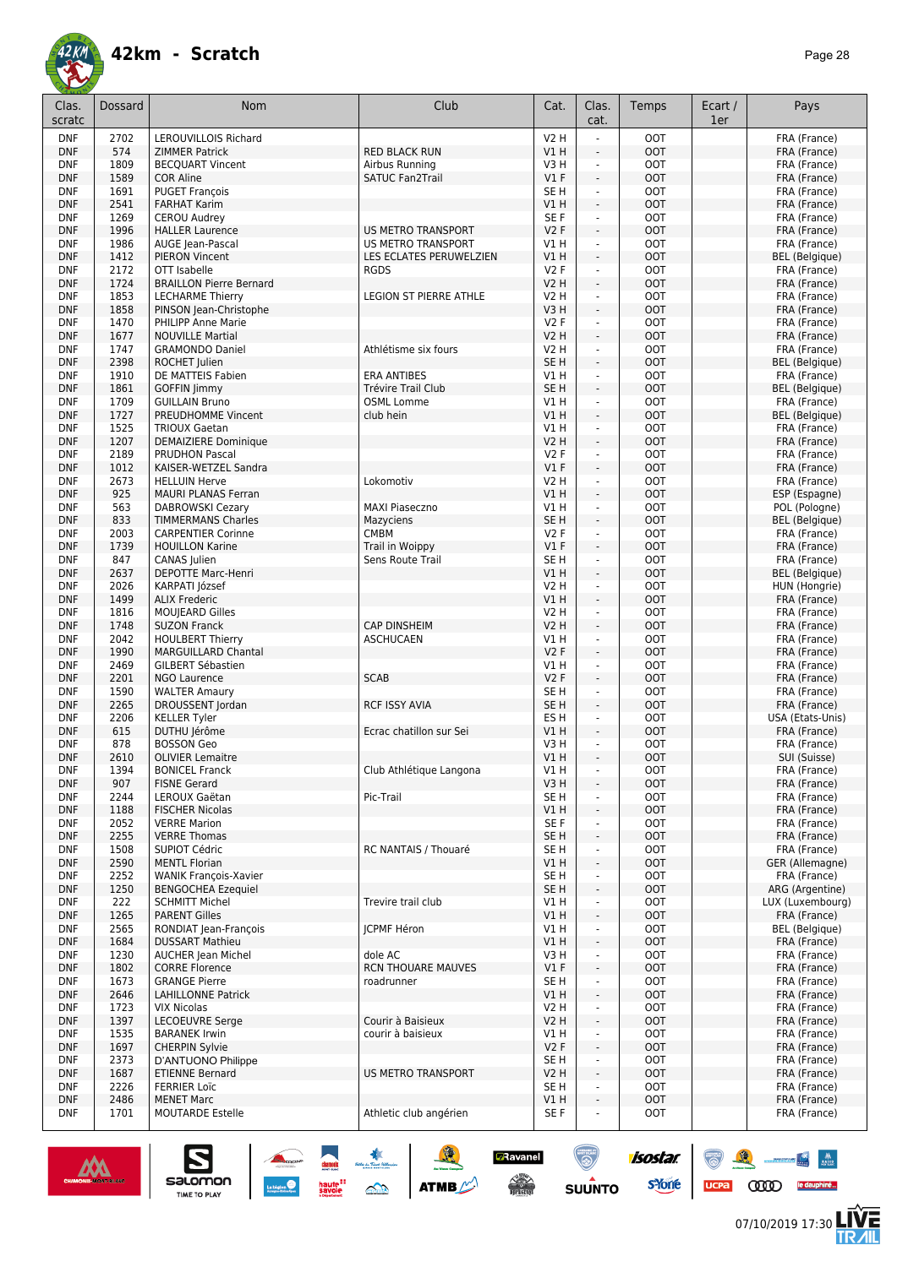![](_page_27_Picture_1.jpeg)

| Clas.<br>scratc          | Dossard      | <b>Nom</b>                                           | Club                                   | Cat.                               | Clas.<br>cat.                                        | Temps                    | Ecart /<br>1er | Pays                                   |
|--------------------------|--------------|------------------------------------------------------|----------------------------------------|------------------------------------|------------------------------------------------------|--------------------------|----------------|----------------------------------------|
| <b>DNF</b>               | 2702         | <b>LEROUVILLOIS Richard</b>                          |                                        | V2 H                               |                                                      | <b>OOT</b>               |                | FRA (France)                           |
| <b>DNF</b><br><b>DNF</b> | 574<br>1809  | <b>ZIMMER Patrick</b><br><b>BECQUART Vincent</b>     | <b>RED BLACK RUN</b><br>Airbus Running | V1 H<br>V3H                        | ÷,<br>÷                                              | <b>OOT</b><br><b>OOT</b> |                | FRA (France)<br>FRA (France)           |
| <b>DNF</b>               | 1589         | <b>COR Aline</b>                                     | <b>SATUC Fan2Trail</b>                 | V1F                                | $\bar{\phantom{a}}$                                  | <b>OOT</b>               |                | FRA (France)                           |
| <b>DNF</b>               | 1691         | <b>PUGET François</b>                                |                                        | SE <sub>H</sub>                    | $\overline{\phantom{a}}$                             | <b>OOT</b>               |                | FRA (France)                           |
| <b>DNF</b>               | 2541         | <b>FARHAT Karim</b>                                  |                                        | V1 H                               | $\overline{\phantom{a}}$                             | <b>OOT</b>               |                | FRA (France)                           |
| <b>DNF</b>               | 1269         | <b>CEROU Audrey</b>                                  |                                        | SE <sub>F</sub>                    | $\omega$                                             | <b>OOT</b>               |                | FRA (France)                           |
| <b>DNF</b>               | 1996         | <b>HALLER Laurence</b>                               | US METRO TRANSPORT                     | <b>V2F</b>                         | $\blacksquare$                                       | <b>OOT</b>               |                | FRA (France)                           |
| <b>DNF</b>               | 1986         | AUGE Jean-Pascal                                     | <b>US METRO TRANSPORT</b>              | V1H                                | $\blacksquare$                                       | <b>OOT</b>               |                | FRA (France)                           |
| <b>DNF</b>               | 1412         | <b>PIERON Vincent</b>                                | LES ECLATES PERUWELZIEN                | VIH                                | ä,                                                   | <b>OOT</b>               |                | <b>BEL</b> (Belgique)                  |
| <b>DNF</b>               | 2172         | OTT Isabelle                                         | <b>RGDS</b>                            | V2F                                | $\blacksquare$                                       | <b>OOT</b>               |                | FRA (France)                           |
| <b>DNF</b>               | 1724         | <b>BRAILLON Pierre Bernard</b>                       |                                        | V2 H                               | ÷.                                                   | <b>OOT</b>               |                | FRA (France)                           |
| <b>DNF</b><br><b>DNF</b> | 1853<br>1858 | <b>LECHARME Thierry</b><br>PINSON Jean-Christophe    | <b>LEGION ST PIERRE ATHLE</b>          | V2 H<br>V3H                        | $\mathcal{L}_{\mathcal{A}}$<br>ä,                    | <b>OOT</b><br><b>OOT</b> |                | FRA (France)<br>FRA (France)           |
| <b>DNF</b>               | 1470         | PHILIPP Anne Marie                                   |                                        | V2F                                | ÷,                                                   | <b>OOT</b>               |                | FRA (France)                           |
| <b>DNF</b>               | 1677         | <b>NOUVILLE Martial</b>                              |                                        | <b>V2 H</b>                        | ÷,                                                   | <b>OOT</b>               |                | FRA (France)                           |
| <b>DNF</b>               | 1747         | <b>GRAMONDO Daniel</b>                               | Athlétisme six fours                   | <b>V2 H</b>                        | $\blacksquare$                                       | <b>OOT</b>               |                | FRA (France)                           |
| <b>DNF</b>               | 2398         | ROCHET Julien                                        |                                        | SE <sub>H</sub>                    | ÷,                                                   | <b>OOT</b>               |                | <b>BEL</b> (Belgique)                  |
| <b>DNF</b>               | 1910         | DE MATTEIS Fabien                                    | <b>ERA ANTIBES</b>                     | V1H                                | ÷,                                                   | <b>OOT</b>               |                | FRA (France)                           |
| <b>DNF</b>               | 1861         | <b>GOFFIN Jimmy</b>                                  | Trévire Trail Club                     | SE <sub>H</sub>                    | $\overline{\phantom{a}}$                             | <b>OOT</b>               |                | <b>BEL</b> (Belgique)                  |
| <b>DNF</b>               | 1709         | <b>GUILLAIN Bruno</b>                                | <b>OSML Lomme</b>                      | V1H                                | $\blacksquare$                                       | <b>OOT</b>               |                | FRA (France)                           |
| <b>DNF</b>               | 1727         | PREUDHOMME Vincent                                   | club hein                              | VIH                                | ä,                                                   | <b>OOT</b>               |                | <b>BEL</b> (Belgique)                  |
| <b>DNF</b><br><b>DNF</b> | 1525<br>1207 | <b>TRIOUX Gaetan</b>                                 |                                        | V1 H<br>V2 H                       | $\blacksquare$<br>÷.                                 | <b>OOT</b><br><b>OOT</b> |                | FRA (France)                           |
| <b>DNF</b>               | 2189         | <b>DEMAIZIERE Dominique</b><br><b>PRUDHON Pascal</b> |                                        | V2F                                | $\blacksquare$                                       | <b>OOT</b>               |                | FRA (France)<br>FRA (France)           |
| <b>DNF</b>               | 1012         | KAISER-WETZEL Sandra                                 |                                        | V1F                                | ÷.                                                   | <b>OOT</b>               |                | FRA (France)                           |
| <b>DNF</b>               | 2673         | <b>HELLUIN Herve</b>                                 | Lokomotiv                              | V2 H                               | ÷                                                    | <b>OOT</b>               |                | FRA (France)                           |
| <b>DNF</b>               | 925          | <b>MAURI PLANAS Ferran</b>                           |                                        | V1H                                | ÷,                                                   | <b>OOT</b>               |                | ESP (Espagne)                          |
| <b>DNF</b>               | 563          | <b>DABROWSKI Cezary</b>                              | <b>MAXI Piaseczno</b>                  | V1 H                               | ÷,                                                   | <b>OOT</b>               |                | POL (Pologne)                          |
| <b>DNF</b>               | 833          | <b>TIMMERMANS Charles</b>                            | Mazyciens                              | SE <sub>H</sub>                    | $\overline{\phantom{a}}$                             | <b>OOT</b>               |                | <b>BEL</b> (Belgique)                  |
| <b>DNF</b>               | 2003         | <b>CARPENTIER Corinne</b>                            | <b>CMBM</b>                            | V2F                                | $\blacksquare$                                       | <b>OOT</b>               |                | FRA (France)                           |
| <b>DNF</b>               | 1739         | <b>HOUILLON Karine</b>                               | Trail in Woippy                        | $VI$ F                             | $\overline{\phantom{a}}$                             | <b>OOT</b>               |                | FRA (France)                           |
| <b>DNF</b>               | 847          | CANAS Julien                                         | Sens Route Trail                       | SE <sub>H</sub>                    | $\omega$                                             | <b>OOT</b>               |                | FRA (France)                           |
| <b>DNF</b><br><b>DNF</b> | 2637<br>2026 | DEPOTTE Marc-Henri<br>KARPATI József                 |                                        | VIH<br>V2 H                        | ä,<br>$\blacksquare$                                 | <b>OOT</b><br><b>OOT</b> |                | <b>BEL</b> (Belgique)<br>HUN (Hongrie) |
| <b>DNF</b>               | 1499         | <b>ALIX Frederic</b>                                 |                                        | V1H                                | ÷.                                                   | <b>OOT</b>               |                | FRA (France)                           |
| <b>DNF</b>               | 1816         | <b>MOUJEARD Gilles</b>                               |                                        | V2 H                               | $\mathcal{L}_{\mathcal{A}}$                          | <b>OOT</b>               |                | FRA (France)                           |
| <b>DNF</b>               | 1748         | <b>SUZON Franck</b>                                  | <b>CAP DINSHEIM</b>                    | V2 H                               | ä,                                                   | <b>OOT</b>               |                | FRA (France)                           |
| <b>DNF</b>               | 2042         | <b>HOULBERT Thierry</b>                              | <b>ASCHUCAEN</b>                       | V1H                                | $\blacksquare$                                       | <b>OOT</b>               |                | FRA (France)                           |
| <b>DNF</b>               | 1990         | <b>MARGUILLARD Chantal</b>                           |                                        | V2F                                | ÷,                                                   | <b>OOT</b>               |                | FRA (France)                           |
| <b>DNF</b>               | 2469         | <b>GILBERT Sébastien</b>                             |                                        | V1H                                | ÷,                                                   | <b>OOT</b>               |                | FRA (France)                           |
| <b>DNF</b>               | 2201         | <b>NGO Laurence</b>                                  | <b>SCAB</b>                            | V2F                                | ÷,                                                   | <b>OOT</b>               |                | FRA (France)                           |
| <b>DNF</b>               | 1590         | <b>WALTER Amaury</b>                                 |                                        | SE H                               | $\blacksquare$                                       | <b>OOT</b>               |                | FRA (France)                           |
| <b>DNF</b><br><b>DNF</b> | 2265<br>2206 | DROUSSENT Jordan<br><b>KELLER Tyler</b>              | <b>RCF ISSY AVIA</b>                   | SE <sub>H</sub><br>ES <sub>H</sub> | ÷,<br>÷,                                             | <b>OOT</b><br><b>OOT</b> |                | FRA (France)<br>USA (Etats-Unis)       |
| <b>DNF</b>               | 615          | DUTHU Jérôme                                         | Ecrac chatillon sur Sei                | V1 H                               | ÷,                                                   | <b>OOT</b>               |                | FRA (France)                           |
| <b>DNF</b>               | 878          | <b>BOSSON Geo</b>                                    |                                        | V3H                                | ÷                                                    | <b>OOT</b>               |                | FRA (France)                           |
| <b>DNF</b>               | 2610         | <b>OLIVIER Lemaitre</b>                              |                                        | V1 H                               | ÷,                                                   | <b>OOT</b>               |                | SUI (Suisse)                           |
| <b>DNF</b>               | 1394         | <b>BONICEL Franck</b>                                | Club Athlétique Langona                | V1 H                               | $\overline{\phantom{a}}$                             | оот                      |                | FRA (France)                           |
| <b>DNF</b>               | 907          | <b>FISNE Gerard</b>                                  |                                        | V3H                                | $\blacksquare$                                       | <b>OOT</b>               |                | FRA (France)                           |
| DNF                      | 2244         | LEROUX Gaëtan                                        | Pic-Trail                              | SE <sub>H</sub>                    |                                                      | <b>OOT</b>               |                | FRA (France)                           |
| <b>DNF</b>               | 1188         | <b>FISCHER Nicolas</b>                               |                                        | V1H                                | $\blacksquare$                                       | <b>OOT</b>               |                | FRA (France)                           |
| <b>DNF</b>               | 2052         | <b>VERRE Marion</b>                                  |                                        | SE F                               | ÷,                                                   | <b>OOT</b>               |                | FRA (France)                           |
| <b>DNF</b><br><b>DNF</b> | 2255<br>1508 | <b>VERRE Thomas</b><br><b>SUPIOT Cédric</b>          | RC NANTAIS / Thouaré                   | SE <sub>H</sub><br>SE H            | $\overline{\phantom{a}}$<br>$\overline{\phantom{a}}$ | <b>OOT</b><br><b>OOT</b> |                | FRA (France)<br>FRA (France)           |
| <b>DNF</b>               | 2590         | <b>MENTL Florian</b>                                 |                                        | V1 H                               | $\overline{\phantom{a}}$                             | OOT                      |                | GER (Allemagne)                        |
| <b>DNF</b>               | 2252         | <b>WANIK François-Xavier</b>                         |                                        | SE <sub>H</sub>                    | $\blacksquare$                                       | <b>OOT</b>               |                | FRA (France)                           |
| <b>DNF</b>               | 1250         | <b>BENGOCHEA Ezequiel</b>                            |                                        | SE <sub>H</sub>                    | $\Box$                                               | <b>OOT</b>               |                | ARG (Argentine)                        |
| <b>DNF</b>               | 222          | <b>SCHMITT Michel</b>                                | Trevire trail club                     | VIH                                | $\overline{\phantom{a}}$                             | <b>OOT</b>               |                | LUX (Luxembourg)                       |
| <b>DNF</b>               | 1265         | <b>PARENT Gilles</b>                                 |                                        | VIH                                | ÷.                                                   | <b>OOT</b>               |                | FRA (France)                           |
| <b>DNF</b>               | 2565         | RONDIAT Jean-François                                | <b>JCPMF Héron</b>                     | V1 H                               | $\sim$                                               | <b>OOT</b>               |                | <b>BEL</b> (Belgique)                  |
| <b>DNF</b>               | 1684         | <b>DUSSART Mathieu</b>                               |                                        | V1 H                               | ÷.                                                   | <b>OOT</b>               |                | FRA (France)                           |
| <b>DNF</b>               | 1230         | <b>AUCHER Jean Michel</b>                            | dole AC                                | V3 H                               | L,                                                   | <b>OOT</b>               |                | FRA (France)                           |
| <b>DNF</b><br><b>DNF</b> | 1802<br>1673 | <b>CORRE Florence</b><br><b>GRANGE Pierre</b>        | RCN THOUARE MAUVES<br>roadrunner       | $VI$ F<br>SE H                     | $\frac{1}{2}$<br>÷,                                  | <b>OOT</b><br><b>OOT</b> |                | FRA (France)<br>FRA (France)           |
| <b>DNF</b>               | 2646         | <b>LAHILLONNE Patrick</b>                            |                                        | V1H                                | $\overline{\phantom{a}}$                             | <b>OOT</b>               |                | FRA (France)                           |
| <b>DNF</b>               | 1723         | <b>VIX Nicolas</b>                                   |                                        | V2H                                | ÷                                                    | <b>OOT</b>               |                | FRA (France)                           |
| <b>DNF</b>               | 1397         | LECOEUVRE Serge                                      | Courir à Baisieux                      | V2 H                               | $\centerdot$                                         | <b>OOT</b>               |                | FRA (France)                           |
| DNF                      | 1535         | <b>BARANEK Irwin</b>                                 | courir à baisieux                      | V1 H                               | $\overline{\phantom{a}}$                             | <b>OOT</b>               |                | FRA (France)                           |
| <b>DNF</b>               | 1697         | <b>CHERPIN Sylvie</b>                                |                                        | V2F                                | $\overline{\phantom{a}}$                             | <b>OOT</b>               |                | FRA (France)                           |
| DNF                      | 2373         | D'ANTUONO Philippe                                   |                                        | SE H                               | $\blacksquare$                                       | <b>OOT</b>               |                | FRA (France)                           |
| <b>DNF</b>               | 1687         | <b>ETIENNE Bernard</b>                               | US METRO TRANSPORT                     | V2 H                               | ÷,                                                   | <b>OOT</b>               |                | FRA (France)                           |
| DNF                      | 2226         | <b>FERRIER Loïc</b>                                  |                                        | SE H                               | $\sim$                                               | <b>OOT</b>               |                | FRA (France)                           |
| <b>DNF</b>               | 2486         | <b>MENET Marc</b>                                    | Athletic club angérien                 | V1 H                               | $\overline{\phantom{a}}$<br>ä,                       | <b>OOT</b>               |                | FRA (France)                           |
| <b>DNF</b>               | 1701         | MOUTARDE Estelle                                     |                                        | SE F                               |                                                      | <b>OOT</b>               |                | FRA (France)                           |

GRavanel<br>Acce≫<br><sub>Dalian</sub>

isostar.

**s**Yone

 $\bigcirc$ SUUNTO

![](_page_27_Picture_5.jpeg)

 $\begin{array}{|c|c|c|c|}\hline \textbf{S} & \textbf{S} & \textbf{S} & \textbf{S} & \textbf{S} \\ \hline \textbf{S} & \textbf{S} & \textbf{S} & \textbf{S} & \textbf{S} & \textbf{S} \\ \hline \textbf{S} & \textbf{S} & \textbf{S} & \textbf{S} & \textbf{S} & \textbf{S} \\ \hline \textbf{S} & \textbf{S} & \textbf{S} & \textbf{S} & \textbf{S} & \textbf{S} \\ \hline \textbf{S} & \textbf{S} & \textbf{S} & \textbf{S} & \text$ 

![](_page_27_Picture_6.jpeg)

 $\bullet$   $\bullet$ 

UCPA COOD le dauphiné...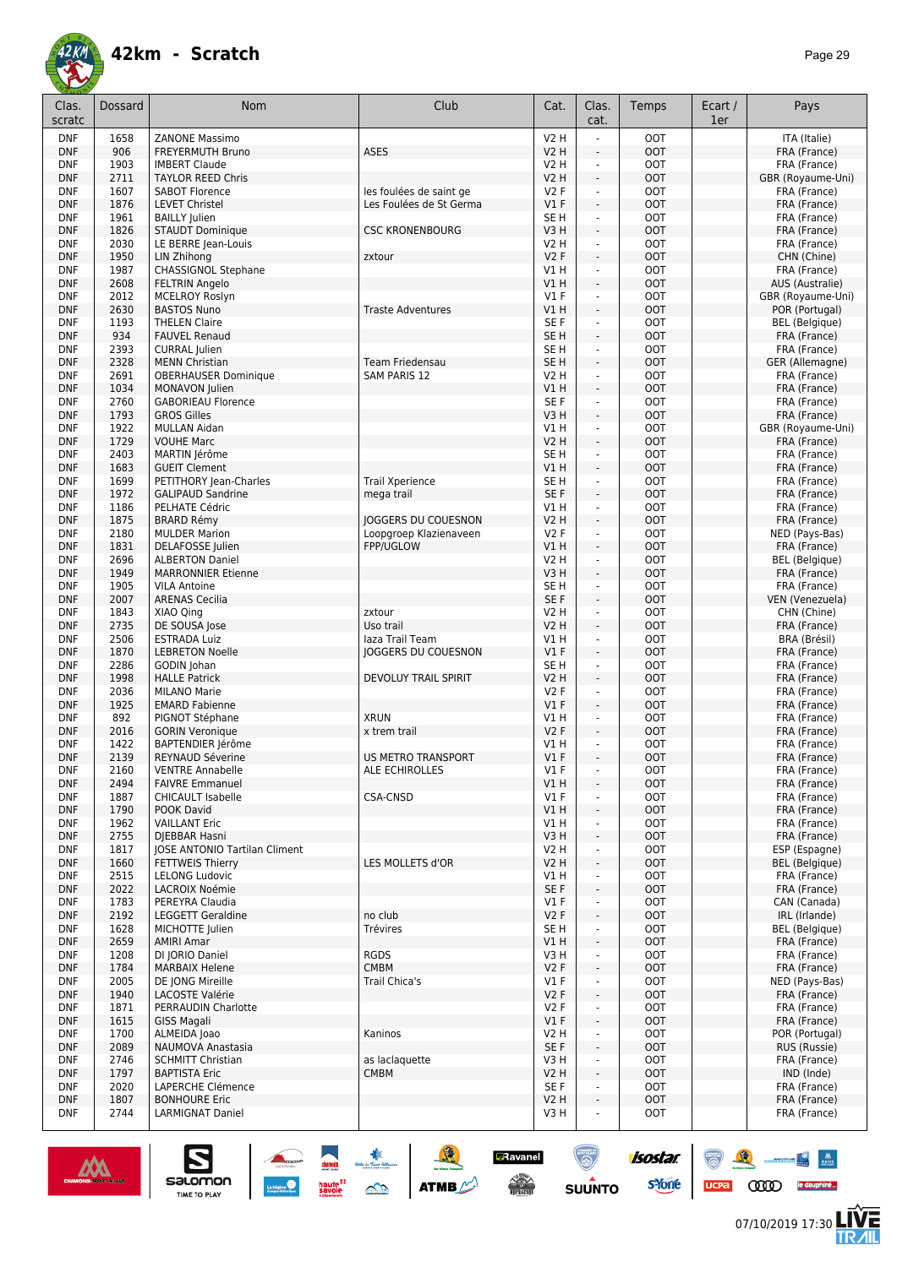| Clas.<br>scratc          | Dossard      | <b>Nom</b>                                           | Club                                                 | Cat.                           | Clas.<br>cat.                              | Temps                    | Ecart /<br>1er | Pays                                |
|--------------------------|--------------|------------------------------------------------------|------------------------------------------------------|--------------------------------|--------------------------------------------|--------------------------|----------------|-------------------------------------|
| <b>DNF</b>               | 1658         | <b>ZANONE Massimo</b>                                |                                                      | <b>V2 H</b>                    |                                            | <b>OOT</b>               |                | ITA (Italie)                        |
| <b>DNF</b><br><b>DNF</b> | 906<br>1903  | FREYERMUTH Bruno<br><b>IMBERT Claude</b>             | <b>ASES</b>                                          | <b>V2 H</b><br><b>V2 H</b>     | ÷,<br>÷,                                   | <b>OOT</b><br><b>OOT</b> |                | FRA (France)<br>FRA (France)        |
| <b>DNF</b>               | 2711         | <b>TAYLOR REED Chris</b>                             |                                                      | <b>V2 H</b>                    | $\omega$                                   | <b>OOT</b>               |                | GBR (Royaume-Uni)                   |
| <b>DNF</b>               | 1607         | <b>SABOT Florence</b>                                | les foulées de saint ge                              | <b>V2F</b>                     | $\overline{\phantom{a}}$                   | <b>OOT</b>               |                | FRA (France)                        |
| <b>DNF</b>               | 1876         | <b>LEVET Christel</b>                                | Les Foulées de St Germa                              | $VI$ F                         | $\overline{\phantom{a}}$                   | <b>OOT</b>               |                | FRA (France)                        |
| <b>DNF</b><br><b>DNF</b> | 1961<br>1826 | <b>BAILLY Julien</b><br>STAUDT Dominique             | <b>CSC KRONENBOURG</b>                               | SE <sub>H</sub><br>V3H         | ä,<br>÷,                                   | <b>OOT</b><br><b>OOT</b> |                | FRA (France)                        |
| <b>DNF</b>               | 2030         | LE BERRE Jean-Louis                                  |                                                      | <b>V2 H</b>                    | $\blacksquare$                             | <b>OOT</b>               |                | FRA (France)<br>FRA (France)        |
| <b>DNF</b>               | 1950         | LIN Zhihong                                          | zxtour                                               | V2F                            | ÷.                                         | <b>OOT</b>               |                | CHN (Chine)                         |
| <b>DNF</b>               | 1987         | <b>CHASSIGNOL Stephane</b>                           |                                                      | VIH                            | $\blacksquare$                             | <b>OOT</b>               |                | FRA (France)                        |
| <b>DNF</b>               | 2608         | <b>FELTRIN Angelo</b>                                |                                                      | VIH                            | $\blacksquare$                             | <b>OOT</b>               |                | AUS (Australie)                     |
| <b>DNF</b><br><b>DNF</b> | 2012<br>2630 | <b>MCELROY Roslyn</b><br><b>BASTOS Nuno</b>          | <b>Traste Adventures</b>                             | $VI$ F<br>VIH                  | $\omega$<br>÷,                             | <b>OOT</b><br><b>OOT</b> |                | GBR (Royaume-Uni)<br>POR (Portugal) |
| <b>DNF</b>               | 1193         | <b>THELEN Claire</b>                                 |                                                      | SE <sub>F</sub>                | ÷,                                         | <b>OOT</b>               |                | <b>BEL</b> (Belgique)               |
| <b>DNF</b>               | 934          | <b>FAUVEL Renaud</b>                                 |                                                      | SE <sub>H</sub>                | $\overline{a}$                             | <b>OOT</b>               |                | FRA (France)                        |
| <b>DNF</b>               | 2393         | <b>CURRAL Julien</b>                                 |                                                      | SE <sub>H</sub>                | $\overline{\phantom{a}}$                   | <b>OOT</b>               |                | FRA (France)                        |
| <b>DNF</b><br><b>DNF</b> | 2328<br>2691 | <b>MENN Christian</b><br><b>OBERHAUSER Dominique</b> | Team Friedensau<br><b>SAM PARIS 12</b>               | SE <sub>H</sub><br><b>V2 H</b> | $\overline{\phantom{a}}$<br>ä,             | <b>OOT</b><br><b>OOT</b> |                | GER (Allemagne)<br>FRA (France)     |
| <b>DNF</b>               | 1034         | MONAVON Julien                                       |                                                      | V1H                            | ÷,                                         | <b>OOT</b>               |                | FRA (France)                        |
| <b>DNF</b>               | 2760         | <b>GABORIEAU Florence</b>                            |                                                      | SE F                           | $\blacksquare$                             | <b>OOT</b>               |                | FRA (France)                        |
| <b>DNF</b>               | 1793         | <b>GROS Gilles</b>                                   |                                                      | V3H                            | ä,                                         | <b>OOT</b>               |                | FRA (France)                        |
| <b>DNF</b>               | 1922         | <b>MULLAN Aidan</b>                                  |                                                      | V1 H                           | $\blacksquare$                             | <b>OOT</b>               |                | GBR (Royaume-Uni)                   |
| <b>DNF</b><br><b>DNF</b> | 1729<br>2403 | <b>VOUHE Marc</b><br>MARTIN lérôme                   |                                                      | V2 H<br>SE <sub>H</sub>        | ÷.<br>$\blacksquare$                       | <b>OOT</b><br><b>OOT</b> |                | FRA (France)<br>FRA (France)        |
| <b>DNF</b>               | 1683         | <b>GUEIT Clement</b>                                 |                                                      | V1 H                           | $\omega$                                   | <b>OOT</b>               |                | FRA (France)                        |
| <b>DNF</b>               | 1699         | PETITHORY Jean-Charles                               | <b>Trail Xperience</b>                               | SE <sub>H</sub>                | $\overline{\phantom{a}}$                   | <b>OOT</b>               |                | FRA (France)                        |
| <b>DNF</b>               | 1972         | <b>GALIPAUD Sandrine</b>                             | mega trail                                           | SE <sub>F</sub>                | $\overline{\phantom{a}}$                   | <b>OOT</b>               |                | FRA (France)                        |
| <b>DNF</b>               | 1186         | PELHATE Cédric                                       |                                                      | V1H                            | $\overline{\phantom{a}}$                   | <b>OOT</b>               |                | FRA (France)<br>FRA (France)        |
| <b>DNF</b><br><b>DNF</b> | 1875<br>2180 | <b>BRARD Rémy</b><br><b>MULDER Marion</b>            | <b>JOGGERS DU COUESNON</b><br>Loopgroep Klazienaveen | <b>V2 H</b><br><b>V2F</b>      | $\overline{\phantom{a}}$<br>÷,             | <b>OOT</b><br><b>OOT</b> |                | NED (Pays-Bas)                      |
| <b>DNF</b>               | 1831         | DELAFOSSE Julien                                     | FPP/UGLOW                                            | V1H                            | ÷.                                         | <b>OOT</b>               |                | FRA (France)                        |
| <b>DNF</b>               | 2696         | <b>ALBERTON Daniel</b>                               |                                                      | <b>V2 H</b>                    | ÷,                                         | <b>OOT</b>               |                | BEL (Belgique)                      |
| <b>DNF</b>               | 1949         | <b>MARRONNIER Etienne</b>                            |                                                      | V3H                            | ä,                                         | <b>OOT</b>               |                | FRA (France)                        |
| <b>DNF</b><br><b>DNF</b> | 1905<br>2007 | <b>VILA Antoine</b><br><b>ARENAS Cecilia</b>         |                                                      | SE <sub>H</sub><br>SE F        | $\blacksquare$<br>÷,                       | <b>OOT</b><br><b>OOT</b> |                | FRA (France)<br>VEN (Venezuela)     |
| <b>DNF</b>               | 1843         | XIAO Qing                                            | zxtour                                               | <b>V2 H</b>                    | $\blacksquare$                             | <b>OOT</b>               |                | CHN (Chine)                         |
| <b>DNF</b>               | 2735         | DE SOUSA Jose                                        | Uso trail                                            | <b>V2 H</b>                    | $\overline{a}$                             | <b>OOT</b>               |                | FRA (France)                        |
| <b>DNF</b>               | 2506         | <b>ESTRADA Luiz</b>                                  | laza Trail Team                                      | V1H                            | ÷,                                         | <b>OOT</b>               |                | BRA (Brésil)                        |
| <b>DNF</b><br><b>DNF</b> | 1870<br>2286 | <b>LEBRETON Noelle</b><br>GODIN Johan                | JOGGERS DU COUESNON                                  | $VI$ F<br>SE <sub>H</sub>      | $\overline{a}$<br>$\overline{\phantom{a}}$ | <b>OOT</b><br><b>OOT</b> |                | FRA (France)<br>FRA (France)        |
| <b>DNF</b>               | 1998         | <b>HALLE Patrick</b>                                 | <b>DEVOLUY TRAIL SPIRIT</b>                          | <b>V2 H</b>                    | $\overline{a}$                             | <b>OOT</b>               |                | FRA (France)                        |
| <b>DNF</b>               | 2036         | <b>MILANO Marie</b>                                  |                                                      | <b>V2F</b>                     | $\blacksquare$                             | <b>OOT</b>               |                | FRA (France)                        |
| <b>DNF</b>               | 1925         | <b>EMARD Fabienne</b>                                |                                                      | $VI$ F                         | ÷,                                         | <b>OOT</b>               |                | FRA (France)                        |
| <b>DNF</b>               | 892<br>2016  | PIGNOT Stéphane<br><b>GORIN Veronique</b>            | <b>XRUN</b><br>x trem trail                          | V1H<br>V2F                     | ä,<br>$\overline{a}$                       | <b>OOT</b><br><b>OOT</b> |                | FRA (France)                        |
| <b>DNF</b><br><b>DNF</b> | 1422         | BAPTENDIER Jérôme                                    |                                                      | V1 H                           | ÷,                                         | <b>OOT</b>               |                | FRA (France)<br>FRA (France)        |
| <b>DNF</b>               | 2139         | REYNAUD Séverine                                     | <b>US METRO TRANSPORT</b>                            | $VI$ F                         | $\overline{\phantom{a}}$                   | <b>OOT</b>               |                | FRA (France)                        |
| <b>DNF</b>               | 2160         | <b>VENTRE Annabelle</b>                              | ALE ECHIROLLES                                       | $VI$ F                         | $\overline{\phantom{a}}$                   | оот                      |                | FRA (France)                        |
| <b>DNF</b>               | 2494         | <b>FAIVRE Emmanuel</b>                               |                                                      | V1 H                           | L.                                         | <b>OOT</b>               |                | FRA (France)                        |
| <b>DNF</b><br><b>DNF</b> | 1887<br>1790 | <b>CHICAULT Isabelle</b><br>POOK David               | CSA-CNSD                                             | V1F<br>V1 H                    | ä,                                         | <b>OOT</b><br><b>OOT</b> |                | FRA (France)<br>FRA (France)        |
| <b>DNF</b>               | 1962         | <b>VAILLANT Eric</b>                                 |                                                      | V1 H                           | ä,                                         | <b>OOT</b>               |                | FRA (France)                        |
| <b>DNF</b>               | 2755         | DIEBBAR Hasni                                        |                                                      | V3H                            | $\overline{\phantom{a}}$                   | <b>OOT</b>               |                | FRA (France)                        |
| <b>DNF</b>               | 1817         | JOSE ANTONIO Tartilan Climent                        |                                                      | V2 H                           | $\qquad \qquad \blacksquare$               | <b>OOT</b>               |                | ESP (Espagne)                       |
| <b>DNF</b><br><b>DNF</b> | 1660<br>2515 | <b>FETTWEIS Thierry</b><br><b>LELONG Ludovic</b>     | LES MOLLETS d'OR                                     | <b>V2 H</b><br>V1 H            | $\overline{\phantom{a}}$<br>÷,             | <b>OOT</b><br><b>OOT</b> |                | BEL (Belgique)<br>FRA (France)      |
| <b>DNF</b>               | 2022         | LACROIX Noémie                                       |                                                      | SE F                           | $\blacksquare$                             | <b>OOT</b>               |                | FRA (France)                        |
| <b>DNF</b>               | 1783         | PEREYRA Claudia                                      |                                                      | $VI$ F                         | $\blacksquare$                             | <b>OOT</b>               |                | CAN (Canada)                        |
| <b>DNF</b>               | 2192         | LEGGETT Geraldine                                    | no club                                              | V2F                            | ÷,                                         | <b>OOT</b>               |                | IRL (Irlande)                       |
| <b>DNF</b><br><b>DNF</b> | 1628<br>2659 | MICHOTTE Julien<br><b>AMIRI Amar</b>                 | Trévires                                             | SE H<br>V1 H                   | $\blacksquare$<br>÷,                       | <b>OOT</b><br><b>OOT</b> |                | BEL (Belgique)<br>FRA (France)      |
| <b>DNF</b>               | 1208         | DI JORIO Daniel                                      | <b>RGDS</b>                                          | V3H                            | ÷,                                         | <b>OOT</b>               |                | FRA (France)                        |
| <b>DNF</b>               | 1784         | <b>MARBAIX Helene</b>                                | <b>CMBM</b>                                          | V2F                            | $\overline{\phantom{a}}$                   | <b>OOT</b>               |                | FRA (France)                        |
| <b>DNF</b>               | 2005         | DE JONG Mireille                                     | Trail Chica's                                        | $VI$ F                         | ÷,                                         | <b>OOT</b>               |                | NED (Pays-Bas)                      |
| <b>DNF</b><br><b>DNF</b> | 1940<br>1871 | LACOSTE Valérie<br>PERRAUDIN Charlotte               |                                                      | V2F<br>V2F                     | $\overline{\phantom{a}}$<br>÷,             | <b>OOT</b><br><b>OOT</b> |                | FRA (France)<br>FRA (France)        |
| <b>DNF</b>               | 1615         | GISS Magali                                          |                                                      | V1F                            | $\overline{\phantom{a}}$                   | <b>OOT</b>               |                | FRA (France)                        |
| <b>DNF</b>               | 1700         | ALMEIDA Joao                                         | Kaninos                                              | V2 H                           | $\blacksquare$                             | <b>OOT</b>               |                | POR (Portugal)                      |
| <b>DNF</b>               | 2089         | NAUMOVA Anastasia                                    |                                                      | SE F                           | $\blacksquare$                             | <b>OOT</b>               |                | RUS (Russie)                        |
| <b>DNF</b>               | 2746         | <b>SCHMITT Christian</b>                             | as laclaquette                                       | V3 H                           | $\blacksquare$                             | <b>OOT</b>               |                | FRA (France)                        |
| <b>DNF</b><br><b>DNF</b> | 1797<br>2020 | <b>BAPTISTA Eric</b><br>LAPERCHE Clémence            | <b>CMBM</b>                                          | V2 H<br>SE F                   | ä,<br>$\blacksquare$                       | <b>OOT</b><br><b>OOT</b> |                | IND (Inde)<br>FRA (France)          |
| <b>DNF</b>               | 1807         | <b>BONHOURE Eric</b>                                 |                                                      | V2 H                           | ÷.                                         | <b>OOT</b>               |                | FRA (France)                        |
| <b>DNF</b>               | 2744         | LARMIGNAT Daniel                                     |                                                      | V3 H                           |                                            | <b>OOT</b>               |                | FRA (France)                        |
|                          |              |                                                      |                                                      |                                |                                            |                          |                |                                     |

![](_page_28_Picture_3.jpeg)

![](_page_28_Picture_4.jpeg)

UCPa **COOD** le dauphiné...

 $\mathbb{R}$ 

怎

**Executed State**<br>
SUUNTO STORE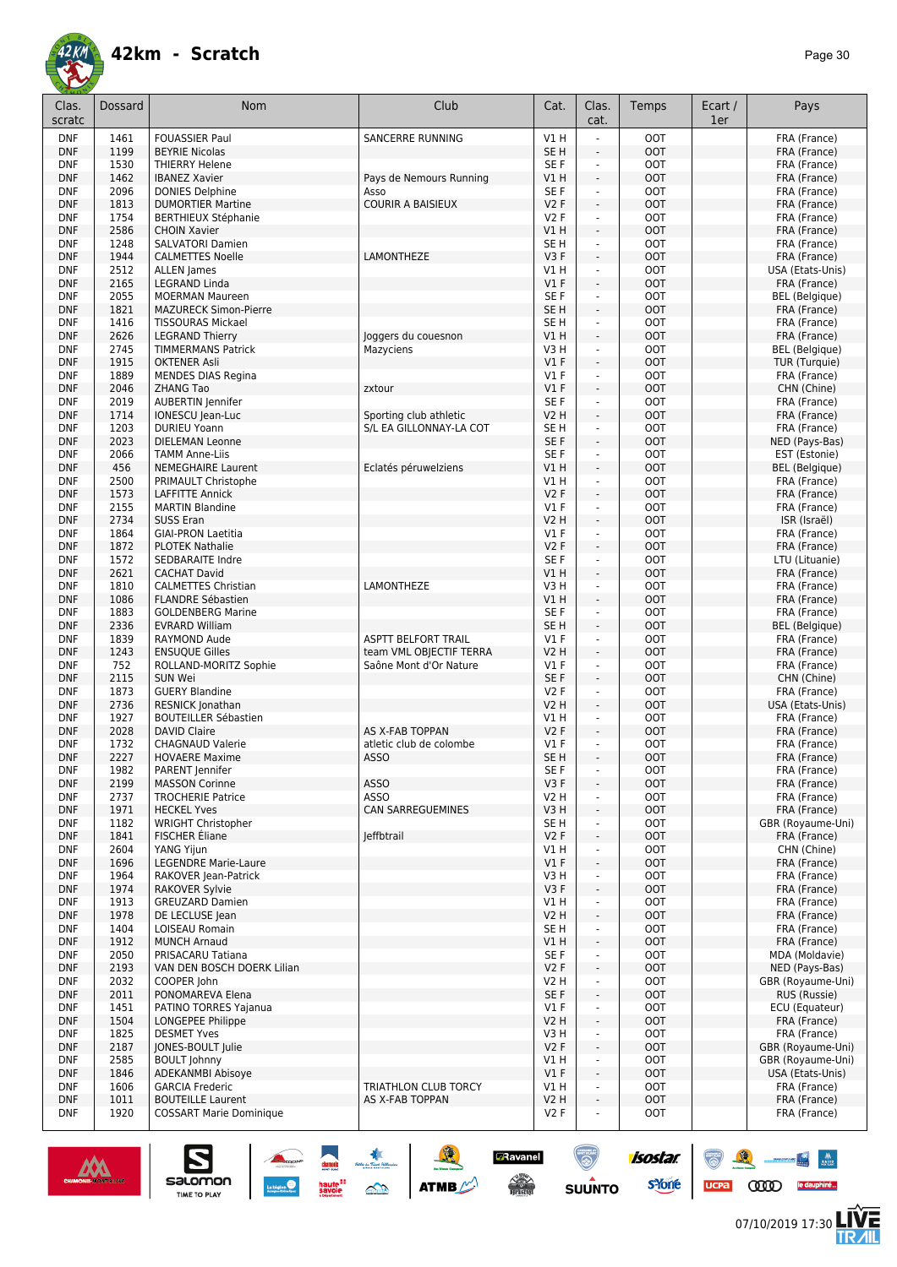![](_page_29_Picture_1.jpeg)

| Clas.<br>scratc          | <b>Dossard</b>        | <b>Nom</b>                                        | Club                                              | Cat.                   | Clas.<br>cat.                    | Temps                    | Ecart /<br>1er | Pays                                  |
|--------------------------|-----------------------|---------------------------------------------------|---------------------------------------------------|------------------------|----------------------------------|--------------------------|----------------|---------------------------------------|
| <b>DNF</b>               | 1461                  | <b>FOUASSIER Paul</b>                             | SANCERRE RUNNING                                  | V1 H                   | L.                               | <b>OOT</b>               |                | FRA (France)                          |
| <b>DNF</b>               | 1199                  | <b>BEYRIE Nicolas</b>                             |                                                   | SE <sub>H</sub>        | L,                               | <b>OOT</b>               |                | FRA (France)                          |
| <b>DNF</b>               | 1530                  | <b>THIERRY Helene</b>                             |                                                   | SE F                   | $\blacksquare$                   | <b>OOT</b>               |                | FRA (France)                          |
| <b>DNF</b>               | 1462                  | <b>IBANEZ Xavier</b>                              | Pays de Nemours Running                           | VIH                    | ä,                               | <b>OOT</b>               |                | FRA (France)                          |
| <b>DNF</b>               | 2096                  | <b>DONIES Delphine</b>                            | Asso                                              | SE F                   | $\blacksquare$                   | <b>OOT</b>               |                | FRA (France)                          |
| <b>DNF</b>               | 1813                  | <b>DUMORTIER Martine</b>                          | <b>COURIR A BAISIEUX</b>                          | V2F                    | $\overline{\phantom{a}}$<br>÷,   | <b>OOT</b>               |                | FRA (France)                          |
| <b>DNF</b><br><b>DNF</b> | 1754<br>2586          | <b>BERTHIEUX Stéphanie</b><br><b>CHOIN Xavier</b> |                                                   | V2F<br>VIH             | ÷,                               | OOT<br><b>OOT</b>        |                | FRA (France)<br>FRA (France)          |
| <b>DNF</b>               | 1248                  | <b>SALVATORI Damien</b>                           |                                                   | SE <sub>H</sub>        | $\overline{\phantom{a}}$         | <b>OOT</b>               |                | FRA (France)                          |
| <b>DNF</b>               | 1944                  | <b>CALMETTES Noelle</b>                           | LAMONTHEZE                                        | V3F                    | $\overline{\phantom{a}}$         | <b>OOT</b>               |                | FRA (France)                          |
| <b>DNF</b>               | 2512                  | <b>ALLEN James</b>                                |                                                   | V1 H                   | $\overline{\phantom{a}}$         | <b>OOT</b>               |                | USA (Etats-Unis)                      |
| <b>DNF</b>               | 2165                  | LEGRAND Linda                                     |                                                   | V1F                    | $\mathbf{r}$                     | <b>OOT</b>               |                | FRA (France)                          |
| <b>DNF</b>               | 2055                  | <b>MOERMAN Maureen</b>                            |                                                   | SE F                   | ä,                               | <b>OOT</b>               |                | <b>BEL</b> (Belgique)                 |
| <b>DNF</b>               | 1821                  | <b>MAZURECK Simon-Pierre</b>                      |                                                   | SE <sub>H</sub>        | $\blacksquare$                   | <b>OOT</b>               |                | FRA (France)                          |
| <b>DNF</b>               | 1416                  | <b>TISSOURAS Mickael</b>                          |                                                   | SE <sub>H</sub>        | $\blacksquare$                   | <b>OOT</b>               |                | FRA (France)                          |
| <b>DNF</b>               | 2626                  | <b>LEGRAND Thierry</b>                            | Joggers du couesnon                               | VIH<br>V3H             | ä,                               | <b>OOT</b><br><b>OOT</b> |                | FRA (France)<br><b>BEL</b> (Belgique) |
| <b>DNF</b><br><b>DNF</b> | 2745<br>1915          | <b>TIMMERMANS Patrick</b><br><b>OKTENER Asli</b>  | Mazyciens                                         | $VI$ F                 | $\blacksquare$<br>$\overline{a}$ | <b>OOT</b>               |                | TUR (Turquie)                         |
| <b>DNF</b>               | 1889                  | <b>MENDES DIAS Regina</b>                         |                                                   | $VI$ F                 | ä,                               | <b>OOT</b>               |                | FRA (France)                          |
| <b>DNF</b>               | 2046                  | <b>ZHANG Tao</b>                                  | zxtour                                            | V1F                    | $\overline{a}$                   | <b>OOT</b>               |                | CHN (Chine)                           |
| <b>DNF</b>               | 2019                  | <b>AUBERTIN Jennifer</b>                          |                                                   | SE F                   | ä,                               | <b>OOT</b>               |                | FRA (France)                          |
| <b>DNF</b>               | 1714                  | IONESCU Jean-Luc                                  | Sporting club athletic                            | <b>V2 H</b>            | ÷,                               | <b>OOT</b>               |                | FRA (France)                          |
| <b>DNF</b>               | 1203                  | <b>DURIEU Yoann</b>                               | S/L EA GILLONNAY-LA COT                           | SE <sub>H</sub>        | ÷,                               | <b>OOT</b>               |                | FRA (France)                          |
| <b>DNF</b>               | 2023                  | DIELEMAN Leonne                                   |                                                   | SE F                   | ÷,                               | <b>OOT</b>               |                | NED (Pays-Bas)                        |
| <b>DNF</b>               | 2066                  | <b>TAMM Anne-Liis</b>                             |                                                   | SE F                   | ä,                               | <b>OOT</b>               |                | EST (Estonie)                         |
| <b>DNF</b>               | 456                   | <b>NEMEGHAIRE Laurent</b>                         | Eclatés péruwelziens                              | VIH                    | ä,                               | <b>OOT</b>               |                | <b>BEL</b> (Belgique)                 |
| <b>DNF</b>               | 2500                  | PRIMAULT Christophe                               |                                                   | V1 H                   | $\blacksquare$                   | <b>OOT</b>               |                | FRA (France)                          |
| <b>DNF</b>               | 1573                  | <b>LAFFITTE Annick</b><br><b>MARTIN Blandine</b>  |                                                   | V2F                    | ä,                               | <b>OOT</b>               |                | FRA (France)                          |
| <b>DNF</b><br><b>DNF</b> | 2155<br>2734          | <b>SUSS Eran</b>                                  |                                                   | $VI$ F<br><b>V2 H</b>  | $\blacksquare$<br>÷.             | <b>OOT</b><br><b>OOT</b> |                | FRA (France)<br>ISR (Israël)          |
| <b>DNF</b>               | 1864                  | <b>GIAI-PRON Laetitia</b>                         |                                                   | $VI$ F                 | ä,                               | OOT                      |                | FRA (France)                          |
| <b>DNF</b>               | 1872                  | <b>PLOTEK Nathalie</b>                            |                                                   | V2F                    | $\overline{\phantom{a}}$         | <b>OOT</b>               |                | FRA (France)                          |
| <b>DNF</b>               | 1572                  | SEDBARAITE Indre                                  |                                                   | SE <sub>F</sub>        | ÷,                               | <b>OOT</b>               |                | LTU (Lituanie)                        |
| <b>DNF</b>               | 2621                  | <b>CACHAT David</b>                               |                                                   | VIH                    | ÷,                               | <b>OOT</b>               |                | FRA (France)                          |
| <b>DNF</b>               | 1810                  | <b>CALMETTES Christian</b>                        | LAMONTHEZE                                        | V3 H                   | $\overline{\phantom{a}}$         | <b>OOT</b>               |                | FRA (France)                          |
| <b>DNF</b>               | 1086                  | FLANDRE Sébastien                                 |                                                   | V1H                    | $\overline{\phantom{a}}$         | <b>OOT</b>               |                | FRA (France)                          |
| <b>DNF</b>               | 1883                  | <b>GOLDENBERG Marine</b>                          |                                                   | SE F                   | ä,                               | <b>OOT</b>               |                | FRA (France)                          |
| <b>DNF</b>               | 2336                  | <b>EVRARD William</b>                             |                                                   | SE <sub>H</sub>        | ä,                               | <b>OOT</b>               |                | <b>BEL</b> (Belgique)                 |
| <b>DNF</b>               | 1839                  | RAYMOND Aude                                      | <b>ASPTT BELFORT TRAIL</b>                        | $VI$ F                 | $\blacksquare$                   | <b>OOT</b>               |                | FRA (France)                          |
| <b>DNF</b><br><b>DNF</b> | 1243<br>752           | <b>ENSUQUE Gilles</b><br>ROLLAND-MORITZ Sophie    | team VML OBJECTIF TERRA<br>Saône Mont d'Or Nature | <b>V2 H</b><br>$VI$ F  | ÷,                               | <b>OOT</b><br><b>OOT</b> |                | FRA (France)<br>FRA (France)          |
| <b>DNF</b>               | 2115                  | SUN Wei                                           |                                                   | SE F                   | $\blacksquare$<br>÷,             | <b>OOT</b>               |                | CHN (Chine)                           |
| <b>DNF</b>               | 1873                  | <b>GUERY Blandine</b>                             |                                                   | V2F                    | ÷,                               | OOT                      |                | FRA (France)                          |
| <b>DNF</b>               | 2736                  | RESNICK Jonathan                                  |                                                   | <b>V2 H</b>            | $\overline{a}$                   | <b>OOT</b>               |                | USA (Etats-Unis)                      |
| <b>DNF</b>               | 1927                  | <b>BOUTEILLER Sébastien</b>                       |                                                   | V1H                    | $\overline{\phantom{a}}$         | <b>OOT</b>               |                | FRA (France)                          |
| <b>DNF</b>               | 2028                  | <b>DAVID Claire</b>                               | AS X-FAB TOPPAN                                   | V2F                    | ÷,                               | <b>OOT</b>               |                | FRA (France)                          |
| <b>DNF</b>               | 1732                  | <b>CHAGNAUD Valerie</b>                           | atletic club de colombe                           | V1F                    | $\overline{\phantom{a}}$         | <b>OOT</b>               |                | FRA (France)                          |
| <b>DNF</b>               | 2227                  | <b>HOVAERE Maxime</b>                             | <b>ASSO</b>                                       | SE <sub>H</sub>        | $\overline{\phantom{a}}$         | OOT                      |                | FRA (France)                          |
| <b>DNF</b>               | 1982                  | PARENT Jennifer                                   |                                                   | SE F                   | ÷,                               | OOT                      |                | FRA (France)                          |
| <b>DNF</b><br><b>DNF</b> | 2199<br>2737          | <b>MASSON Corinne</b><br><b>TROCHERIE Patrice</b> | <b>ASSO</b><br><b>ASSO</b>                        | V3F<br><b>V2 H</b>     | L,                               | <b>OOT</b><br><b>OOT</b> |                | FRA (France)                          |
| <b>DNF</b>               | 1971                  | <b>HECKEL Yves</b>                                | <b>CAN SARREGUEMINES</b>                          | V3H                    | $\blacksquare$<br>÷.             | <b>OOT</b>               |                | FRA (France)<br>FRA (France)          |
| <b>DNF</b>               | 1182                  | <b>WRIGHT Christopher</b>                         |                                                   | SE H                   | $\blacksquare$                   | <b>OOT</b>               |                | GBR (Royaume-Uni)                     |
| <b>DNF</b>               | 1841                  | FISCHER Éliane                                    | leffbtrail                                        | V2F                    | ÷,                               | <b>OOT</b>               |                | FRA (France)                          |
| <b>DNF</b>               | 2604                  | YANG Yijun                                        |                                                   | V1 H                   | $\blacksquare$                   | <b>OOT</b>               |                | CHN (Chine)                           |
| <b>DNF</b>               | 1696                  | <b>LEGENDRE Marie-Laure</b>                       |                                                   | V1F                    | $\overline{\phantom{a}}$         | <b>OOT</b>               |                | FRA (France)                          |
| <b>DNF</b>               | 1964                  | RAKOVER Jean-Patrick                              |                                                   | V3H                    | ä,                               | <b>OOT</b>               |                | FRA (France)                          |
| <b>DNF</b>               | 1974                  | <b>RAKOVER Sylvie</b>                             |                                                   | V3F                    | $\overline{\phantom{a}}$         | <b>OOT</b>               |                | FRA (France)                          |
| <b>DNF</b>               | 1913                  | <b>GREUZARD Damien</b>                            |                                                   | V1 H                   | ÷                                | <b>OOT</b>               |                | FRA (France)                          |
| <b>DNF</b>               | 1978                  | DE LECLUSE lean                                   |                                                   | <b>V2 H</b>            | $\overline{\phantom{a}}$         | <b>OOT</b>               |                | FRA (France)                          |
| <b>DNF</b><br><b>DNF</b> | 1404<br>1912          | LOISEAU Romain<br><b>MUNCH Arnaud</b>             |                                                   | SE <sub>H</sub><br>VIH | ä,<br>÷.                         | <b>OOT</b><br><b>OOT</b> |                | FRA (France)<br>FRA (France)          |
| <b>DNF</b>               | 2050                  | PRISACARU Tatiana                                 |                                                   | SE F                   | $\blacksquare$                   | <b>OOT</b>               |                | MDA (Moldavie)                        |
| <b>DNF</b>               | 2193                  | VAN DEN BOSCH DOERK Lilian                        |                                                   | V2F                    | $\blacksquare$                   | <b>OOT</b>               |                | NED (Pays-Bas)                        |
| <b>DNF</b>               | 2032                  | COOPER John                                       |                                                   | V2 H                   | ÷.                               | <b>OOT</b>               |                | GBR (Royaume-Uni)                     |
| <b>DNF</b>               | 2011                  | PONOMAREVA Elena                                  |                                                   | SE F                   | $\blacksquare$                   | <b>OOT</b>               |                | RUS (Russie)                          |
| <b>DNF</b>               | 1451                  | PATINO TORRES Yajanua                             |                                                   | $VI$ F                 | $\blacksquare$                   | <b>OOT</b>               |                | ECU (Equateur)                        |
| <b>DNF</b>               | 1504                  | LONGEPEE Philippe                                 |                                                   | V2 H                   | ÷,                               | <b>OOT</b>               |                | FRA (France)                          |
| <b>DNF</b>               | 1825                  | <b>DESMET Yves</b>                                |                                                   | V3H                    | ä,                               | <b>OOT</b>               |                | FRA (France)                          |
| <b>DNF</b>               | 2187                  | JONES-BOULT Julie                                 |                                                   | V2F                    | $\overline{a}$                   | <b>OOT</b>               |                | GBR (Royaume-Uni)                     |
| <b>DNF</b>               | 2585                  | <b>BOULT Johnny</b>                               |                                                   | V1H                    | ä,                               | <b>OOT</b>               |                | GBR (Royaume-Uni)                     |
| <b>DNF</b><br><b>DNF</b> | 1846<br>1606          | ADEKANMBI Abisoye<br><b>GARCIA Frederic</b>       | TRIATHLON CLUB TORCY                              | $VI$ F<br>V1H          | $\overline{\phantom{a}}$<br>÷,   | <b>OOT</b><br><b>OOT</b> |                | USA (Etats-Unis)                      |
| <b>DNF</b>               | 1011                  | <b>BOUTEILLE Laurent</b>                          | AS X-FAB TOPPAN                                   | <b>V2 H</b>            | ÷,                               | <b>OOT</b>               |                | FRA (France)<br>FRA (France)          |
| <b>DNF</b>               | 1920                  | <b>COSSART Marie Dominique</b>                    |                                                   | V2F                    | L,                               | <b>OOT</b>               |                | FRA (France)                          |
|                          |                       |                                                   |                                                   |                        |                                  |                          |                |                                       |
|                          |                       |                                                   |                                                   |                        |                                  |                          |                |                                       |
|                          |                       |                                                   | <b>Ravanel</b>                                    |                        |                                  | isostar.                 |                |                                       |
|                          | CHAMONIX-INCINT-BLANC | salomon<br>haufe <sup>11</sup><br>savoie          | $\frac{1}{\sqrt{2}}$<br><b>ATMB</b><br>≏          |                        | <b>SUUNTO</b>                    | <b>s</b> Yone            | <b>UCPa</b>    | ത്ത<br>le dauphiné                    |
|                          |                       | <b>TIME TO PLAY</b>                               |                                                   |                        |                                  |                          |                |                                       |

![](_page_29_Picture_3.jpeg)

07/10/2019 17:30

左<br>加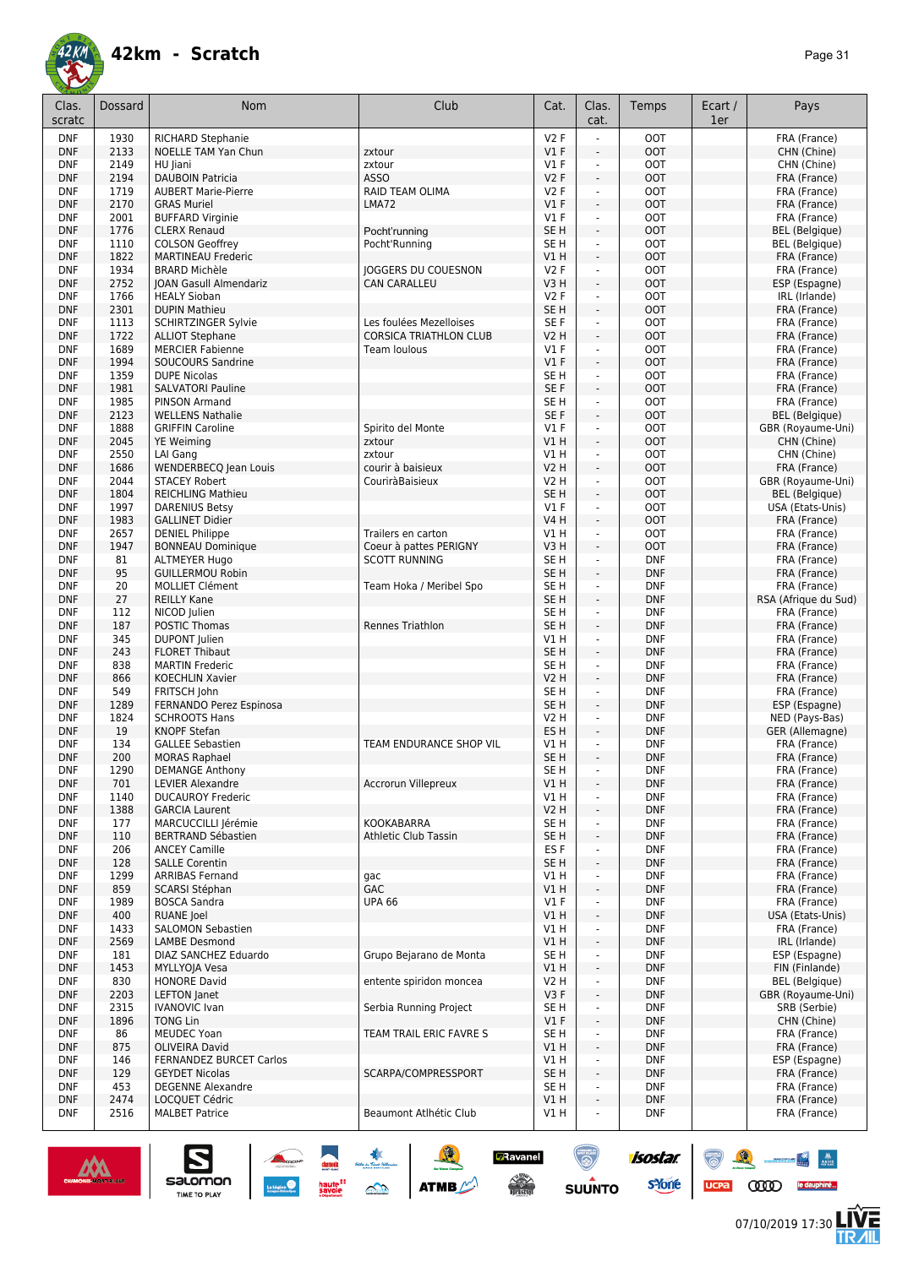![](_page_30_Picture_0.jpeg)

| Clas.<br>scratc          | Dossard      | Nom                                                  | Club                                                     | Cat.                               | Clas.<br>cat.                    | Temps                    | Ecart /<br>1er | Pays                              |
|--------------------------|--------------|------------------------------------------------------|----------------------------------------------------------|------------------------------------|----------------------------------|--------------------------|----------------|-----------------------------------|
| <b>DNF</b>               | 1930         | RICHARD Stephanie                                    |                                                          | V2F                                |                                  | <b>OOT</b>               |                | FRA (France)                      |
| <b>DNF</b>               | 2133         | <b>NOELLE TAM Yan Chun</b>                           | zxtour                                                   | $VI$ F                             | ÷,                               | <b>OOT</b>               |                | CHN (Chine)                       |
| <b>DNF</b>               | 2149         | HU Jiani                                             | zxtour                                                   | $VI$ F                             | $\overline{\phantom{a}}$         | <b>OOT</b>               |                | CHN (Chine)                       |
| <b>DNF</b>               | 2194         | <b>DAUBOIN Patricia</b>                              | <b>ASSO</b>                                              | V2F                                | $\overline{\phantom{a}}$         | <b>OOT</b>               |                | FRA (France)                      |
| <b>DNF</b>               | 1719         | <b>AUBERT Marie-Pierre</b>                           | RAID TEAM OLIMA<br>LMA72                                 | V2F                                | ÷,<br>$\omega$                   | <b>OOT</b>               |                | FRA (France)                      |
| <b>DNF</b><br><b>DNF</b> | 2170<br>2001 | <b>GRAS Muriel</b><br><b>BUFFARD Virginie</b>        |                                                          | V1F<br>$VI$ F                      | $\blacksquare$                   | <b>OOT</b><br><b>OOT</b> |                | FRA (France)<br>FRA (France)      |
| <b>DNF</b>               | 1776         | <b>CLERX Renaud</b>                                  | Pocht'running                                            | SE <sub>H</sub>                    | ÷.                               | <b>OOT</b>               |                | <b>BEL</b> (Belgique)             |
| <b>DNF</b>               | 1110         | <b>COLSON Geoffrey</b>                               | Pocht'Running                                            | SE H                               | $\blacksquare$                   | <b>OOT</b>               |                | <b>BEL</b> (Belgique)             |
| <b>DNF</b>               | 1822         | <b>MARTINEAU Frederic</b>                            |                                                          | V1 H                               | ÷.                               | <b>OOT</b>               |                | FRA (France)                      |
| <b>DNF</b>               | 1934         | <b>BRARD Michèle</b>                                 | <b>JOGGERS DU COUESNON</b>                               | V2F                                | ä,                               | <b>OOT</b>               |                | FRA (France)                      |
| <b>DNF</b>               | 2752         | JOAN Gasull Almendariz                               | <b>CAN CARALLEU</b>                                      | V3H                                | ÷,                               | <b>OOT</b>               |                | ESP (Espagne)                     |
| <b>DNF</b>               | 1766         | <b>HEALY Sioban</b>                                  |                                                          | V2F                                | ÷,                               | <b>OOT</b>               |                | IRL (Irlande)                     |
| <b>DNF</b>               | 2301         | <b>DUPIN Mathieu</b>                                 |                                                          | SE <sub>H</sub>                    | ÷,                               | <b>OOT</b>               |                | FRA (France)                      |
| <b>DNF</b><br><b>DNF</b> | 1113<br>1722 | <b>SCHIRTZINGER Sylvie</b><br><b>ALLIOT Stephane</b> | Les foulées Mezelloises<br><b>CORSICA TRIATHLON CLUB</b> | SE F<br>V2 H                       | $\overline{\phantom{a}}$<br>÷,   | <b>OOT</b><br><b>OOT</b> |                | FRA (France)<br>FRA (France)      |
| <b>DNF</b>               | 1689         | <b>MERCIER Fabienne</b>                              | Team loulous                                             | $VI$ F                             | ÷,                               | <b>OOT</b>               |                | FRA (France)                      |
| <b>DNF</b>               | 1994         | SOUCOURS Sandrine                                    |                                                          | V1F                                | ä,                               | <b>OOT</b>               |                | FRA (France)                      |
| <b>DNF</b>               | 1359         | <b>DUPE Nicolas</b>                                  |                                                          | SE <sub>H</sub>                    | $\blacksquare$                   | <b>OOT</b>               |                | FRA (France)                      |
| <b>DNF</b>               | 1981         | <b>SALVATORI Pauline</b>                             |                                                          | SE F                               | $\overline{\phantom{a}}$         | <b>OOT</b>               |                | FRA (France)                      |
| <b>DNF</b>               | 1985         | PINSON Armand                                        |                                                          | SE H                               | $\blacksquare$                   | <b>OOT</b>               |                | FRA (France)                      |
| <b>DNF</b>               | 2123         | <b>WELLENS Nathalie</b>                              |                                                          | SE F                               | $\overline{\phantom{a}}$         | <b>OOT</b>               |                | <b>BEL</b> (Belgique)             |
| <b>DNF</b>               | 1888         | <b>GRIFFIN Caroline</b>                              | Spirito del Monte                                        | $VI$ F                             | ä,                               | <b>OOT</b>               |                | GBR (Royaume-Uni)                 |
| <b>DNF</b><br><b>DNF</b> | 2045<br>2550 | <b>YE Weiming</b><br>LAI Gang                        | zxtour<br>zxtour                                         | V1H<br>V1 H                        | ÷,<br>÷,                         | OOT<br><b>OOT</b>        |                | CHN (Chine)<br>CHN (Chine)        |
| <b>DNF</b>               | 1686         | <b>WENDERBECQ Jean Louis</b>                         | courir à baisieux                                        | <b>V2 H</b>                        | $\overline{\phantom{a}}$         | <b>OOT</b>               |                | FRA (France)                      |
| <b>DNF</b>               | 2044         | <b>STACEY Robert</b>                                 | CouriràBaisieux                                          | V2 H                               | $\overline{\phantom{a}}$         | <b>OOT</b>               |                | GBR (Royaume-Uni)                 |
| <b>DNF</b>               | 1804         | <b>REICHLING Mathieu</b>                             |                                                          | SE <sub>H</sub>                    | $\overline{\phantom{a}}$         | <b>OOT</b>               |                | <b>BEL</b> (Belgique)             |
| <b>DNF</b>               | 1997         | <b>DARENIUS Betsy</b>                                |                                                          | $VI$ F                             | ä,                               | <b>OOT</b>               |                | USA (Etats-Unis)                  |
| <b>DNF</b>               | 1983         | <b>GALLINET Didier</b>                               |                                                          | <b>V4 H</b>                        | ÷,                               | <b>OOT</b>               |                | FRA (France)                      |
| <b>DNF</b>               | 2657         | <b>DENIEL Philippe</b>                               | Trailers en carton                                       | V1H                                | $\blacksquare$                   | <b>OOT</b>               |                | FRA (France)                      |
| <b>DNF</b>               | 1947         | <b>BONNEAU Dominique</b>                             | Coeur à pattes PERIGNY                                   | V3H                                | $\blacksquare$                   | <b>OOT</b>               |                | FRA (France)                      |
| <b>DNF</b><br><b>DNF</b> | 81<br>95     | <b>ALTMEYER Hugo</b><br><b>GUILLERMOU Robin</b>      | <b>SCOTT RUNNING</b>                                     | SE <sub>H</sub><br>SE <sub>H</sub> | $\blacksquare$<br>$\blacksquare$ | <b>DNF</b><br><b>DNF</b> |                | FRA (France)                      |
| <b>DNF</b>               | 20           | <b>MOLLIET Clément</b>                               | Team Hoka / Meribel Spo                                  | SE <sub>H</sub>                    | ÷,                               | <b>DNF</b>               |                | FRA (France)<br>FRA (France)      |
| <b>DNF</b>               | 27           | <b>REILLY Kane</b>                                   |                                                          | SE <sub>H</sub>                    | ÷,                               | <b>DNF</b>               |                | RSA (Afrique du Sud)              |
| <b>DNF</b>               | 112          | NICOD Julien                                         |                                                          | SE <sub>H</sub>                    | ÷,                               | <b>DNF</b>               |                | FRA (France)                      |
| <b>DNF</b>               | 187          | POSTIC Thomas                                        | <b>Rennes Triathlon</b>                                  | SE <sub>H</sub>                    | ÷,                               | <b>DNF</b>               |                | FRA (France)                      |
| <b>DNF</b>               | 345          | <b>DUPONT</b> Julien                                 |                                                          | V1H                                | ÷,                               | <b>DNF</b>               |                | FRA (France)                      |
| <b>DNF</b>               | 243          | <b>FLORET Thibaut</b>                                |                                                          | SE <sub>H</sub>                    | $\overline{\phantom{a}}$         | <b>DNF</b>               |                | FRA (France)                      |
| <b>DNF</b>               | 838          | <b>MARTIN Frederic</b>                               |                                                          | SE <sub>H</sub>                    | $\overline{\phantom{a}}$         | <b>DNF</b>               |                | FRA (France)                      |
| <b>DNF</b><br><b>DNF</b> | 866<br>549   | <b>KOECHLIN Xavier</b><br>FRITSCH John               |                                                          | <b>V2 H</b><br>SE <sub>H</sub>     | ÷,<br>$\blacksquare$             | <b>DNF</b><br><b>DNF</b> |                | FRA (France)<br>FRA (France)      |
| <b>DNF</b>               | 1289         | FERNANDO Perez Espinosa                              |                                                          | SE <sub>H</sub>                    | $\blacksquare$                   | <b>DNF</b>               |                | ESP (Espagne)                     |
| <b>DNF</b>               | 1824         | <b>SCHROOTS Hans</b>                                 |                                                          | V2 H                               | ä,                               | <b>DNF</b>               |                | NED (Pays-Bas)                    |
| <b>DNF</b>               | 19           | <b>KNOPF Stefan</b>                                  |                                                          | ES <sub>H</sub>                    | ÷.                               | <b>DNF</b>               |                | GER (Allemagne)                   |
| <b>DNF</b>               | 134          | <b>GALLEE Sebastien</b>                              | TEAM ENDURANCE SHOP VIL                                  | V1 H                               | ä,                               | <b>DNF</b>               |                | FRA (France)                      |
| <b>DNF</b>               | 200          | <b>MORAS Raphael</b>                                 |                                                          | SE <sub>H</sub>                    | ÷,                               | <b>DNF</b>               |                | FRA (France)                      |
| DNF<br><b>DNF</b>        | 1290<br>701  | DEMANGE Anthony<br><b>LEVIER Alexandre</b>           | Accrorun Villepreux                                      | SE H<br>V1H                        | ٠<br>$\blacksquare$              | DNF<br><b>DNF</b>        |                | FRA (France)<br>FRA (France)      |
| <b>DNF</b>               | 1140         | <b>DUCAUROY Frederic</b>                             |                                                          | V1H                                |                                  | <b>DNF</b>               |                | FRA (France)                      |
| <b>DNF</b>               | 1388         | <b>GARCIA Laurent</b>                                |                                                          | <b>V2 H</b>                        | $\overline{\phantom{a}}$         | <b>DNF</b>               |                | FRA (France)                      |
| <b>DNF</b>               | 177          | MARCUCCILLI Jérémie                                  | KOOKABARRA                                               | SE H                               |                                  | <b>DNF</b>               |                | FRA (France)                      |
| <b>DNF</b>               | 110          | <b>BERTRAND Sébastien</b>                            | Athletic Club Tassin                                     | SE <sub>H</sub>                    | $\overline{\phantom{a}}$         | <b>DNF</b>               |                | FRA (France)                      |
| <b>DNF</b>               | 206          | <b>ANCEY Camille</b>                                 |                                                          | ES <sub>F</sub>                    | $\blacksquare$                   | <b>DNF</b>               |                | FRA (France)                      |
| <b>DNF</b>               | 128          | <b>SALLE Corentin</b>                                |                                                          | SE H                               | ÷.                               | <b>DNF</b>               |                | FRA (France)                      |
| <b>DNF</b><br><b>DNF</b> | 1299<br>859  | <b>ARRIBAS Fernand</b><br>SCARSI Stéphan             | gac<br>GAC                                               | V1 H<br>V1 H                       | $\blacksquare$<br>÷.             | <b>DNF</b><br><b>DNF</b> |                | FRA (France)<br>FRA (France)      |
| <b>DNF</b>               | 1989         | <b>BOSCA Sandra</b>                                  | <b>UPA 66</b>                                            | $VI$ F                             | ÷,                               | <b>DNF</b>               |                | FRA (France)                      |
| <b>DNF</b>               | 400          | <b>RUANE</b> Joel                                    |                                                          | V1H                                | ÷,                               | <b>DNF</b>               |                | USA (Etats-Unis)                  |
| <b>DNF</b>               | 1433         | SALOMON Sebastien                                    |                                                          | V1H                                | ÷,                               | <b>DNF</b>               |                | FRA (France)                      |
| <b>DNF</b>               | 2569         | <b>LAMBE Desmond</b>                                 |                                                          | V1H                                | $\blacksquare$                   | <b>DNF</b>               |                | IRL (Irlande)                     |
| <b>DNF</b>               | 181          | DIAZ SANCHEZ Eduardo                                 | Grupo Bejarano de Monta                                  | SE H                               | ÷,                               | <b>DNF</b>               |                | ESP (Espagne)                     |
| <b>DNF</b>               | 1453         | MYLLYOJA Vesa                                        |                                                          | V1 H                               | $\overline{\phantom{a}}$         | <b>DNF</b>               |                | FIN (Finlande)                    |
| <b>DNF</b>               | 830          | <b>HONORE David</b>                                  | entente spiridon moncea                                  | V2 H                               | ÷,                               | <b>DNF</b>               |                | <b>BEL</b> (Belgique)             |
| <b>DNF</b><br>DNF        | 2203<br>2315 | LEFTON Janet<br><b>IVANOVIC Ivan</b>                 | Serbia Running Project                                   | V3F<br>SE H                        | ÷,<br>$\blacksquare$             | <b>DNF</b><br><b>DNF</b> |                | GBR (Royaume-Uni)<br>SRB (Serbie) |
| <b>DNF</b>               | 1896         | <b>TONG Lin</b>                                      |                                                          | $VI$ F                             | ÷,                               | <b>DNF</b>               |                | CHN (Chine)                       |
| <b>DNF</b>               | 86           | MEUDEC Yoan                                          | TEAM TRAIL ERIC FAVRE S                                  | SE H                               | ÷                                | <b>DNF</b>               |                | FRA (France)                      |
| <b>DNF</b>               | 875          | OLIVEIRA David                                       |                                                          | V1H                                | $\overline{\phantom{a}}$         | <b>DNF</b>               |                | FRA (France)                      |
| <b>DNF</b>               | 146          | <b>FERNANDEZ BURCET Carlos</b>                       |                                                          | V1 H                               | ÷                                | <b>DNF</b>               |                | ESP (Espagne)                     |
| <b>DNF</b>               | 129          | <b>GEYDET Nicolas</b>                                | SCARPA/COMPRESSPORT                                      | SE <sub>H</sub>                    | ÷,                               | <b>DNF</b>               |                | FRA (France)                      |
| <b>DNF</b>               | 453          | <b>DEGENNE Alexandre</b>                             |                                                          | SE H                               | ä,                               | <b>DNF</b>               |                | FRA (France)                      |
| <b>DNF</b><br><b>DNF</b> | 2474<br>2516 | LOCQUET Cédric<br><b>MALBET Patrice</b>              | Beaumont Atlhétic Club                                   | V1H<br>V1 H                        | $\overline{\phantom{a}}$<br>÷,   | <b>DNF</b><br><b>DNF</b> |                | FRA (France)<br>FRA (France)      |
|                          |              |                                                      |                                                          |                                    |                                  |                          |                |                                   |

SO THE SO ATME

![](_page_30_Picture_4.jpeg)

 $\sum_{\text{SALOMOM}}$ 

![](_page_30_Picture_5.jpeg)

6

isostar.

**Zavanel** 

 $\begin{array}{c} \displaystyle \bigwedge_{i=1}^n \mathbb{Z}^n \end{array}$  using the set

 $\odot$ 

**SUUNTO** 

![](_page_30_Picture_6.jpeg)

 $\begin{picture}(150,10) \put(0,0){\line(1,0){10}} \put(10,0){\line(1,0){10}} \put(10,0){\line(1,0){10}} \put(10,0){\line(1,0){10}} \put(10,0){\line(1,0){10}} \put(10,0){\line(1,0){10}} \put(10,0){\line(1,0){10}} \put(10,0){\line(1,0){10}} \put(10,0){\line(1,0){10}} \put(10,0){\line(1,0){10}} \put(10,0){\line(1,0){10}} \put(10,0){\line($